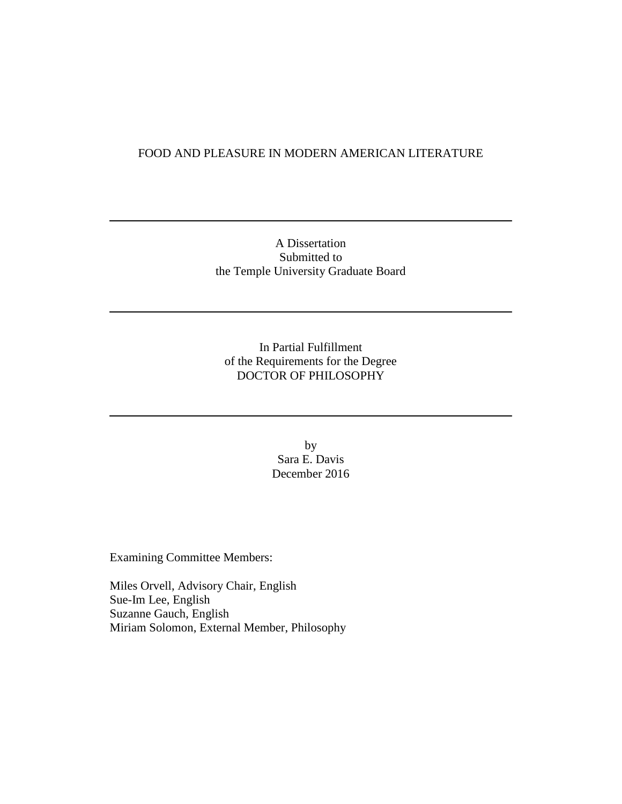## FOOD AND PLEASURE IN MODERN AMERICAN LITERATURE

## A Dissertation Submitted to the Temple University Graduate Board

In Partial Fulfillment of the Requirements for the Degree DOCTOR OF PHILOSOPHY

> by Sara E. Davis December 2016

Examining Committee Members:

Miles Orvell, Advisory Chair, English Sue-Im Lee, English Suzanne Gauch, English Miriam Solomon, External Member, Philosophy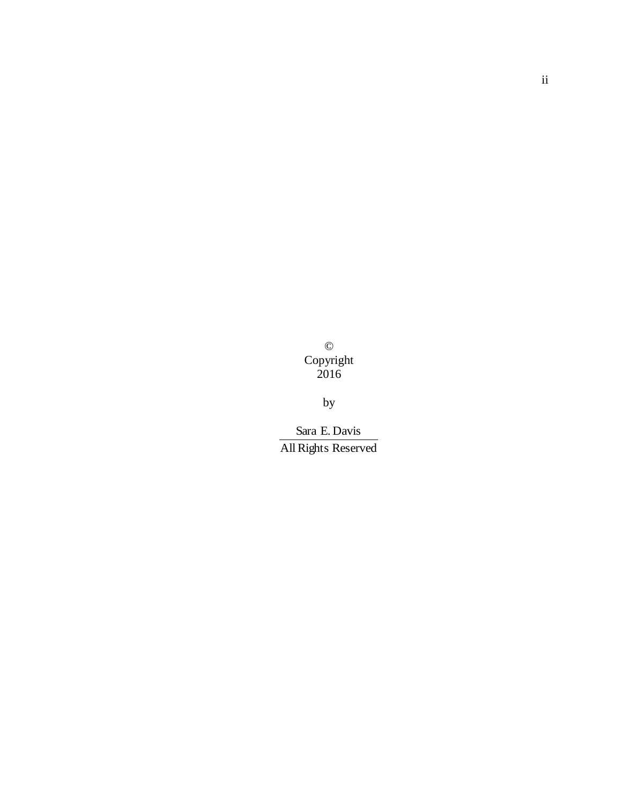© Copyright 2016

by

All Rights Reserved Sara E. Davis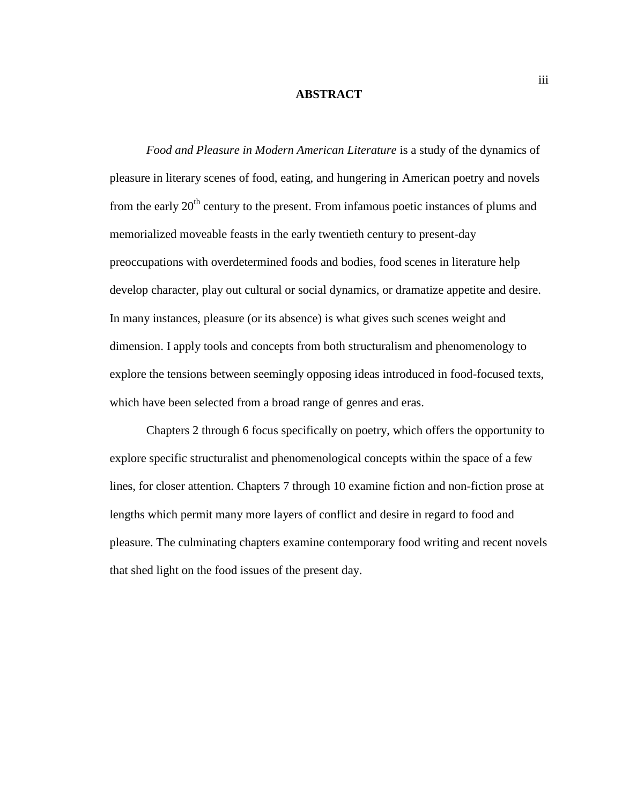#### **ABSTRACT**

*Food and Pleasure in Modern American Literature* is a study of the dynamics of pleasure in literary scenes of food, eating, and hungering in American poetry and novels from the early  $20<sup>th</sup>$  century to the present. From infamous poetic instances of plums and memorialized moveable feasts in the early twentieth century to present-day preoccupations with overdetermined foods and bodies, food scenes in literature help develop character, play out cultural or social dynamics, or dramatize appetite and desire. In many instances, pleasure (or its absence) is what gives such scenes weight and dimension. I apply tools and concepts from both structuralism and phenomenology to explore the tensions between seemingly opposing ideas introduced in food-focused texts, which have been selected from a broad range of genres and eras.

Chapters 2 through 6 focus specifically on poetry, which offers the opportunity to explore specific structuralist and phenomenological concepts within the space of a few lines, for closer attention. Chapters 7 through 10 examine fiction and non-fiction prose at lengths which permit many more layers of conflict and desire in regard to food and pleasure. The culminating chapters examine contemporary food writing and recent novels that shed light on the food issues of the present day.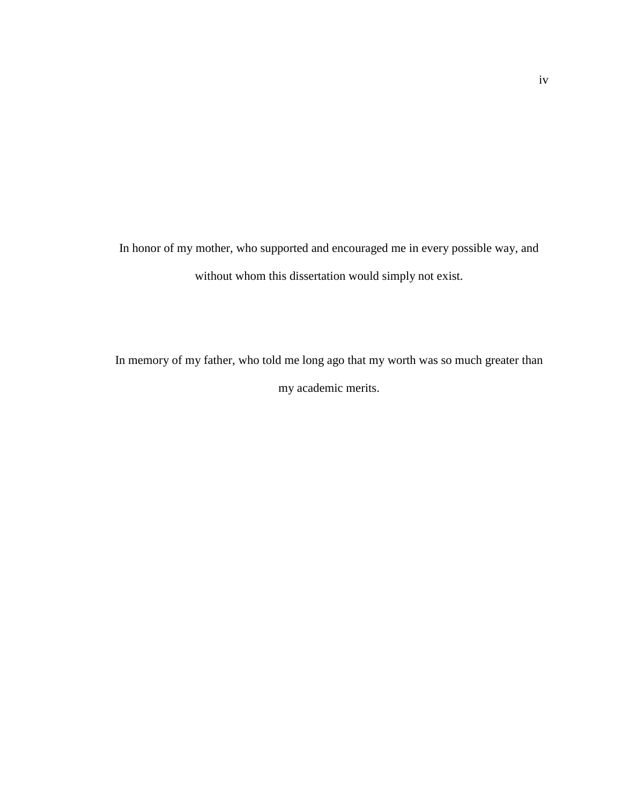In honor of my mother, who supported and encouraged me in every possible way, and without whom this dissertation would simply not exist.

In memory of my father, who told me long ago that my worth was so much greater than my academic merits.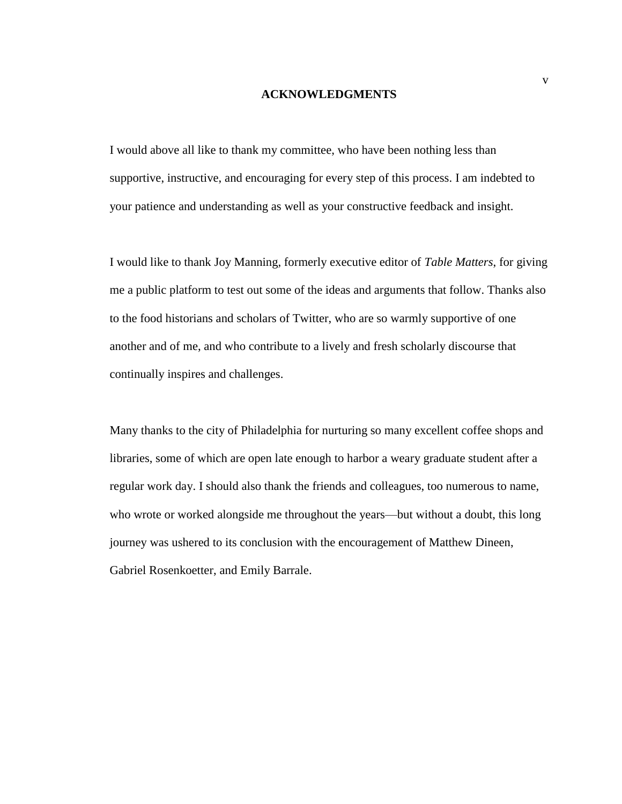#### **ACKNOWLEDGMENTS**

I would above all like to thank my committee, who have been nothing less than supportive, instructive, and encouraging for every step of this process. I am indebted to your patience and understanding as well as your constructive feedback and insight.

I would like to thank Joy Manning, formerly executive editor of *Table Matters*, for giving me a public platform to test out some of the ideas and arguments that follow. Thanks also to the food historians and scholars of Twitter, who are so warmly supportive of one another and of me, and who contribute to a lively and fresh scholarly discourse that continually inspires and challenges.

Many thanks to the city of Philadelphia for nurturing so many excellent coffee shops and libraries, some of which are open late enough to harbor a weary graduate student after a regular work day. I should also thank the friends and colleagues, too numerous to name, who wrote or worked alongside me throughout the years—but without a doubt, this long journey was ushered to its conclusion with the encouragement of Matthew Dineen, Gabriel Rosenkoetter, and Emily Barrale.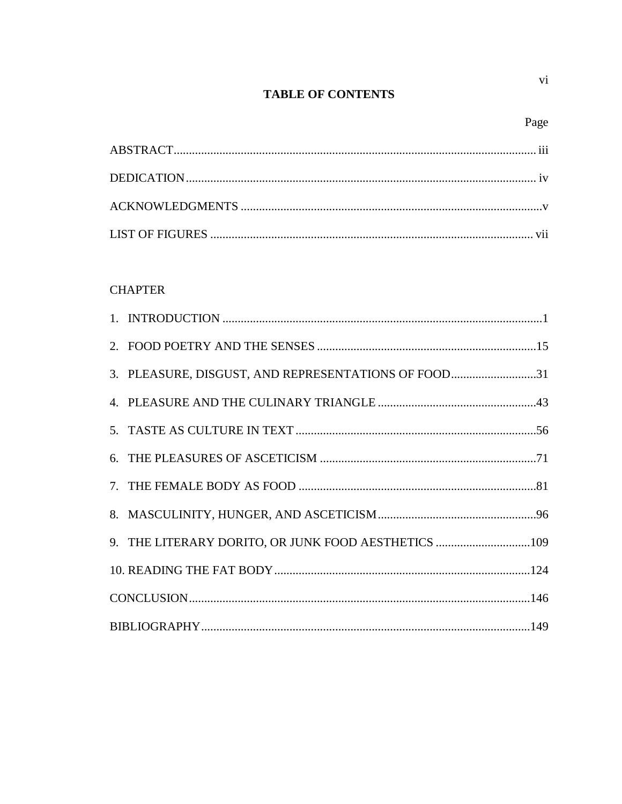# **TABLE OF CONTENTS**

 $\overline{\mathbf{vi}}$ 

# **CHAPTER**

| 3. PLEASURE, DISGUST, AND REPRESENTATIONS OF FOOD31 |  |
|-----------------------------------------------------|--|
|                                                     |  |
|                                                     |  |
|                                                     |  |
|                                                     |  |
|                                                     |  |
| 9. THE LITERARY DORITO, OR JUNK FOOD AESTHETICS 109 |  |
|                                                     |  |
|                                                     |  |
|                                                     |  |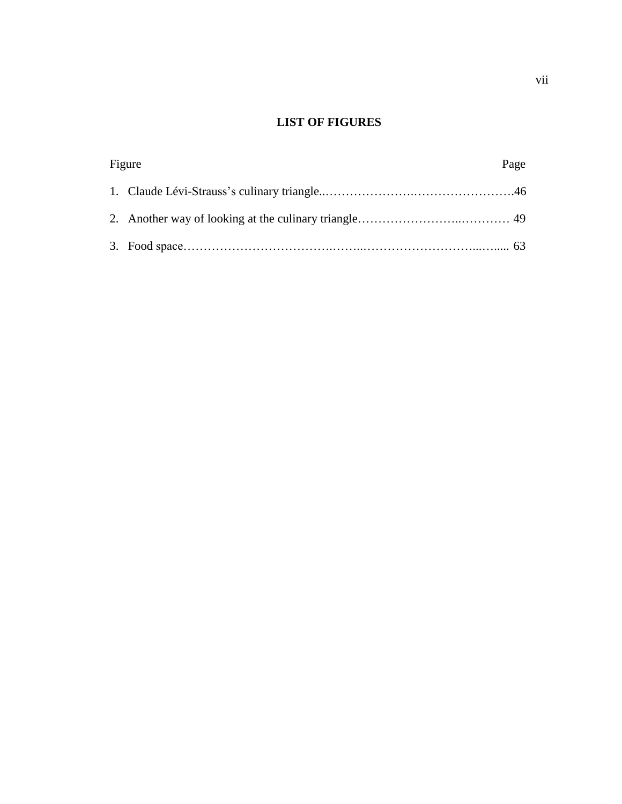## **LIST OF FIGURES**

| Figure |  | Page |  |
|--------|--|------|--|
|        |  |      |  |
|        |  |      |  |
|        |  |      |  |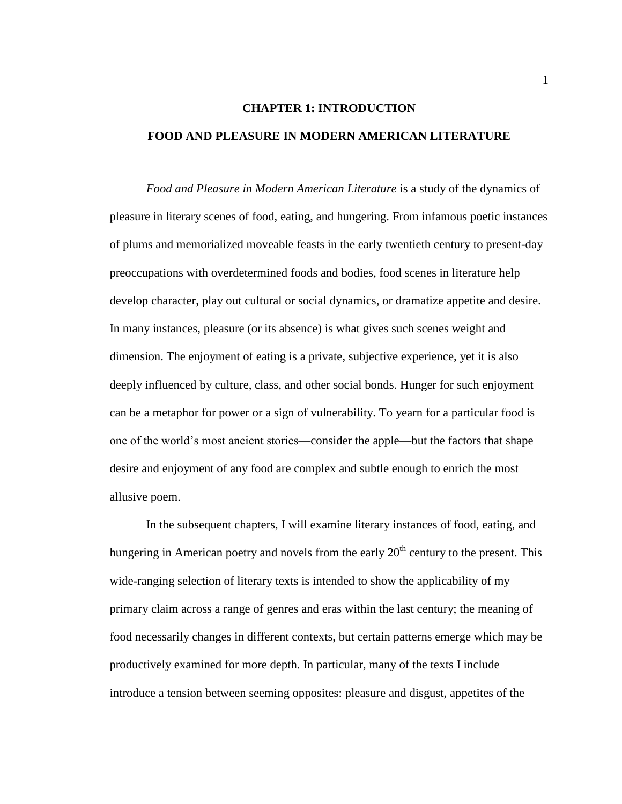# **CHAPTER 1: INTRODUCTION FOOD AND PLEASURE IN MODERN AMERICAN LITERATURE**

*Food and Pleasure in Modern American Literature* is a study of the dynamics of pleasure in literary scenes of food, eating, and hungering. From infamous poetic instances of plums and memorialized moveable feasts in the early twentieth century to present-day preoccupations with overdetermined foods and bodies, food scenes in literature help develop character, play out cultural or social dynamics, or dramatize appetite and desire. In many instances, pleasure (or its absence) is what gives such scenes weight and dimension. The enjoyment of eating is a private, subjective experience, yet it is also deeply influenced by culture, class, and other social bonds. Hunger for such enjoyment can be a metaphor for power or a sign of vulnerability. To yearn for a particular food is one of the world's most ancient stories—consider the apple—but the factors that shape desire and enjoyment of any food are complex and subtle enough to enrich the most allusive poem.

In the subsequent chapters, I will examine literary instances of food, eating, and hungering in American poetry and novels from the early  $20<sup>th</sup>$  century to the present. This wide-ranging selection of literary texts is intended to show the applicability of my primary claim across a range of genres and eras within the last century; the meaning of food necessarily changes in different contexts, but certain patterns emerge which may be productively examined for more depth. In particular, many of the texts I include introduce a tension between seeming opposites: pleasure and disgust, appetites of the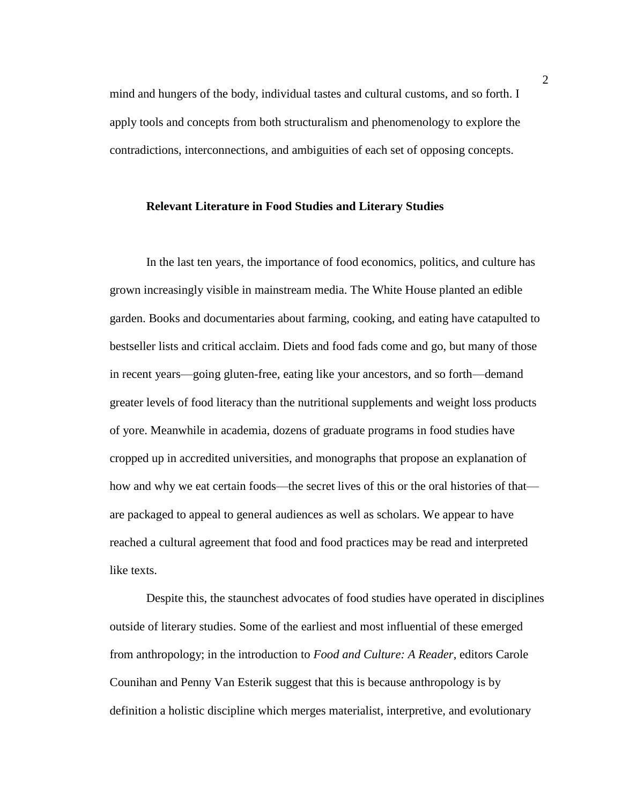mind and hungers of the body, individual tastes and cultural customs, and so forth. I apply tools and concepts from both structuralism and phenomenology to explore the contradictions, interconnections, and ambiguities of each set of opposing concepts.

#### **Relevant Literature in Food Studies and Literary Studies**

In the last ten years, the importance of food economics, politics, and culture has grown increasingly visible in mainstream media. The White House planted an edible garden. Books and documentaries about farming, cooking, and eating have catapulted to bestseller lists and critical acclaim. Diets and food fads come and go, but many of those in recent years—going gluten-free, eating like your ancestors, and so forth—demand greater levels of food literacy than the nutritional supplements and weight loss products of yore. Meanwhile in academia, dozens of graduate programs in food studies have cropped up in accredited universities, and monographs that propose an explanation of how and why we eat certain foods—the secret lives of this or the oral histories of that are packaged to appeal to general audiences as well as scholars. We appear to have reached a cultural agreement that food and food practices may be read and interpreted like texts.

Despite this, the staunchest advocates of food studies have operated in disciplines outside of literary studies. Some of the earliest and most influential of these emerged from anthropology; in the introduction to *Food and Culture: A Reader*, editors Carole Counihan and Penny Van Esterik suggest that this is because anthropology is by definition a holistic discipline which merges materialist, interpretive, and evolutionary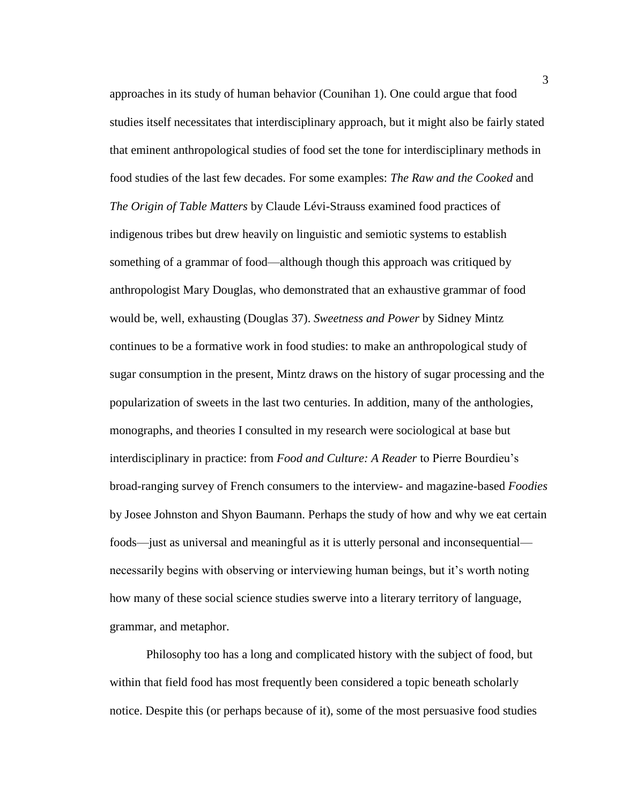approaches in its study of human behavior (Counihan 1). One could argue that food studies itself necessitates that interdisciplinary approach, but it might also be fairly stated that eminent anthropological studies of food set the tone for interdisciplinary methods in food studies of the last few decades. For some examples: *The Raw and the Cooked* and *The Origin of Table Matters* by Claude Lévi-Strauss examined food practices of indigenous tribes but drew heavily on linguistic and semiotic systems to establish something of a grammar of food—although though this approach was critiqued by anthropologist Mary Douglas, who demonstrated that an exhaustive grammar of food would be, well, exhausting (Douglas 37). *Sweetness and Power* by Sidney Mintz continues to be a formative work in food studies: to make an anthropological study of sugar consumption in the present, Mintz draws on the history of sugar processing and the popularization of sweets in the last two centuries. In addition, many of the anthologies, monographs, and theories I consulted in my research were sociological at base but interdisciplinary in practice: from *Food and Culture: A Reader* to Pierre Bourdieu's broad-ranging survey of French consumers to the interview- and magazine-based *Foodies* by Josee Johnston and Shyon Baumann. Perhaps the study of how and why we eat certain foods—just as universal and meaningful as it is utterly personal and inconsequential necessarily begins with observing or interviewing human beings, but it's worth noting how many of these social science studies swerve into a literary territory of language, grammar, and metaphor.

Philosophy too has a long and complicated history with the subject of food, but within that field food has most frequently been considered a topic beneath scholarly notice. Despite this (or perhaps because of it), some of the most persuasive food studies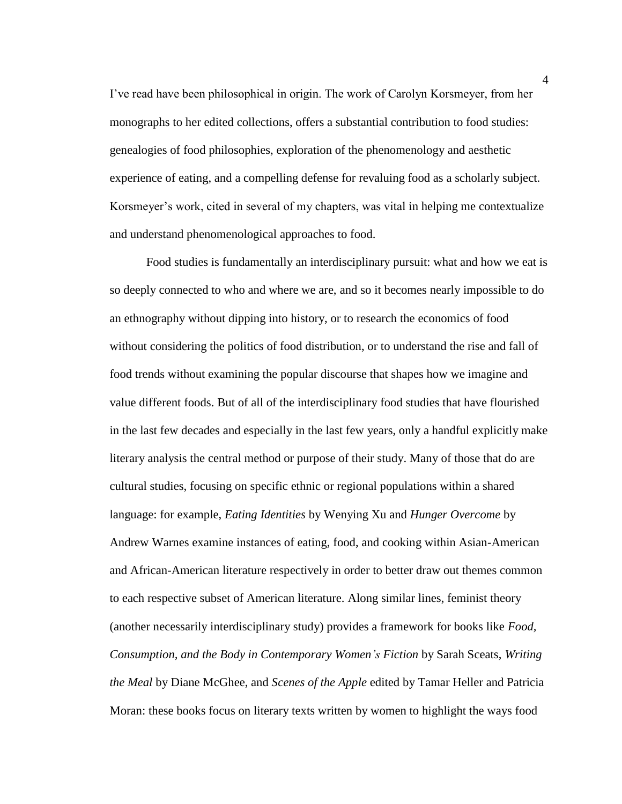I've read have been philosophical in origin. The work of Carolyn Korsmeyer, from her monographs to her edited collections, offers a substantial contribution to food studies: genealogies of food philosophies, exploration of the phenomenology and aesthetic experience of eating, and a compelling defense for revaluing food as a scholarly subject. Korsmeyer's work, cited in several of my chapters, was vital in helping me contextualize and understand phenomenological approaches to food.

Food studies is fundamentally an interdisciplinary pursuit: what and how we eat is so deeply connected to who and where we are, and so it becomes nearly impossible to do an ethnography without dipping into history, or to research the economics of food without considering the politics of food distribution, or to understand the rise and fall of food trends without examining the popular discourse that shapes how we imagine and value different foods. But of all of the interdisciplinary food studies that have flourished in the last few decades and especially in the last few years, only a handful explicitly make literary analysis the central method or purpose of their study. Many of those that do are cultural studies, focusing on specific ethnic or regional populations within a shared language: for example, *Eating Identities* by Wenying Xu and *Hunger Overcome* by Andrew Warnes examine instances of eating, food, and cooking within Asian-American and African-American literature respectively in order to better draw out themes common to each respective subset of American literature. Along similar lines, feminist theory (another necessarily interdisciplinary study) provides a framework for books like *Food, Consumption, and the Body in Contemporary Women's Fiction* by Sarah Sceats, *Writing the Meal* by Diane McGhee, and *Scenes of the Apple* edited by Tamar Heller and Patricia Moran: these books focus on literary texts written by women to highlight the ways food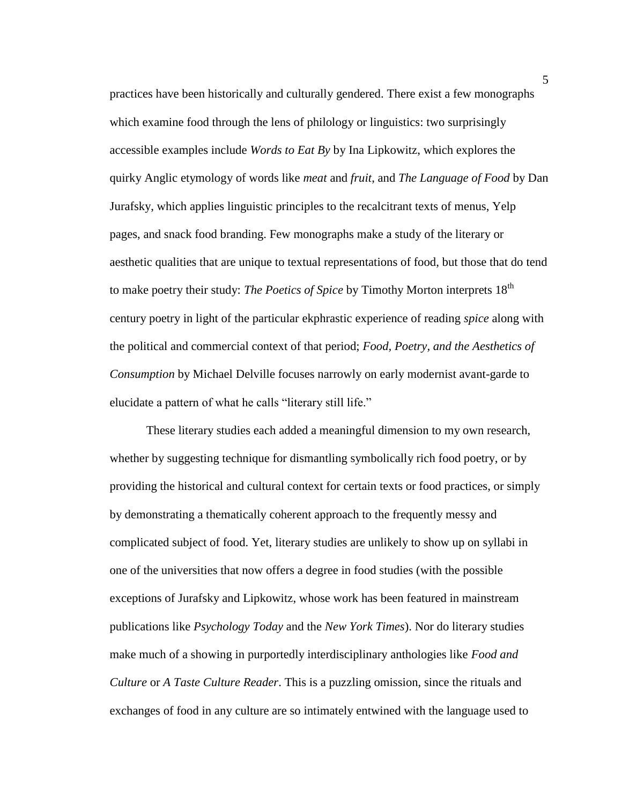practices have been historically and culturally gendered. There exist a few monographs which examine food through the lens of philology or linguistics: two surprisingly accessible examples include *Words to Eat By* by Ina Lipkowitz, which explores the quirky Anglic etymology of words like *meat* and *fruit*, and *The Language of Food* by Dan Jurafsky, which applies linguistic principles to the recalcitrant texts of menus, Yelp pages, and snack food branding. Few monographs make a study of the literary or aesthetic qualities that are unique to textual representations of food, but those that do tend to make poetry their study: *The Poetics of Spice* by Timothy Morton interprets 18<sup>th</sup> century poetry in light of the particular ekphrastic experience of reading *spice* along with the political and commercial context of that period; *Food, Poetry, and the Aesthetics of Consumption* by Michael Delville focuses narrowly on early modernist avant-garde to elucidate a pattern of what he calls "literary still life."

These literary studies each added a meaningful dimension to my own research, whether by suggesting technique for dismantling symbolically rich food poetry, or by providing the historical and cultural context for certain texts or food practices, or simply by demonstrating a thematically coherent approach to the frequently messy and complicated subject of food. Yet, literary studies are unlikely to show up on syllabi in one of the universities that now offers a degree in food studies (with the possible exceptions of Jurafsky and Lipkowitz, whose work has been featured in mainstream publications like *Psychology Today* and the *New York Times*). Nor do literary studies make much of a showing in purportedly interdisciplinary anthologies like *Food and Culture* or *A Taste Culture Reader*. This is a puzzling omission, since the rituals and exchanges of food in any culture are so intimately entwined with the language used to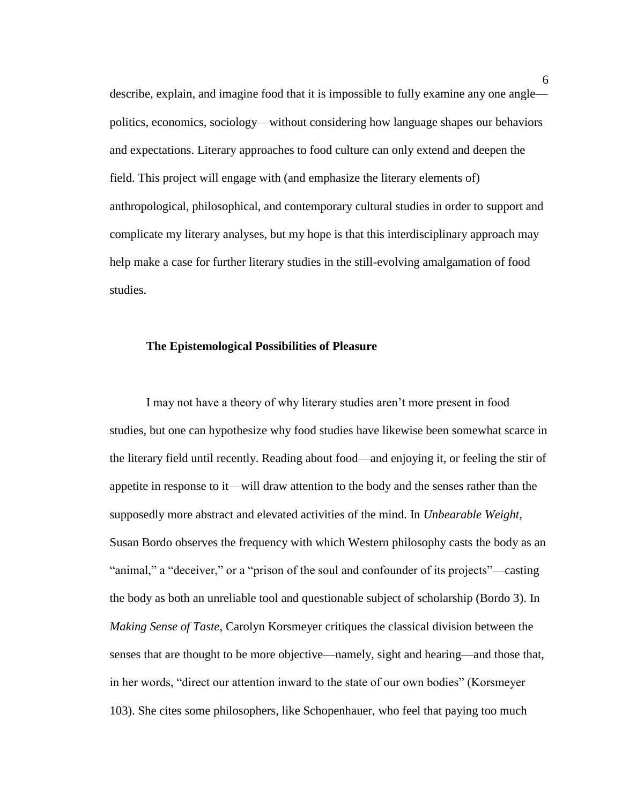describe, explain, and imagine food that it is impossible to fully examine any one angle politics, economics, sociology—without considering how language shapes our behaviors and expectations. Literary approaches to food culture can only extend and deepen the field. This project will engage with (and emphasize the literary elements of) anthropological, philosophical, and contemporary cultural studies in order to support and complicate my literary analyses, but my hope is that this interdisciplinary approach may help make a case for further literary studies in the still-evolving amalgamation of food studies.

#### **The Epistemological Possibilities of Pleasure**

I may not have a theory of why literary studies aren't more present in food studies, but one can hypothesize why food studies have likewise been somewhat scarce in the literary field until recently. Reading about food—and enjoying it, or feeling the stir of appetite in response to it—will draw attention to the body and the senses rather than the supposedly more abstract and elevated activities of the mind. In *Unbearable Weight,* Susan Bordo observes the frequency with which Western philosophy casts the body as an "animal," a "deceiver," or a "prison of the soul and confounder of its projects"—casting the body as both an unreliable tool and questionable subject of scholarship (Bordo 3). In *Making Sense of Taste*, Carolyn Korsmeyer critiques the classical division between the senses that are thought to be more objective—namely, sight and hearing—and those that, in her words, "direct our attention inward to the state of our own bodies" (Korsmeyer 103). She cites some philosophers, like Schopenhauer, who feel that paying too much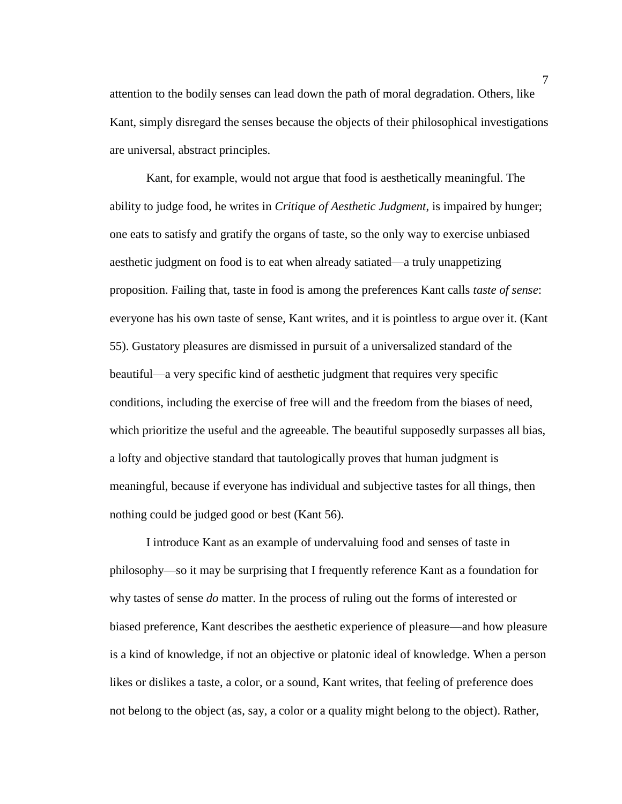attention to the bodily senses can lead down the path of moral degradation. Others, like Kant, simply disregard the senses because the objects of their philosophical investigations are universal, abstract principles.

Kant, for example, would not argue that food is aesthetically meaningful. The ability to judge food, he writes in *Critique of Aesthetic Judgment*, is impaired by hunger; one eats to satisfy and gratify the organs of taste, so the only way to exercise unbiased aesthetic judgment on food is to eat when already satiated—a truly unappetizing proposition. Failing that, taste in food is among the preferences Kant calls *taste of sense*: everyone has his own taste of sense, Kant writes, and it is pointless to argue over it. (Kant 55). Gustatory pleasures are dismissed in pursuit of a universalized standard of the beautiful—a very specific kind of aesthetic judgment that requires very specific conditions, including the exercise of free will and the freedom from the biases of need, which prioritize the useful and the agreeable. The beautiful supposedly surpasses all bias, a lofty and objective standard that tautologically proves that human judgment is meaningful, because if everyone has individual and subjective tastes for all things, then nothing could be judged good or best (Kant 56).

I introduce Kant as an example of undervaluing food and senses of taste in philosophy—so it may be surprising that I frequently reference Kant as a foundation for why tastes of sense *do* matter. In the process of ruling out the forms of interested or biased preference, Kant describes the aesthetic experience of pleasure—and how pleasure is a kind of knowledge, if not an objective or platonic ideal of knowledge. When a person likes or dislikes a taste, a color, or a sound, Kant writes, that feeling of preference does not belong to the object (as, say, a color or a quality might belong to the object). Rather,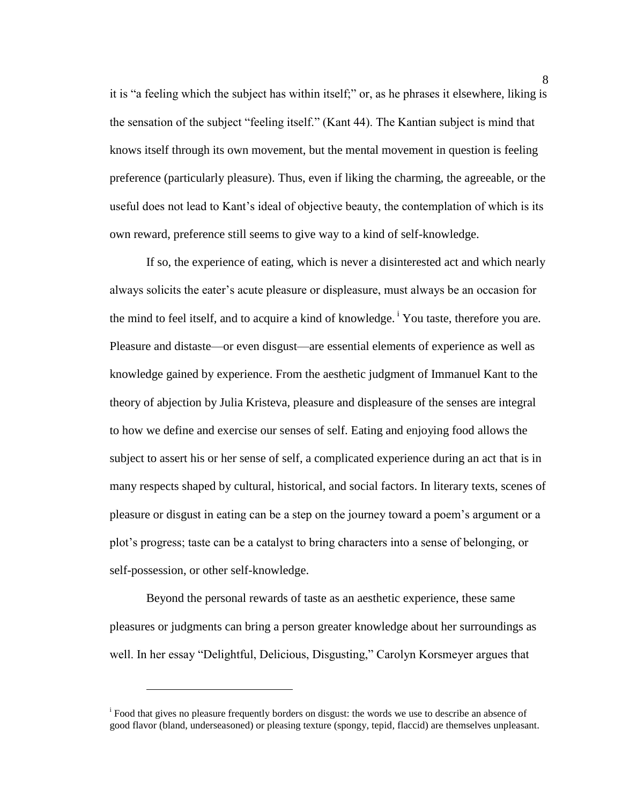it is "a feeling which the subject has within itself;" or, as he phrases it elsewhere, liking is the sensation of the subject "feeling itself." (Kant 44). The Kantian subject is mind that knows itself through its own movement, but the mental movement in question is feeling preference (particularly pleasure). Thus, even if liking the charming, the agreeable, or the useful does not lead to Kant's ideal of objective beauty, the contemplation of which is its own reward, preference still seems to give way to a kind of self-knowledge.

If so, the experience of eating, which is never a disinterested act and which nearly always solicits the eater's acute pleasure or displeasure, must always be an occasion for the mind to feel itself, and to acquire a kind of knowledge.<sup>1</sup> You taste, therefore you are. Pleasure and distaste—or even disgust—are essential elements of experience as well as knowledge gained by experience. From the aesthetic judgment of Immanuel Kant to the theory of abjection by Julia Kristeva, pleasure and displeasure of the senses are integral to how we define and exercise our senses of self. Eating and enjoying food allows the subject to assert his or her sense of self, a complicated experience during an act that is in many respects shaped by cultural, historical, and social factors. In literary texts, scenes of pleasure or disgust in eating can be a step on the journey toward a poem's argument or a plot's progress; taste can be a catalyst to bring characters into a sense of belonging, or self-possession, or other self-knowledge.

Beyond the personal rewards of taste as an aesthetic experience, these same pleasures or judgments can bring a person greater knowledge about her surroundings as well. In her essay "Delightful, Delicious, Disgusting," Carolyn Korsmeyer argues that

 $\overline{a}$ 

<sup>&</sup>lt;sup>i</sup> Food that gives no pleasure frequently borders on disgust: the words we use to describe an absence of good flavor (bland, underseasoned) or pleasing texture (spongy, tepid, flaccid) are themselves unpleasant.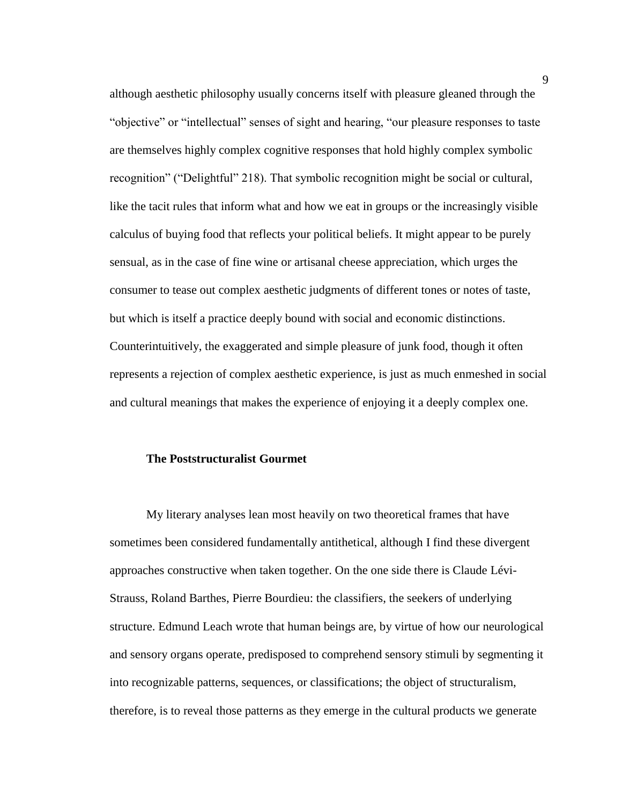although aesthetic philosophy usually concerns itself with pleasure gleaned through the "objective" or "intellectual" senses of sight and hearing, "our pleasure responses to taste are themselves highly complex cognitive responses that hold highly complex symbolic recognition" ("Delightful" 218). That symbolic recognition might be social or cultural, like the tacit rules that inform what and how we eat in groups or the increasingly visible calculus of buying food that reflects your political beliefs. It might appear to be purely sensual, as in the case of fine wine or artisanal cheese appreciation, which urges the consumer to tease out complex aesthetic judgments of different tones or notes of taste, but which is itself a practice deeply bound with social and economic distinctions. Counterintuitively, the exaggerated and simple pleasure of junk food, though it often represents a rejection of complex aesthetic experience, is just as much enmeshed in social and cultural meanings that makes the experience of enjoying it a deeply complex one.

#### **The Poststructuralist Gourmet**

My literary analyses lean most heavily on two theoretical frames that have sometimes been considered fundamentally antithetical, although I find these divergent approaches constructive when taken together. On the one side there is Claude Lévi-Strauss, Roland Barthes, Pierre Bourdieu: the classifiers, the seekers of underlying structure. Edmund Leach wrote that human beings are, by virtue of how our neurological and sensory organs operate, predisposed to comprehend sensory stimuli by segmenting it into recognizable patterns, sequences, or classifications; the object of structuralism, therefore, is to reveal those patterns as they emerge in the cultural products we generate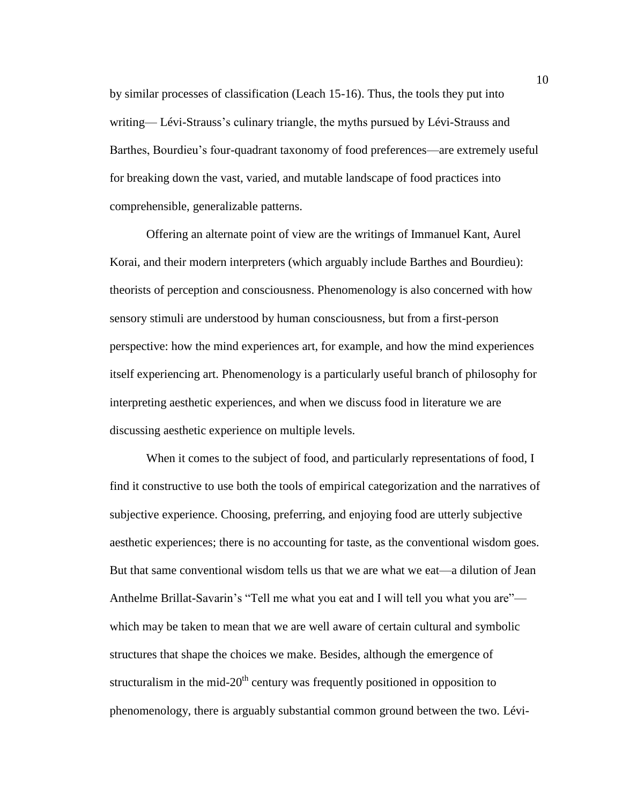by similar processes of classification (Leach 15-16). Thus, the tools they put into writing— Lévi-Strauss's culinary triangle, the myths pursued by Lévi-Strauss and Barthes, Bourdieu's four-quadrant taxonomy of food preferences—are extremely useful for breaking down the vast, varied, and mutable landscape of food practices into comprehensible, generalizable patterns.

Offering an alternate point of view are the writings of Immanuel Kant, Aurel Korai, and their modern interpreters (which arguably include Barthes and Bourdieu): theorists of perception and consciousness. Phenomenology is also concerned with how sensory stimuli are understood by human consciousness, but from a first-person perspective: how the mind experiences art, for example, and how the mind experiences itself experiencing art. Phenomenology is a particularly useful branch of philosophy for interpreting aesthetic experiences, and when we discuss food in literature we are discussing aesthetic experience on multiple levels.

When it comes to the subject of food, and particularly representations of food, I find it constructive to use both the tools of empirical categorization and the narratives of subjective experience. Choosing, preferring, and enjoying food are utterly subjective aesthetic experiences; there is no accounting for taste, as the conventional wisdom goes. But that same conventional wisdom tells us that we are what we eat—a dilution of Jean Anthelme Brillat-Savarin's "Tell me what you eat and I will tell you what you are" which may be taken to mean that we are well aware of certain cultural and symbolic structures that shape the choices we make. Besides, although the emergence of structuralism in the mid- $20<sup>th</sup>$  century was frequently positioned in opposition to phenomenology, there is arguably substantial common ground between the two. Lévi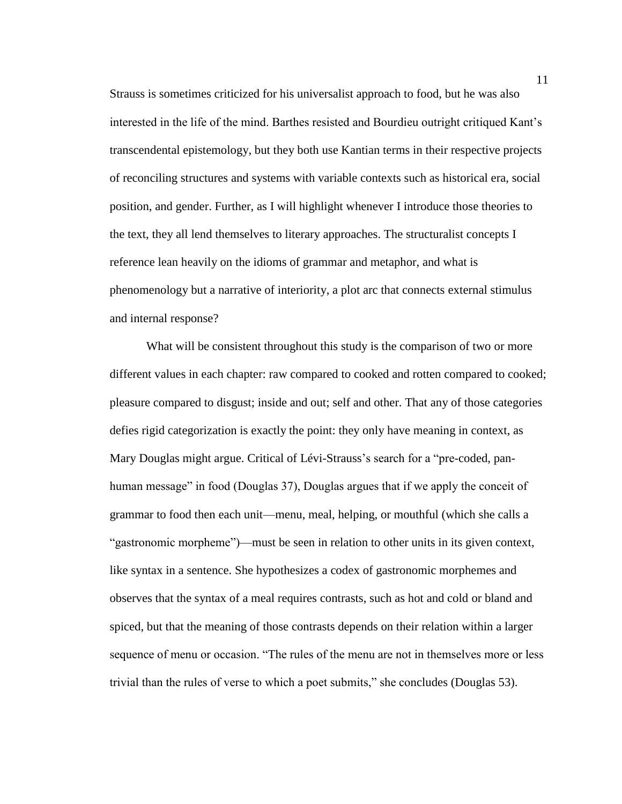Strauss is sometimes criticized for his universalist approach to food, but he was also interested in the life of the mind. Barthes resisted and Bourdieu outright critiqued Kant's transcendental epistemology, but they both use Kantian terms in their respective projects of reconciling structures and systems with variable contexts such as historical era, social position, and gender. Further, as I will highlight whenever I introduce those theories to the text, they all lend themselves to literary approaches. The structuralist concepts I reference lean heavily on the idioms of grammar and metaphor, and what is phenomenology but a narrative of interiority, a plot arc that connects external stimulus and internal response?

What will be consistent throughout this study is the comparison of two or more different values in each chapter: raw compared to cooked and rotten compared to cooked; pleasure compared to disgust; inside and out; self and other. That any of those categories defies rigid categorization is exactly the point: they only have meaning in context, as Mary Douglas might argue. Critical of Lévi-Strauss's search for a "pre-coded, panhuman message" in food (Douglas 37), Douglas argues that if we apply the conceit of grammar to food then each unit—menu, meal, helping, or mouthful (which she calls a "gastronomic morpheme")—must be seen in relation to other units in its given context, like syntax in a sentence. She hypothesizes a codex of gastronomic morphemes and observes that the syntax of a meal requires contrasts, such as hot and cold or bland and spiced, but that the meaning of those contrasts depends on their relation within a larger sequence of menu or occasion. "The rules of the menu are not in themselves more or less trivial than the rules of verse to which a poet submits," she concludes (Douglas 53).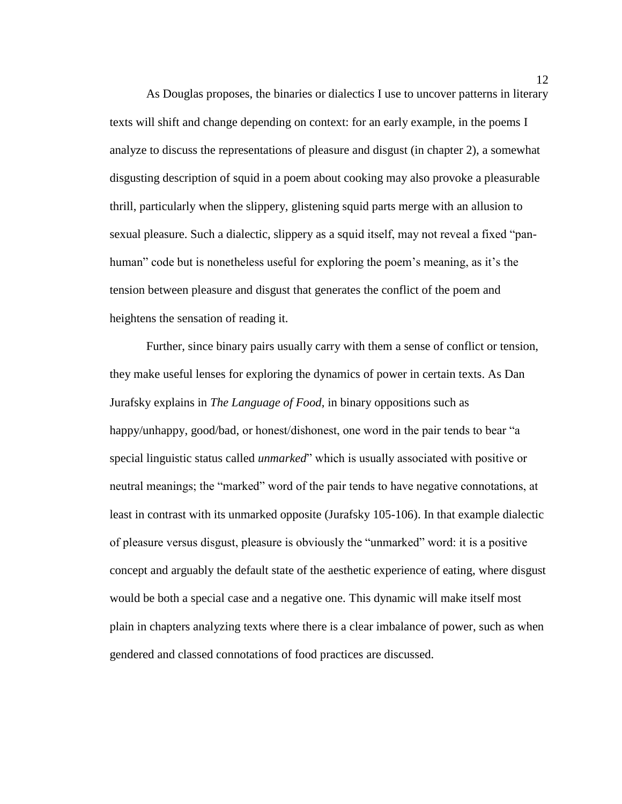As Douglas proposes, the binaries or dialectics I use to uncover patterns in literary texts will shift and change depending on context: for an early example, in the poems I analyze to discuss the representations of pleasure and disgust (in chapter 2), a somewhat disgusting description of squid in a poem about cooking may also provoke a pleasurable thrill, particularly when the slippery, glistening squid parts merge with an allusion to sexual pleasure. Such a dialectic, slippery as a squid itself, may not reveal a fixed "panhuman" code but is nonetheless useful for exploring the poem's meaning, as it's the tension between pleasure and disgust that generates the conflict of the poem and heightens the sensation of reading it.

Further, since binary pairs usually carry with them a sense of conflict or tension, they make useful lenses for exploring the dynamics of power in certain texts. As Dan Jurafsky explains in *The Language of Food*, in binary oppositions such as happy/unhappy, good/bad, or honest/dishonest, one word in the pair tends to bear "a special linguistic status called *unmarked*" which is usually associated with positive or neutral meanings; the "marked" word of the pair tends to have negative connotations, at least in contrast with its unmarked opposite (Jurafsky 105-106). In that example dialectic of pleasure versus disgust, pleasure is obviously the "unmarked" word: it is a positive concept and arguably the default state of the aesthetic experience of eating, where disgust would be both a special case and a negative one. This dynamic will make itself most plain in chapters analyzing texts where there is a clear imbalance of power, such as when gendered and classed connotations of food practices are discussed.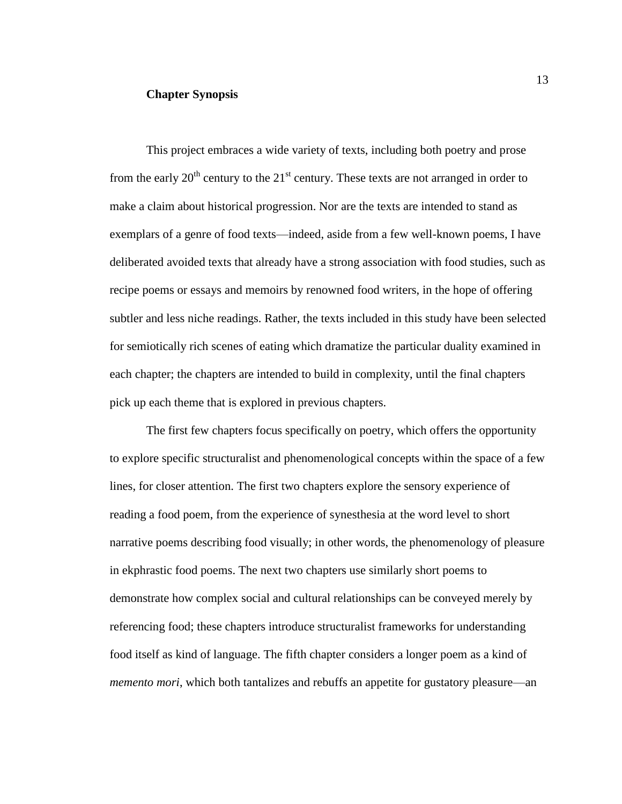#### **Chapter Synopsis**

This project embraces a wide variety of texts, including both poetry and prose from the early  $20<sup>th</sup>$  century to the  $21<sup>st</sup>$  century. These texts are not arranged in order to make a claim about historical progression. Nor are the texts are intended to stand as exemplars of a genre of food texts—indeed, aside from a few well-known poems, I have deliberated avoided texts that already have a strong association with food studies, such as recipe poems or essays and memoirs by renowned food writers, in the hope of offering subtler and less niche readings. Rather, the texts included in this study have been selected for semiotically rich scenes of eating which dramatize the particular duality examined in each chapter; the chapters are intended to build in complexity, until the final chapters pick up each theme that is explored in previous chapters.

The first few chapters focus specifically on poetry, which offers the opportunity to explore specific structuralist and phenomenological concepts within the space of a few lines, for closer attention. The first two chapters explore the sensory experience of reading a food poem, from the experience of synesthesia at the word level to short narrative poems describing food visually; in other words, the phenomenology of pleasure in ekphrastic food poems. The next two chapters use similarly short poems to demonstrate how complex social and cultural relationships can be conveyed merely by referencing food; these chapters introduce structuralist frameworks for understanding food itself as kind of language. The fifth chapter considers a longer poem as a kind of *memento mori*, which both tantalizes and rebuffs an appetite for gustatory pleasure—an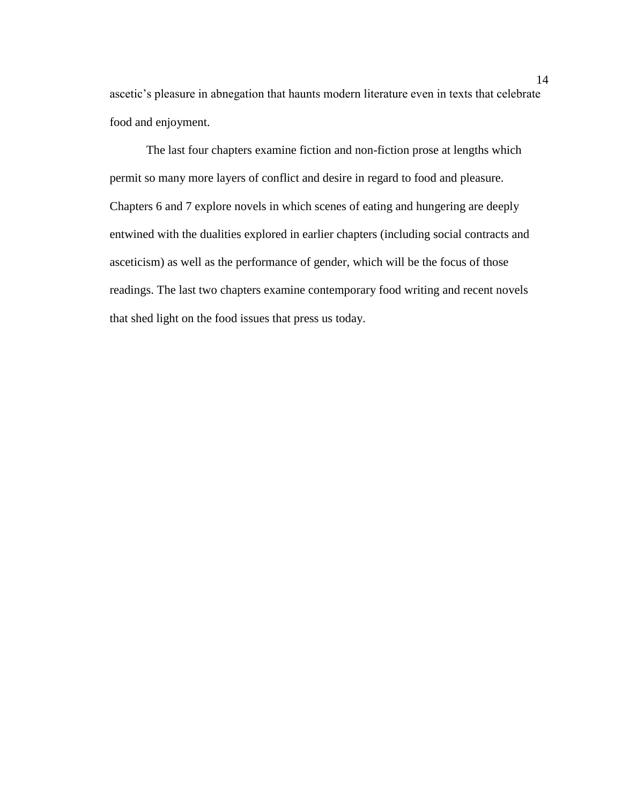ascetic's pleasure in abnegation that haunts modern literature even in texts that celebrate food and enjoyment.

The last four chapters examine fiction and non-fiction prose at lengths which permit so many more layers of conflict and desire in regard to food and pleasure. Chapters 6 and 7 explore novels in which scenes of eating and hungering are deeply entwined with the dualities explored in earlier chapters (including social contracts and asceticism) as well as the performance of gender, which will be the focus of those readings. The last two chapters examine contemporary food writing and recent novels that shed light on the food issues that press us today.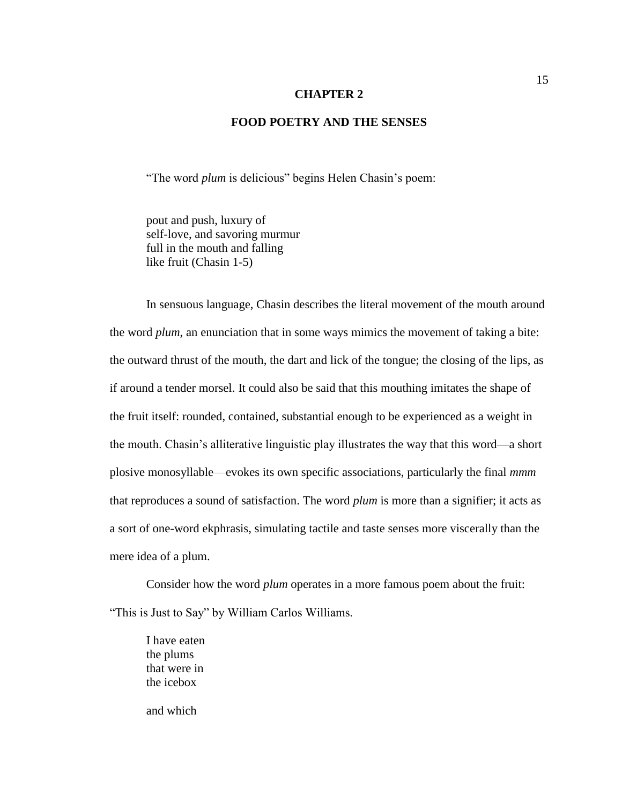#### **CHAPTER 2**

#### **FOOD POETRY AND THE SENSES**

"The word *plum* is delicious" begins Helen Chasin's poem:

pout and push, luxury of self-love, and savoring murmur full in the mouth and falling like fruit (Chasin 1-5)

In sensuous language, Chasin describes the literal movement of the mouth around the word *plum*, an enunciation that in some ways mimics the movement of taking a bite: the outward thrust of the mouth, the dart and lick of the tongue; the closing of the lips, as if around a tender morsel. It could also be said that this mouthing imitates the shape of the fruit itself: rounded, contained, substantial enough to be experienced as a weight in the mouth. Chasin's alliterative linguistic play illustrates the way that this word—a short plosive monosyllable—evokes its own specific associations, particularly the final *mmm* that reproduces a sound of satisfaction. The word *plum* is more than a signifier; it acts as a sort of one-word ekphrasis, simulating tactile and taste senses more viscerally than the mere idea of a plum.

Consider how the word *plum* operates in a more famous poem about the fruit: "This is Just to Say" by William Carlos Williams.

I have eaten the plums that were in the icebox

and which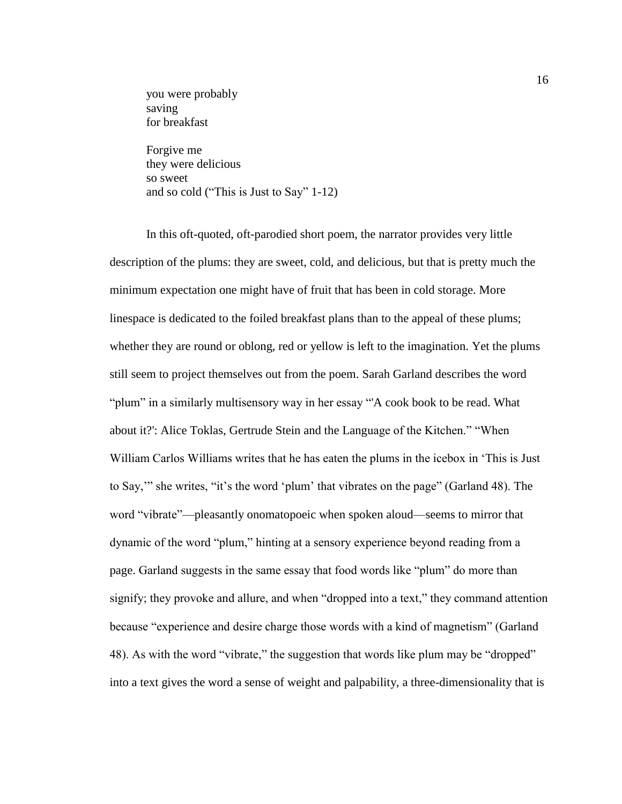you were probably saving for breakfast

Forgive me they were delicious so sweet and so cold ("This is Just to Say" 1-12)

In this oft-quoted, oft-parodied short poem, the narrator provides very little description of the plums: they are sweet, cold, and delicious, but that is pretty much the minimum expectation one might have of fruit that has been in cold storage. More linespace is dedicated to the foiled breakfast plans than to the appeal of these plums; whether they are round or oblong, red or yellow is left to the imagination. Yet the plums still seem to project themselves out from the poem. Sarah Garland describes the word "plum" in a similarly multisensory way in her essay "'A cook book to be read. What about it?': Alice Toklas, Gertrude Stein and the Language of the Kitchen." "When William Carlos Williams writes that he has eaten the plums in the icebox in 'This is Just to Say,'" she writes, "it's the word 'plum' that vibrates on the page" (Garland 48). The word "vibrate"—pleasantly onomatopoeic when spoken aloud—seems to mirror that dynamic of the word "plum," hinting at a sensory experience beyond reading from a page. Garland suggests in the same essay that food words like "plum" do more than signify; they provoke and allure, and when "dropped into a text," they command attention because "experience and desire charge those words with a kind of magnetism" (Garland 48). As with the word "vibrate," the suggestion that words like plum may be "dropped" into a text gives the word a sense of weight and palpability, a three-dimensionality that is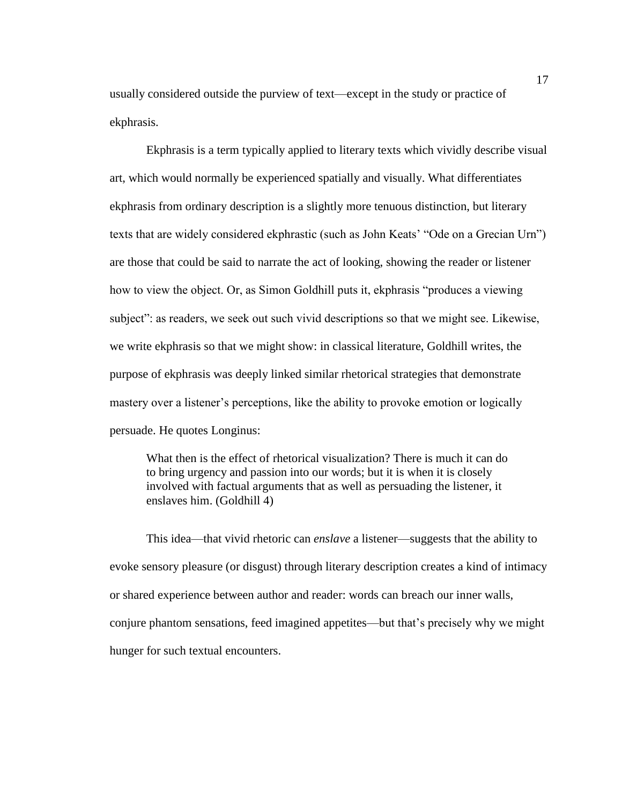usually considered outside the purview of text—except in the study or practice of ekphrasis.

Ekphrasis is a term typically applied to literary texts which vividly describe visual art, which would normally be experienced spatially and visually. What differentiates ekphrasis from ordinary description is a slightly more tenuous distinction, but literary texts that are widely considered ekphrastic (such as John Keats' "Ode on a Grecian Urn") are those that could be said to narrate the act of looking, showing the reader or listener how to view the object. Or, as Simon Goldhill puts it, ekphrasis "produces a viewing subject": as readers, we seek out such vivid descriptions so that we might see. Likewise, we write ekphrasis so that we might show: in classical literature, Goldhill writes, the purpose of ekphrasis was deeply linked similar rhetorical strategies that demonstrate mastery over a listener's perceptions, like the ability to provoke emotion or logically persuade. He quotes Longinus:

What then is the effect of rhetorical visualization? There is much it can do to bring urgency and passion into our words; but it is when it is closely involved with factual arguments that as well as persuading the listener, it enslaves him. (Goldhill 4)

This idea—that vivid rhetoric can *enslave* a listener—suggests that the ability to evoke sensory pleasure (or disgust) through literary description creates a kind of intimacy or shared experience between author and reader: words can breach our inner walls, conjure phantom sensations, feed imagined appetites—but that's precisely why we might hunger for such textual encounters.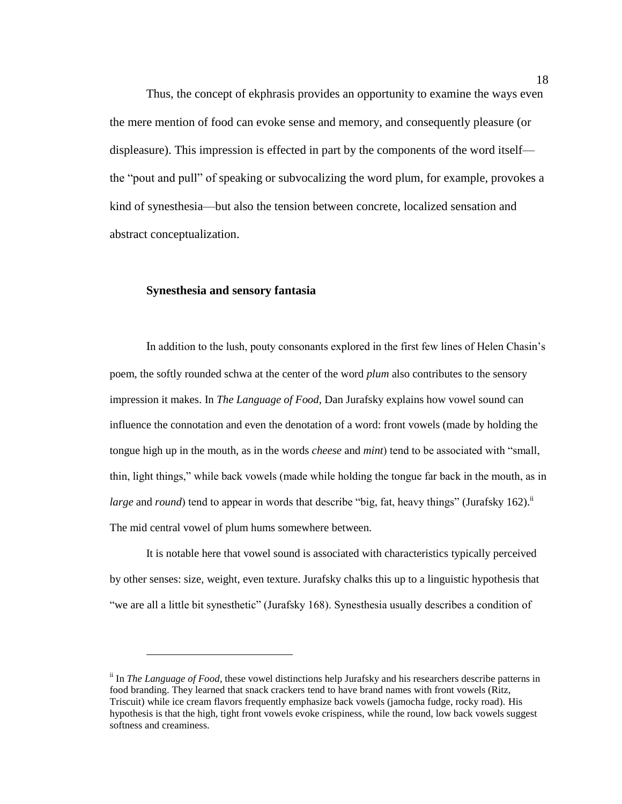Thus, the concept of ekphrasis provides an opportunity to examine the ways even the mere mention of food can evoke sense and memory, and consequently pleasure (or displeasure). This impression is effected in part by the components of the word itself the "pout and pull" of speaking or subvocalizing the word plum, for example, provokes a kind of synesthesia—but also the tension between concrete, localized sensation and abstract conceptualization.

#### **Synesthesia and sensory fantasia**

 $\overline{a}$ 

In addition to the lush, pouty consonants explored in the first few lines of Helen Chasin's poem, the softly rounded schwa at the center of the word *plum* also contributes to the sensory impression it makes. In *The Language of Food*, Dan Jurafsky explains how vowel sound can influence the connotation and even the denotation of a word: front vowels (made by holding the tongue high up in the mouth, as in the words *cheese* and *mint*) tend to be associated with "small, thin, light things," while back vowels (made while holding the tongue far back in the mouth, as in *large* and *round*) tend to appear in words that describe "big, fat, heavy things" (Jurafsky 162).<sup>ii</sup> The mid central vowel of plum hums somewhere between.

It is notable here that vowel sound is associated with characteristics typically perceived by other senses: size, weight, even texture. Jurafsky chalks this up to a linguistic hypothesis that "we are all a little bit synesthetic" (Jurafsky 168). Synesthesia usually describes a condition of

ii In *The Language of Food*, these vowel distinctions help Jurafsky and his researchers describe patterns in food branding. They learned that snack crackers tend to have brand names with front vowels (Ritz, Triscuit) while ice cream flavors frequently emphasize back vowels (jamocha fudge, rocky road). His hypothesis is that the high, tight front vowels evoke crispiness, while the round, low back vowels suggest softness and creaminess.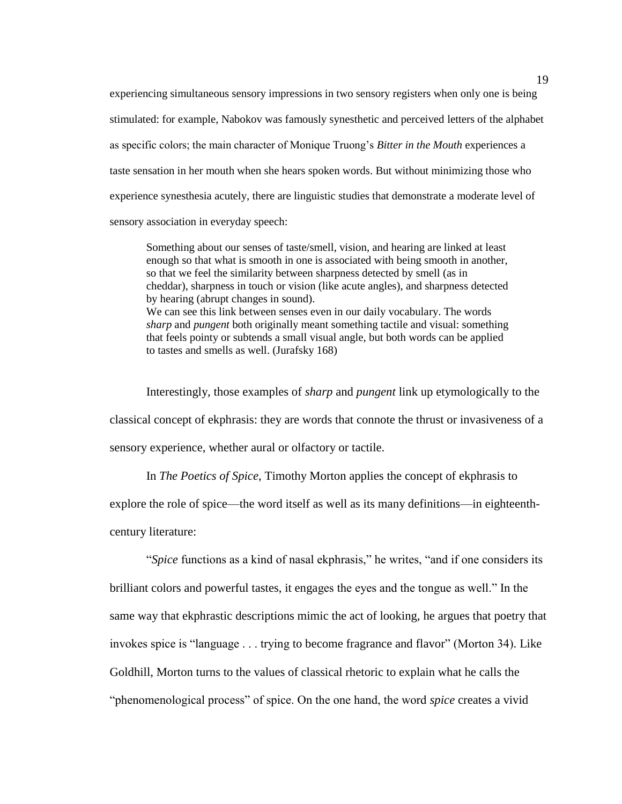experiencing simultaneous sensory impressions in two sensory registers when only one is being stimulated: for example, Nabokov was famously synesthetic and perceived letters of the alphabet as specific colors; the main character of Monique Truong's *Bitter in the Mouth* experiences a taste sensation in her mouth when she hears spoken words. But without minimizing those who experience synesthesia acutely, there are linguistic studies that demonstrate a moderate level of sensory association in everyday speech:

Something about our senses of taste/smell, vision, and hearing are linked at least enough so that what is smooth in one is associated with being smooth in another, so that we feel the similarity between sharpness detected by smell (as in cheddar), sharpness in touch or vision (like acute angles), and sharpness detected by hearing (abrupt changes in sound). We can see this link between senses even in our daily vocabulary. The words *sharp* and *pungent* both originally meant something tactile and visual: something that feels pointy or subtends a small visual angle, but both words can be applied to tastes and smells as well. (Jurafsky 168)

Interestingly, those examples of *sharp* and *pungent* link up etymologically to the classical concept of ekphrasis: they are words that connote the thrust or invasiveness of a sensory experience, whether aural or olfactory or tactile.

In *The Poetics of Spice*, Timothy Morton applies the concept of ekphrasis to explore the role of spice—the word itself as well as its many definitions—in eighteenthcentury literature:

"*Spice* functions as a kind of nasal ekphrasis," he writes, "and if one considers its brilliant colors and powerful tastes, it engages the eyes and the tongue as well." In the same way that ekphrastic descriptions mimic the act of looking, he argues that poetry that invokes spice is "language . . . trying to become fragrance and flavor" (Morton 34). Like Goldhill, Morton turns to the values of classical rhetoric to explain what he calls the "phenomenological process" of spice. On the one hand, the word *spice* creates a vivid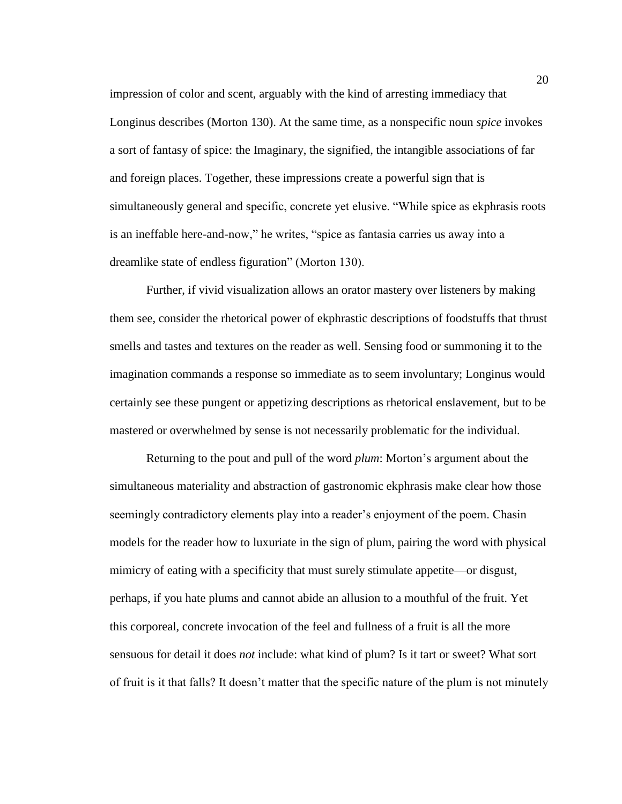impression of color and scent, arguably with the kind of arresting immediacy that Longinus describes (Morton 130). At the same time, as a nonspecific noun *spice* invokes a sort of fantasy of spice: the Imaginary, the signified, the intangible associations of far and foreign places. Together, these impressions create a powerful sign that is simultaneously general and specific, concrete yet elusive. "While spice as ekphrasis roots is an ineffable here-and-now," he writes, "spice as fantasia carries us away into a dreamlike state of endless figuration" (Morton 130).

Further, if vivid visualization allows an orator mastery over listeners by making them see, consider the rhetorical power of ekphrastic descriptions of foodstuffs that thrust smells and tastes and textures on the reader as well. Sensing food or summoning it to the imagination commands a response so immediate as to seem involuntary; Longinus would certainly see these pungent or appetizing descriptions as rhetorical enslavement, but to be mastered or overwhelmed by sense is not necessarily problematic for the individual.

Returning to the pout and pull of the word *plum*: Morton's argument about the simultaneous materiality and abstraction of gastronomic ekphrasis make clear how those seemingly contradictory elements play into a reader's enjoyment of the poem. Chasin models for the reader how to luxuriate in the sign of plum, pairing the word with physical mimicry of eating with a specificity that must surely stimulate appetite—or disgust, perhaps, if you hate plums and cannot abide an allusion to a mouthful of the fruit. Yet this corporeal, concrete invocation of the feel and fullness of a fruit is all the more sensuous for detail it does *not* include: what kind of plum? Is it tart or sweet? What sort of fruit is it that falls? It doesn't matter that the specific nature of the plum is not minutely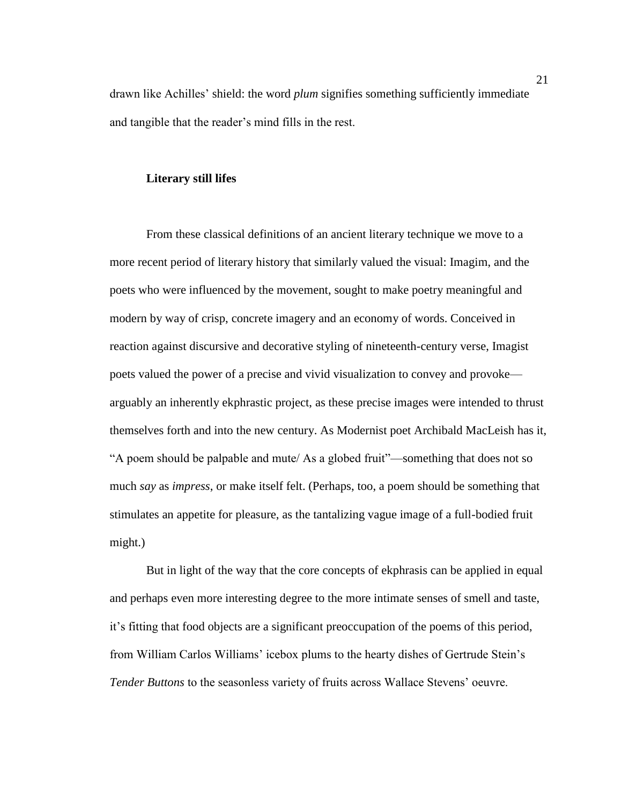drawn like Achilles' shield: the word *plum* signifies something sufficiently immediate and tangible that the reader's mind fills in the rest.

#### **Literary still lifes**

From these classical definitions of an ancient literary technique we move to a more recent period of literary history that similarly valued the visual: Imagim, and the poets who were influenced by the movement, sought to make poetry meaningful and modern by way of crisp, concrete imagery and an economy of words. Conceived in reaction against discursive and decorative styling of nineteenth-century verse, Imagist poets valued the power of a precise and vivid visualization to convey and provoke arguably an inherently ekphrastic project, as these precise images were intended to thrust themselves forth and into the new century. As Modernist poet Archibald MacLeish has it, "A poem should be palpable and mute/ As a globed fruit"—something that does not so much *say* as *impress*, or make itself felt. (Perhaps, too, a poem should be something that stimulates an appetite for pleasure, as the tantalizing vague image of a full-bodied fruit might.)

But in light of the way that the core concepts of ekphrasis can be applied in equal and perhaps even more interesting degree to the more intimate senses of smell and taste, it's fitting that food objects are a significant preoccupation of the poems of this period, from William Carlos Williams' icebox plums to the hearty dishes of Gertrude Stein's *Tender Buttons* to the seasonless variety of fruits across Wallace Stevens' oeuvre.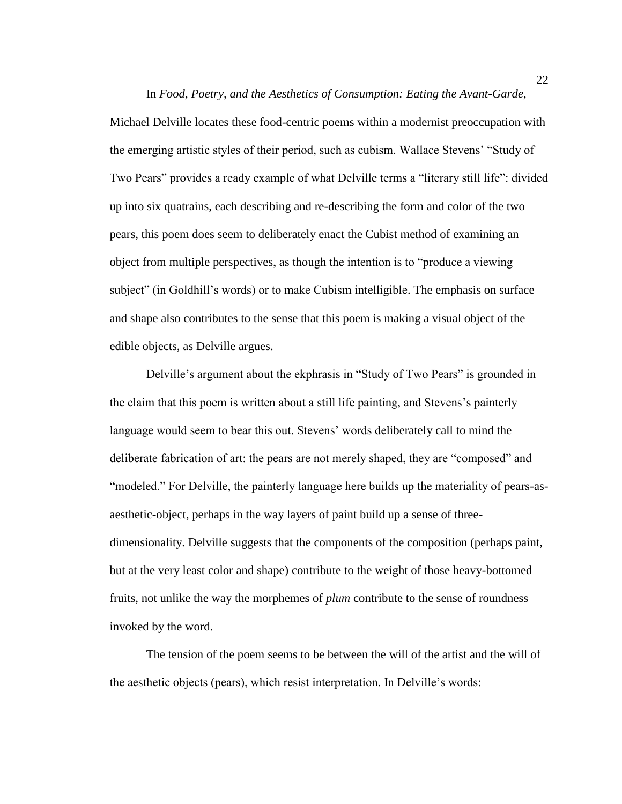Michael Delville locates these food-centric poems within a modernist preoccupation with the emerging artistic styles of their period, such as cubism. Wallace Stevens' "Study of Two Pears" provides a ready example of what Delville terms a "literary still life": divided up into six quatrains, each describing and re-describing the form and color of the two pears, this poem does seem to deliberately enact the Cubist method of examining an object from multiple perspectives, as though the intention is to "produce a viewing subject" (in Goldhill's words) or to make Cubism intelligible. The emphasis on surface and shape also contributes to the sense that this poem is making a visual object of the edible objects, as Delville argues.

Delville's argument about the ekphrasis in "Study of Two Pears" is grounded in the claim that this poem is written about a still life painting, and Stevens's painterly language would seem to bear this out. Stevens' words deliberately call to mind the deliberate fabrication of art: the pears are not merely shaped, they are "composed" and "modeled." For Delville, the painterly language here builds up the materiality of pears-asaesthetic-object, perhaps in the way layers of paint build up a sense of threedimensionality. Delville suggests that the components of the composition (perhaps paint, but at the very least color and shape) contribute to the weight of those heavy-bottomed fruits, not unlike the way the morphemes of *plum* contribute to the sense of roundness invoked by the word.

The tension of the poem seems to be between the will of the artist and the will of the aesthetic objects (pears), which resist interpretation. In Delville's words:

In *Food, Poetry, and the Aesthetics of Consumption: Eating the Avant-Garde*,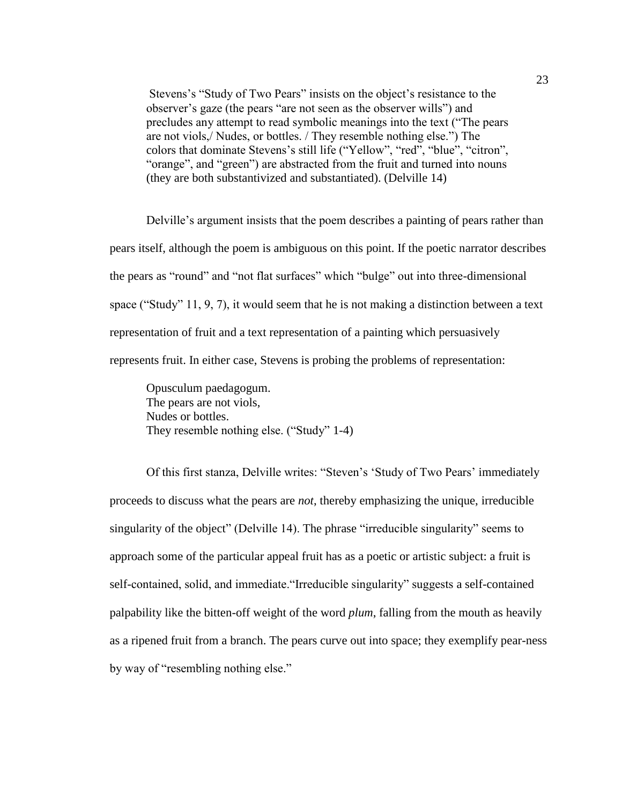Stevens's "Study of Two Pears" insists on the object's resistance to the observer's gaze (the pears "are not seen as the observer wills") and precludes any attempt to read symbolic meanings into the text ("The pears are not viols,/ Nudes, or bottles. / They resemble nothing else.") The colors that dominate Stevens's still life ("Yellow", "red", "blue", "citron", "orange", and "green") are abstracted from the fruit and turned into nouns (they are both substantivized and substantiated). (Delville 14)

Delville's argument insists that the poem describes a painting of pears rather than pears itself, although the poem is ambiguous on this point. If the poetic narrator describes the pears as "round" and "not flat surfaces" which "bulge" out into three-dimensional space ("Study" 11, 9, 7), it would seem that he is not making a distinction between a text representation of fruit and a text representation of a painting which persuasively represents fruit. In either case, Stevens is probing the problems of representation:

Opusculum paedagogum. The pears are not viols, Nudes or bottles. They resemble nothing else. ("Study" 1-4)

Of this first stanza, Delville writes: "Steven's 'Study of Two Pears' immediately proceeds to discuss what the pears are *not*, thereby emphasizing the unique, irreducible singularity of the object" (Delville 14). The phrase "irreducible singularity" seems to approach some of the particular appeal fruit has as a poetic or artistic subject: a fruit is self-contained, solid, and immediate."Irreducible singularity" suggests a self-contained palpability like the bitten-off weight of the word *plum*, falling from the mouth as heavily as a ripened fruit from a branch. The pears curve out into space; they exemplify pear-ness by way of "resembling nothing else."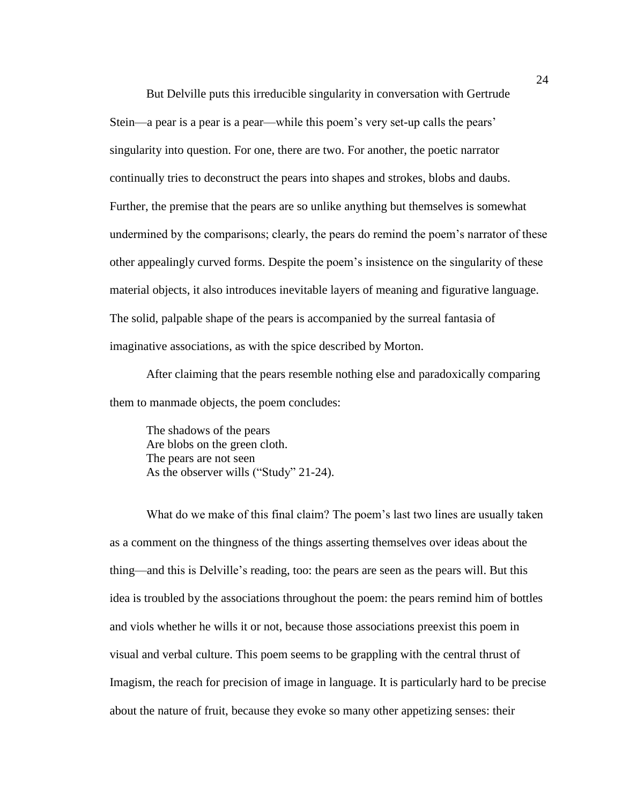But Delville puts this irreducible singularity in conversation with Gertrude Stein—a pear is a pear is a pear—while this poem's very set-up calls the pears' singularity into question. For one, there are two. For another, the poetic narrator continually tries to deconstruct the pears into shapes and strokes, blobs and daubs. Further, the premise that the pears are so unlike anything but themselves is somewhat undermined by the comparisons; clearly, the pears do remind the poem's narrator of these other appealingly curved forms. Despite the poem's insistence on the singularity of these material objects, it also introduces inevitable layers of meaning and figurative language. The solid, palpable shape of the pears is accompanied by the surreal fantasia of imaginative associations, as with the spice described by Morton.

After claiming that the pears resemble nothing else and paradoxically comparing them to manmade objects, the poem concludes:

The shadows of the pears Are blobs on the green cloth. The pears are not seen As the observer wills ("Study" 21-24).

What do we make of this final claim? The poem's last two lines are usually taken as a comment on the thingness of the things asserting themselves over ideas about the thing—and this is Delville's reading, too: the pears are seen as the pears will. But this idea is troubled by the associations throughout the poem: the pears remind him of bottles and viols whether he wills it or not, because those associations preexist this poem in visual and verbal culture. This poem seems to be grappling with the central thrust of Imagism, the reach for precision of image in language. It is particularly hard to be precise about the nature of fruit, because they evoke so many other appetizing senses: their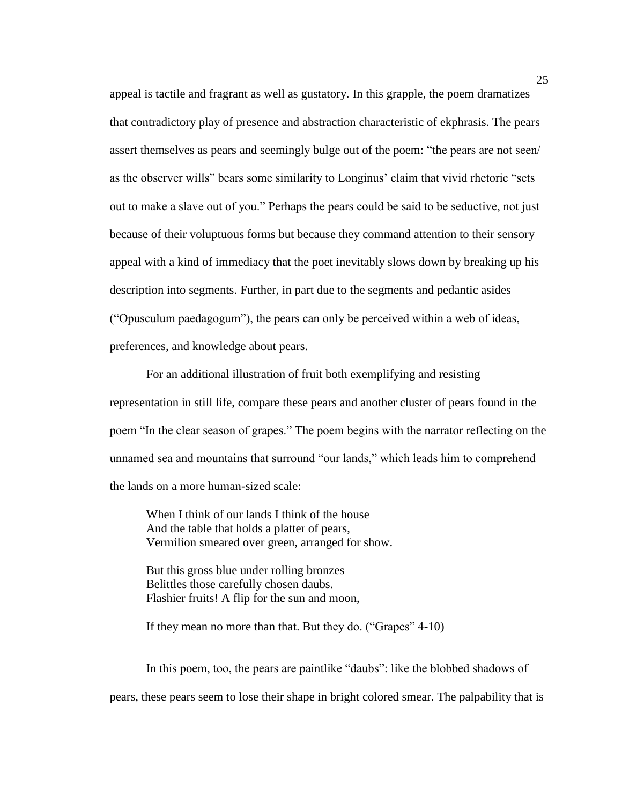appeal is tactile and fragrant as well as gustatory. In this grapple, the poem dramatizes that contradictory play of presence and abstraction characteristic of ekphrasis. The pears assert themselves as pears and seemingly bulge out of the poem: "the pears are not seen/ as the observer wills" bears some similarity to Longinus' claim that vivid rhetoric "sets out to make a slave out of you." Perhaps the pears could be said to be seductive, not just because of their voluptuous forms but because they command attention to their sensory appeal with a kind of immediacy that the poet inevitably slows down by breaking up his description into segments. Further, in part due to the segments and pedantic asides ("Opusculum paedagogum"), the pears can only be perceived within a web of ideas, preferences, and knowledge about pears.

For an additional illustration of fruit both exemplifying and resisting representation in still life, compare these pears and another cluster of pears found in the poem "In the clear season of grapes." The poem begins with the narrator reflecting on the unnamed sea and mountains that surround "our lands," which leads him to comprehend the lands on a more human-sized scale:

When I think of our lands I think of the house And the table that holds a platter of pears, Vermilion smeared over green, arranged for show.

But this gross blue under rolling bronzes Belittles those carefully chosen daubs. Flashier fruits! A flip for the sun and moon,

If they mean no more than that. But they do. ("Grapes" 4-10)

In this poem, too, the pears are paintlike "daubs": like the blobbed shadows of pears, these pears seem to lose their shape in bright colored smear. The palpability that is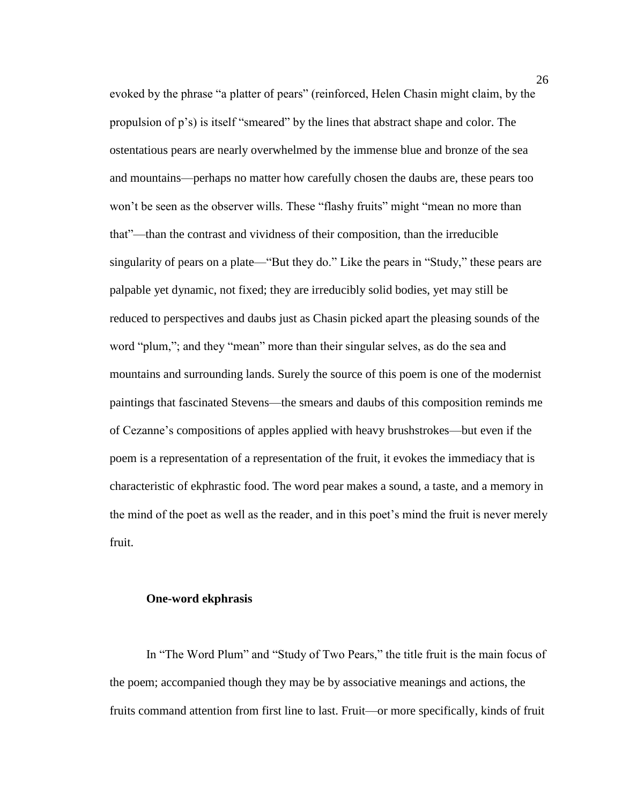evoked by the phrase "a platter of pears" (reinforced, Helen Chasin might claim, by the propulsion of p's) is itself "smeared" by the lines that abstract shape and color. The ostentatious pears are nearly overwhelmed by the immense blue and bronze of the sea and mountains—perhaps no matter how carefully chosen the daubs are, these pears too won't be seen as the observer wills. These "flashy fruits" might "mean no more than that"—than the contrast and vividness of their composition, than the irreducible singularity of pears on a plate—"But they do." Like the pears in "Study," these pears are palpable yet dynamic, not fixed; they are irreducibly solid bodies, yet may still be reduced to perspectives and daubs just as Chasin picked apart the pleasing sounds of the word "plum,"; and they "mean" more than their singular selves, as do the sea and mountains and surrounding lands. Surely the source of this poem is one of the modernist paintings that fascinated Stevens—the smears and daubs of this composition reminds me of Cezanne's compositions of apples applied with heavy brushstrokes—but even if the poem is a representation of a representation of the fruit, it evokes the immediacy that is characteristic of ekphrastic food. The word pear makes a sound, a taste, and a memory in the mind of the poet as well as the reader, and in this poet's mind the fruit is never merely fruit.

#### **One-word ekphrasis**

In "The Word Plum" and "Study of Two Pears," the title fruit is the main focus of the poem; accompanied though they may be by associative meanings and actions, the fruits command attention from first line to last. Fruit—or more specifically, kinds of fruit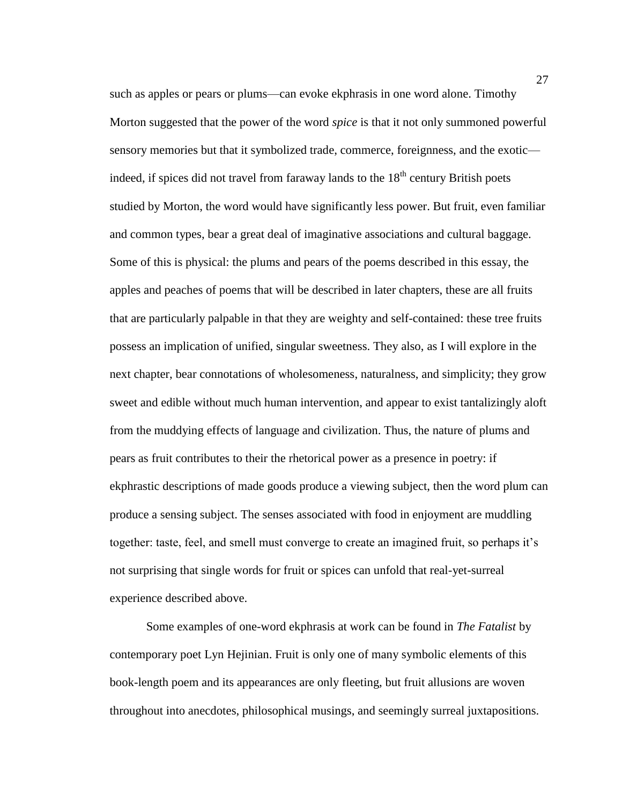such as apples or pears or plums—can evoke ekphrasis in one word alone. Timothy Morton suggested that the power of the word *spice* is that it not only summoned powerful sensory memories but that it symbolized trade, commerce, foreignness, and the exotic indeed, if spices did not travel from faraway lands to the  $18<sup>th</sup>$  century British poets studied by Morton, the word would have significantly less power. But fruit, even familiar and common types, bear a great deal of imaginative associations and cultural baggage. Some of this is physical: the plums and pears of the poems described in this essay, the apples and peaches of poems that will be described in later chapters, these are all fruits that are particularly palpable in that they are weighty and self-contained: these tree fruits possess an implication of unified, singular sweetness. They also, as I will explore in the next chapter, bear connotations of wholesomeness, naturalness, and simplicity; they grow sweet and edible without much human intervention, and appear to exist tantalizingly aloft from the muddying effects of language and civilization. Thus, the nature of plums and pears as fruit contributes to their the rhetorical power as a presence in poetry: if ekphrastic descriptions of made goods produce a viewing subject, then the word plum can produce a sensing subject. The senses associated with food in enjoyment are muddling together: taste, feel, and smell must converge to create an imagined fruit, so perhaps it's not surprising that single words for fruit or spices can unfold that real-yet-surreal experience described above.

Some examples of one-word ekphrasis at work can be found in *The Fatalist* by contemporary poet Lyn Hejinian. Fruit is only one of many symbolic elements of this book-length poem and its appearances are only fleeting, but fruit allusions are woven throughout into anecdotes, philosophical musings, and seemingly surreal juxtapositions.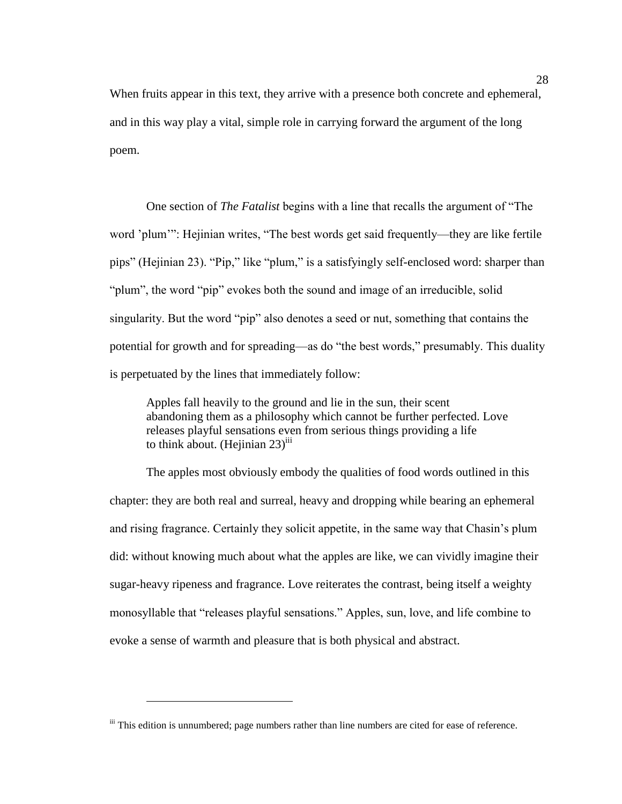When fruits appear in this text, they arrive with a presence both concrete and ephemeral, and in this way play a vital, simple role in carrying forward the argument of the long poem.

One section of *The Fatalist* begins with a line that recalls the argument of "The word 'plum'": Hejinian writes, "The best words get said frequently—they are like fertile pips" (Hejinian 23). "Pip," like "plum," is a satisfyingly self-enclosed word: sharper than "plum", the word "pip" evokes both the sound and image of an irreducible, solid singularity. But the word "pip" also denotes a seed or nut, something that contains the potential for growth and for spreading—as do "the best words," presumably. This duality is perpetuated by the lines that immediately follow:

Apples fall heavily to the ground and lie in the sun, their scent abandoning them as a philosophy which cannot be further perfected. Love releases playful sensations even from serious things providing a life to think about.  $(Hejinian 23)$ <sup>iii</sup>

The apples most obviously embody the qualities of food words outlined in this chapter: they are both real and surreal, heavy and dropping while bearing an ephemeral and rising fragrance. Certainly they solicit appetite, in the same way that Chasin's plum did: without knowing much about what the apples are like, we can vividly imagine their sugar-heavy ripeness and fragrance. Love reiterates the contrast, being itself a weighty monosyllable that "releases playful sensations." Apples, sun, love, and life combine to evoke a sense of warmth and pleasure that is both physical and abstract.

 $\overline{a}$ 

iii This edition is unnumbered; page numbers rather than line numbers are cited for ease of reference.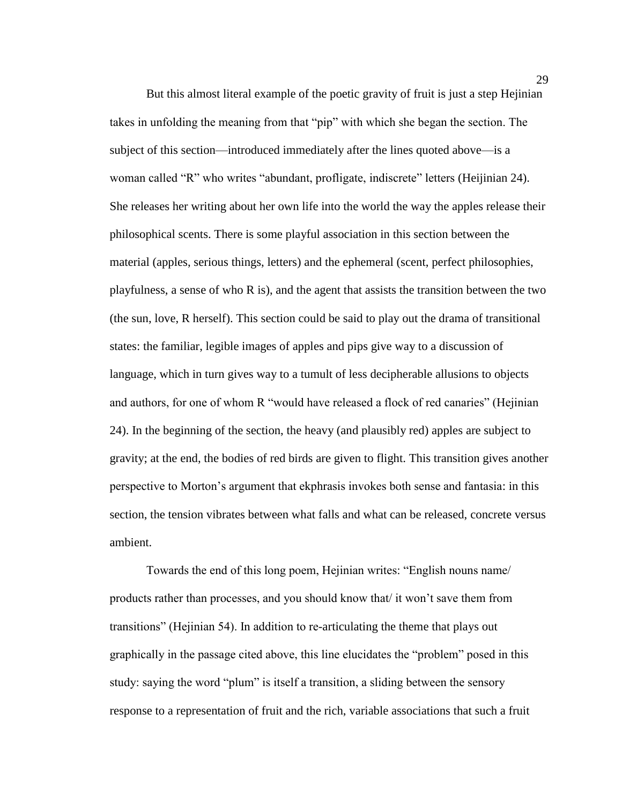But this almost literal example of the poetic gravity of fruit is just a step Hejinian takes in unfolding the meaning from that "pip" with which she began the section. The subject of this section—introduced immediately after the lines quoted above—is a woman called "R" who writes "abundant, profligate, indiscrete" letters (Heijinian 24). She releases her writing about her own life into the world the way the apples release their philosophical scents. There is some playful association in this section between the material (apples, serious things, letters) and the ephemeral (scent, perfect philosophies, playfulness, a sense of who R is), and the agent that assists the transition between the two (the sun, love, R herself). This section could be said to play out the drama of transitional states: the familiar, legible images of apples and pips give way to a discussion of language, which in turn gives way to a tumult of less decipherable allusions to objects and authors, for one of whom R "would have released a flock of red canaries" (Hejinian 24). In the beginning of the section, the heavy (and plausibly red) apples are subject to gravity; at the end, the bodies of red birds are given to flight. This transition gives another perspective to Morton's argument that ekphrasis invokes both sense and fantasia: in this section, the tension vibrates between what falls and what can be released, concrete versus ambient.

Towards the end of this long poem, Hejinian writes: "English nouns name/ products rather than processes, and you should know that/ it won't save them from transitions" (Hejinian 54). In addition to re-articulating the theme that plays out graphically in the passage cited above, this line elucidates the "problem" posed in this study: saying the word "plum" is itself a transition, a sliding between the sensory response to a representation of fruit and the rich, variable associations that such a fruit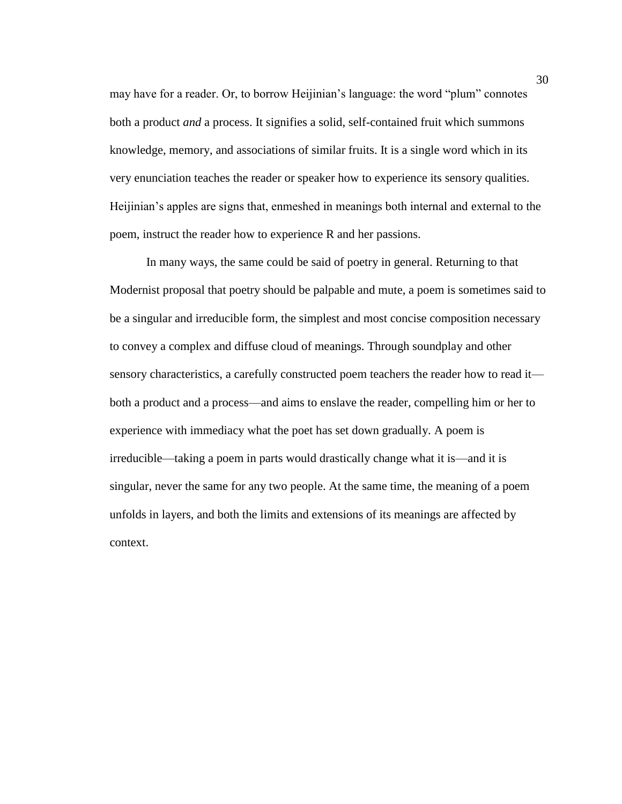may have for a reader. Or, to borrow Heijinian's language: the word "plum" connotes both a product *and* a process. It signifies a solid, self-contained fruit which summons knowledge, memory, and associations of similar fruits. It is a single word which in its very enunciation teaches the reader or speaker how to experience its sensory qualities. Heijinian's apples are signs that, enmeshed in meanings both internal and external to the poem, instruct the reader how to experience R and her passions.

In many ways, the same could be said of poetry in general. Returning to that Modernist proposal that poetry should be palpable and mute, a poem is sometimes said to be a singular and irreducible form, the simplest and most concise composition necessary to convey a complex and diffuse cloud of meanings. Through soundplay and other sensory characteristics, a carefully constructed poem teachers the reader how to read it both a product and a process—and aims to enslave the reader, compelling him or her to experience with immediacy what the poet has set down gradually. A poem is irreducible—taking a poem in parts would drastically change what it is—and it is singular, never the same for any two people. At the same time, the meaning of a poem unfolds in layers, and both the limits and extensions of its meanings are affected by context.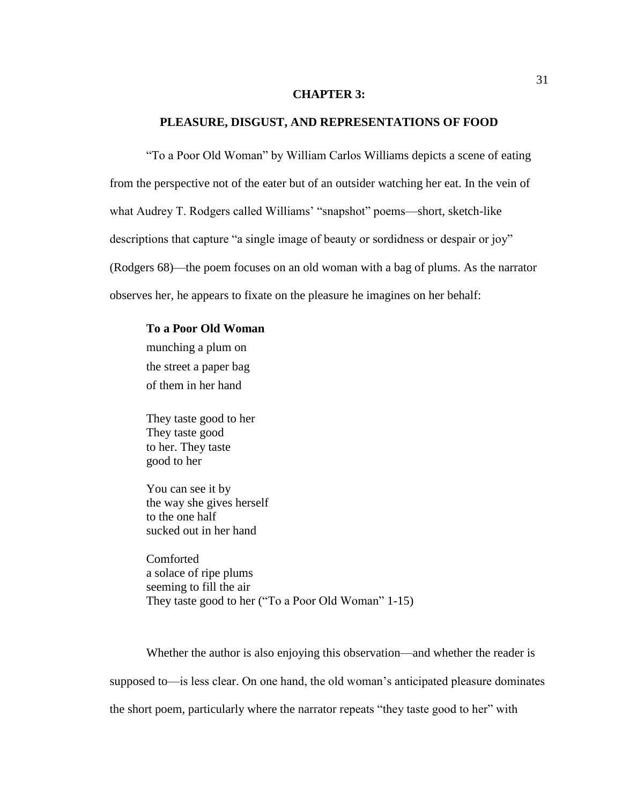### **CHAPTER 3:**

## **PLEASURE, DISGUST, AND REPRESENTATIONS OF FOOD**

"To a Poor Old Woman" by William Carlos Williams depicts a scene of eating from the perspective not of the eater but of an outsider watching her eat. In the vein of what Audrey T. Rodgers called Williams' "snapshot" poems—short, sketch-like descriptions that capture "a single image of beauty or sordidness or despair or joy" (Rodgers 68)—the poem focuses on an old woman with a bag of plums. As the narrator observes her, he appears to fixate on the pleasure he imagines on her behalf:

#### **To a Poor Old Woman**

munching a plum on the street a paper bag of them in her hand

They taste good to her They taste good to her. They taste good to her

You can see it by the way she gives herself to the one half sucked out in her hand

Comforted a solace of ripe plums seeming to fill the air They taste good to her ("To a Poor Old Woman" 1-15)

Whether the author is also enjoying this observation—and whether the reader is supposed to—is less clear. On one hand, the old woman's anticipated pleasure dominates the short poem, particularly where the narrator repeats "they taste good to her" with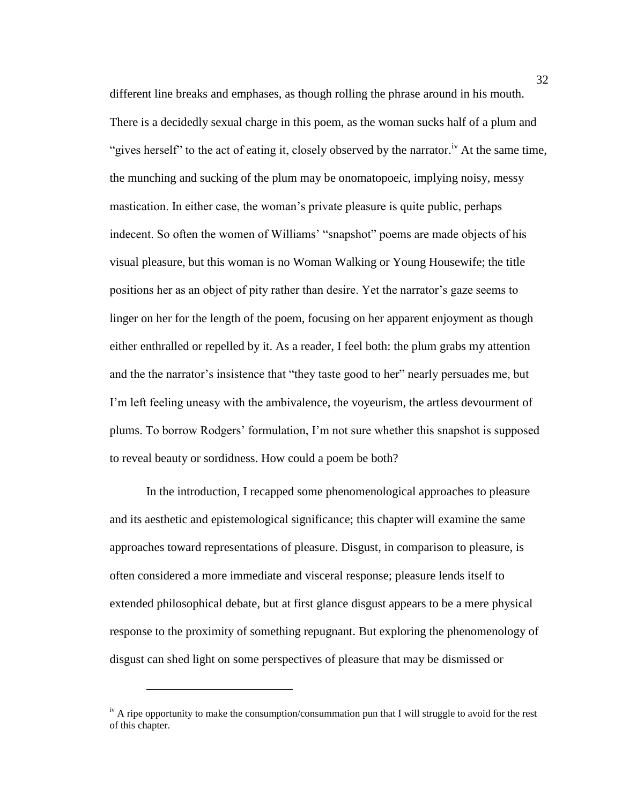different line breaks and emphases, as though rolling the phrase around in his mouth. There is a decidedly sexual charge in this poem, as the woman sucks half of a plum and "gives herself" to the act of eating it, closely observed by the narrator.<sup>iv</sup> At the same time. the munching and sucking of the plum may be onomatopoeic, implying noisy, messy mastication. In either case, the woman's private pleasure is quite public, perhaps indecent. So often the women of Williams' "snapshot" poems are made objects of his visual pleasure, but this woman is no Woman Walking or Young Housewife; the title positions her as an object of pity rather than desire. Yet the narrator's gaze seems to linger on her for the length of the poem, focusing on her apparent enjoyment as though either enthralled or repelled by it. As a reader, I feel both: the plum grabs my attention and the the narrator's insistence that "they taste good to her" nearly persuades me, but I'm left feeling uneasy with the ambivalence, the voyeurism, the artless devourment of plums. To borrow Rodgers' formulation, I'm not sure whether this snapshot is supposed to reveal beauty or sordidness. How could a poem be both?

In the introduction, I recapped some phenomenological approaches to pleasure and its aesthetic and epistemological significance; this chapter will examine the same approaches toward representations of pleasure. Disgust, in comparison to pleasure, is often considered a more immediate and visceral response; pleasure lends itself to extended philosophical debate, but at first glance disgust appears to be a mere physical response to the proximity of something repugnant. But exploring the phenomenology of disgust can shed light on some perspectives of pleasure that may be dismissed or

 $\overline{a}$ 

 $\mu$ <sup>iv</sup> A ripe opportunity to make the consumption/consummation pun that I will struggle to avoid for the rest of this chapter.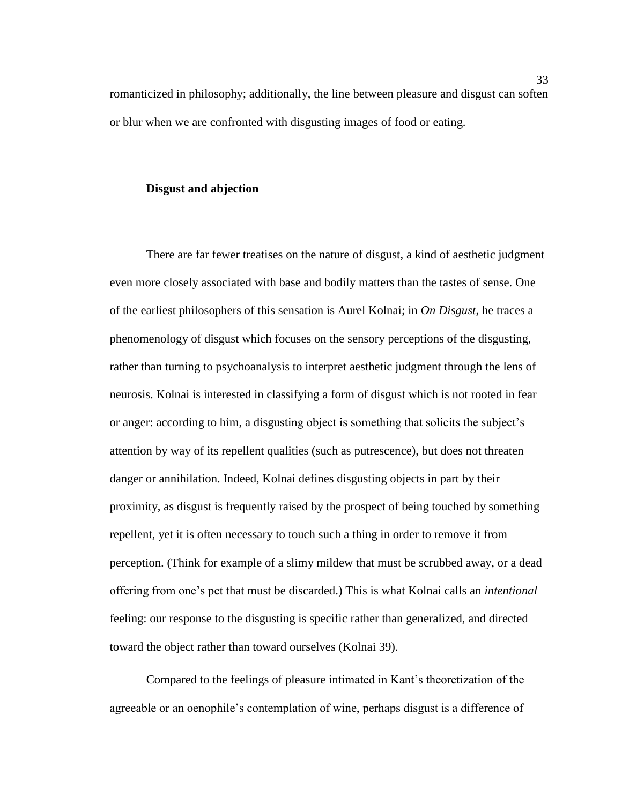romanticized in philosophy; additionally, the line between pleasure and disgust can soften or blur when we are confronted with disgusting images of food or eating.

#### **Disgust and abjection**

There are far fewer treatises on the nature of disgust, a kind of aesthetic judgment even more closely associated with base and bodily matters than the tastes of sense. One of the earliest philosophers of this sensation is Aurel Kolnai; in *On Disgust*, he traces a phenomenology of disgust which focuses on the sensory perceptions of the disgusting, rather than turning to psychoanalysis to interpret aesthetic judgment through the lens of neurosis. Kolnai is interested in classifying a form of disgust which is not rooted in fear or anger: according to him, a disgusting object is something that solicits the subject's attention by way of its repellent qualities (such as putrescence), but does not threaten danger or annihilation. Indeed, Kolnai defines disgusting objects in part by their proximity, as disgust is frequently raised by the prospect of being touched by something repellent, yet it is often necessary to touch such a thing in order to remove it from perception. (Think for example of a slimy mildew that must be scrubbed away, or a dead offering from one's pet that must be discarded.) This is what Kolnai calls an *intentional* feeling: our response to the disgusting is specific rather than generalized, and directed toward the object rather than toward ourselves (Kolnai 39).

Compared to the feelings of pleasure intimated in Kant's theoretization of the agreeable or an oenophile's contemplation of wine, perhaps disgust is a difference of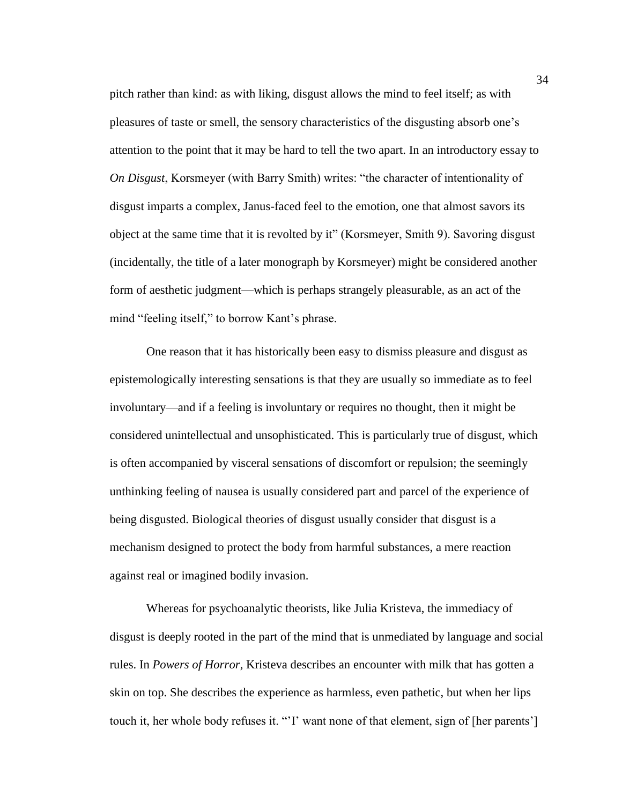pitch rather than kind: as with liking, disgust allows the mind to feel itself; as with pleasures of taste or smell, the sensory characteristics of the disgusting absorb one's attention to the point that it may be hard to tell the two apart. In an introductory essay to *On Disgust*, Korsmeyer (with Barry Smith) writes: "the character of intentionality of disgust imparts a complex, Janus-faced feel to the emotion, one that almost savors its object at the same time that it is revolted by it" (Korsmeyer, Smith 9). Savoring disgust (incidentally, the title of a later monograph by Korsmeyer) might be considered another form of aesthetic judgment—which is perhaps strangely pleasurable, as an act of the mind "feeling itself," to borrow Kant's phrase.

One reason that it has historically been easy to dismiss pleasure and disgust as epistemologically interesting sensations is that they are usually so immediate as to feel involuntary—and if a feeling is involuntary or requires no thought, then it might be considered unintellectual and unsophisticated. This is particularly true of disgust, which is often accompanied by visceral sensations of discomfort or repulsion; the seemingly unthinking feeling of nausea is usually considered part and parcel of the experience of being disgusted. Biological theories of disgust usually consider that disgust is a mechanism designed to protect the body from harmful substances, a mere reaction against real or imagined bodily invasion.

Whereas for psychoanalytic theorists, like Julia Kristeva, the immediacy of disgust is deeply rooted in the part of the mind that is unmediated by language and social rules. In *Powers of Horror*, Kristeva describes an encounter with milk that has gotten a skin on top. She describes the experience as harmless, even pathetic, but when her lips touch it, her whole body refuses it. "'I' want none of that element, sign of [her parents']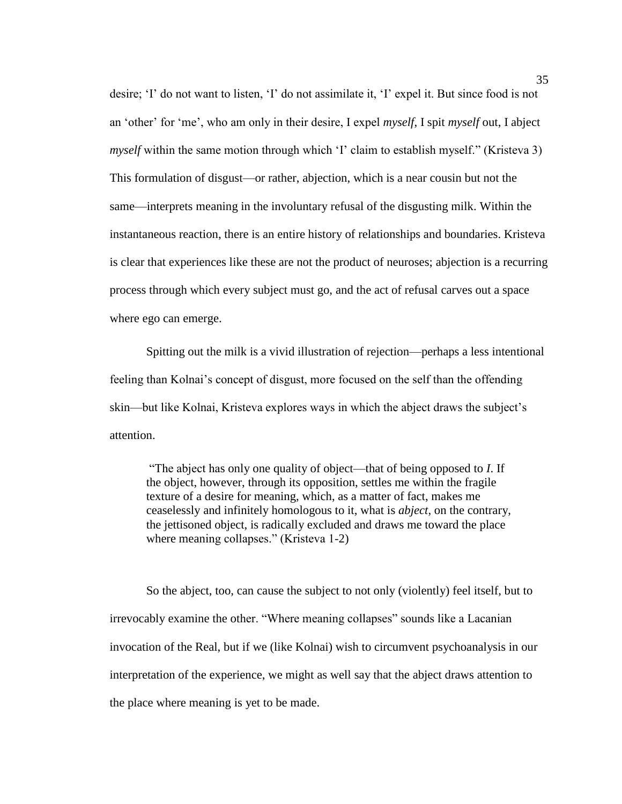desire; 'I' do not want to listen, 'I' do not assimilate it, 'I' expel it. But since food is not an 'other' for 'me', who am only in their desire, I expel *myself*, I spit *myself* out, I abject *myself* within the same motion through which 'I' claim to establish myself." (Kristeva 3) This formulation of disgust—or rather, abjection, which is a near cousin but not the same—interprets meaning in the involuntary refusal of the disgusting milk. Within the instantaneous reaction, there is an entire history of relationships and boundaries. Kristeva is clear that experiences like these are not the product of neuroses; abjection is a recurring process through which every subject must go, and the act of refusal carves out a space where ego can emerge.

Spitting out the milk is a vivid illustration of rejection—perhaps a less intentional feeling than Kolnai's concept of disgust, more focused on the self than the offending skin—but like Kolnai, Kristeva explores ways in which the abject draws the subject's attention.

"The abject has only one quality of object—that of being opposed to *I*. If the object, however, through its opposition, settles me within the fragile texture of a desire for meaning, which, as a matter of fact, makes me ceaselessly and infinitely homologous to it, what is *abject*, on the contrary, the jettisoned object, is radically excluded and draws me toward the place where meaning collapses." (Kristeva 1-2)

So the abject, too, can cause the subject to not only (violently) feel itself, but to irrevocably examine the other. "Where meaning collapses" sounds like a Lacanian invocation of the Real, but if we (like Kolnai) wish to circumvent psychoanalysis in our interpretation of the experience, we might as well say that the abject draws attention to the place where meaning is yet to be made.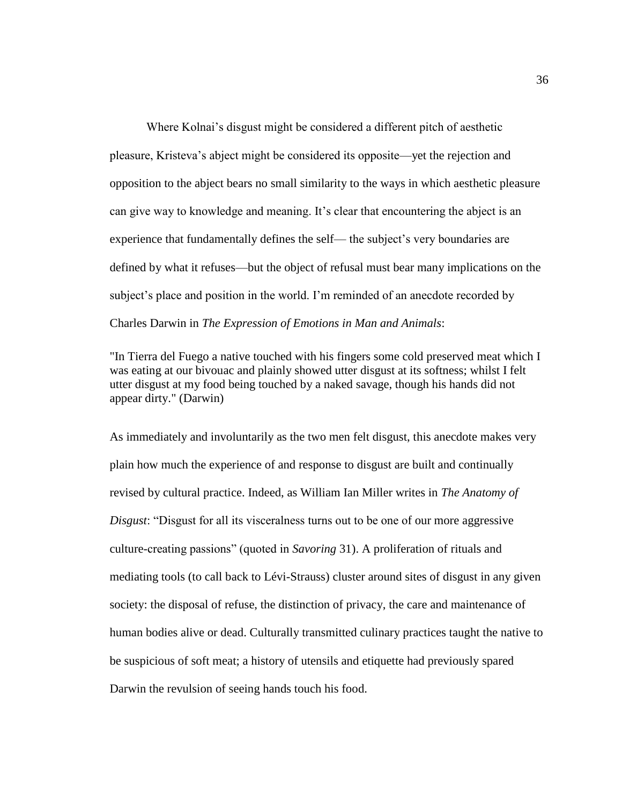Where Kolnai's disgust might be considered a different pitch of aesthetic pleasure, Kristeva's abject might be considered its opposite—yet the rejection and opposition to the abject bears no small similarity to the ways in which aesthetic pleasure can give way to knowledge and meaning. It's clear that encountering the abject is an experience that fundamentally defines the self— the subject's very boundaries are defined by what it refuses—but the object of refusal must bear many implications on the subject's place and position in the world. I'm reminded of an anecdote recorded by Charles Darwin in *The Expression of Emotions in Man and Animals*:

"In Tierra del Fuego a native touched with his fingers some cold preserved meat which I was eating at our bivouac and plainly showed utter disgust at its softness; whilst I felt utter disgust at my food being touched by a naked savage, though his hands did not appear dirty." (Darwin)

As immediately and involuntarily as the two men felt disgust, this anecdote makes very plain how much the experience of and response to disgust are built and continually revised by cultural practice. Indeed, as William Ian Miller writes in *The Anatomy of Disgust*: "Disgust for all its visceralness turns out to be one of our more aggressive culture-creating passions" (quoted in *Savoring* 31). A proliferation of rituals and mediating tools (to call back to Lévi-Strauss) cluster around sites of disgust in any given society: the disposal of refuse, the distinction of privacy, the care and maintenance of human bodies alive or dead. Culturally transmitted culinary practices taught the native to be suspicious of soft meat; a history of utensils and etiquette had previously spared Darwin the revulsion of seeing hands touch his food.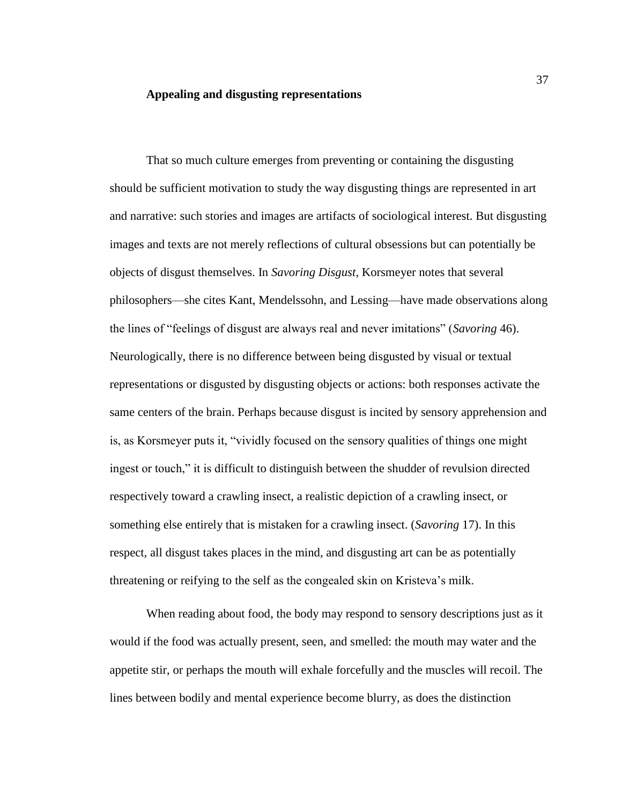### **Appealing and disgusting representations**

That so much culture emerges from preventing or containing the disgusting should be sufficient motivation to study the way disgusting things are represented in art and narrative: such stories and images are artifacts of sociological interest. But disgusting images and texts are not merely reflections of cultural obsessions but can potentially be objects of disgust themselves. In *Savoring Disgust*, Korsmeyer notes that several philosophers—she cites Kant, Mendelssohn, and Lessing—have made observations along the lines of "feelings of disgust are always real and never imitations" (*Savoring* 46). Neurologically, there is no difference between being disgusted by visual or textual representations or disgusted by disgusting objects or actions: both responses activate the same centers of the brain. Perhaps because disgust is incited by sensory apprehension and is, as Korsmeyer puts it, "vividly focused on the sensory qualities of things one might ingest or touch," it is difficult to distinguish between the shudder of revulsion directed respectively toward a crawling insect, a realistic depiction of a crawling insect, or something else entirely that is mistaken for a crawling insect. (*Savoring* 17). In this respect, all disgust takes places in the mind, and disgusting art can be as potentially threatening or reifying to the self as the congealed skin on Kristeva's milk.

When reading about food, the body may respond to sensory descriptions just as it would if the food was actually present, seen, and smelled: the mouth may water and the appetite stir, or perhaps the mouth will exhale forcefully and the muscles will recoil. The lines between bodily and mental experience become blurry, as does the distinction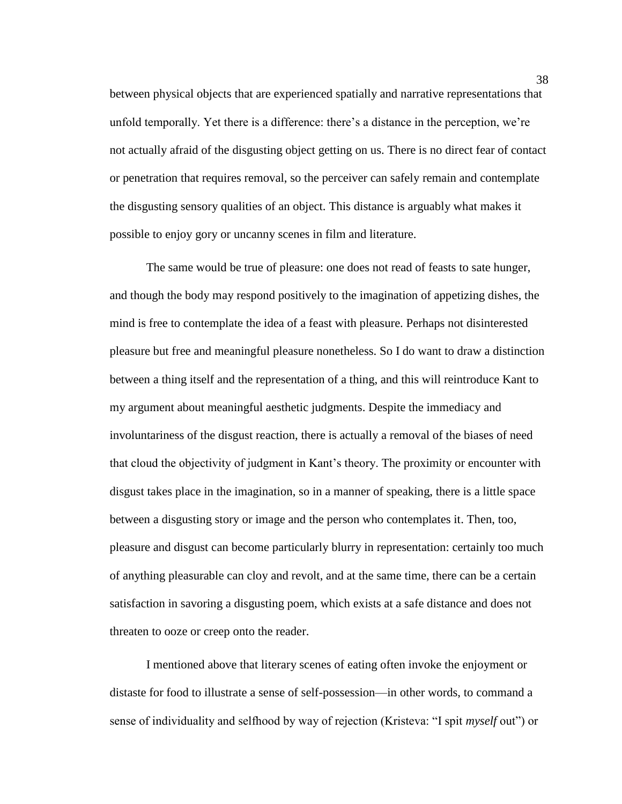between physical objects that are experienced spatially and narrative representations that unfold temporally. Yet there is a difference: there's a distance in the perception, we're not actually afraid of the disgusting object getting on us. There is no direct fear of contact or penetration that requires removal, so the perceiver can safely remain and contemplate the disgusting sensory qualities of an object. This distance is arguably what makes it possible to enjoy gory or uncanny scenes in film and literature.

The same would be true of pleasure: one does not read of feasts to sate hunger, and though the body may respond positively to the imagination of appetizing dishes, the mind is free to contemplate the idea of a feast with pleasure. Perhaps not disinterested pleasure but free and meaningful pleasure nonetheless. So I do want to draw a distinction between a thing itself and the representation of a thing, and this will reintroduce Kant to my argument about meaningful aesthetic judgments. Despite the immediacy and involuntariness of the disgust reaction, there is actually a removal of the biases of need that cloud the objectivity of judgment in Kant's theory. The proximity or encounter with disgust takes place in the imagination, so in a manner of speaking, there is a little space between a disgusting story or image and the person who contemplates it. Then, too, pleasure and disgust can become particularly blurry in representation: certainly too much of anything pleasurable can cloy and revolt, and at the same time, there can be a certain satisfaction in savoring a disgusting poem, which exists at a safe distance and does not threaten to ooze or creep onto the reader.

I mentioned above that literary scenes of eating often invoke the enjoyment or distaste for food to illustrate a sense of self-possession—in other words, to command a sense of individuality and selfhood by way of rejection (Kristeva: "I spit *myself* out") or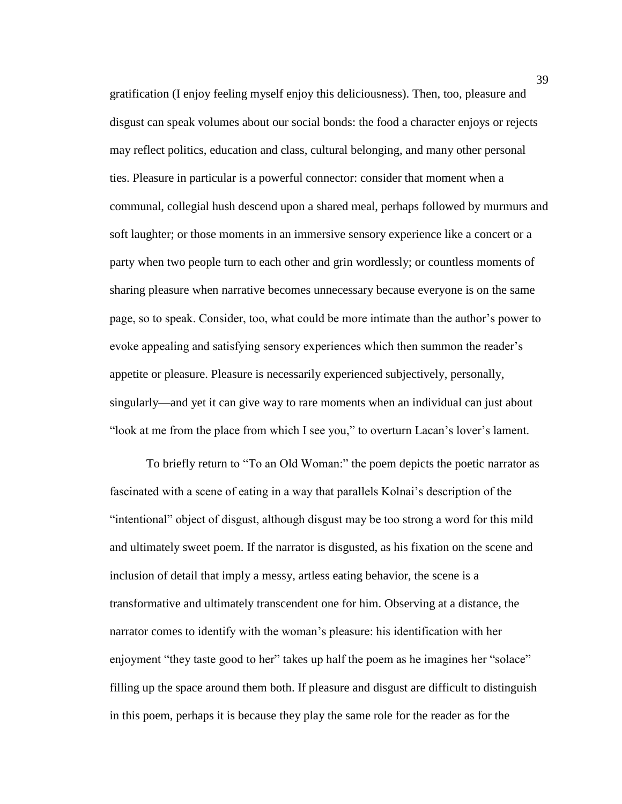gratification (I enjoy feeling myself enjoy this deliciousness). Then, too, pleasure and disgust can speak volumes about our social bonds: the food a character enjoys or rejects may reflect politics, education and class, cultural belonging, and many other personal ties. Pleasure in particular is a powerful connector: consider that moment when a communal, collegial hush descend upon a shared meal, perhaps followed by murmurs and soft laughter; or those moments in an immersive sensory experience like a concert or a party when two people turn to each other and grin wordlessly; or countless moments of sharing pleasure when narrative becomes unnecessary because everyone is on the same page, so to speak. Consider, too, what could be more intimate than the author's power to evoke appealing and satisfying sensory experiences which then summon the reader's appetite or pleasure. Pleasure is necessarily experienced subjectively, personally, singularly—and yet it can give way to rare moments when an individual can just about "look at me from the place from which I see you," to overturn Lacan's lover's lament.

To briefly return to "To an Old Woman:" the poem depicts the poetic narrator as fascinated with a scene of eating in a way that parallels Kolnai's description of the "intentional" object of disgust, although disgust may be too strong a word for this mild and ultimately sweet poem. If the narrator is disgusted, as his fixation on the scene and inclusion of detail that imply a messy, artless eating behavior, the scene is a transformative and ultimately transcendent one for him. Observing at a distance, the narrator comes to identify with the woman's pleasure: his identification with her enjoyment "they taste good to her" takes up half the poem as he imagines her "solace" filling up the space around them both. If pleasure and disgust are difficult to distinguish in this poem, perhaps it is because they play the same role for the reader as for the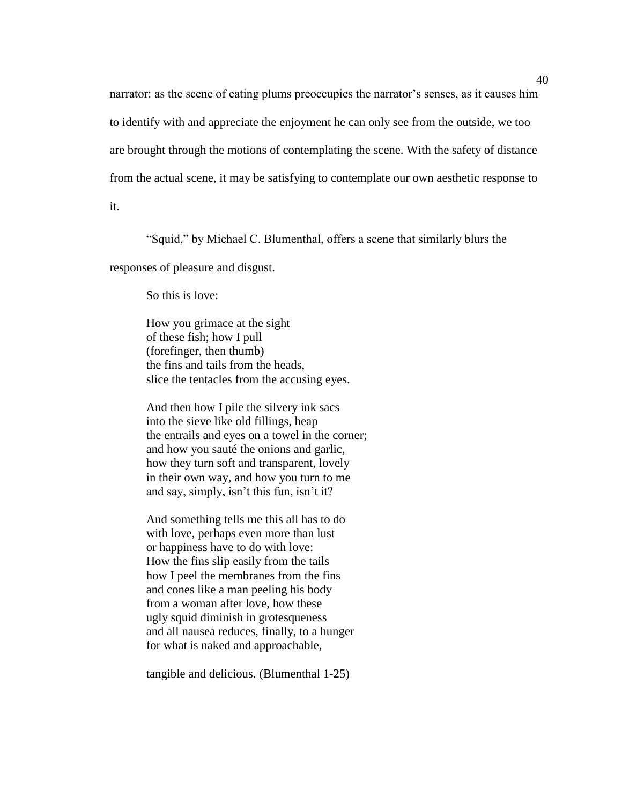narrator: as the scene of eating plums preoccupies the narrator's senses, as it causes him to identify with and appreciate the enjoyment he can only see from the outside, we too are brought through the motions of contemplating the scene. With the safety of distance from the actual scene, it may be satisfying to contemplate our own aesthetic response to

it.

"Squid," by Michael C. Blumenthal, offers a scene that similarly blurs the

responses of pleasure and disgust.

So this is love:

How you grimace at the sight of these fish; how I pull (forefinger, then thumb) the fins and tails from the heads, slice the tentacles from the accusing eyes.

And then how I pile the silvery ink sacs into the sieve like old fillings, heap the entrails and eyes on a towel in the corner; and how you sauté the onions and garlic, how they turn soft and transparent, lovely in their own way, and how you turn to me and say, simply, isn't this fun, isn't it?

And something tells me this all has to do with love, perhaps even more than lust or happiness have to do with love: How the fins slip easily from the tails how I peel the membranes from the fins and cones like a man peeling his body from a woman after love, how these ugly squid diminish in grotesqueness and all nausea reduces, finally, to a hunger for what is naked and approachable,

tangible and delicious. (Blumenthal 1-25)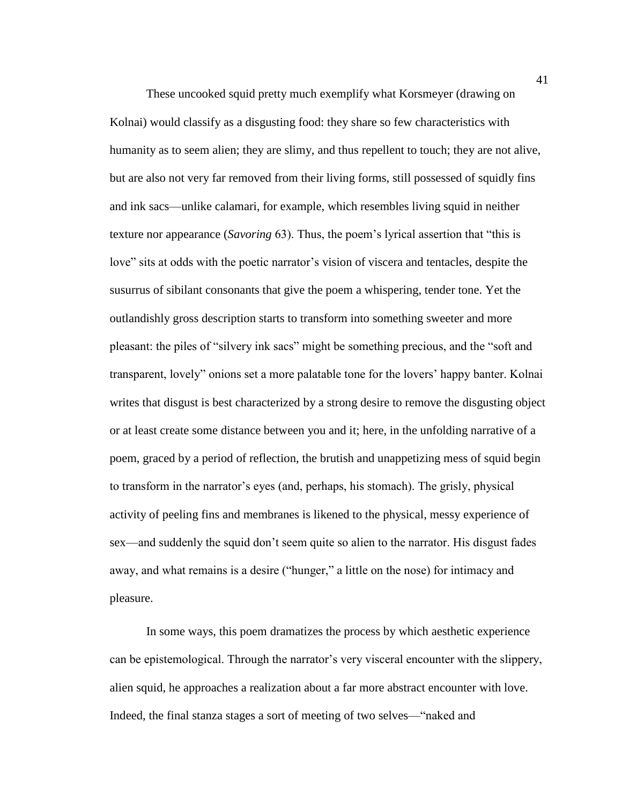These uncooked squid pretty much exemplify what Korsmeyer (drawing on Kolnai) would classify as a disgusting food: they share so few characteristics with humanity as to seem alien; they are slimy, and thus repellent to touch; they are not alive, but are also not very far removed from their living forms, still possessed of squidly fins and ink sacs—unlike calamari, for example, which resembles living squid in neither texture nor appearance (*Savoring* 63). Thus, the poem's lyrical assertion that "this is love" sits at odds with the poetic narrator's vision of viscera and tentacles, despite the susurrus of sibilant consonants that give the poem a whispering, tender tone. Yet the outlandishly gross description starts to transform into something sweeter and more pleasant: the piles of "silvery ink sacs" might be something precious, and the "soft and transparent, lovely" onions set a more palatable tone for the lovers' happy banter. Kolnai writes that disgust is best characterized by a strong desire to remove the disgusting object or at least create some distance between you and it; here, in the unfolding narrative of a poem, graced by a period of reflection, the brutish and unappetizing mess of squid begin to transform in the narrator's eyes (and, perhaps, his stomach). The grisly, physical activity of peeling fins and membranes is likened to the physical, messy experience of sex—and suddenly the squid don't seem quite so alien to the narrator. His disgust fades away, and what remains is a desire ("hunger," a little on the nose) for intimacy and pleasure.

In some ways, this poem dramatizes the process by which aesthetic experience can be epistemological. Through the narrator's very visceral encounter with the slippery, alien squid, he approaches a realization about a far more abstract encounter with love. Indeed, the final stanza stages a sort of meeting of two selves—"naked and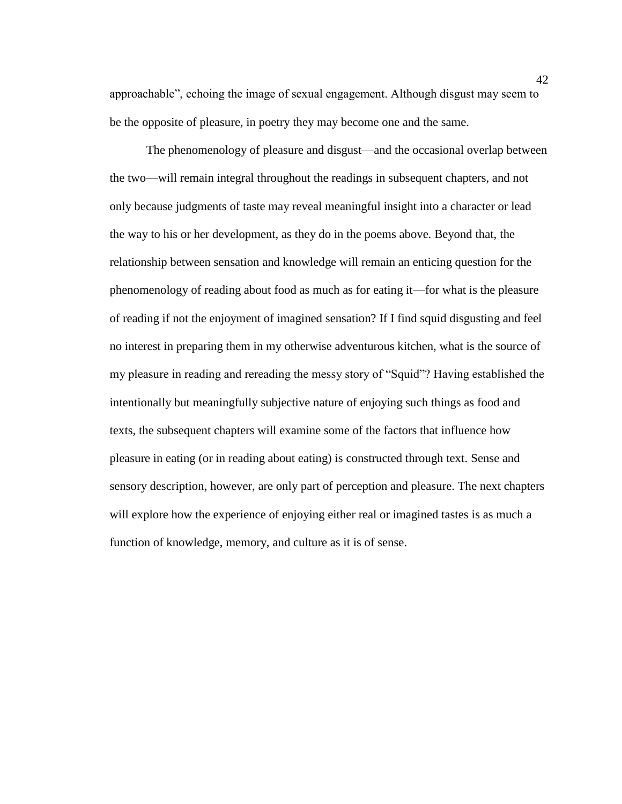approachable", echoing the image of sexual engagement. Although disgust may seem to be the opposite of pleasure, in poetry they may become one and the same.

The phenomenology of pleasure and disgust—and the occasional overlap between the two—will remain integral throughout the readings in subsequent chapters, and not only because judgments of taste may reveal meaningful insight into a character or lead the way to his or her development, as they do in the poems above. Beyond that, the relationship between sensation and knowledge will remain an enticing question for the phenomenology of reading about food as much as for eating it—for what is the pleasure of reading if not the enjoyment of imagined sensation? If I find squid disgusting and feel no interest in preparing them in my otherwise adventurous kitchen, what is the source of my pleasure in reading and rereading the messy story of "Squid"? Having established the intentionally but meaningfully subjective nature of enjoying such things as food and texts, the subsequent chapters will examine some of the factors that influence how pleasure in eating (or in reading about eating) is constructed through text. Sense and sensory description, however, are only part of perception and pleasure. The next chapters will explore how the experience of enjoying either real or imagined tastes is as much a function of knowledge, memory, and culture as it is of sense.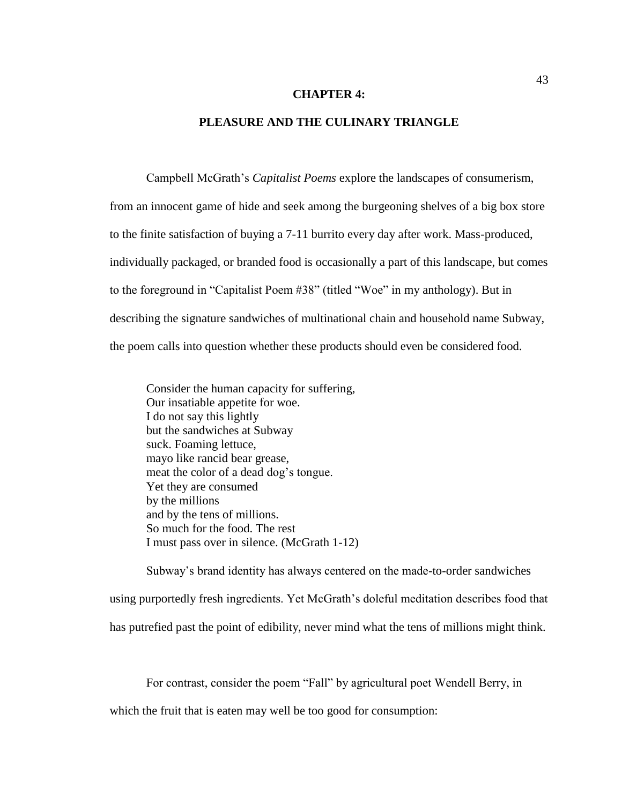### **CHAPTER 4:**

### **PLEASURE AND THE CULINARY TRIANGLE**

Campbell McGrath's *Capitalist Poems* explore the landscapes of consumerism, from an innocent game of hide and seek among the burgeoning shelves of a big box store to the finite satisfaction of buying a 7-11 burrito every day after work. Mass-produced, individually packaged, or branded food is occasionally a part of this landscape, but comes to the foreground in "Capitalist Poem #38" (titled "Woe" in my anthology). But in describing the signature sandwiches of multinational chain and household name Subway, the poem calls into question whether these products should even be considered food.

Consider the human capacity for suffering, Our insatiable appetite for woe. I do not say this lightly but the sandwiches at Subway suck. Foaming lettuce, mayo like rancid bear grease, meat the color of a dead dog's tongue. Yet they are consumed by the millions and by the tens of millions. So much for the food. The rest I must pass over in silence. (McGrath 1-12)

Subway's brand identity has always centered on the made-to-order sandwiches using purportedly fresh ingredients. Yet McGrath's doleful meditation describes food that has putrefied past the point of edibility, never mind what the tens of millions might think.

For contrast, consider the poem "Fall" by agricultural poet Wendell Berry, in

which the fruit that is eaten may well be too good for consumption: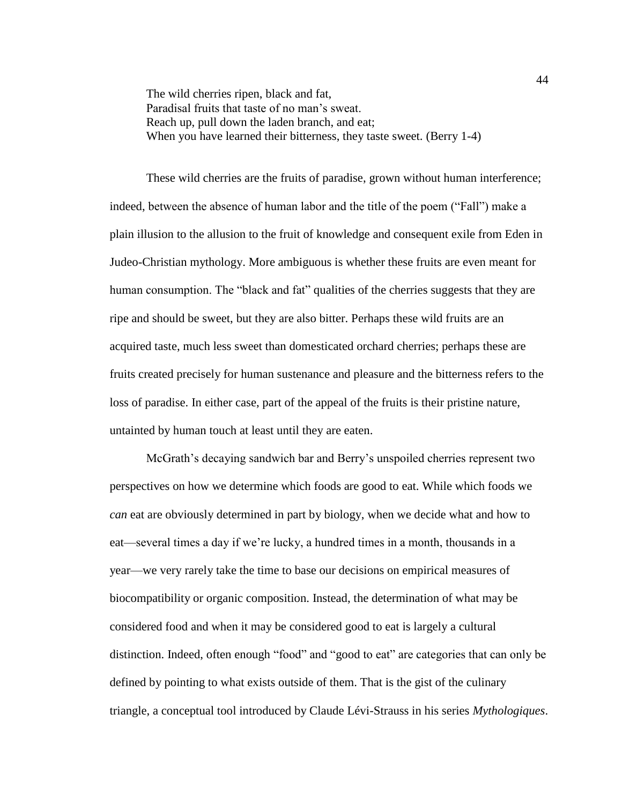The wild cherries ripen, black and fat, Paradisal fruits that taste of no man's sweat. Reach up, pull down the laden branch, and eat; When you have learned their bitterness, they taste sweet. (Berry 1-4)

These wild cherries are the fruits of paradise, grown without human interference; indeed, between the absence of human labor and the title of the poem ("Fall") make a plain illusion to the allusion to the fruit of knowledge and consequent exile from Eden in Judeo-Christian mythology. More ambiguous is whether these fruits are even meant for human consumption. The "black and fat" qualities of the cherries suggests that they are ripe and should be sweet, but they are also bitter. Perhaps these wild fruits are an acquired taste, much less sweet than domesticated orchard cherries; perhaps these are fruits created precisely for human sustenance and pleasure and the bitterness refers to the loss of paradise. In either case, part of the appeal of the fruits is their pristine nature, untainted by human touch at least until they are eaten.

McGrath's decaying sandwich bar and Berry's unspoiled cherries represent two perspectives on how we determine which foods are good to eat. While which foods we *can* eat are obviously determined in part by biology, when we decide what and how to eat—several times a day if we're lucky, a hundred times in a month, thousands in a year—we very rarely take the time to base our decisions on empirical measures of biocompatibility or organic composition. Instead, the determination of what may be considered food and when it may be considered good to eat is largely a cultural distinction. Indeed, often enough "food" and "good to eat" are categories that can only be defined by pointing to what exists outside of them. That is the gist of the culinary triangle, a conceptual tool introduced by Claude Lévi-Strauss in his series *Mythologiques*.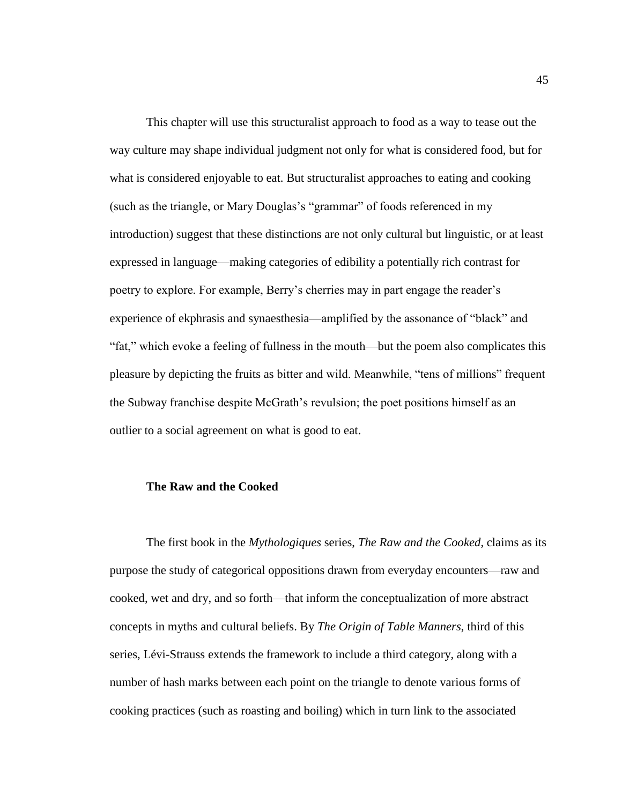This chapter will use this structuralist approach to food as a way to tease out the way culture may shape individual judgment not only for what is considered food, but for what is considered enjoyable to eat. But structuralist approaches to eating and cooking (such as the triangle, or Mary Douglas's "grammar" of foods referenced in my introduction) suggest that these distinctions are not only cultural but linguistic, or at least expressed in language—making categories of edibility a potentially rich contrast for poetry to explore. For example, Berry's cherries may in part engage the reader's experience of ekphrasis and synaesthesia—amplified by the assonance of "black" and "fat," which evoke a feeling of fullness in the mouth—but the poem also complicates this pleasure by depicting the fruits as bitter and wild. Meanwhile, "tens of millions" frequent the Subway franchise despite McGrath's revulsion; the poet positions himself as an outlier to a social agreement on what is good to eat.

## **The Raw and the Cooked**

The first book in the *Mythologiques* series, *The Raw and the Cooked*, claims as its purpose the study of categorical oppositions drawn from everyday encounters—raw and cooked, wet and dry, and so forth—that inform the conceptualization of more abstract concepts in myths and cultural beliefs. By *The Origin of Table Manners*, third of this series, Lévi-Strauss extends the framework to include a third category, along with a number of hash marks between each point on the triangle to denote various forms of cooking practices (such as roasting and boiling) which in turn link to the associated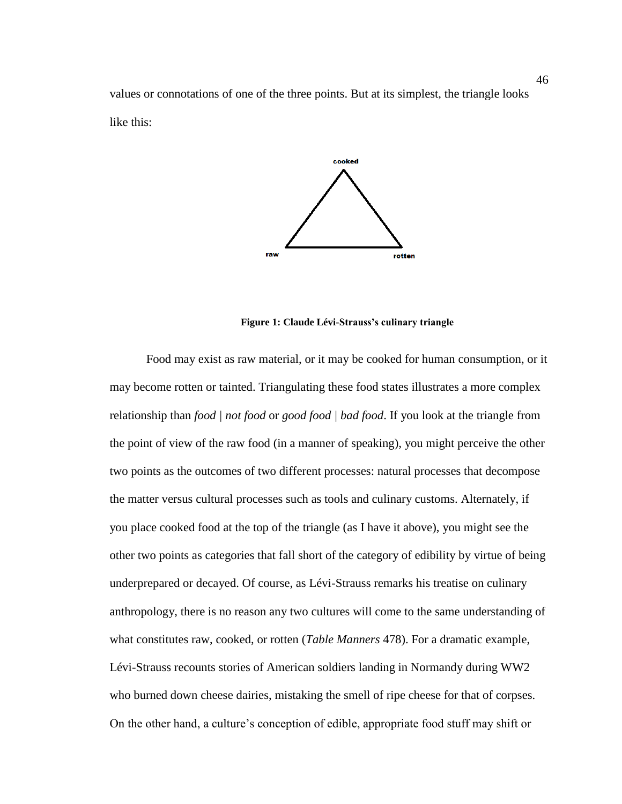values or connotations of one of the three points. But at its simplest, the triangle looks like this:



**Figure 1: Claude Lévi-Strauss's culinary triangle**

Food may exist as raw material, or it may be cooked for human consumption, or it may become rotten or tainted. Triangulating these food states illustrates a more complex relationship than *food | not food* or *good food | bad food*. If you look at the triangle from the point of view of the raw food (in a manner of speaking), you might perceive the other two points as the outcomes of two different processes: natural processes that decompose the matter versus cultural processes such as tools and culinary customs. Alternately, if you place cooked food at the top of the triangle (as I have it above), you might see the other two points as categories that fall short of the category of edibility by virtue of being underprepared or decayed. Of course, as Lévi-Strauss remarks his treatise on culinary anthropology, there is no reason any two cultures will come to the same understanding of what constitutes raw, cooked, or rotten (*Table Manners* 478). For a dramatic example, Lévi-Strauss recounts stories of American soldiers landing in Normandy during WW2 who burned down cheese dairies, mistaking the smell of ripe cheese for that of corpses. On the other hand, a culture's conception of edible, appropriate food stuff may shift or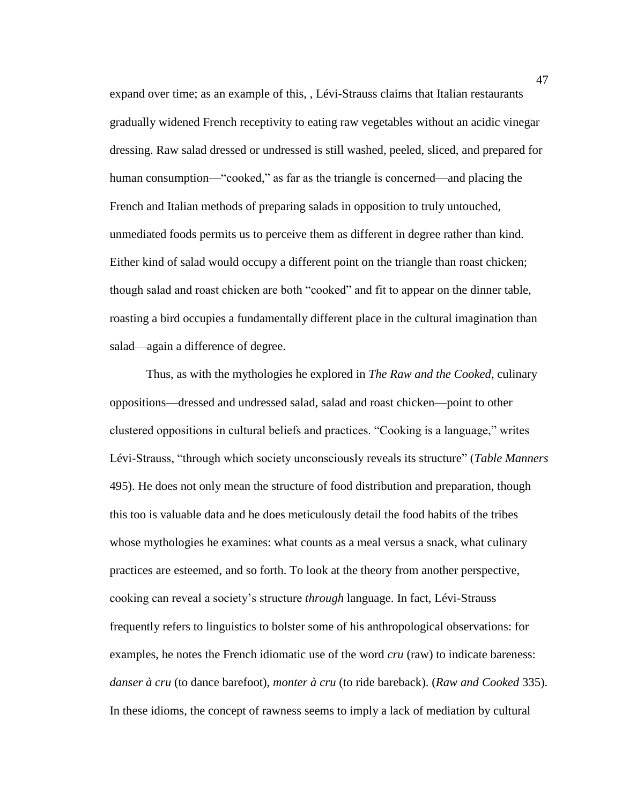expand over time; as an example of this, , Lévi-Strauss claims that Italian restaurants gradually widened French receptivity to eating raw vegetables without an acidic vinegar dressing. Raw salad dressed or undressed is still washed, peeled, sliced, and prepared for human consumption—"cooked," as far as the triangle is concerned—and placing the French and Italian methods of preparing salads in opposition to truly untouched, unmediated foods permits us to perceive them as different in degree rather than kind. Either kind of salad would occupy a different point on the triangle than roast chicken; though salad and roast chicken are both "cooked" and fit to appear on the dinner table, roasting a bird occupies a fundamentally different place in the cultural imagination than salad—again a difference of degree.

Thus, as with the mythologies he explored in *The Raw and the Cooked*, culinary oppositions—dressed and undressed salad, salad and roast chicken—point to other clustered oppositions in cultural beliefs and practices. "Cooking is a language," writes Lévi-Strauss, "through which society unconsciously reveals its structure" (*Table Manners* 495). He does not only mean the structure of food distribution and preparation, though this too is valuable data and he does meticulously detail the food habits of the tribes whose mythologies he examines: what counts as a meal versus a snack, what culinary practices are esteemed, and so forth. To look at the theory from another perspective, cooking can reveal a society's structure *through* language. In fact, Lévi-Strauss frequently refers to linguistics to bolster some of his anthropological observations: for examples, he notes the French idiomatic use of the word *cru* (raw) to indicate bareness: *danser à cru* (to dance barefoot), *monter à cru* (to ride bareback). (*Raw and Cooked* 335). In these idioms, the concept of rawness seems to imply a lack of mediation by cultural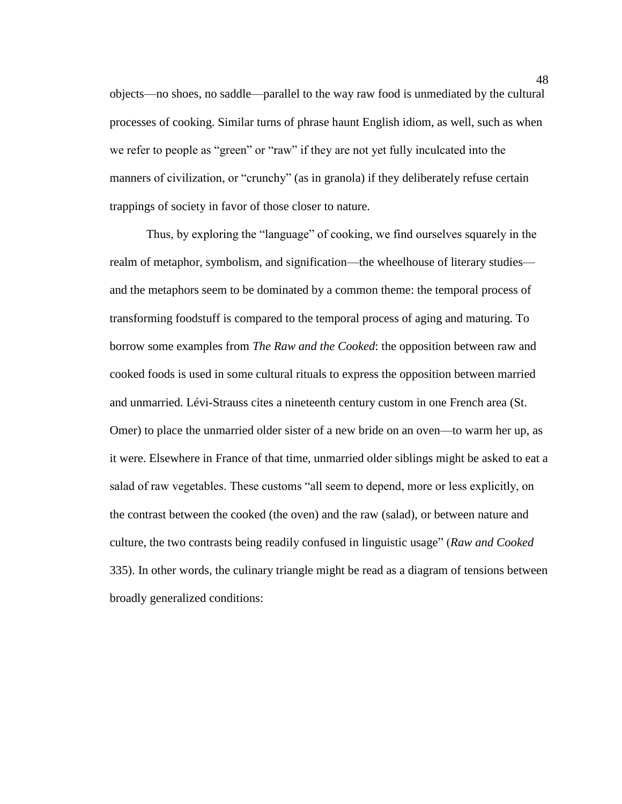objects—no shoes, no saddle—parallel to the way raw food is unmediated by the cultural processes of cooking. Similar turns of phrase haunt English idiom, as well, such as when we refer to people as "green" or "raw" if they are not yet fully inculcated into the manners of civilization, or "crunchy" (as in granola) if they deliberately refuse certain trappings of society in favor of those closer to nature.

Thus, by exploring the "language" of cooking, we find ourselves squarely in the realm of metaphor, symbolism, and signification—the wheelhouse of literary studies and the metaphors seem to be dominated by a common theme: the temporal process of transforming foodstuff is compared to the temporal process of aging and maturing. To borrow some examples from *The Raw and the Cooked*: the opposition between raw and cooked foods is used in some cultural rituals to express the opposition between married and unmarried. Lévi-Strauss cites a nineteenth century custom in one French area (St. Omer) to place the unmarried older sister of a new bride on an oven—to warm her up, as it were. Elsewhere in France of that time, unmarried older siblings might be asked to eat a salad of raw vegetables. These customs "all seem to depend, more or less explicitly, on the contrast between the cooked (the oven) and the raw (salad), or between nature and culture, the two contrasts being readily confused in linguistic usage" (*Raw and Cooked* 335). In other words, the culinary triangle might be read as a diagram of tensions between broadly generalized conditions: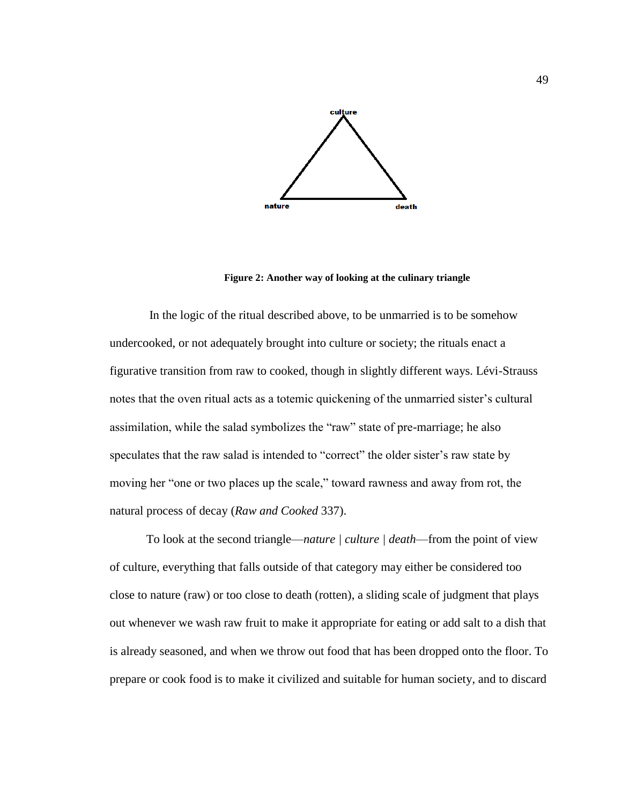

**Figure 2: Another way of looking at the culinary triangle**

In the logic of the ritual described above, to be unmarried is to be somehow undercooked, or not adequately brought into culture or society; the rituals enact a figurative transition from raw to cooked, though in slightly different ways. Lévi-Strauss notes that the oven ritual acts as a totemic quickening of the unmarried sister's cultural assimilation, while the salad symbolizes the "raw" state of pre-marriage; he also speculates that the raw salad is intended to "correct" the older sister's raw state by moving her "one or two places up the scale," toward rawness and away from rot, the natural process of decay (*Raw and Cooked* 337).

To look at the second triangle—*nature | culture | death*—from the point of view of culture, everything that falls outside of that category may either be considered too close to nature (raw) or too close to death (rotten), a sliding scale of judgment that plays out whenever we wash raw fruit to make it appropriate for eating or add salt to a dish that is already seasoned, and when we throw out food that has been dropped onto the floor. To prepare or cook food is to make it civilized and suitable for human society, and to discard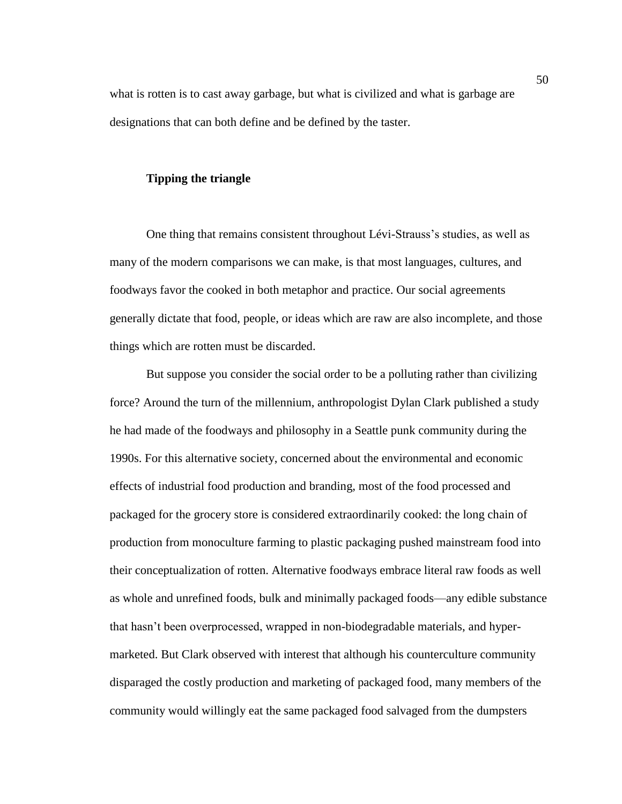what is rotten is to cast away garbage, but what is civilized and what is garbage are designations that can both define and be defined by the taster.

### **Tipping the triangle**

One thing that remains consistent throughout Lévi-Strauss's studies, as well as many of the modern comparisons we can make, is that most languages, cultures, and foodways favor the cooked in both metaphor and practice. Our social agreements generally dictate that food, people, or ideas which are raw are also incomplete, and those things which are rotten must be discarded.

But suppose you consider the social order to be a polluting rather than civilizing force? Around the turn of the millennium, anthropologist Dylan Clark published a study he had made of the foodways and philosophy in a Seattle punk community during the 1990s. For this alternative society, concerned about the environmental and economic effects of industrial food production and branding, most of the food processed and packaged for the grocery store is considered extraordinarily cooked: the long chain of production from monoculture farming to plastic packaging pushed mainstream food into their conceptualization of rotten. Alternative foodways embrace literal raw foods as well as whole and unrefined foods, bulk and minimally packaged foods—any edible substance that hasn't been overprocessed, wrapped in non-biodegradable materials, and hypermarketed. But Clark observed with interest that although his counterculture community disparaged the costly production and marketing of packaged food, many members of the community would willingly eat the same packaged food salvaged from the dumpsters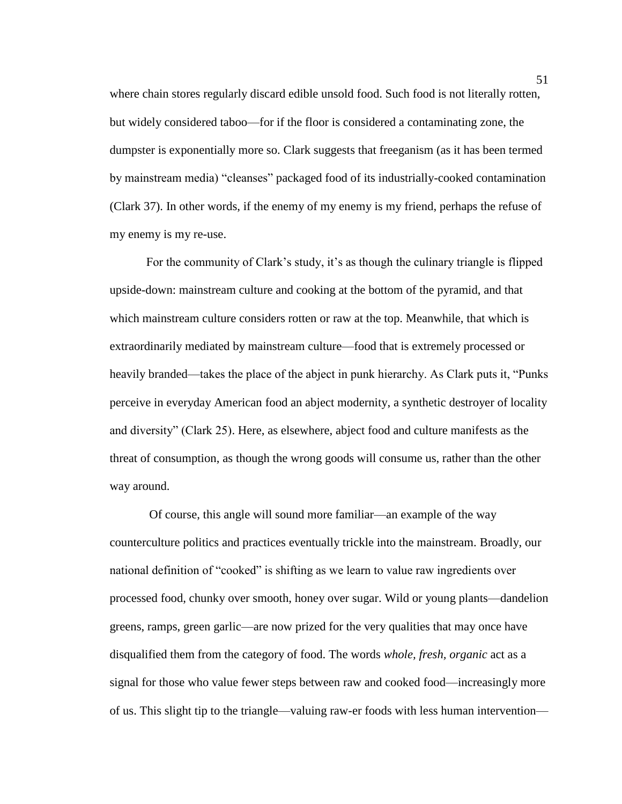where chain stores regularly discard edible unsold food. Such food is not literally rotten, but widely considered taboo—for if the floor is considered a contaminating zone, the dumpster is exponentially more so. Clark suggests that freeganism (as it has been termed by mainstream media) "cleanses" packaged food of its industrially-cooked contamination (Clark 37). In other words, if the enemy of my enemy is my friend, perhaps the refuse of my enemy is my re-use.

For the community of Clark's study, it's as though the culinary triangle is flipped upside-down: mainstream culture and cooking at the bottom of the pyramid, and that which mainstream culture considers rotten or raw at the top. Meanwhile, that which is extraordinarily mediated by mainstream culture—food that is extremely processed or heavily branded—takes the place of the abject in punk hierarchy. As Clark puts it, "Punks perceive in everyday American food an abject modernity, a synthetic destroyer of locality and diversity" (Clark 25). Here, as elsewhere, abject food and culture manifests as the threat of consumption, as though the wrong goods will consume us, rather than the other way around.

Of course, this angle will sound more familiar—an example of the way counterculture politics and practices eventually trickle into the mainstream. Broadly, our national definition of "cooked" is shifting as we learn to value raw ingredients over processed food, chunky over smooth, honey over sugar. Wild or young plants—dandelion greens, ramps, green garlic—are now prized for the very qualities that may once have disqualified them from the category of food. The words *whole, fresh, organic* act as a signal for those who value fewer steps between raw and cooked food—increasingly more of us. This slight tip to the triangle—valuing raw-er foods with less human intervention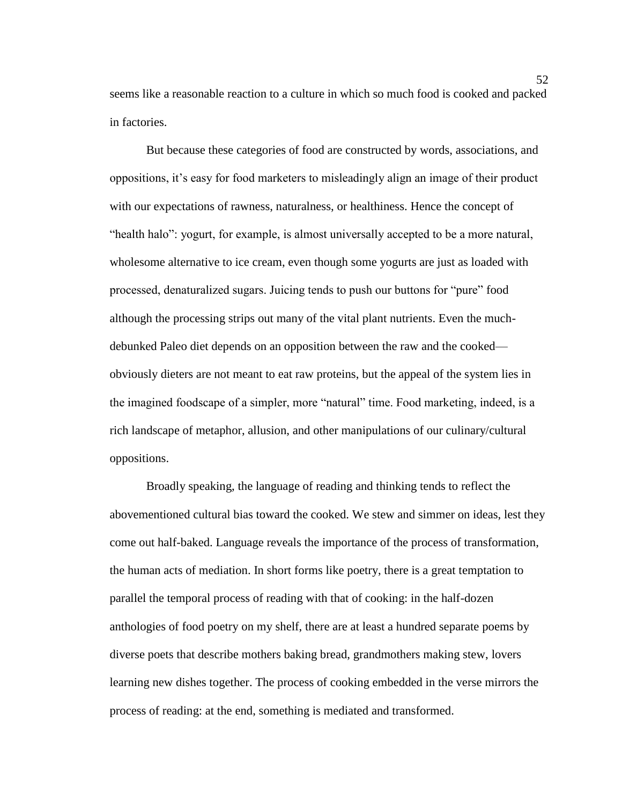seems like a reasonable reaction to a culture in which so much food is cooked and packed in factories.

But because these categories of food are constructed by words, associations, and oppositions, it's easy for food marketers to misleadingly align an image of their product with our expectations of rawness, naturalness, or healthiness. Hence the concept of "health halo": yogurt, for example, is almost universally accepted to be a more natural, wholesome alternative to ice cream, even though some yogurts are just as loaded with processed, denaturalized sugars. Juicing tends to push our buttons for "pure" food although the processing strips out many of the vital plant nutrients. Even the muchdebunked Paleo diet depends on an opposition between the raw and the cooked obviously dieters are not meant to eat raw proteins, but the appeal of the system lies in the imagined foodscape of a simpler, more "natural" time. Food marketing, indeed, is a rich landscape of metaphor, allusion, and other manipulations of our culinary/cultural oppositions.

Broadly speaking, the language of reading and thinking tends to reflect the abovementioned cultural bias toward the cooked. We stew and simmer on ideas, lest they come out half-baked. Language reveals the importance of the process of transformation, the human acts of mediation. In short forms like poetry, there is a great temptation to parallel the temporal process of reading with that of cooking: in the half-dozen anthologies of food poetry on my shelf, there are at least a hundred separate poems by diverse poets that describe mothers baking bread, grandmothers making stew, lovers learning new dishes together. The process of cooking embedded in the verse mirrors the process of reading: at the end, something is mediated and transformed.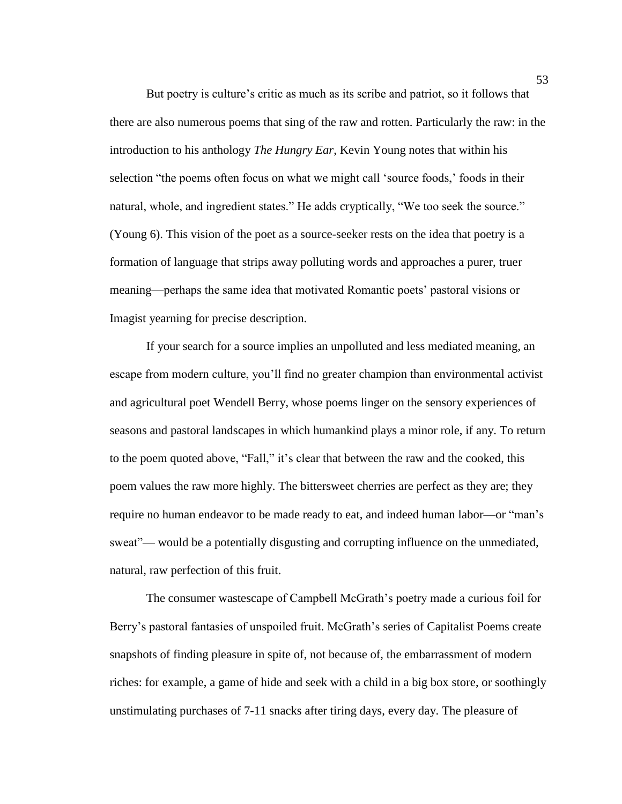But poetry is culture's critic as much as its scribe and patriot, so it follows that there are also numerous poems that sing of the raw and rotten. Particularly the raw: in the introduction to his anthology *The Hungry Ear*, Kevin Young notes that within his selection "the poems often focus on what we might call 'source foods,' foods in their natural, whole, and ingredient states." He adds cryptically, "We too seek the source." (Young 6). This vision of the poet as a source-seeker rests on the idea that poetry is a formation of language that strips away polluting words and approaches a purer, truer meaning—perhaps the same idea that motivated Romantic poets' pastoral visions or Imagist yearning for precise description.

If your search for a source implies an unpolluted and less mediated meaning, an escape from modern culture, you'll find no greater champion than environmental activist and agricultural poet Wendell Berry, whose poems linger on the sensory experiences of seasons and pastoral landscapes in which humankind plays a minor role, if any. To return to the poem quoted above, "Fall," it's clear that between the raw and the cooked, this poem values the raw more highly. The bittersweet cherries are perfect as they are; they require no human endeavor to be made ready to eat, and indeed human labor—or "man's sweat"— would be a potentially disgusting and corrupting influence on the unmediated, natural, raw perfection of this fruit.

The consumer wastescape of Campbell McGrath's poetry made a curious foil for Berry's pastoral fantasies of unspoiled fruit. McGrath's series of Capitalist Poems create snapshots of finding pleasure in spite of, not because of, the embarrassment of modern riches: for example, a game of hide and seek with a child in a big box store, or soothingly unstimulating purchases of 7-11 snacks after tiring days, every day. The pleasure of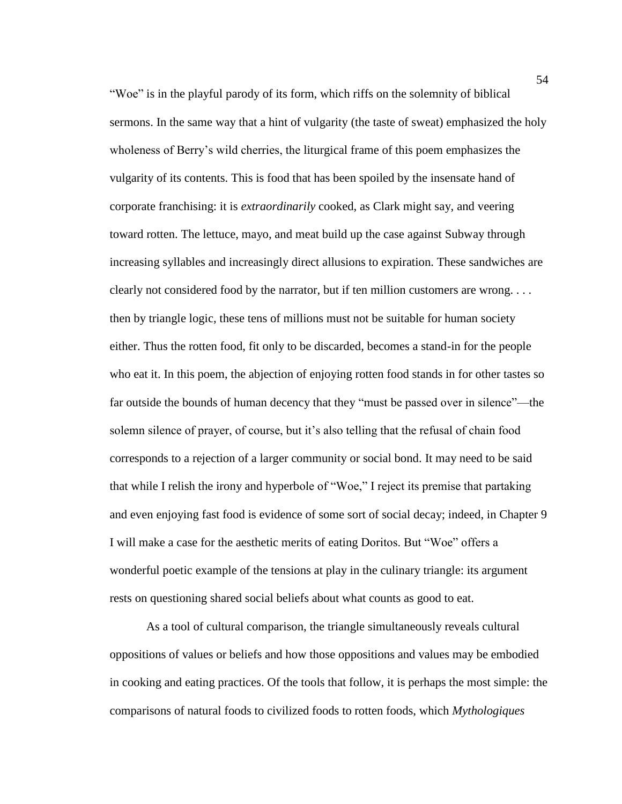"Woe" is in the playful parody of its form, which riffs on the solemnity of biblical sermons. In the same way that a hint of vulgarity (the taste of sweat) emphasized the holy wholeness of Berry's wild cherries, the liturgical frame of this poem emphasizes the vulgarity of its contents. This is food that has been spoiled by the insensate hand of corporate franchising: it is *extraordinarily* cooked, as Clark might say, and veering toward rotten. The lettuce, mayo, and meat build up the case against Subway through increasing syllables and increasingly direct allusions to expiration. These sandwiches are clearly not considered food by the narrator, but if ten million customers are wrong. . . . then by triangle logic, these tens of millions must not be suitable for human society either. Thus the rotten food, fit only to be discarded, becomes a stand-in for the people who eat it. In this poem, the abjection of enjoying rotten food stands in for other tastes so far outside the bounds of human decency that they "must be passed over in silence"—the solemn silence of prayer, of course, but it's also telling that the refusal of chain food corresponds to a rejection of a larger community or social bond. It may need to be said that while I relish the irony and hyperbole of "Woe," I reject its premise that partaking and even enjoying fast food is evidence of some sort of social decay; indeed, in Chapter 9 I will make a case for the aesthetic merits of eating Doritos. But "Woe" offers a wonderful poetic example of the tensions at play in the culinary triangle: its argument rests on questioning shared social beliefs about what counts as good to eat.

As a tool of cultural comparison, the triangle simultaneously reveals cultural oppositions of values or beliefs and how those oppositions and values may be embodied in cooking and eating practices. Of the tools that follow, it is perhaps the most simple: the comparisons of natural foods to civilized foods to rotten foods, which *Mythologiques*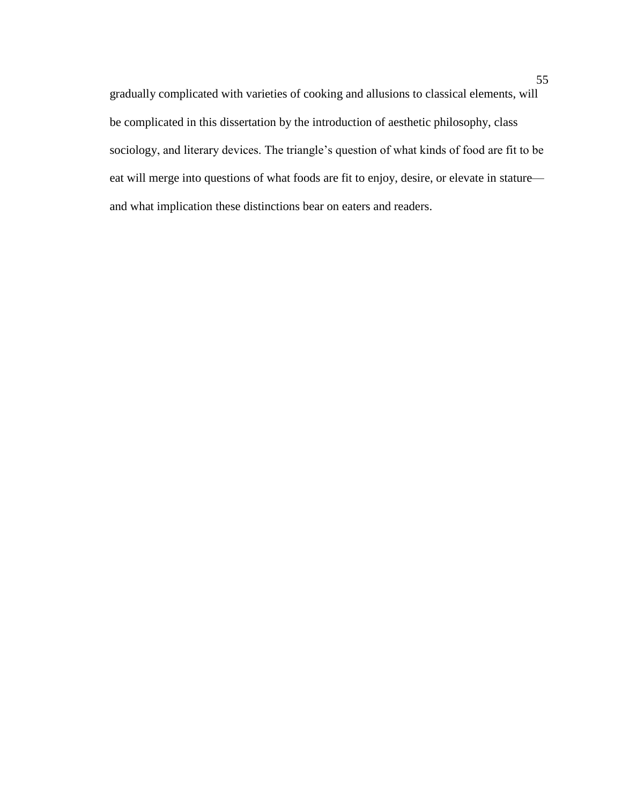gradually complicated with varieties of cooking and allusions to classical elements, will be complicated in this dissertation by the introduction of aesthetic philosophy, class sociology, and literary devices. The triangle's question of what kinds of food are fit to be eat will merge into questions of what foods are fit to enjoy, desire, or elevate in stature and what implication these distinctions bear on eaters and readers.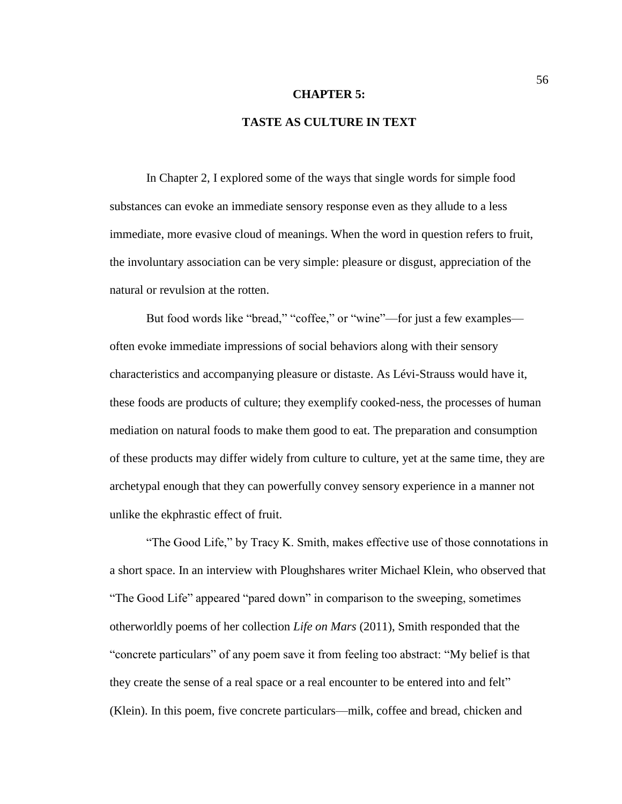#### **CHAPTER 5:**

# **TASTE AS CULTURE IN TEXT**

In Chapter 2, I explored some of the ways that single words for simple food substances can evoke an immediate sensory response even as they allude to a less immediate, more evasive cloud of meanings. When the word in question refers to fruit, the involuntary association can be very simple: pleasure or disgust, appreciation of the natural or revulsion at the rotten.

But food words like "bread," "coffee," or "wine"—for just a few examples often evoke immediate impressions of social behaviors along with their sensory characteristics and accompanying pleasure or distaste. As Lévi-Strauss would have it, these foods are products of culture; they exemplify cooked-ness, the processes of human mediation on natural foods to make them good to eat. The preparation and consumption of these products may differ widely from culture to culture, yet at the same time, they are archetypal enough that they can powerfully convey sensory experience in a manner not unlike the ekphrastic effect of fruit.

"The Good Life," by Tracy K. Smith, makes effective use of those connotations in a short space. In an interview with Ploughshares writer Michael Klein, who observed that "The Good Life" appeared "pared down" in comparison to the sweeping, sometimes otherworldly poems of her collection *Life on Mars* (2011), Smith responded that the "concrete particulars" of any poem save it from feeling too abstract: "My belief is that they create the sense of a real space or a real encounter to be entered into and felt" (Klein). In this poem, five concrete particulars—milk, coffee and bread, chicken and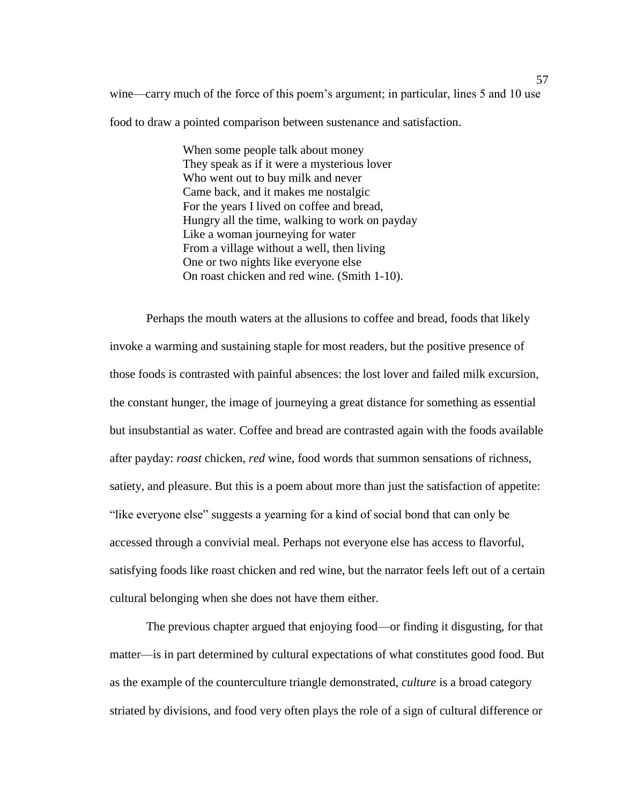wine—carry much of the force of this poem's argument; in particular, lines 5 and 10 use food to draw a pointed comparison between sustenance and satisfaction.

> When some people talk about money They speak as if it were a mysterious lover Who went out to buy milk and never Came back, and it makes me nostalgic For the years I lived on coffee and bread, Hungry all the time, walking to work on payday Like a woman journeying for water From a village without a well, then living One or two nights like everyone else On roast chicken and red wine. (Smith 1-10).

Perhaps the mouth waters at the allusions to coffee and bread, foods that likely invoke a warming and sustaining staple for most readers, but the positive presence of those foods is contrasted with painful absences: the lost lover and failed milk excursion, the constant hunger, the image of journeying a great distance for something as essential but insubstantial as water. Coffee and bread are contrasted again with the foods available after payday: *roast* chicken, *red* wine, food words that summon sensations of richness, satiety, and pleasure. But this is a poem about more than just the satisfaction of appetite: "like everyone else" suggests a yearning for a kind of social bond that can only be accessed through a convivial meal. Perhaps not everyone else has access to flavorful, satisfying foods like roast chicken and red wine, but the narrator feels left out of a certain cultural belonging when she does not have them either.

The previous chapter argued that enjoying food—or finding it disgusting, for that matter—is in part determined by cultural expectations of what constitutes good food. But as the example of the counterculture triangle demonstrated, *culture* is a broad category striated by divisions, and food very often plays the role of a sign of cultural difference or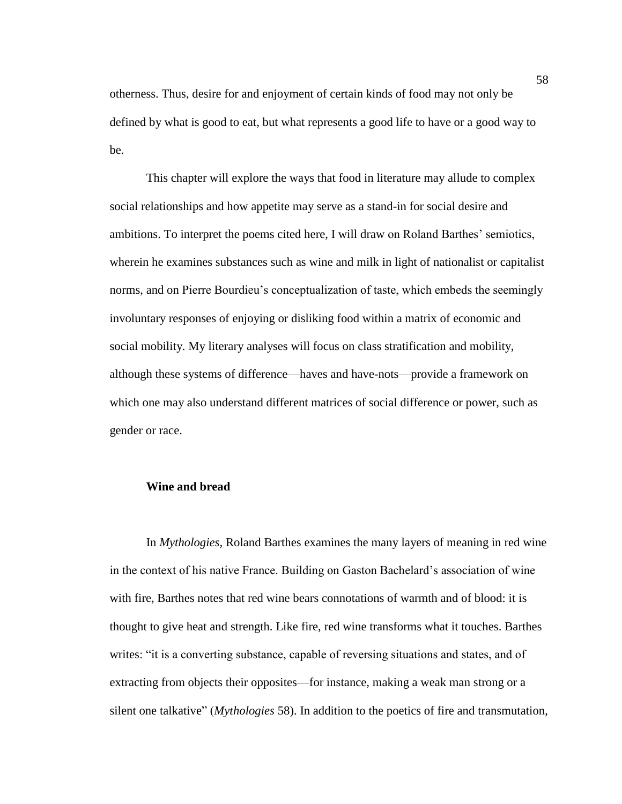otherness. Thus, desire for and enjoyment of certain kinds of food may not only be defined by what is good to eat, but what represents a good life to have or a good way to be.

This chapter will explore the ways that food in literature may allude to complex social relationships and how appetite may serve as a stand-in for social desire and ambitions. To interpret the poems cited here, I will draw on Roland Barthes' semiotics, wherein he examines substances such as wine and milk in light of nationalist or capitalist norms, and on Pierre Bourdieu's conceptualization of taste, which embeds the seemingly involuntary responses of enjoying or disliking food within a matrix of economic and social mobility. My literary analyses will focus on class stratification and mobility, although these systems of difference—haves and have-nots—provide a framework on which one may also understand different matrices of social difference or power, such as gender or race.

## **Wine and bread**

In *Mythologies*, Roland Barthes examines the many layers of meaning in red wine in the context of his native France. Building on Gaston Bachelard's association of wine with fire, Barthes notes that red wine bears connotations of warmth and of blood: it is thought to give heat and strength. Like fire, red wine transforms what it touches. Barthes writes: "it is a converting substance, capable of reversing situations and states, and of extracting from objects their opposites—for instance, making a weak man strong or a silent one talkative" (*Mythologies* 58). In addition to the poetics of fire and transmutation,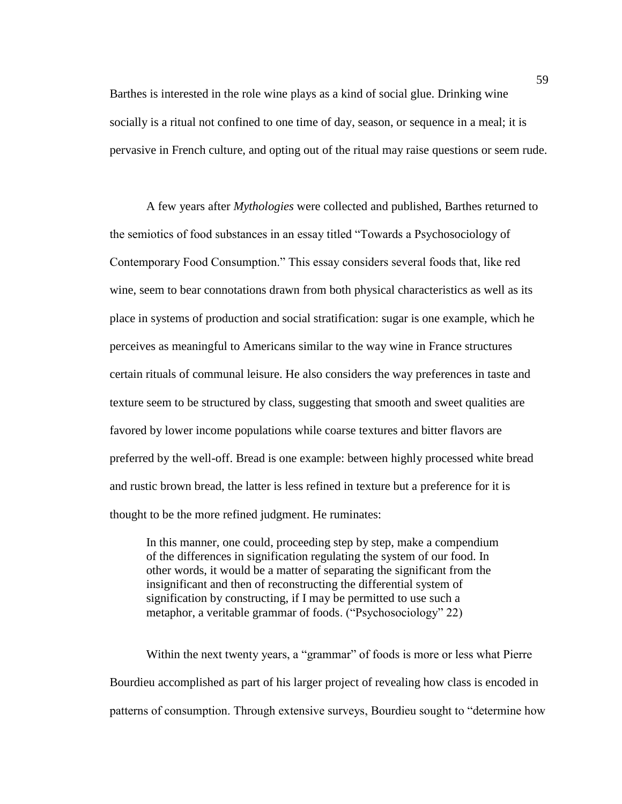Barthes is interested in the role wine plays as a kind of social glue. Drinking wine socially is a ritual not confined to one time of day, season, or sequence in a meal; it is pervasive in French culture, and opting out of the ritual may raise questions or seem rude.

A few years after *Mythologies* were collected and published, Barthes returned to the semiotics of food substances in an essay titled "Towards a Psychosociology of Contemporary Food Consumption." This essay considers several foods that, like red wine, seem to bear connotations drawn from both physical characteristics as well as its place in systems of production and social stratification: sugar is one example, which he perceives as meaningful to Americans similar to the way wine in France structures certain rituals of communal leisure. He also considers the way preferences in taste and texture seem to be structured by class, suggesting that smooth and sweet qualities are favored by lower income populations while coarse textures and bitter flavors are preferred by the well-off. Bread is one example: between highly processed white bread and rustic brown bread, the latter is less refined in texture but a preference for it is thought to be the more refined judgment. He ruminates:

In this manner, one could, proceeding step by step, make a compendium of the differences in signification regulating the system of our food. In other words, it would be a matter of separating the significant from the insignificant and then of reconstructing the differential system of signification by constructing, if I may be permitted to use such a metaphor, a veritable grammar of foods. ("Psychosociology" 22)

Within the next twenty years, a "grammar" of foods is more or less what Pierre Bourdieu accomplished as part of his larger project of revealing how class is encoded in patterns of consumption. Through extensive surveys, Bourdieu sought to "determine how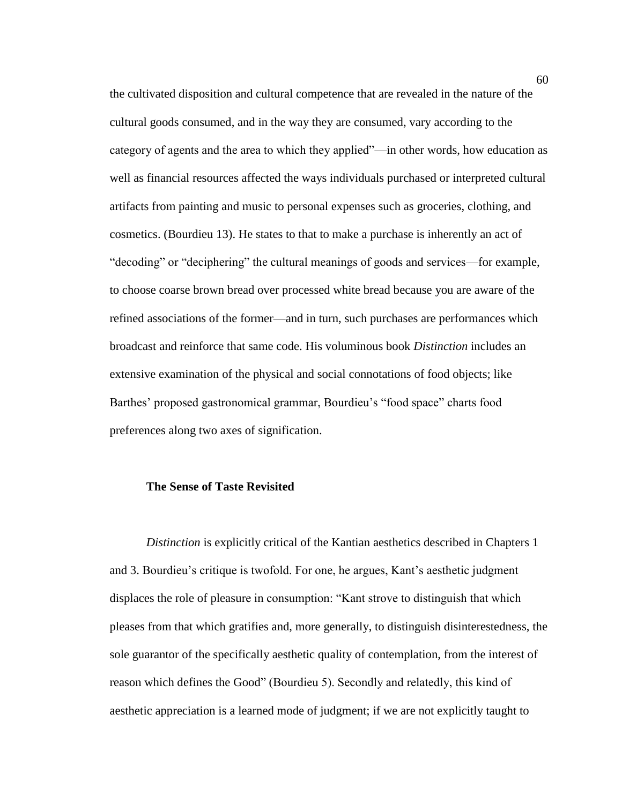the cultivated disposition and cultural competence that are revealed in the nature of the cultural goods consumed, and in the way they are consumed, vary according to the category of agents and the area to which they applied"—in other words, how education as well as financial resources affected the ways individuals purchased or interpreted cultural artifacts from painting and music to personal expenses such as groceries, clothing, and cosmetics. (Bourdieu 13). He states to that to make a purchase is inherently an act of "decoding" or "deciphering" the cultural meanings of goods and services—for example, to choose coarse brown bread over processed white bread because you are aware of the refined associations of the former—and in turn, such purchases are performances which broadcast and reinforce that same code. His voluminous book *Distinction* includes an extensive examination of the physical and social connotations of food objects; like Barthes' proposed gastronomical grammar, Bourdieu's "food space" charts food preferences along two axes of signification.

### **The Sense of Taste Revisited**

*Distinction* is explicitly critical of the Kantian aesthetics described in Chapters 1 and 3. Bourdieu's critique is twofold. For one, he argues, Kant's aesthetic judgment displaces the role of pleasure in consumption: "Kant strove to distinguish that which pleases from that which gratifies and, more generally, to distinguish disinterestedness, the sole guarantor of the specifically aesthetic quality of contemplation, from the interest of reason which defines the Good" (Bourdieu 5). Secondly and relatedly, this kind of aesthetic appreciation is a learned mode of judgment; if we are not explicitly taught to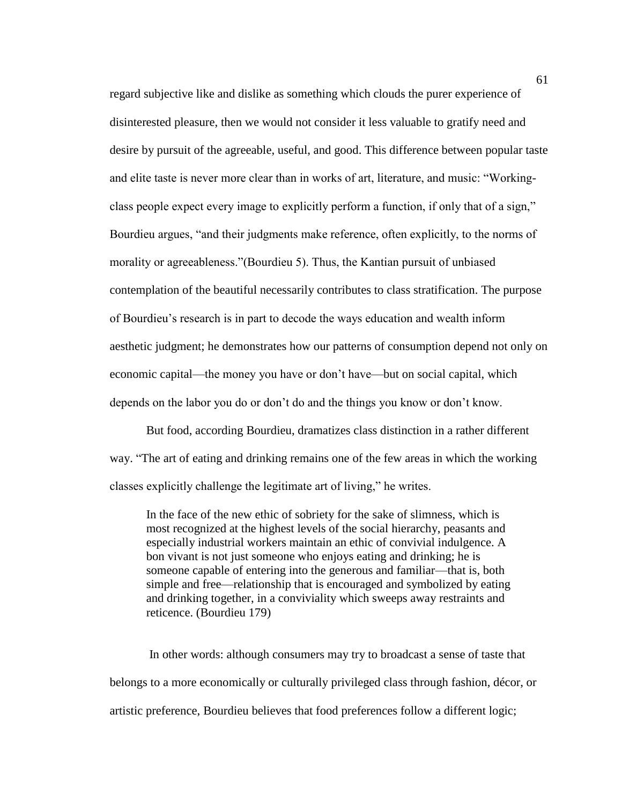regard subjective like and dislike as something which clouds the purer experience of disinterested pleasure, then we would not consider it less valuable to gratify need and desire by pursuit of the agreeable, useful, and good. This difference between popular taste and elite taste is never more clear than in works of art, literature, and music: "Workingclass people expect every image to explicitly perform a function, if only that of a sign," Bourdieu argues, "and their judgments make reference, often explicitly, to the norms of morality or agreeableness."(Bourdieu 5). Thus, the Kantian pursuit of unbiased contemplation of the beautiful necessarily contributes to class stratification. The purpose of Bourdieu's research is in part to decode the ways education and wealth inform aesthetic judgment; he demonstrates how our patterns of consumption depend not only on economic capital—the money you have or don't have—but on social capital, which depends on the labor you do or don't do and the things you know or don't know.

But food, according Bourdieu, dramatizes class distinction in a rather different way. "The art of eating and drinking remains one of the few areas in which the working classes explicitly challenge the legitimate art of living," he writes.

In the face of the new ethic of sobriety for the sake of slimness, which is most recognized at the highest levels of the social hierarchy, peasants and especially industrial workers maintain an ethic of convivial indulgence. A bon vivant is not just someone who enjoys eating and drinking; he is someone capable of entering into the generous and familiar—that is, both simple and free—relationship that is encouraged and symbolized by eating and drinking together, in a conviviality which sweeps away restraints and reticence. (Bourdieu 179)

In other words: although consumers may try to broadcast a sense of taste that belongs to a more economically or culturally privileged class through fashion, décor, or artistic preference, Bourdieu believes that food preferences follow a different logic;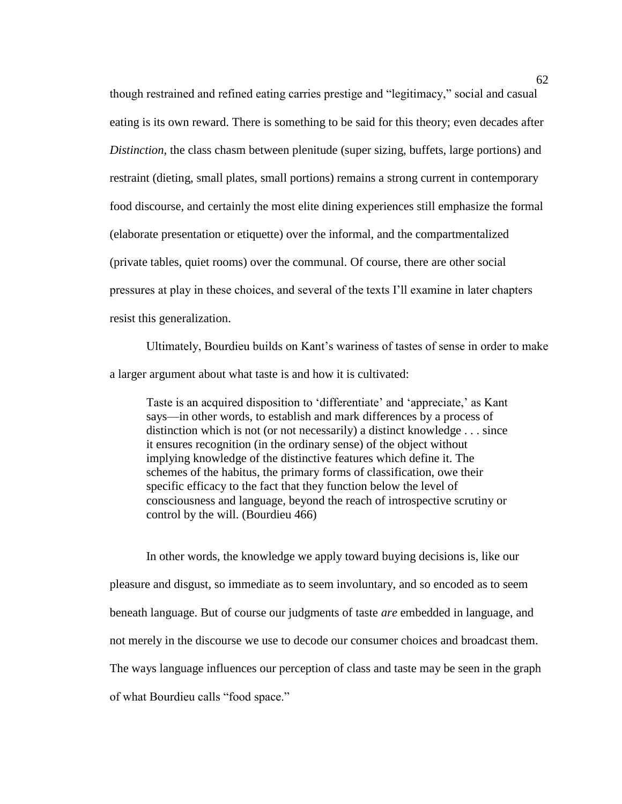though restrained and refined eating carries prestige and "legitimacy," social and casual eating is its own reward. There is something to be said for this theory; even decades after *Distinction*, the class chasm between plenitude (super sizing, buffets, large portions) and restraint (dieting, small plates, small portions) remains a strong current in contemporary food discourse, and certainly the most elite dining experiences still emphasize the formal (elaborate presentation or etiquette) over the informal, and the compartmentalized (private tables, quiet rooms) over the communal. Of course, there are other social pressures at play in these choices, and several of the texts I'll examine in later chapters resist this generalization.

Ultimately, Bourdieu builds on Kant's wariness of tastes of sense in order to make a larger argument about what taste is and how it is cultivated:

Taste is an acquired disposition to 'differentiate' and 'appreciate,' as Kant says—in other words, to establish and mark differences by a process of distinction which is not (or not necessarily) a distinct knowledge . . . since it ensures recognition (in the ordinary sense) of the object without implying knowledge of the distinctive features which define it. The schemes of the habitus, the primary forms of classification, owe their specific efficacy to the fact that they function below the level of consciousness and language, beyond the reach of introspective scrutiny or control by the will. (Bourdieu 466)

In other words, the knowledge we apply toward buying decisions is, like our pleasure and disgust, so immediate as to seem involuntary, and so encoded as to seem beneath language. But of course our judgments of taste *are* embedded in language, and not merely in the discourse we use to decode our consumer choices and broadcast them. The ways language influences our perception of class and taste may be seen in the graph of what Bourdieu calls "food space."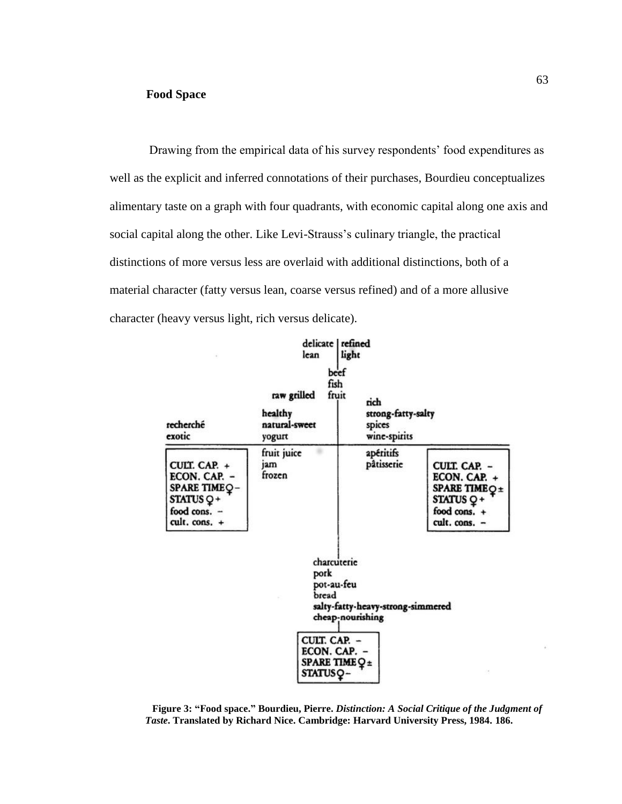Drawing from the empirical data of his survey respondents' food expenditures as well as the explicit and inferred connotations of their purchases, Bourdieu conceptualizes alimentary taste on a graph with four quadrants, with economic capital along one axis and social capital along the other. Like Levi-Strauss's culinary triangle, the practical distinctions of more versus less are overlaid with additional distinctions, both of a material character (fatty versus lean, coarse versus refined) and of a more allusive character (heavy versus light, rich versus delicate).



**Figure 3: "Food space." Bourdieu, Pierre.** *Distinction: A Social Critique of the Judgment of Taste***. Translated by Richard Nice. Cambridge: Harvard University Press, 1984. 186.**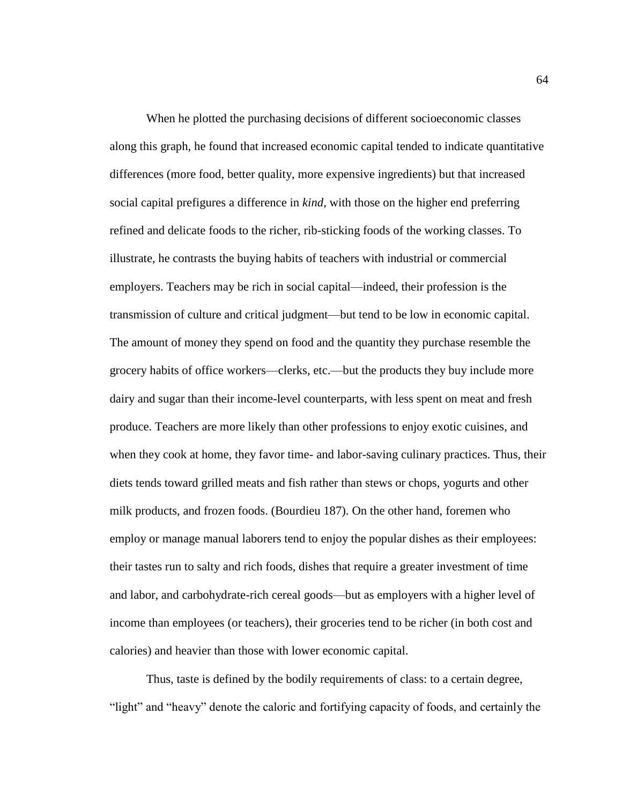When he plotted the purchasing decisions of different socioeconomic classes along this graph, he found that increased economic capital tended to indicate quantitative differences (more food, better quality, more expensive ingredients) but that increased social capital prefigures a difference in *kind*, with those on the higher end preferring refined and delicate foods to the richer, rib-sticking foods of the working classes. To illustrate, he contrasts the buying habits of teachers with industrial or commercial employers. Teachers may be rich in social capital—indeed, their profession is the transmission of culture and critical judgment—but tend to be low in economic capital. The amount of money they spend on food and the quantity they purchase resemble the grocery habits of office workers—clerks, etc.—but the products they buy include more dairy and sugar than their income-level counterparts, with less spent on meat and fresh produce. Teachers are more likely than other professions to enjoy exotic cuisines, and when they cook at home, they favor time- and labor-saving culinary practices. Thus, their diets tends toward grilled meats and fish rather than stews or chops, yogurts and other milk products, and frozen foods. (Bourdieu 187). On the other hand, foremen who employ or manage manual laborers tend to enjoy the popular dishes as their employees: their tastes run to salty and rich foods, dishes that require a greater investment of time and labor, and carbohydrate-rich cereal goods—but as employers with a higher level of income than employees (or teachers), their groceries tend to be richer (in both cost and calories) and heavier than those with lower economic capital.

Thus, taste is defined by the bodily requirements of class: to a certain degree, "light" and "heavy" denote the caloric and fortifying capacity of foods, and certainly the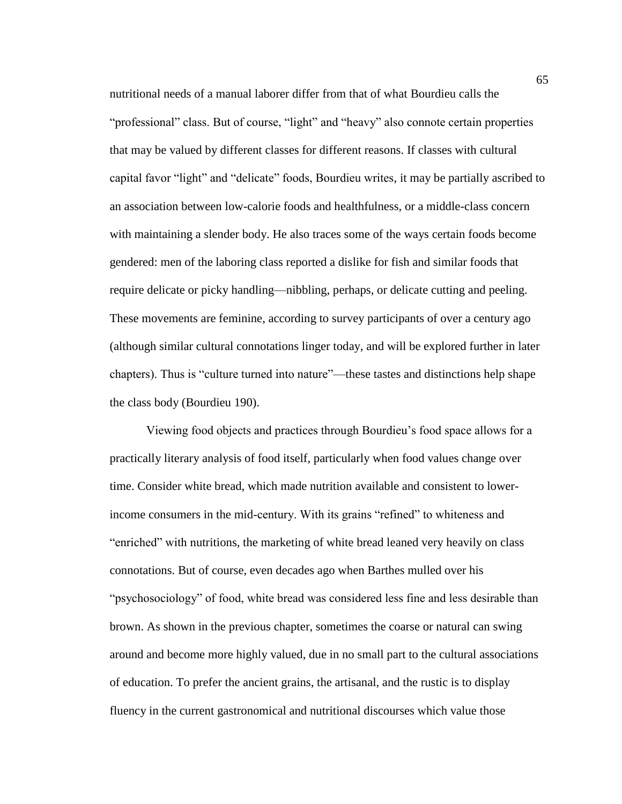nutritional needs of a manual laborer differ from that of what Bourdieu calls the "professional" class. But of course, "light" and "heavy" also connote certain properties that may be valued by different classes for different reasons. If classes with cultural capital favor "light" and "delicate" foods, Bourdieu writes, it may be partially ascribed to an association between low-calorie foods and healthfulness, or a middle-class concern with maintaining a slender body. He also traces some of the ways certain foods become gendered: men of the laboring class reported a dislike for fish and similar foods that require delicate or picky handling—nibbling, perhaps, or delicate cutting and peeling. These movements are feminine, according to survey participants of over a century ago (although similar cultural connotations linger today, and will be explored further in later chapters). Thus is "culture turned into nature"—these tastes and distinctions help shape the class body (Bourdieu 190).

Viewing food objects and practices through Bourdieu's food space allows for a practically literary analysis of food itself, particularly when food values change over time. Consider white bread, which made nutrition available and consistent to lowerincome consumers in the mid-century. With its grains "refined" to whiteness and "enriched" with nutritions, the marketing of white bread leaned very heavily on class connotations. But of course, even decades ago when Barthes mulled over his "psychosociology" of food, white bread was considered less fine and less desirable than brown. As shown in the previous chapter, sometimes the coarse or natural can swing around and become more highly valued, due in no small part to the cultural associations of education. To prefer the ancient grains, the artisanal, and the rustic is to display fluency in the current gastronomical and nutritional discourses which value those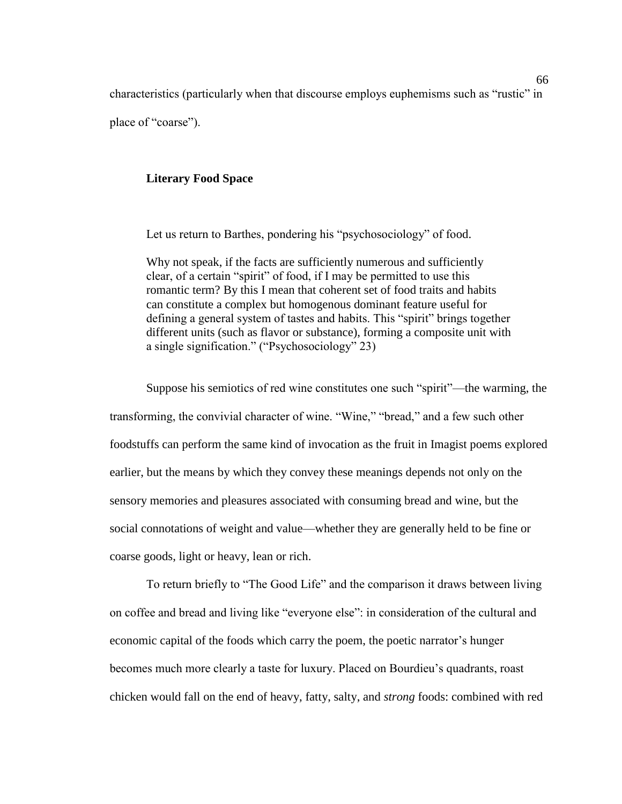characteristics (particularly when that discourse employs euphemisms such as "rustic" in place of "coarse").

## **Literary Food Space**

Let us return to Barthes, pondering his "psychosociology" of food.

Why not speak, if the facts are sufficiently numerous and sufficiently clear, of a certain "spirit" of food, if I may be permitted to use this romantic term? By this I mean that coherent set of food traits and habits can constitute a complex but homogenous dominant feature useful for defining a general system of tastes and habits. This "spirit" brings together different units (such as flavor or substance), forming a composite unit with a single signification." ("Psychosociology" 23)

Suppose his semiotics of red wine constitutes one such "spirit"—the warming, the transforming, the convivial character of wine. "Wine," "bread," and a few such other foodstuffs can perform the same kind of invocation as the fruit in Imagist poems explored earlier, but the means by which they convey these meanings depends not only on the sensory memories and pleasures associated with consuming bread and wine, but the social connotations of weight and value—whether they are generally held to be fine or coarse goods, light or heavy, lean or rich.

To return briefly to "The Good Life" and the comparison it draws between living on coffee and bread and living like "everyone else": in consideration of the cultural and economic capital of the foods which carry the poem, the poetic narrator's hunger becomes much more clearly a taste for luxury. Placed on Bourdieu's quadrants, roast chicken would fall on the end of heavy, fatty, salty, and *strong* foods: combined with red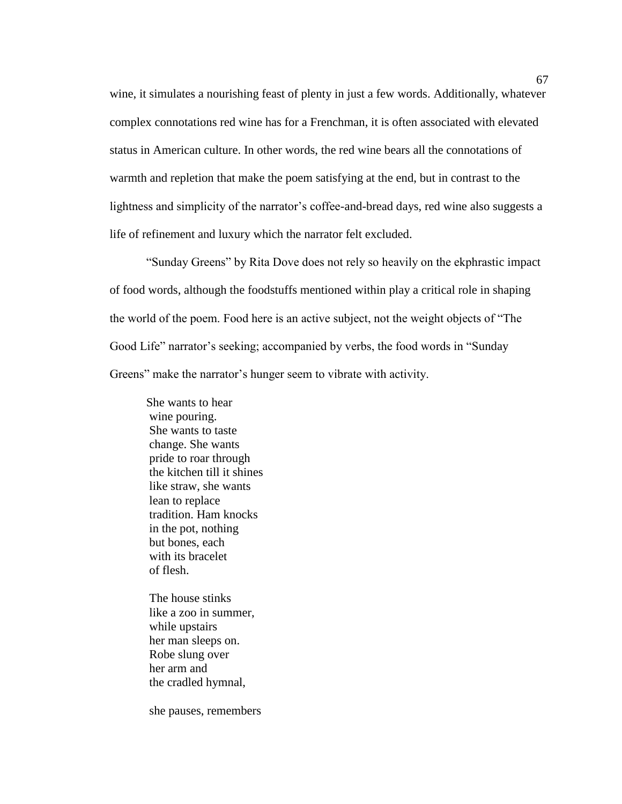wine, it simulates a nourishing feast of plenty in just a few words. Additionally, whatever complex connotations red wine has for a Frenchman, it is often associated with elevated status in American culture. In other words, the red wine bears all the connotations of warmth and repletion that make the poem satisfying at the end, but in contrast to the lightness and simplicity of the narrator's coffee-and-bread days, red wine also suggests a life of refinement and luxury which the narrator felt excluded.

"Sunday Greens" by Rita Dove does not rely so heavily on the ekphrastic impact of food words, although the foodstuffs mentioned within play a critical role in shaping the world of the poem. Food here is an active subject, not the weight objects of "The Good Life" narrator's seeking; accompanied by verbs, the food words in "Sunday Greens" make the narrator's hunger seem to vibrate with activity.

She wants to hear wine pouring. She wants to taste change. She wants pride to roar through the kitchen till it shines like straw, she wants lean to replace tradition. Ham knocks in the pot, nothing but bones, each with its bracelet of flesh.

The house stinks like a zoo in summer, while upstairs her man sleeps on. Robe slung over her arm and the cradled hymnal,

she pauses, remembers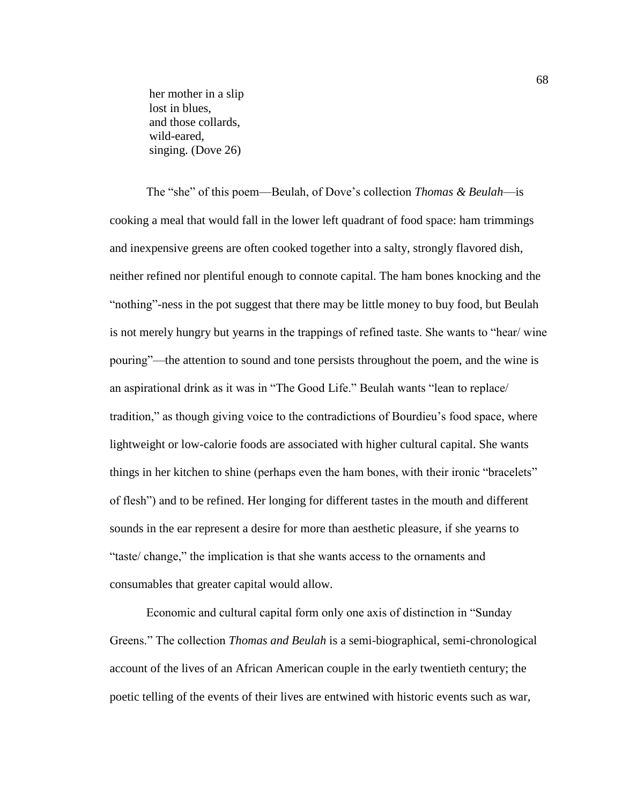her mother in a slip lost in blues, and those collards, wild-eared, singing. (Dove 26)

The "she" of this poem—Beulah, of Dove's collection *Thomas & Beulah*—is cooking a meal that would fall in the lower left quadrant of food space: ham trimmings and inexpensive greens are often cooked together into a salty, strongly flavored dish, neither refined nor plentiful enough to connote capital. The ham bones knocking and the "nothing"-ness in the pot suggest that there may be little money to buy food, but Beulah is not merely hungry but yearns in the trappings of refined taste. She wants to "hear/ wine pouring"—the attention to sound and tone persists throughout the poem, and the wine is an aspirational drink as it was in "The Good Life." Beulah wants "lean to replace/ tradition," as though giving voice to the contradictions of Bourdieu's food space, where lightweight or low-calorie foods are associated with higher cultural capital. She wants things in her kitchen to shine (perhaps even the ham bones, with their ironic "bracelets" of flesh") and to be refined. Her longing for different tastes in the mouth and different sounds in the ear represent a desire for more than aesthetic pleasure, if she yearns to "taste/ change," the implication is that she wants access to the ornaments and consumables that greater capital would allow.

Economic and cultural capital form only one axis of distinction in "Sunday Greens." The collection *Thomas and Beulah* is a semi-biographical, semi-chronological account of the lives of an African American couple in the early twentieth century; the poetic telling of the events of their lives are entwined with historic events such as war,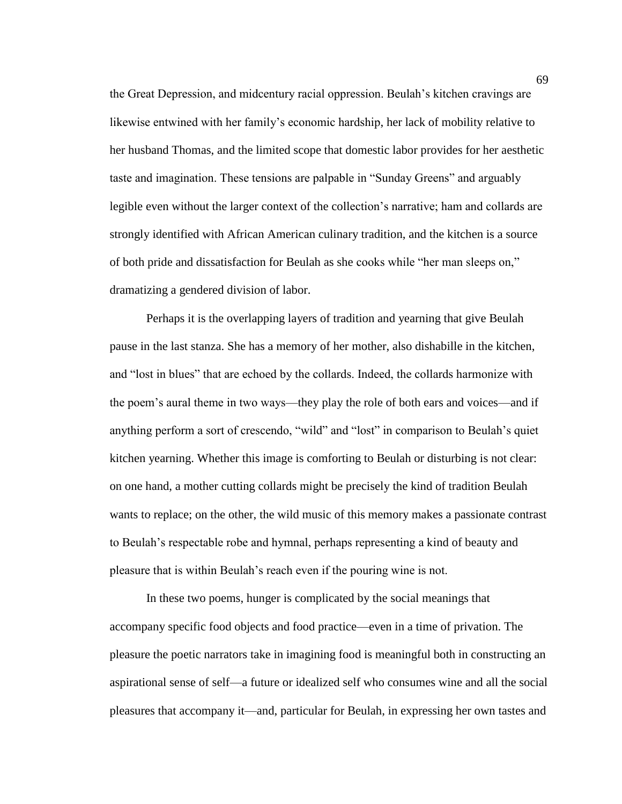the Great Depression, and midcentury racial oppression. Beulah's kitchen cravings are likewise entwined with her family's economic hardship, her lack of mobility relative to her husband Thomas, and the limited scope that domestic labor provides for her aesthetic taste and imagination. These tensions are palpable in "Sunday Greens" and arguably legible even without the larger context of the collection's narrative; ham and collards are strongly identified with African American culinary tradition, and the kitchen is a source of both pride and dissatisfaction for Beulah as she cooks while "her man sleeps on," dramatizing a gendered division of labor.

Perhaps it is the overlapping layers of tradition and yearning that give Beulah pause in the last stanza. She has a memory of her mother, also dishabille in the kitchen, and "lost in blues" that are echoed by the collards. Indeed, the collards harmonize with the poem's aural theme in two ways—they play the role of both ears and voices—and if anything perform a sort of crescendo, "wild" and "lost" in comparison to Beulah's quiet kitchen yearning. Whether this image is comforting to Beulah or disturbing is not clear: on one hand, a mother cutting collards might be precisely the kind of tradition Beulah wants to replace; on the other, the wild music of this memory makes a passionate contrast to Beulah's respectable robe and hymnal, perhaps representing a kind of beauty and pleasure that is within Beulah's reach even if the pouring wine is not.

In these two poems, hunger is complicated by the social meanings that accompany specific food objects and food practice—even in a time of privation. The pleasure the poetic narrators take in imagining food is meaningful both in constructing an aspirational sense of self—a future or idealized self who consumes wine and all the social pleasures that accompany it—and, particular for Beulah, in expressing her own tastes and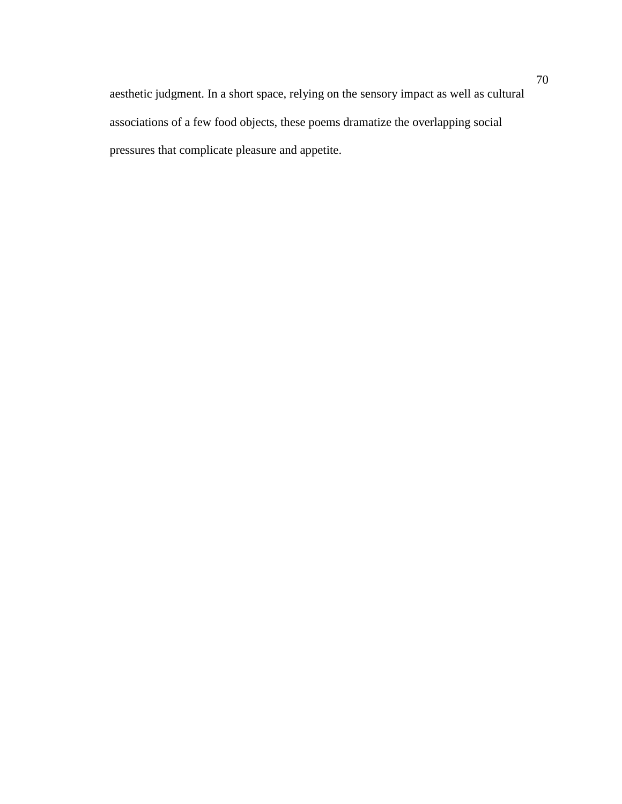aesthetic judgment. In a short space, relying on the sensory impact as well as cultural associations of a few food objects, these poems dramatize the overlapping social pressures that complicate pleasure and appetite.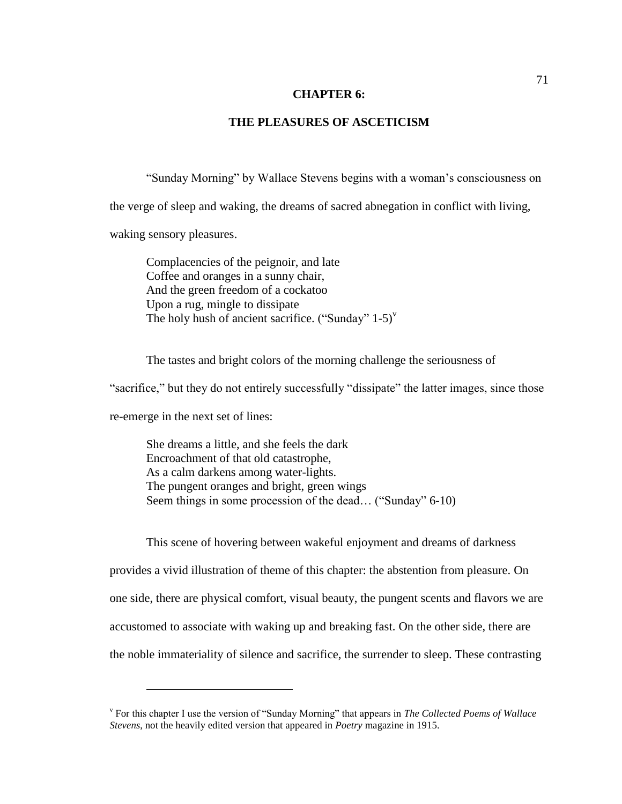#### **CHAPTER 6:**

## **THE PLEASURES OF ASCETICISM**

"Sunday Morning" by Wallace Stevens begins with a woman's consciousness on the verge of sleep and waking, the dreams of sacred abnegation in conflict with living,

waking sensory pleasures.

Complacencies of the peignoir, and late Coffee and oranges in a sunny chair, And the green freedom of a cockatoo Upon a rug, mingle to dissipate The holy hush of ancient sacrifice. ("Sunday"  $1-5$ )"

The tastes and bright colors of the morning challenge the seriousness of

"sacrifice," but they do not entirely successfully "dissipate" the latter images, since those

re-emerge in the next set of lines:

 $\overline{a}$ 

She dreams a little, and she feels the dark Encroachment of that old catastrophe, As a calm darkens among water-lights. The pungent oranges and bright, green wings Seem things in some procession of the dead… ("Sunday" 6-10)

This scene of hovering between wakeful enjoyment and dreams of darkness provides a vivid illustration of theme of this chapter: the abstention from pleasure. On one side, there are physical comfort, visual beauty, the pungent scents and flavors we are accustomed to associate with waking up and breaking fast. On the other side, there are the noble immateriality of silence and sacrifice, the surrender to sleep. These contrasting

v For this chapter I use the version of "Sunday Morning" that appears in *The Collected Poems of Wallace Stevens*, not the heavily edited version that appeared in *Poetry* magazine in 1915.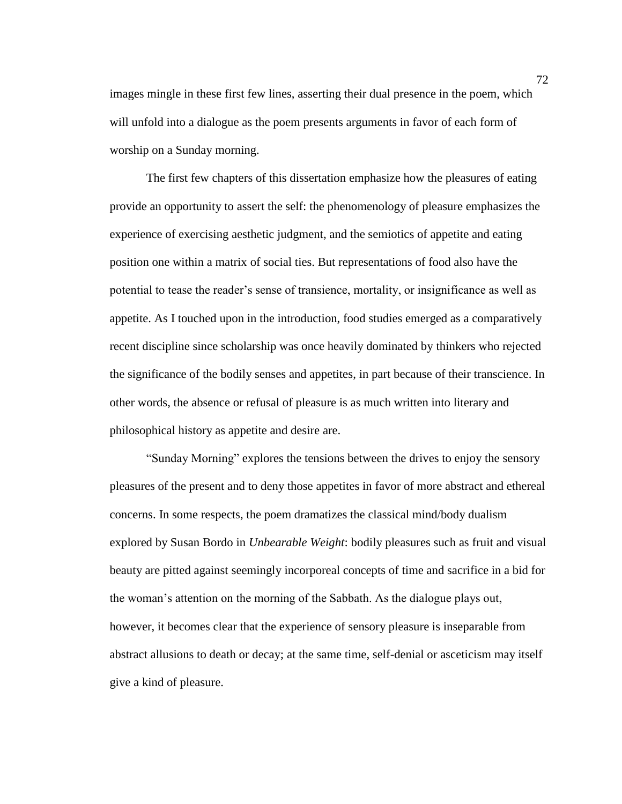images mingle in these first few lines, asserting their dual presence in the poem, which will unfold into a dialogue as the poem presents arguments in favor of each form of worship on a Sunday morning.

The first few chapters of this dissertation emphasize how the pleasures of eating provide an opportunity to assert the self: the phenomenology of pleasure emphasizes the experience of exercising aesthetic judgment, and the semiotics of appetite and eating position one within a matrix of social ties. But representations of food also have the potential to tease the reader's sense of transience, mortality, or insignificance as well as appetite. As I touched upon in the introduction, food studies emerged as a comparatively recent discipline since scholarship was once heavily dominated by thinkers who rejected the significance of the bodily senses and appetites, in part because of their transcience. In other words, the absence or refusal of pleasure is as much written into literary and philosophical history as appetite and desire are.

"Sunday Morning" explores the tensions between the drives to enjoy the sensory pleasures of the present and to deny those appetites in favor of more abstract and ethereal concerns. In some respects, the poem dramatizes the classical mind/body dualism explored by Susan Bordo in *Unbearable Weight*: bodily pleasures such as fruit and visual beauty are pitted against seemingly incorporeal concepts of time and sacrifice in a bid for the woman's attention on the morning of the Sabbath. As the dialogue plays out, however, it becomes clear that the experience of sensory pleasure is inseparable from abstract allusions to death or decay; at the same time, self-denial or asceticism may itself give a kind of pleasure.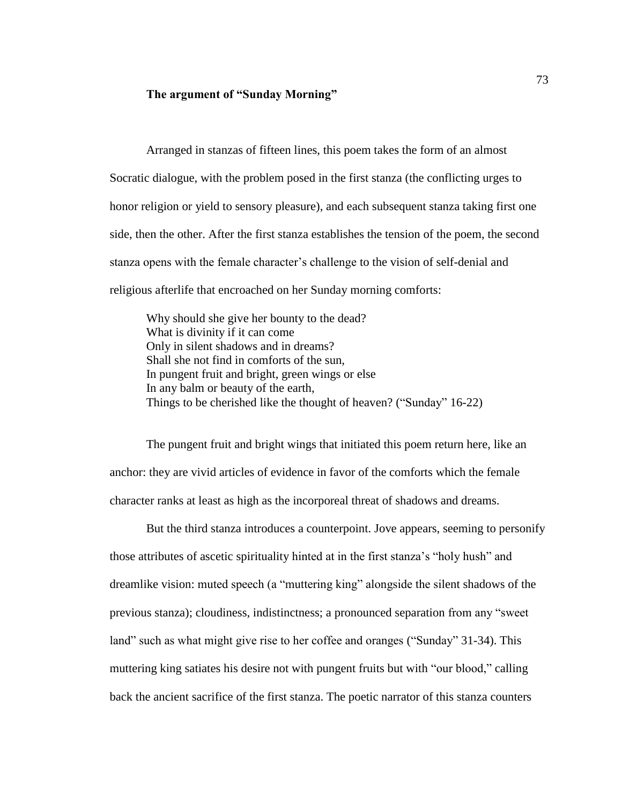## **The argument of "Sunday Morning"**

Arranged in stanzas of fifteen lines, this poem takes the form of an almost Socratic dialogue, with the problem posed in the first stanza (the conflicting urges to honor religion or yield to sensory pleasure), and each subsequent stanza taking first one side, then the other. After the first stanza establishes the tension of the poem, the second stanza opens with the female character's challenge to the vision of self-denial and religious afterlife that encroached on her Sunday morning comforts:

Why should she give her bounty to the dead? What is divinity if it can come Only in silent shadows and in dreams? Shall she not find in comforts of the sun, In pungent fruit and bright, green wings or else In any balm or beauty of the earth, Things to be cherished like the thought of heaven? ("Sunday" 16-22)

The pungent fruit and bright wings that initiated this poem return here, like an anchor: they are vivid articles of evidence in favor of the comforts which the female character ranks at least as high as the incorporeal threat of shadows and dreams.

But the third stanza introduces a counterpoint. Jove appears, seeming to personify those attributes of ascetic spirituality hinted at in the first stanza's "holy hush" and dreamlike vision: muted speech (a "muttering king" alongside the silent shadows of the previous stanza); cloudiness, indistinctness; a pronounced separation from any "sweet land" such as what might give rise to her coffee and oranges ("Sunday" 31-34). This muttering king satiates his desire not with pungent fruits but with "our blood," calling back the ancient sacrifice of the first stanza. The poetic narrator of this stanza counters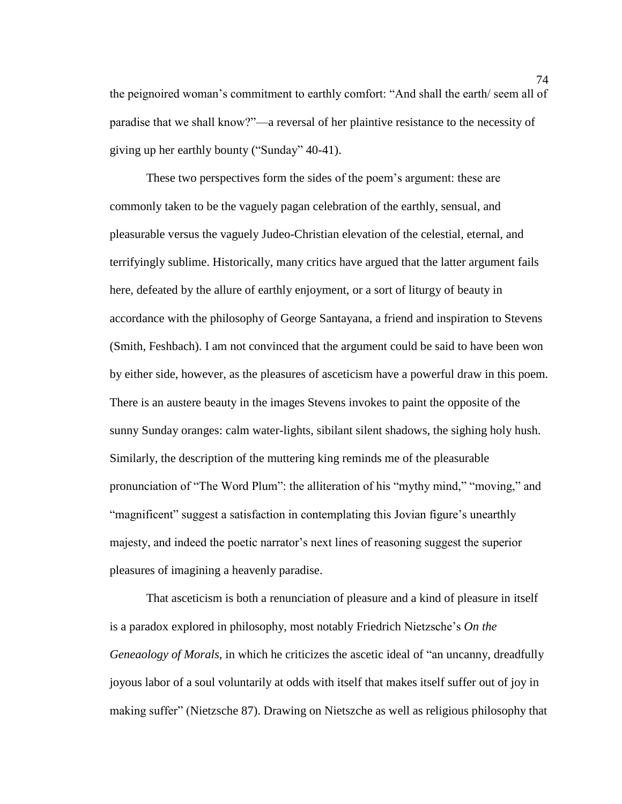the peignoired woman's commitment to earthly comfort: "And shall the earth/ seem all of paradise that we shall know?"—a reversal of her plaintive resistance to the necessity of giving up her earthly bounty ("Sunday" 40-41).

These two perspectives form the sides of the poem's argument: these are commonly taken to be the vaguely pagan celebration of the earthly, sensual, and pleasurable versus the vaguely Judeo-Christian elevation of the celestial, eternal, and terrifyingly sublime. Historically, many critics have argued that the latter argument fails here, defeated by the allure of earthly enjoyment, or a sort of liturgy of beauty in accordance with the philosophy of George Santayana, a friend and inspiration to Stevens (Smith, Feshbach). I am not convinced that the argument could be said to have been won by either side, however, as the pleasures of asceticism have a powerful draw in this poem. There is an austere beauty in the images Stevens invokes to paint the opposite of the sunny Sunday oranges: calm water-lights, sibilant silent shadows, the sighing holy hush. Similarly, the description of the muttering king reminds me of the pleasurable pronunciation of "The Word Plum": the alliteration of his "mythy mind," "moving," and "magnificent" suggest a satisfaction in contemplating this Jovian figure's unearthly majesty, and indeed the poetic narrator's next lines of reasoning suggest the superior pleasures of imagining a heavenly paradise.

That asceticism is both a renunciation of pleasure and a kind of pleasure in itself is a paradox explored in philosophy, most notably Friedrich Nietzsche's *On the Geneaology of Morals*, in which he criticizes the ascetic ideal of "an uncanny, dreadfully joyous labor of a soul voluntarily at odds with itself that makes itself suffer out of joy in making suffer" (Nietzsche 87). Drawing on Nietszche as well as religious philosophy that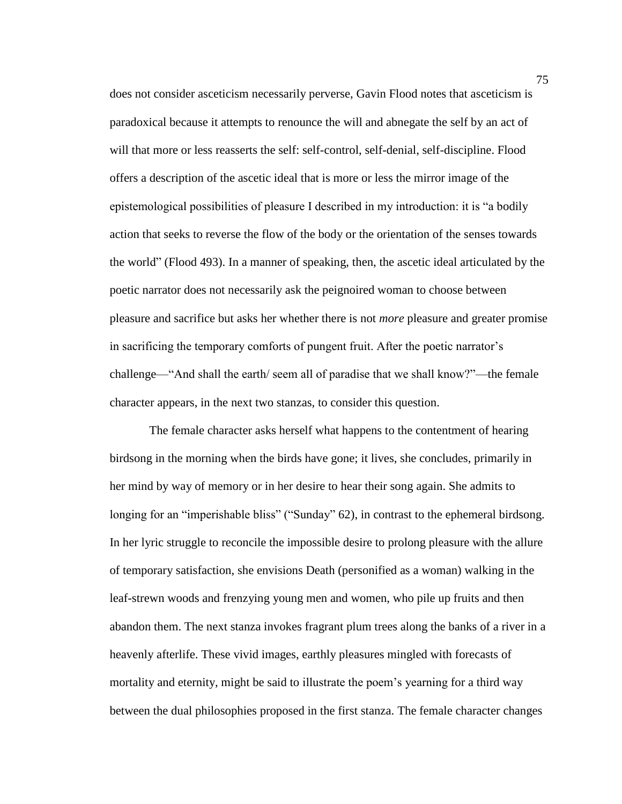does not consider asceticism necessarily perverse, Gavin Flood notes that asceticism is paradoxical because it attempts to renounce the will and abnegate the self by an act of will that more or less reasserts the self: self-control, self-denial, self-discipline. Flood offers a description of the ascetic ideal that is more or less the mirror image of the epistemological possibilities of pleasure I described in my introduction: it is "a bodily action that seeks to reverse the flow of the body or the orientation of the senses towards the world" (Flood 493). In a manner of speaking, then, the ascetic ideal articulated by the poetic narrator does not necessarily ask the peignoired woman to choose between pleasure and sacrifice but asks her whether there is not *more* pleasure and greater promise in sacrificing the temporary comforts of pungent fruit. After the poetic narrator's challenge—"And shall the earth/ seem all of paradise that we shall know?"—the female character appears, in the next two stanzas, to consider this question.

The female character asks herself what happens to the contentment of hearing birdsong in the morning when the birds have gone; it lives, she concludes, primarily in her mind by way of memory or in her desire to hear their song again. She admits to longing for an "imperishable bliss" ("Sunday" 62), in contrast to the ephemeral birdsong. In her lyric struggle to reconcile the impossible desire to prolong pleasure with the allure of temporary satisfaction, she envisions Death (personified as a woman) walking in the leaf-strewn woods and frenzying young men and women, who pile up fruits and then abandon them. The next stanza invokes fragrant plum trees along the banks of a river in a heavenly afterlife. These vivid images, earthly pleasures mingled with forecasts of mortality and eternity, might be said to illustrate the poem's yearning for a third way between the dual philosophies proposed in the first stanza. The female character changes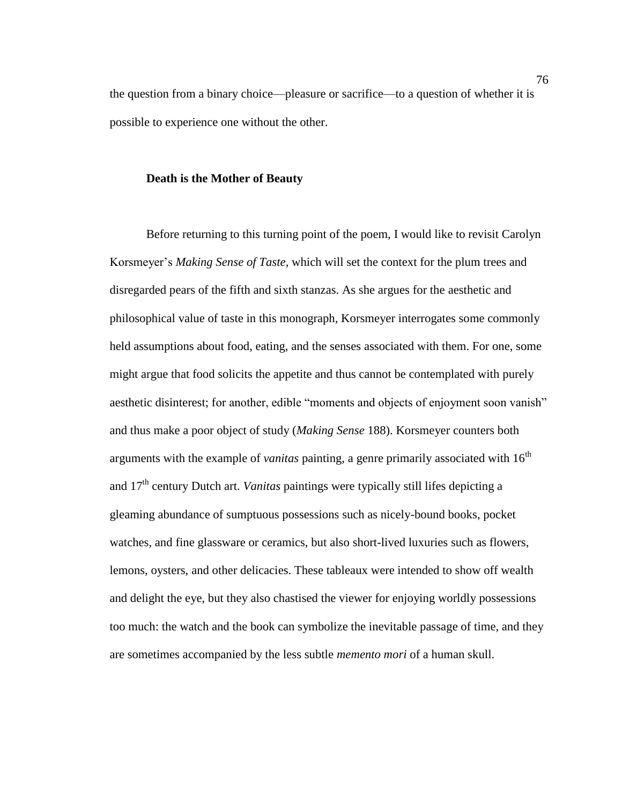the question from a binary choice—pleasure or sacrifice—to a question of whether it is possible to experience one without the other.

## **Death is the Mother of Beauty**

Before returning to this turning point of the poem, I would like to revisit Carolyn Korsmeyer's *Making Sense of Taste*, which will set the context for the plum trees and disregarded pears of the fifth and sixth stanzas. As she argues for the aesthetic and philosophical value of taste in this monograph, Korsmeyer interrogates some commonly held assumptions about food, eating, and the senses associated with them. For one, some might argue that food solicits the appetite and thus cannot be contemplated with purely aesthetic disinterest; for another, edible "moments and objects of enjoyment soon vanish" and thus make a poor object of study (*Making Sense* 188). Korsmeyer counters both arguments with the example of *vanitas* painting, a genre primarily associated with  $16<sup>th</sup>$ and 17th century Dutch art. *Vanitas* paintings were typically still lifes depicting a gleaming abundance of sumptuous possessions such as nicely-bound books, pocket watches, and fine glassware or ceramics, but also short-lived luxuries such as flowers, lemons, oysters, and other delicacies. These tableaux were intended to show off wealth and delight the eye, but they also chastised the viewer for enjoying worldly possessions too much: the watch and the book can symbolize the inevitable passage of time, and they are sometimes accompanied by the less subtle *memento mori* of a human skull.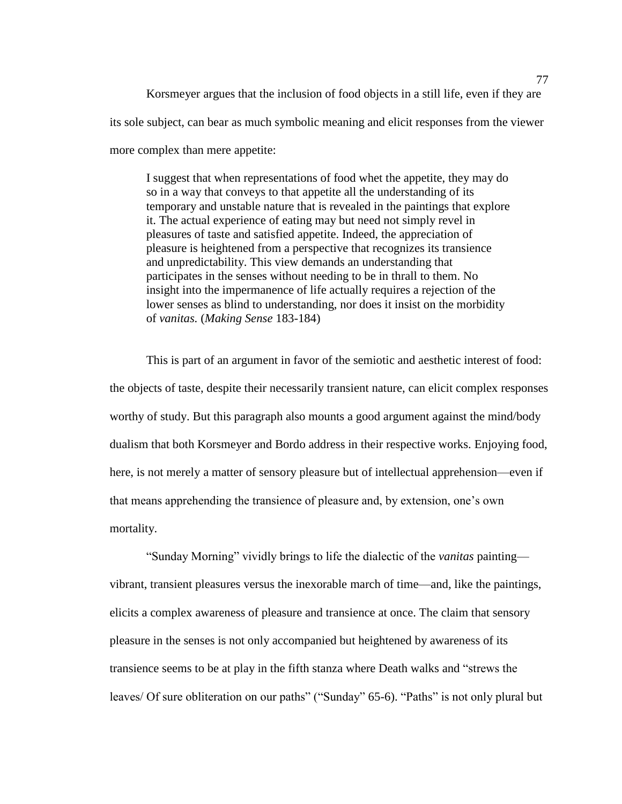Korsmeyer argues that the inclusion of food objects in a still life, even if they are its sole subject, can bear as much symbolic meaning and elicit responses from the viewer more complex than mere appetite:

I suggest that when representations of food whet the appetite, they may do so in a way that conveys to that appetite all the understanding of its temporary and unstable nature that is revealed in the paintings that explore it. The actual experience of eating may but need not simply revel in pleasures of taste and satisfied appetite. Indeed, the appreciation of pleasure is heightened from a perspective that recognizes its transience and unpredictability. This view demands an understanding that participates in the senses without needing to be in thrall to them. No insight into the impermanence of life actually requires a rejection of the lower senses as blind to understanding, nor does it insist on the morbidity of *vanitas.* (*Making Sense* 183-184)

This is part of an argument in favor of the semiotic and aesthetic interest of food: the objects of taste, despite their necessarily transient nature, can elicit complex responses worthy of study. But this paragraph also mounts a good argument against the mind/body dualism that both Korsmeyer and Bordo address in their respective works. Enjoying food, here, is not merely a matter of sensory pleasure but of intellectual apprehension—even if that means apprehending the transience of pleasure and, by extension, one's own mortality.

"Sunday Morning" vividly brings to life the dialectic of the *vanitas* painting vibrant, transient pleasures versus the inexorable march of time—and, like the paintings, elicits a complex awareness of pleasure and transience at once. The claim that sensory pleasure in the senses is not only accompanied but heightened by awareness of its transience seems to be at play in the fifth stanza where Death walks and "strews the leaves/ Of sure obliteration on our paths" ("Sunday" 65-6). "Paths" is not only plural but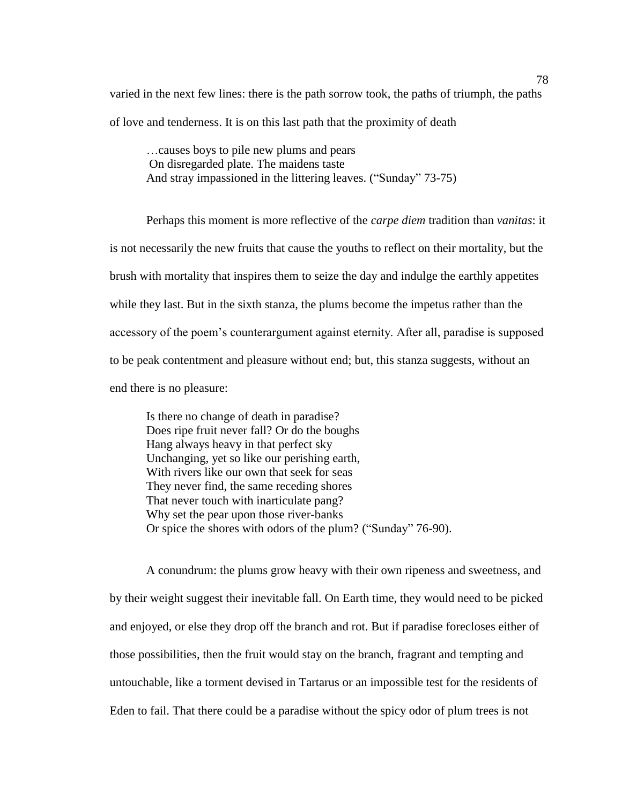varied in the next few lines: there is the path sorrow took, the paths of triumph, the paths of love and tenderness. It is on this last path that the proximity of death

…causes boys to pile new plums and pears On disregarded plate. The maidens taste And stray impassioned in the littering leaves. ("Sunday" 73-75)

Perhaps this moment is more reflective of the *carpe diem* tradition than *vanitas*: it is not necessarily the new fruits that cause the youths to reflect on their mortality, but the brush with mortality that inspires them to seize the day and indulge the earthly appetites while they last. But in the sixth stanza, the plums become the impetus rather than the accessory of the poem's counterargument against eternity. After all, paradise is supposed to be peak contentment and pleasure without end; but, this stanza suggests, without an end there is no pleasure:

Is there no change of death in paradise? Does ripe fruit never fall? Or do the boughs Hang always heavy in that perfect sky Unchanging, yet so like our perishing earth, With rivers like our own that seek for seas They never find, the same receding shores That never touch with inarticulate pang? Why set the pear upon those river-banks Or spice the shores with odors of the plum? ("Sunday" 76-90).

A conundrum: the plums grow heavy with their own ripeness and sweetness, and by their weight suggest their inevitable fall. On Earth time, they would need to be picked and enjoyed, or else they drop off the branch and rot. But if paradise forecloses either of those possibilities, then the fruit would stay on the branch, fragrant and tempting and untouchable, like a torment devised in Tartarus or an impossible test for the residents of Eden to fail. That there could be a paradise without the spicy odor of plum trees is not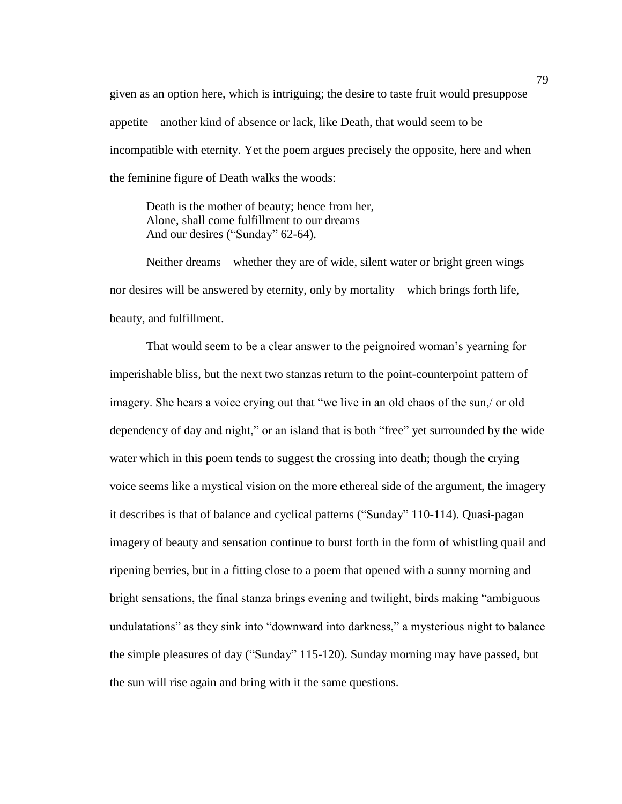given as an option here, which is intriguing; the desire to taste fruit would presuppose appetite—another kind of absence or lack, like Death, that would seem to be incompatible with eternity. Yet the poem argues precisely the opposite, here and when the feminine figure of Death walks the woods:

Death is the mother of beauty; hence from her, Alone, shall come fulfillment to our dreams And our desires ("Sunday" 62-64).

Neither dreams—whether they are of wide, silent water or bright green wings nor desires will be answered by eternity, only by mortality—which brings forth life, beauty, and fulfillment.

That would seem to be a clear answer to the peignoired woman's yearning for imperishable bliss, but the next two stanzas return to the point-counterpoint pattern of imagery. She hears a voice crying out that "we live in an old chaos of the sun,/ or old dependency of day and night," or an island that is both "free" yet surrounded by the wide water which in this poem tends to suggest the crossing into death; though the crying voice seems like a mystical vision on the more ethereal side of the argument, the imagery it describes is that of balance and cyclical patterns ("Sunday" 110-114). Quasi-pagan imagery of beauty and sensation continue to burst forth in the form of whistling quail and ripening berries, but in a fitting close to a poem that opened with a sunny morning and bright sensations, the final stanza brings evening and twilight, birds making "ambiguous undulatations" as they sink into "downward into darkness," a mysterious night to balance the simple pleasures of day ("Sunday" 115-120). Sunday morning may have passed, but the sun will rise again and bring with it the same questions.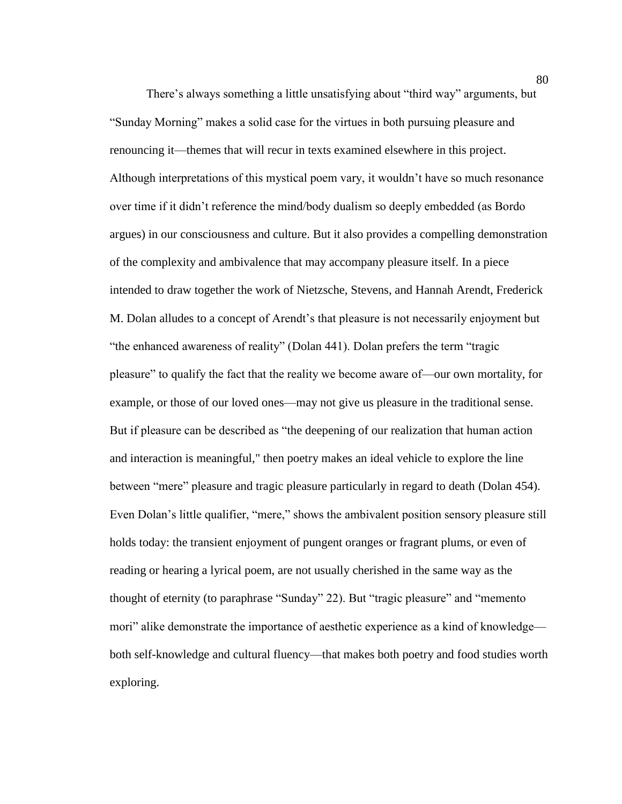There's always something a little unsatisfying about "third way" arguments, but "Sunday Morning" makes a solid case for the virtues in both pursuing pleasure and renouncing it—themes that will recur in texts examined elsewhere in this project. Although interpretations of this mystical poem vary, it wouldn't have so much resonance over time if it didn't reference the mind/body dualism so deeply embedded (as Bordo argues) in our consciousness and culture. But it also provides a compelling demonstration of the complexity and ambivalence that may accompany pleasure itself. In a piece intended to draw together the work of Nietzsche, Stevens, and Hannah Arendt, Frederick M. Dolan alludes to a concept of Arendt's that pleasure is not necessarily enjoyment but "the enhanced awareness of reality" (Dolan 441). Dolan prefers the term "tragic pleasure" to qualify the fact that the reality we become aware of—our own mortality, for example, or those of our loved ones—may not give us pleasure in the traditional sense. But if pleasure can be described as "the deepening of our realization that human action and interaction is meaningful," then poetry makes an ideal vehicle to explore the line between "mere" pleasure and tragic pleasure particularly in regard to death (Dolan 454). Even Dolan's little qualifier, "mere," shows the ambivalent position sensory pleasure still holds today: the transient enjoyment of pungent oranges or fragrant plums, or even of reading or hearing a lyrical poem, are not usually cherished in the same way as the thought of eternity (to paraphrase "Sunday" 22). But "tragic pleasure" and "memento mori" alike demonstrate the importance of aesthetic experience as a kind of knowledge both self-knowledge and cultural fluency—that makes both poetry and food studies worth exploring.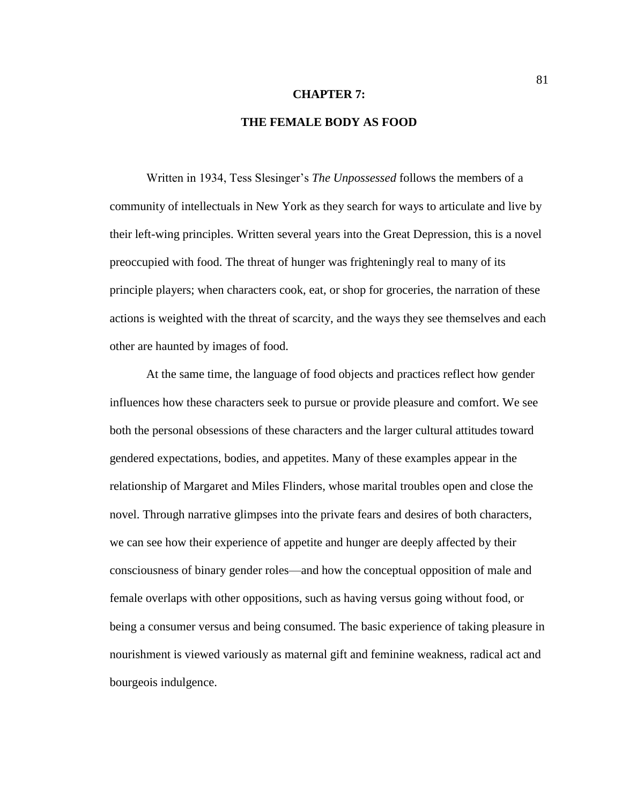#### **CHAPTER 7:**

# **THE FEMALE BODY AS FOOD**

Written in 1934, Tess Slesinger's *The Unpossessed* follows the members of a community of intellectuals in New York as they search for ways to articulate and live by their left-wing principles. Written several years into the Great Depression, this is a novel preoccupied with food. The threat of hunger was frighteningly real to many of its principle players; when characters cook, eat, or shop for groceries, the narration of these actions is weighted with the threat of scarcity, and the ways they see themselves and each other are haunted by images of food.

At the same time, the language of food objects and practices reflect how gender influences how these characters seek to pursue or provide pleasure and comfort. We see both the personal obsessions of these characters and the larger cultural attitudes toward gendered expectations, bodies, and appetites. Many of these examples appear in the relationship of Margaret and Miles Flinders, whose marital troubles open and close the novel. Through narrative glimpses into the private fears and desires of both characters, we can see how their experience of appetite and hunger are deeply affected by their consciousness of binary gender roles—and how the conceptual opposition of male and female overlaps with other oppositions, such as having versus going without food, or being a consumer versus and being consumed. The basic experience of taking pleasure in nourishment is viewed variously as maternal gift and feminine weakness, radical act and bourgeois indulgence.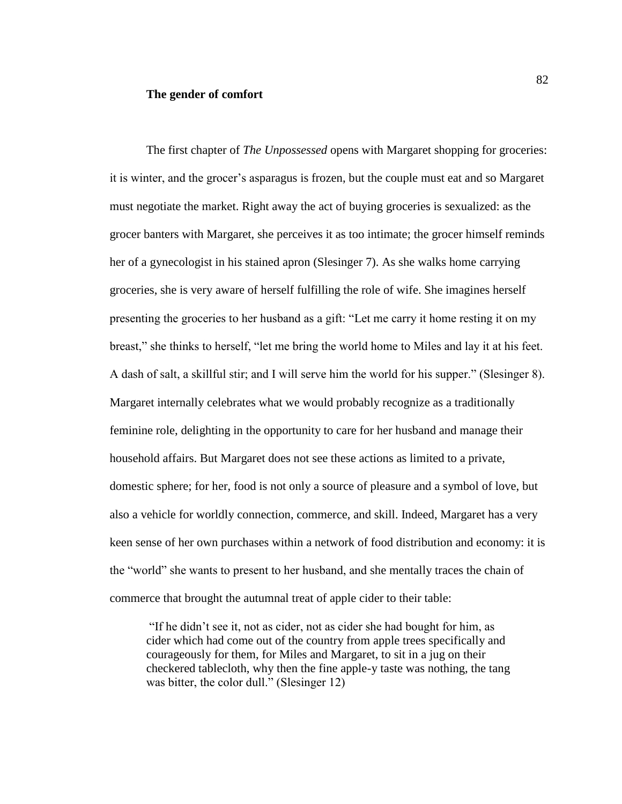#### **The gender of comfort**

The first chapter of *The Unpossessed* opens with Margaret shopping for groceries: it is winter, and the grocer's asparagus is frozen, but the couple must eat and so Margaret must negotiate the market. Right away the act of buying groceries is sexualized: as the grocer banters with Margaret, she perceives it as too intimate; the grocer himself reminds her of a gynecologist in his stained apron (Slesinger 7). As she walks home carrying groceries, she is very aware of herself fulfilling the role of wife. She imagines herself presenting the groceries to her husband as a gift: "Let me carry it home resting it on my breast," she thinks to herself, "let me bring the world home to Miles and lay it at his feet. A dash of salt, a skillful stir; and I will serve him the world for his supper." (Slesinger 8). Margaret internally celebrates what we would probably recognize as a traditionally feminine role, delighting in the opportunity to care for her husband and manage their household affairs. But Margaret does not see these actions as limited to a private, domestic sphere; for her, food is not only a source of pleasure and a symbol of love, but also a vehicle for worldly connection, commerce, and skill. Indeed, Margaret has a very keen sense of her own purchases within a network of food distribution and economy: it is the "world" she wants to present to her husband, and she mentally traces the chain of commerce that brought the autumnal treat of apple cider to their table:

"If he didn't see it, not as cider, not as cider she had bought for him, as cider which had come out of the country from apple trees specifically and courageously for them, for Miles and Margaret, to sit in a jug on their checkered tablecloth, why then the fine apple-y taste was nothing, the tang was bitter, the color dull." (Slesinger 12)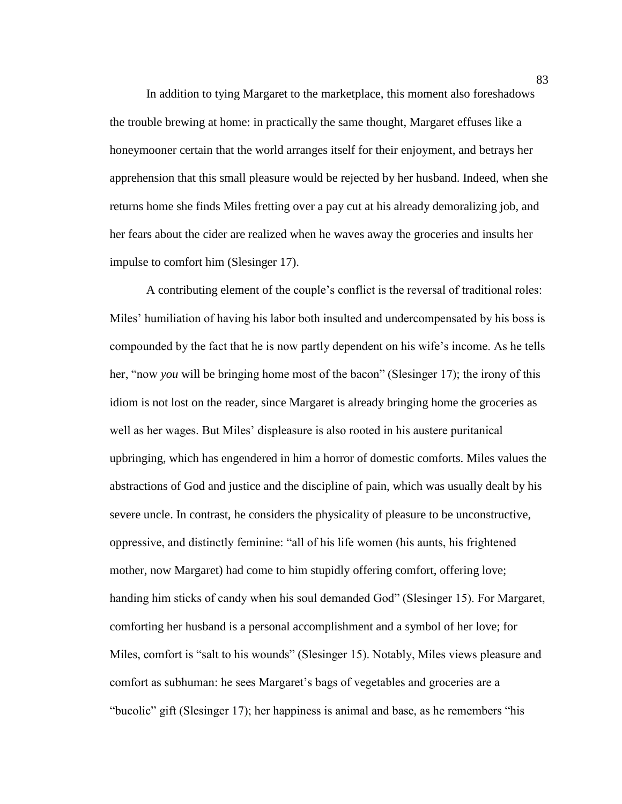In addition to tying Margaret to the marketplace, this moment also foreshadows the trouble brewing at home: in practically the same thought, Margaret effuses like a honeymooner certain that the world arranges itself for their enjoyment, and betrays her apprehension that this small pleasure would be rejected by her husband. Indeed, when she returns home she finds Miles fretting over a pay cut at his already demoralizing job, and her fears about the cider are realized when he waves away the groceries and insults her impulse to comfort him (Slesinger 17).

A contributing element of the couple's conflict is the reversal of traditional roles: Miles' humiliation of having his labor both insulted and undercompensated by his boss is compounded by the fact that he is now partly dependent on his wife's income. As he tells her, "now *you* will be bringing home most of the bacon" (Slesinger 17); the irony of this idiom is not lost on the reader, since Margaret is already bringing home the groceries as well as her wages. But Miles' displeasure is also rooted in his austere puritanical upbringing, which has engendered in him a horror of domestic comforts. Miles values the abstractions of God and justice and the discipline of pain, which was usually dealt by his severe uncle. In contrast, he considers the physicality of pleasure to be unconstructive, oppressive, and distinctly feminine: "all of his life women (his aunts, his frightened mother, now Margaret) had come to him stupidly offering comfort, offering love; handing him sticks of candy when his soul demanded God" (Slesinger 15). For Margaret, comforting her husband is a personal accomplishment and a symbol of her love; for Miles, comfort is "salt to his wounds" (Slesinger 15). Notably, Miles views pleasure and comfort as subhuman: he sees Margaret's bags of vegetables and groceries are a "bucolic" gift (Slesinger 17); her happiness is animal and base, as he remembers "his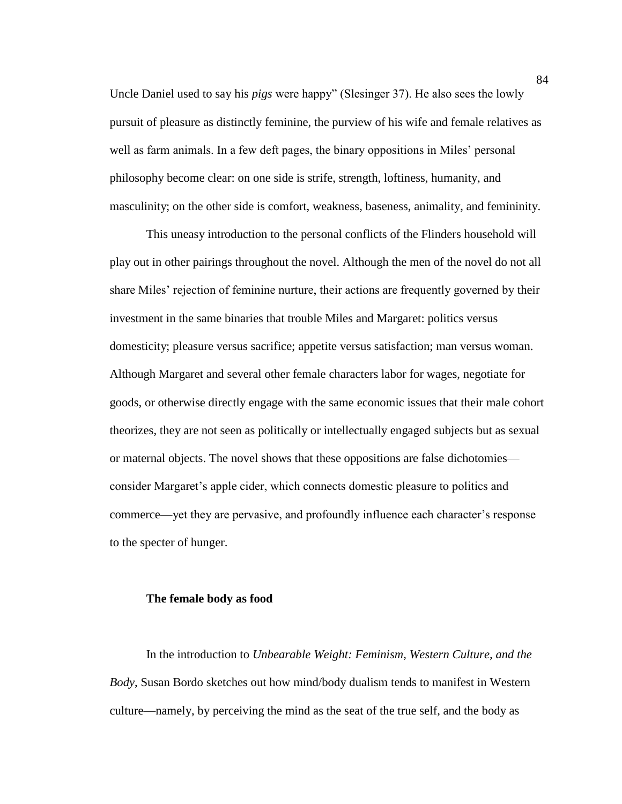Uncle Daniel used to say his *pigs* were happy" (Slesinger 37). He also sees the lowly pursuit of pleasure as distinctly feminine, the purview of his wife and female relatives as well as farm animals. In a few deft pages, the binary oppositions in Miles' personal philosophy become clear: on one side is strife, strength, loftiness, humanity, and masculinity; on the other side is comfort, weakness, baseness, animality, and femininity.

This uneasy introduction to the personal conflicts of the Flinders household will play out in other pairings throughout the novel. Although the men of the novel do not all share Miles' rejection of feminine nurture, their actions are frequently governed by their investment in the same binaries that trouble Miles and Margaret: politics versus domesticity; pleasure versus sacrifice; appetite versus satisfaction; man versus woman. Although Margaret and several other female characters labor for wages, negotiate for goods, or otherwise directly engage with the same economic issues that their male cohort theorizes, they are not seen as politically or intellectually engaged subjects but as sexual or maternal objects. The novel shows that these oppositions are false dichotomies consider Margaret's apple cider, which connects domestic pleasure to politics and commerce—yet they are pervasive, and profoundly influence each character's response to the specter of hunger.

## **The female body as food**

In the introduction to *Unbearable Weight: Feminism, Western Culture, and the Body*, Susan Bordo sketches out how mind/body dualism tends to manifest in Western culture—namely, by perceiving the mind as the seat of the true self, and the body as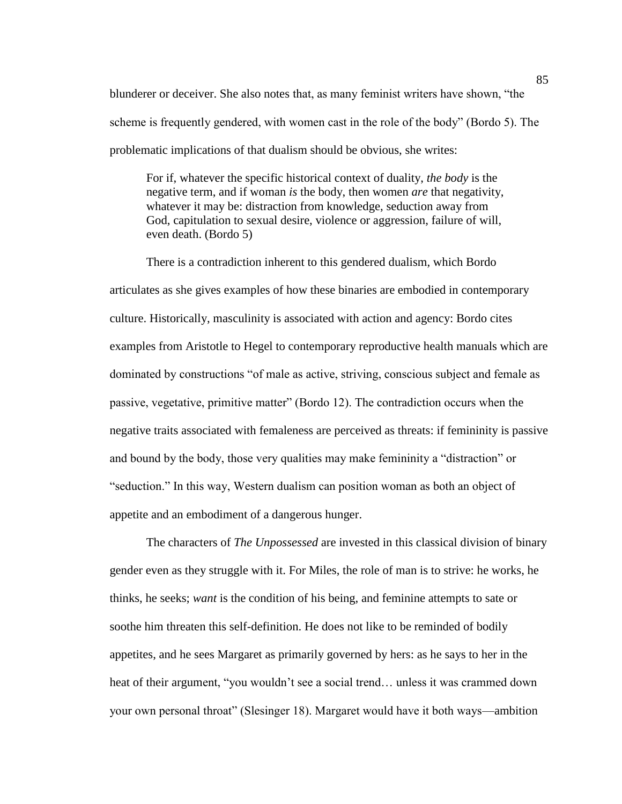blunderer or deceiver. She also notes that, as many feminist writers have shown, "the scheme is frequently gendered, with women cast in the role of the body" (Bordo 5). The problematic implications of that dualism should be obvious, she writes:

For if, whatever the specific historical context of duality, *the body* is the negative term, and if woman *is* the body, then women *are* that negativity, whatever it may be: distraction from knowledge, seduction away from God, capitulation to sexual desire, violence or aggression, failure of will, even death. (Bordo 5)

There is a contradiction inherent to this gendered dualism, which Bordo articulates as she gives examples of how these binaries are embodied in contemporary culture. Historically, masculinity is associated with action and agency: Bordo cites examples from Aristotle to Hegel to contemporary reproductive health manuals which are dominated by constructions "of male as active, striving, conscious subject and female as passive, vegetative, primitive matter" (Bordo 12). The contradiction occurs when the negative traits associated with femaleness are perceived as threats: if femininity is passive and bound by the body, those very qualities may make femininity a "distraction" or "seduction." In this way, Western dualism can position woman as both an object of appetite and an embodiment of a dangerous hunger.

The characters of *The Unpossessed* are invested in this classical division of binary gender even as they struggle with it. For Miles, the role of man is to strive: he works, he thinks, he seeks; *want* is the condition of his being, and feminine attempts to sate or soothe him threaten this self-definition. He does not like to be reminded of bodily appetites, and he sees Margaret as primarily governed by hers: as he says to her in the heat of their argument, "you wouldn't see a social trend… unless it was crammed down your own personal throat" (Slesinger 18). Margaret would have it both ways—ambition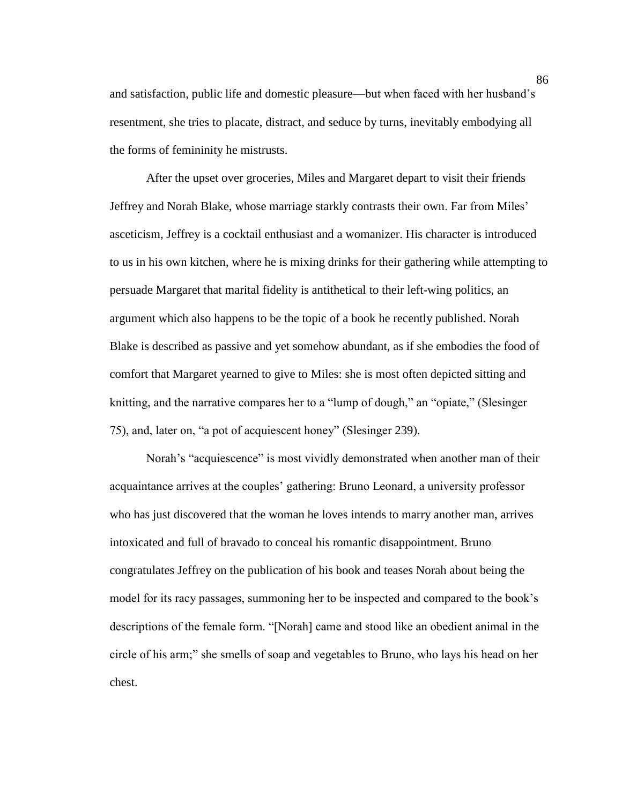and satisfaction, public life and domestic pleasure—but when faced with her husband's resentment, she tries to placate, distract, and seduce by turns, inevitably embodying all the forms of femininity he mistrusts.

After the upset over groceries, Miles and Margaret depart to visit their friends Jeffrey and Norah Blake, whose marriage starkly contrasts their own. Far from Miles' asceticism, Jeffrey is a cocktail enthusiast and a womanizer. His character is introduced to us in his own kitchen, where he is mixing drinks for their gathering while attempting to persuade Margaret that marital fidelity is antithetical to their left-wing politics, an argument which also happens to be the topic of a book he recently published. Norah Blake is described as passive and yet somehow abundant, as if she embodies the food of comfort that Margaret yearned to give to Miles: she is most often depicted sitting and knitting, and the narrative compares her to a "lump of dough," an "opiate," (Slesinger 75), and, later on, "a pot of acquiescent honey" (Slesinger 239).

Norah's "acquiescence" is most vividly demonstrated when another man of their acquaintance arrives at the couples' gathering: Bruno Leonard, a university professor who has just discovered that the woman he loves intends to marry another man, arrives intoxicated and full of bravado to conceal his romantic disappointment. Bruno congratulates Jeffrey on the publication of his book and teases Norah about being the model for its racy passages, summoning her to be inspected and compared to the book's descriptions of the female form. "[Norah] came and stood like an obedient animal in the circle of his arm;" she smells of soap and vegetables to Bruno, who lays his head on her chest.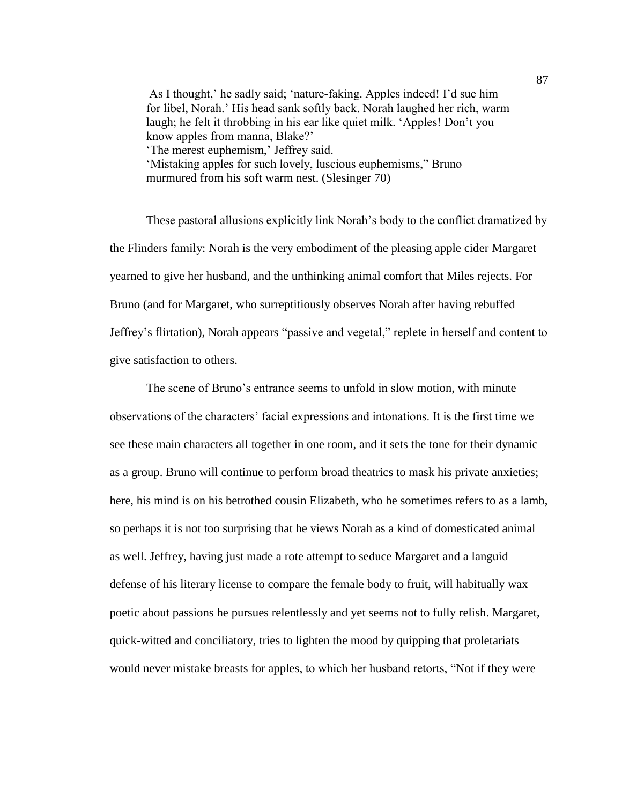As I thought,' he sadly said; 'nature-faking. Apples indeed! I'd sue him for libel, Norah.' His head sank softly back. Norah laughed her rich, warm laugh; he felt it throbbing in his ear like quiet milk. 'Apples! Don't you know apples from manna, Blake?' 'The merest euphemism,' Jeffrey said. 'Mistaking apples for such lovely, luscious euphemisms," Bruno murmured from his soft warm nest. (Slesinger 70)

These pastoral allusions explicitly link Norah's body to the conflict dramatized by the Flinders family: Norah is the very embodiment of the pleasing apple cider Margaret yearned to give her husband, and the unthinking animal comfort that Miles rejects. For Bruno (and for Margaret, who surreptitiously observes Norah after having rebuffed Jeffrey's flirtation), Norah appears "passive and vegetal," replete in herself and content to give satisfaction to others.

The scene of Bruno's entrance seems to unfold in slow motion, with minute observations of the characters' facial expressions and intonations. It is the first time we see these main characters all together in one room, and it sets the tone for their dynamic as a group. Bruno will continue to perform broad theatrics to mask his private anxieties; here, his mind is on his betrothed cousin Elizabeth, who he sometimes refers to as a lamb, so perhaps it is not too surprising that he views Norah as a kind of domesticated animal as well. Jeffrey, having just made a rote attempt to seduce Margaret and a languid defense of his literary license to compare the female body to fruit, will habitually wax poetic about passions he pursues relentlessly and yet seems not to fully relish. Margaret, quick-witted and conciliatory, tries to lighten the mood by quipping that proletariats would never mistake breasts for apples, to which her husband retorts, "Not if they were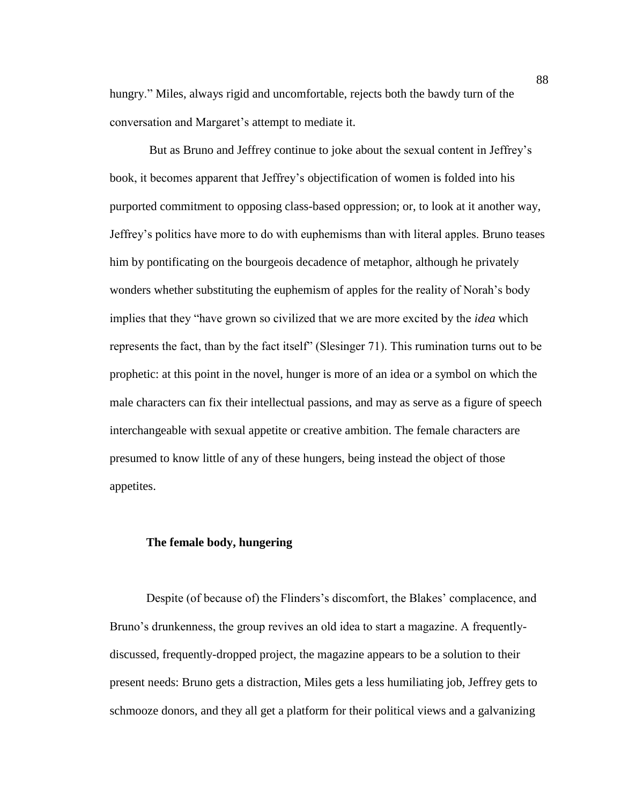hungry." Miles, always rigid and uncomfortable, rejects both the bawdy turn of the conversation and Margaret's attempt to mediate it.

But as Bruno and Jeffrey continue to joke about the sexual content in Jeffrey's book, it becomes apparent that Jeffrey's objectification of women is folded into his purported commitment to opposing class-based oppression; or, to look at it another way, Jeffrey's politics have more to do with euphemisms than with literal apples. Bruno teases him by pontificating on the bourgeois decadence of metaphor, although he privately wonders whether substituting the euphemism of apples for the reality of Norah's body implies that they "have grown so civilized that we are more excited by the *idea* which represents the fact, than by the fact itself" (Slesinger 71). This rumination turns out to be prophetic: at this point in the novel, hunger is more of an idea or a symbol on which the male characters can fix their intellectual passions, and may as serve as a figure of speech interchangeable with sexual appetite or creative ambition. The female characters are presumed to know little of any of these hungers, being instead the object of those appetites.

## **The female body, hungering**

Despite (of because of) the Flinders's discomfort, the Blakes' complacence, and Bruno's drunkenness, the group revives an old idea to start a magazine. A frequentlydiscussed, frequently-dropped project, the magazine appears to be a solution to their present needs: Bruno gets a distraction, Miles gets a less humiliating job, Jeffrey gets to schmooze donors, and they all get a platform for their political views and a galvanizing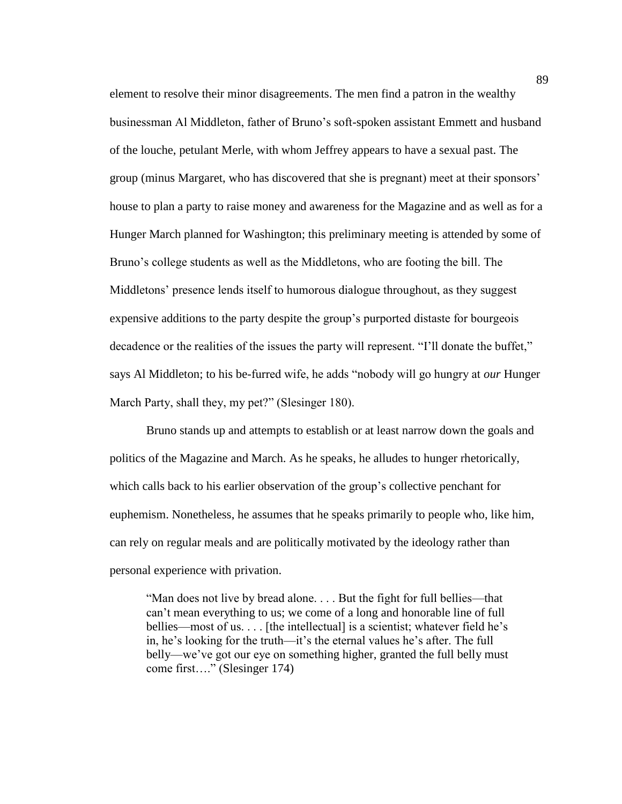element to resolve their minor disagreements. The men find a patron in the wealthy businessman Al Middleton, father of Bruno's soft-spoken assistant Emmett and husband of the louche, petulant Merle, with whom Jeffrey appears to have a sexual past. The group (minus Margaret, who has discovered that she is pregnant) meet at their sponsors' house to plan a party to raise money and awareness for the Magazine and as well as for a Hunger March planned for Washington; this preliminary meeting is attended by some of Bruno's college students as well as the Middletons, who are footing the bill. The Middletons' presence lends itself to humorous dialogue throughout, as they suggest expensive additions to the party despite the group's purported distaste for bourgeois decadence or the realities of the issues the party will represent. "I'll donate the buffet," says Al Middleton; to his be-furred wife, he adds "nobody will go hungry at *our* Hunger March Party, shall they, my pet?" (Slesinger 180).

Bruno stands up and attempts to establish or at least narrow down the goals and politics of the Magazine and March. As he speaks, he alludes to hunger rhetorically, which calls back to his earlier observation of the group's collective penchant for euphemism. Nonetheless, he assumes that he speaks primarily to people who, like him, can rely on regular meals and are politically motivated by the ideology rather than personal experience with privation.

"Man does not live by bread alone. . . . But the fight for full bellies—that can't mean everything to us; we come of a long and honorable line of full bellies—most of us. . . . [the intellectual] is a scientist; whatever field he's in, he's looking for the truth—it's the eternal values he's after. The full belly—we've got our eye on something higher, granted the full belly must come first…." (Slesinger 174)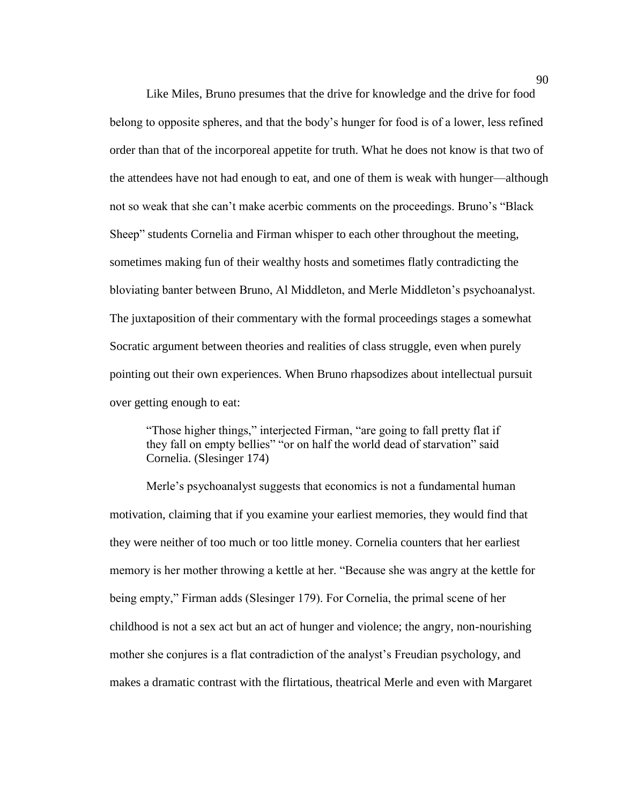Like Miles, Bruno presumes that the drive for knowledge and the drive for food belong to opposite spheres, and that the body's hunger for food is of a lower, less refined order than that of the incorporeal appetite for truth. What he does not know is that two of the attendees have not had enough to eat, and one of them is weak with hunger—although not so weak that she can't make acerbic comments on the proceedings. Bruno's "Black Sheep" students Cornelia and Firman whisper to each other throughout the meeting, sometimes making fun of their wealthy hosts and sometimes flatly contradicting the bloviating banter between Bruno, Al Middleton, and Merle Middleton's psychoanalyst. The juxtaposition of their commentary with the formal proceedings stages a somewhat Socratic argument between theories and realities of class struggle, even when purely pointing out their own experiences. When Bruno rhapsodizes about intellectual pursuit over getting enough to eat:

"Those higher things," interjected Firman, "are going to fall pretty flat if they fall on empty bellies" "or on half the world dead of starvation" said Cornelia. (Slesinger 174)

Merle's psychoanalyst suggests that economics is not a fundamental human motivation, claiming that if you examine your earliest memories, they would find that they were neither of too much or too little money. Cornelia counters that her earliest memory is her mother throwing a kettle at her. "Because she was angry at the kettle for being empty," Firman adds (Slesinger 179). For Cornelia, the primal scene of her childhood is not a sex act but an act of hunger and violence; the angry, non-nourishing mother she conjures is a flat contradiction of the analyst's Freudian psychology, and makes a dramatic contrast with the flirtatious, theatrical Merle and even with Margaret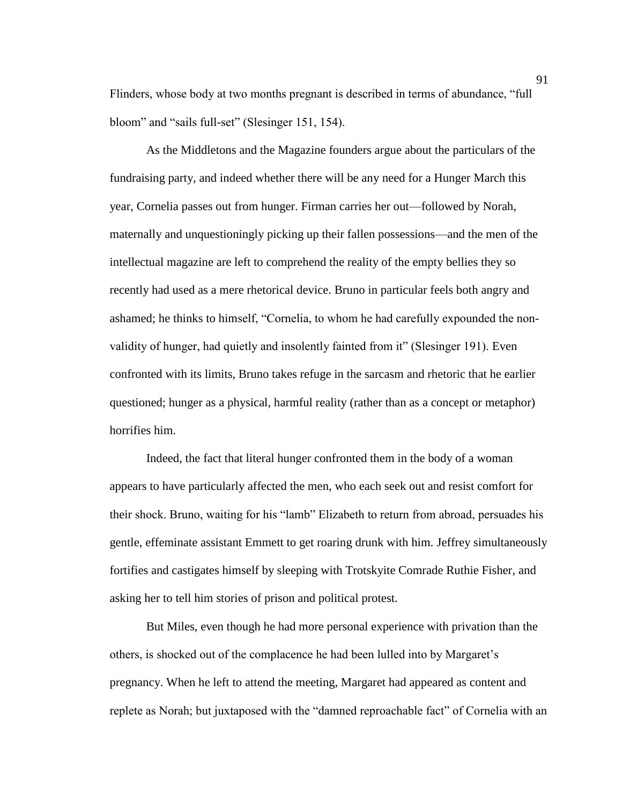Flinders, whose body at two months pregnant is described in terms of abundance, "full bloom" and "sails full-set" (Slesinger 151, 154).

As the Middletons and the Magazine founders argue about the particulars of the fundraising party, and indeed whether there will be any need for a Hunger March this year, Cornelia passes out from hunger. Firman carries her out—followed by Norah, maternally and unquestioningly picking up their fallen possessions—and the men of the intellectual magazine are left to comprehend the reality of the empty bellies they so recently had used as a mere rhetorical device. Bruno in particular feels both angry and ashamed; he thinks to himself, "Cornelia, to whom he had carefully expounded the nonvalidity of hunger, had quietly and insolently fainted from it" (Slesinger 191). Even confronted with its limits, Bruno takes refuge in the sarcasm and rhetoric that he earlier questioned; hunger as a physical, harmful reality (rather than as a concept or metaphor) horrifies him.

Indeed, the fact that literal hunger confronted them in the body of a woman appears to have particularly affected the men, who each seek out and resist comfort for their shock. Bruno, waiting for his "lamb" Elizabeth to return from abroad, persuades his gentle, effeminate assistant Emmett to get roaring drunk with him. Jeffrey simultaneously fortifies and castigates himself by sleeping with Trotskyite Comrade Ruthie Fisher, and asking her to tell him stories of prison and political protest.

But Miles, even though he had more personal experience with privation than the others, is shocked out of the complacence he had been lulled into by Margaret's pregnancy. When he left to attend the meeting, Margaret had appeared as content and replete as Norah; but juxtaposed with the "damned reproachable fact" of Cornelia with an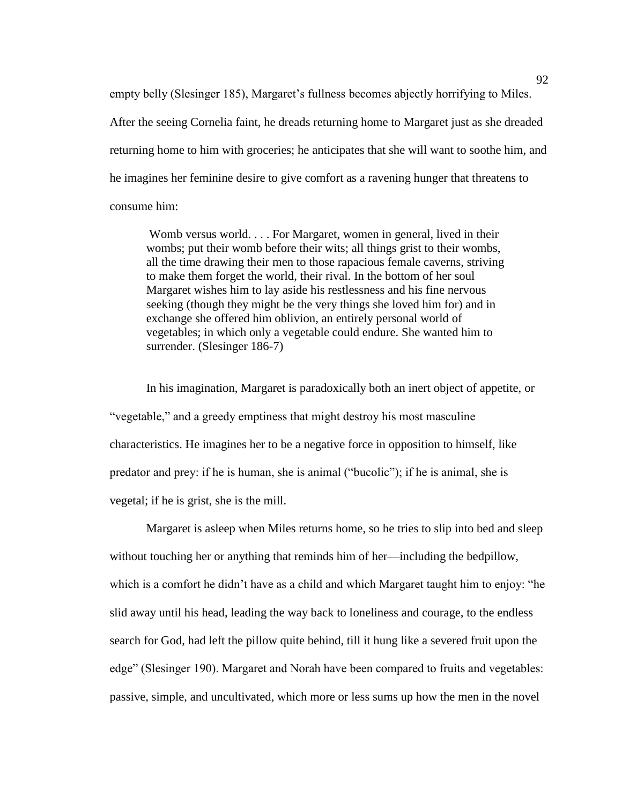empty belly (Slesinger 185), Margaret's fullness becomes abjectly horrifying to Miles. After the seeing Cornelia faint, he dreads returning home to Margaret just as she dreaded returning home to him with groceries; he anticipates that she will want to soothe him, and he imagines her feminine desire to give comfort as a ravening hunger that threatens to consume him:

Womb versus world. . . . For Margaret, women in general, lived in their wombs; put their womb before their wits; all things grist to their wombs, all the time drawing their men to those rapacious female caverns, striving to make them forget the world, their rival. In the bottom of her soul Margaret wishes him to lay aside his restlessness and his fine nervous seeking (though they might be the very things she loved him for) and in exchange she offered him oblivion, an entirely personal world of vegetables; in which only a vegetable could endure. She wanted him to surrender. (Slesinger 186-7)

In his imagination, Margaret is paradoxically both an inert object of appetite, or "vegetable," and a greedy emptiness that might destroy his most masculine characteristics. He imagines her to be a negative force in opposition to himself, like predator and prey: if he is human, she is animal ("bucolic"); if he is animal, she is vegetal; if he is grist, she is the mill.

Margaret is asleep when Miles returns home, so he tries to slip into bed and sleep without touching her or anything that reminds him of her—including the bedpillow, which is a comfort he didn't have as a child and which Margaret taught him to enjoy: "he slid away until his head, leading the way back to loneliness and courage, to the endless search for God, had left the pillow quite behind, till it hung like a severed fruit upon the edge" (Slesinger 190). Margaret and Norah have been compared to fruits and vegetables: passive, simple, and uncultivated, which more or less sums up how the men in the novel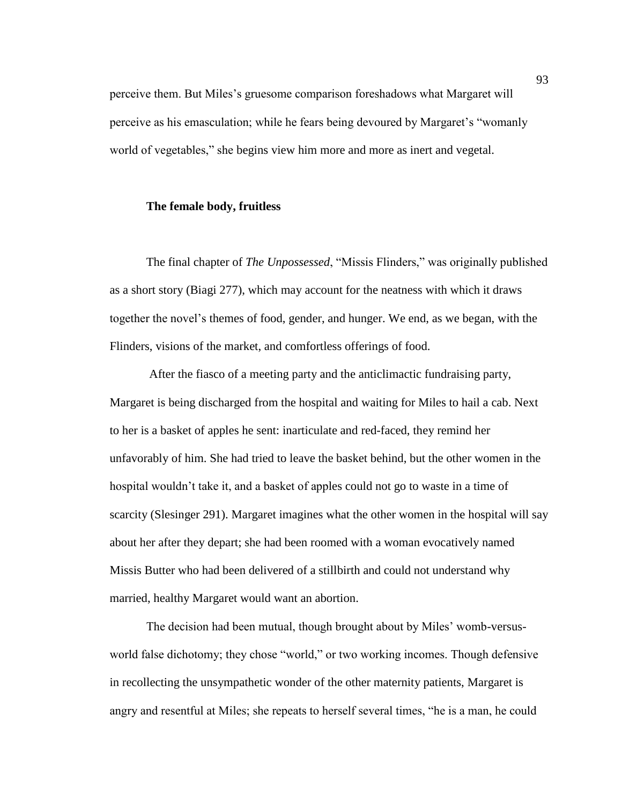perceive them. But Miles's gruesome comparison foreshadows what Margaret will perceive as his emasculation; while he fears being devoured by Margaret's "womanly world of vegetables," she begins view him more and more as inert and vegetal.

### **The female body, fruitless**

The final chapter of *The Unpossessed*, "Missis Flinders," was originally published as a short story (Biagi 277), which may account for the neatness with which it draws together the novel's themes of food, gender, and hunger. We end, as we began, with the Flinders, visions of the market, and comfortless offerings of food.

After the fiasco of a meeting party and the anticlimactic fundraising party, Margaret is being discharged from the hospital and waiting for Miles to hail a cab. Next to her is a basket of apples he sent: inarticulate and red-faced, they remind her unfavorably of him. She had tried to leave the basket behind, but the other women in the hospital wouldn't take it, and a basket of apples could not go to waste in a time of scarcity (Slesinger 291). Margaret imagines what the other women in the hospital will say about her after they depart; she had been roomed with a woman evocatively named Missis Butter who had been delivered of a stillbirth and could not understand why married, healthy Margaret would want an abortion.

The decision had been mutual, though brought about by Miles' womb-versusworld false dichotomy; they chose "world," or two working incomes. Though defensive in recollecting the unsympathetic wonder of the other maternity patients, Margaret is angry and resentful at Miles; she repeats to herself several times, "he is a man, he could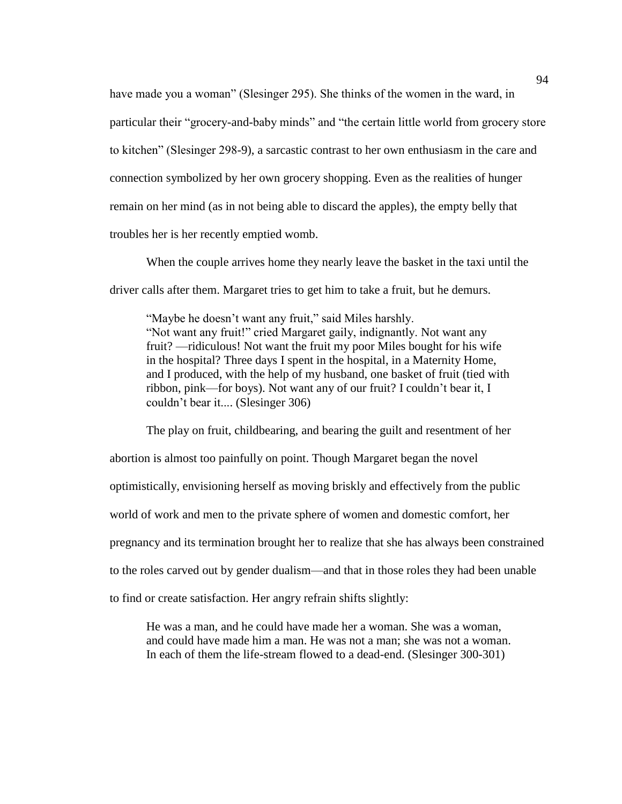have made you a woman" (Slesinger 295). She thinks of the women in the ward, in particular their "grocery-and-baby minds" and "the certain little world from grocery store to kitchen" (Slesinger 298-9), a sarcastic contrast to her own enthusiasm in the care and connection symbolized by her own grocery shopping. Even as the realities of hunger remain on her mind (as in not being able to discard the apples), the empty belly that troubles her is her recently emptied womb.

When the couple arrives home they nearly leave the basket in the taxi until the driver calls after them. Margaret tries to get him to take a fruit, but he demurs.

"Maybe he doesn't want any fruit," said Miles harshly. "Not want any fruit!" cried Margaret gaily, indignantly. Not want any fruit? —ridiculous! Not want the fruit my poor Miles bought for his wife in the hospital? Three days I spent in the hospital, in a Maternity Home, and I produced, with the help of my husband, one basket of fruit (tied with ribbon, pink—for boys). Not want any of our fruit? I couldn't bear it, I couldn't bear it.... (Slesinger 306)

The play on fruit, childbearing, and bearing the guilt and resentment of her abortion is almost too painfully on point. Though Margaret began the novel optimistically, envisioning herself as moving briskly and effectively from the public world of work and men to the private sphere of women and domestic comfort, her pregnancy and its termination brought her to realize that she has always been constrained to the roles carved out by gender dualism—and that in those roles they had been unable

to find or create satisfaction. Her angry refrain shifts slightly:

He was a man, and he could have made her a woman. She was a woman, and could have made him a man. He was not a man; she was not a woman. In each of them the life-stream flowed to a dead-end. (Slesinger 300-301)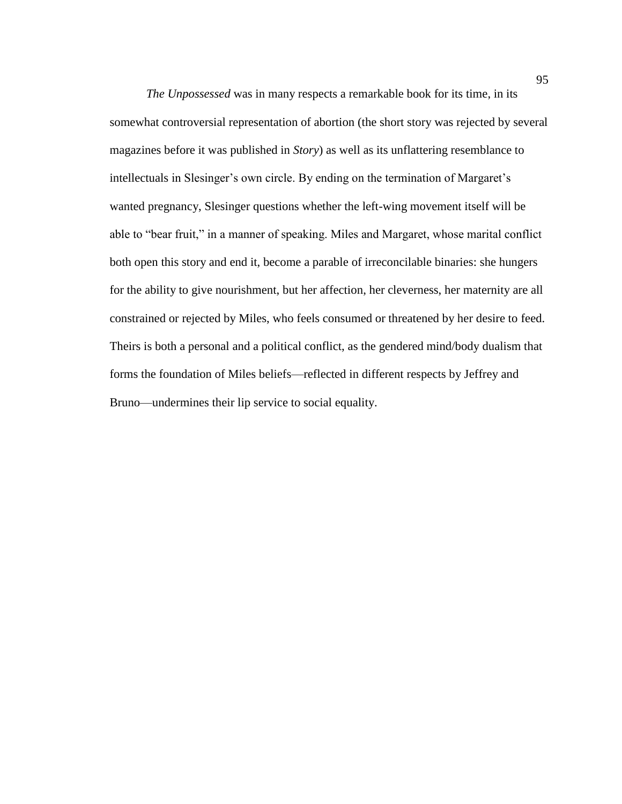*The Unpossessed* was in many respects a remarkable book for its time, in its somewhat controversial representation of abortion (the short story was rejected by several magazines before it was published in *Story*) as well as its unflattering resemblance to intellectuals in Slesinger's own circle. By ending on the termination of Margaret's wanted pregnancy, Slesinger questions whether the left-wing movement itself will be able to "bear fruit," in a manner of speaking. Miles and Margaret, whose marital conflict both open this story and end it, become a parable of irreconcilable binaries: she hungers for the ability to give nourishment, but her affection, her cleverness, her maternity are all constrained or rejected by Miles, who feels consumed or threatened by her desire to feed. Theirs is both a personal and a political conflict, as the gendered mind/body dualism that forms the foundation of Miles beliefs—reflected in different respects by Jeffrey and Bruno—undermines their lip service to social equality.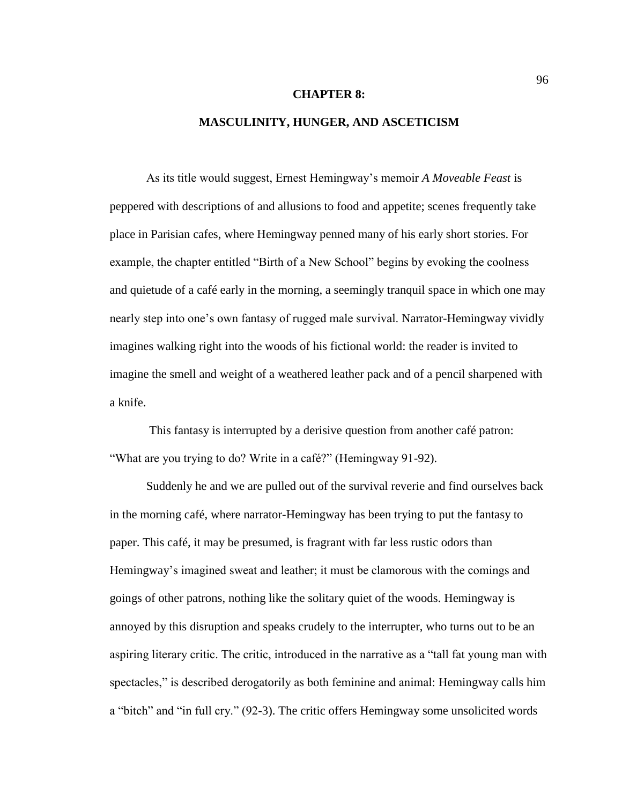#### **CHAPTER 8:**

## **MASCULINITY, HUNGER, AND ASCETICISM**

As its title would suggest, Ernest Hemingway's memoir *A Moveable Feast* is peppered with descriptions of and allusions to food and appetite; scenes frequently take place in Parisian cafes, where Hemingway penned many of his early short stories. For example, the chapter entitled "Birth of a New School" begins by evoking the coolness and quietude of a café early in the morning, a seemingly tranquil space in which one may nearly step into one's own fantasy of rugged male survival. Narrator-Hemingway vividly imagines walking right into the woods of his fictional world: the reader is invited to imagine the smell and weight of a weathered leather pack and of a pencil sharpened with a knife.

This fantasy is interrupted by a derisive question from another café patron: "What are you trying to do? Write in a café?" (Hemingway 91-92).

Suddenly he and we are pulled out of the survival reverie and find ourselves back in the morning café, where narrator-Hemingway has been trying to put the fantasy to paper. This café, it may be presumed, is fragrant with far less rustic odors than Hemingway's imagined sweat and leather; it must be clamorous with the comings and goings of other patrons, nothing like the solitary quiet of the woods. Hemingway is annoyed by this disruption and speaks crudely to the interrupter, who turns out to be an aspiring literary critic. The critic, introduced in the narrative as a "tall fat young man with spectacles," is described derogatorily as both feminine and animal: Hemingway calls him a "bitch" and "in full cry." (92-3). The critic offers Hemingway some unsolicited words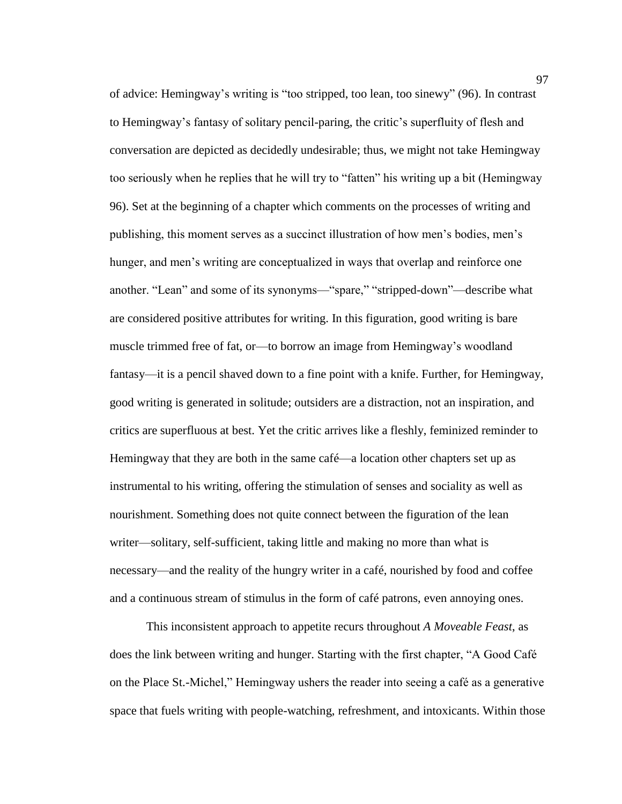of advice: Hemingway's writing is "too stripped, too lean, too sinewy" (96). In contrast to Hemingway's fantasy of solitary pencil-paring, the critic's superfluity of flesh and conversation are depicted as decidedly undesirable; thus, we might not take Hemingway too seriously when he replies that he will try to "fatten" his writing up a bit (Hemingway 96). Set at the beginning of a chapter which comments on the processes of writing and publishing, this moment serves as a succinct illustration of how men's bodies, men's hunger, and men's writing are conceptualized in ways that overlap and reinforce one another. "Lean" and some of its synonyms—"spare," "stripped-down"—describe what are considered positive attributes for writing. In this figuration, good writing is bare muscle trimmed free of fat, or—to borrow an image from Hemingway's woodland fantasy—it is a pencil shaved down to a fine point with a knife. Further, for Hemingway, good writing is generated in solitude; outsiders are a distraction, not an inspiration, and critics are superfluous at best. Yet the critic arrives like a fleshly, feminized reminder to Hemingway that they are both in the same café—a location other chapters set up as instrumental to his writing, offering the stimulation of senses and sociality as well as nourishment. Something does not quite connect between the figuration of the lean writer—solitary, self-sufficient, taking little and making no more than what is necessary—and the reality of the hungry writer in a café, nourished by food and coffee and a continuous stream of stimulus in the form of café patrons, even annoying ones.

This inconsistent approach to appetite recurs throughout *A Moveable Feast*, as does the link between writing and hunger. Starting with the first chapter, "A Good Café on the Place St.-Michel," Hemingway ushers the reader into seeing a café as a generative space that fuels writing with people-watching, refreshment, and intoxicants. Within those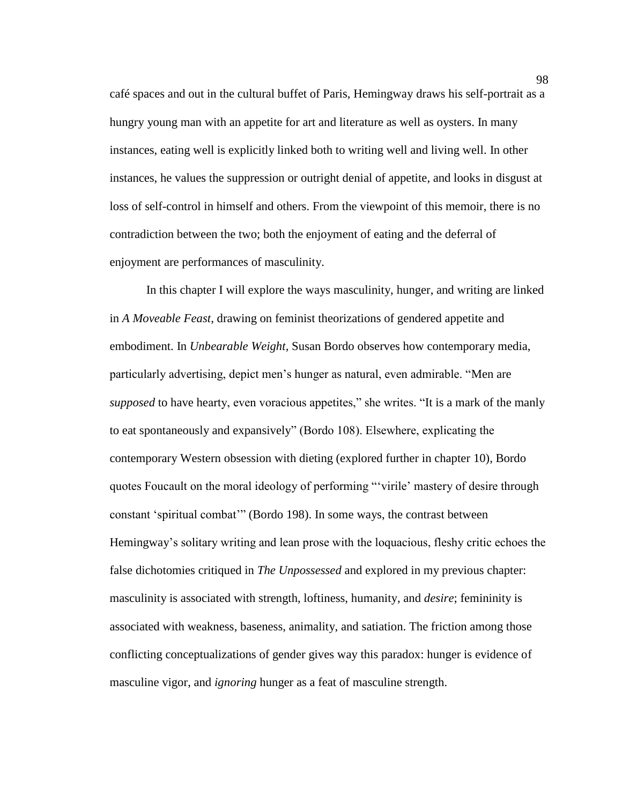café spaces and out in the cultural buffet of Paris, Hemingway draws his self-portrait as a hungry young man with an appetite for art and literature as well as oysters. In many instances, eating well is explicitly linked both to writing well and living well. In other instances, he values the suppression or outright denial of appetite, and looks in disgust at loss of self-control in himself and others. From the viewpoint of this memoir, there is no contradiction between the two; both the enjoyment of eating and the deferral of enjoyment are performances of masculinity.

In this chapter I will explore the ways masculinity, hunger, and writing are linked in *A Moveable Feast*, drawing on feminist theorizations of gendered appetite and embodiment. In *Unbearable Weight*, Susan Bordo observes how contemporary media, particularly advertising, depict men's hunger as natural, even admirable. "Men are *supposed* to have hearty, even voracious appetites," she writes. "It is a mark of the manly to eat spontaneously and expansively" (Bordo 108). Elsewhere, explicating the contemporary Western obsession with dieting (explored further in chapter 10), Bordo quotes Foucault on the moral ideology of performing "'virile' mastery of desire through constant 'spiritual combat'" (Bordo 198). In some ways, the contrast between Hemingway's solitary writing and lean prose with the loquacious, fleshy critic echoes the false dichotomies critiqued in *The Unpossessed* and explored in my previous chapter: masculinity is associated with strength, loftiness, humanity, and *desire*; femininity is associated with weakness, baseness, animality, and satiation. The friction among those conflicting conceptualizations of gender gives way this paradox: hunger is evidence of masculine vigor, and *ignoring* hunger as a feat of masculine strength.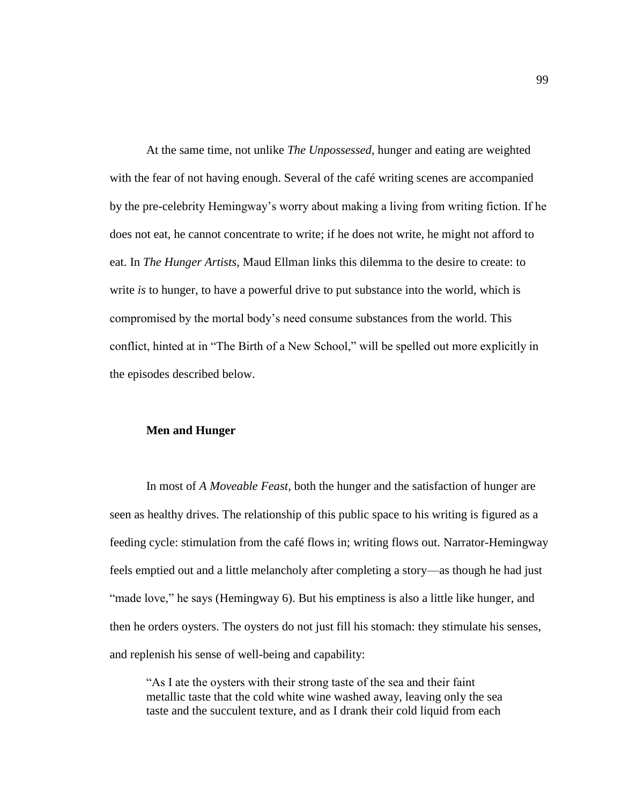At the same time, not unlike *The Unpossessed*, hunger and eating are weighted with the fear of not having enough. Several of the café writing scenes are accompanied by the pre-celebrity Hemingway's worry about making a living from writing fiction. If he does not eat, he cannot concentrate to write; if he does not write, he might not afford to eat. In *The Hunger Artists*, Maud Ellman links this dilemma to the desire to create: to write *is* to hunger, to have a powerful drive to put substance into the world, which is compromised by the mortal body's need consume substances from the world. This conflict, hinted at in "The Birth of a New School," will be spelled out more explicitly in the episodes described below.

## **Men and Hunger**

In most of *A Moveable Feast*, both the hunger and the satisfaction of hunger are seen as healthy drives. The relationship of this public space to his writing is figured as a feeding cycle: stimulation from the café flows in; writing flows out. Narrator-Hemingway feels emptied out and a little melancholy after completing a story—as though he had just "made love," he says (Hemingway 6). But his emptiness is also a little like hunger, and then he orders oysters. The oysters do not just fill his stomach: they stimulate his senses, and replenish his sense of well-being and capability:

"As I ate the oysters with their strong taste of the sea and their faint metallic taste that the cold white wine washed away, leaving only the sea taste and the succulent texture, and as I drank their cold liquid from each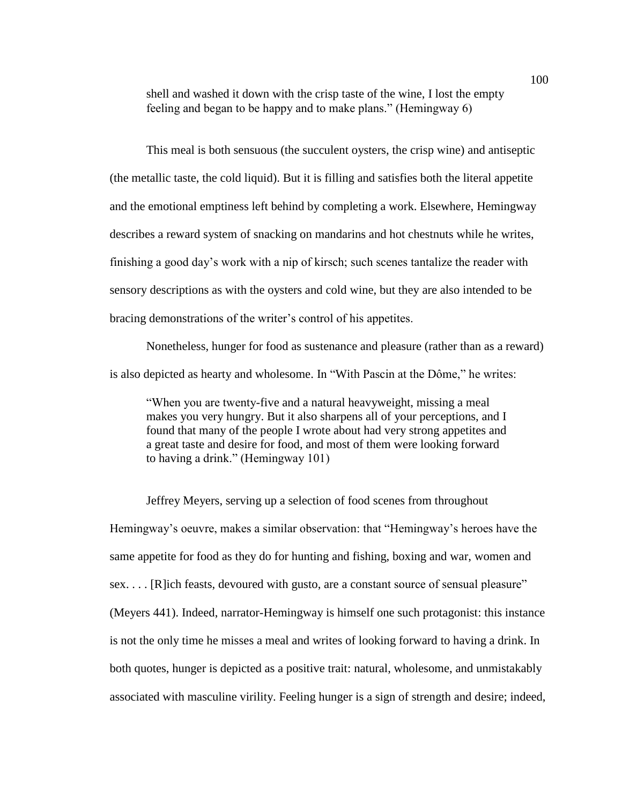shell and washed it down with the crisp taste of the wine, I lost the empty feeling and began to be happy and to make plans." (Hemingway 6)

This meal is both sensuous (the succulent oysters, the crisp wine) and antiseptic (the metallic taste, the cold liquid). But it is filling and satisfies both the literal appetite and the emotional emptiness left behind by completing a work. Elsewhere, Hemingway describes a reward system of snacking on mandarins and hot chestnuts while he writes, finishing a good day's work with a nip of kirsch; such scenes tantalize the reader with sensory descriptions as with the oysters and cold wine, but they are also intended to be bracing demonstrations of the writer's control of his appetites.

Nonetheless, hunger for food as sustenance and pleasure (rather than as a reward) is also depicted as hearty and wholesome. In "With Pascin at the Dôme," he writes:

"When you are twenty-five and a natural heavyweight, missing a meal makes you very hungry. But it also sharpens all of your perceptions, and I found that many of the people I wrote about had very strong appetites and a great taste and desire for food, and most of them were looking forward to having a drink." (Hemingway 101)

Jeffrey Meyers, serving up a selection of food scenes from throughout Hemingway's oeuvre, makes a similar observation: that "Hemingway's heroes have the same appetite for food as they do for hunting and fishing, boxing and war, women and sex. . . . [R]ich feasts, devoured with gusto, are a constant source of sensual pleasure" (Meyers 441). Indeed, narrator-Hemingway is himself one such protagonist: this instance is not the only time he misses a meal and writes of looking forward to having a drink. In both quotes, hunger is depicted as a positive trait: natural, wholesome, and unmistakably associated with masculine virility. Feeling hunger is a sign of strength and desire; indeed,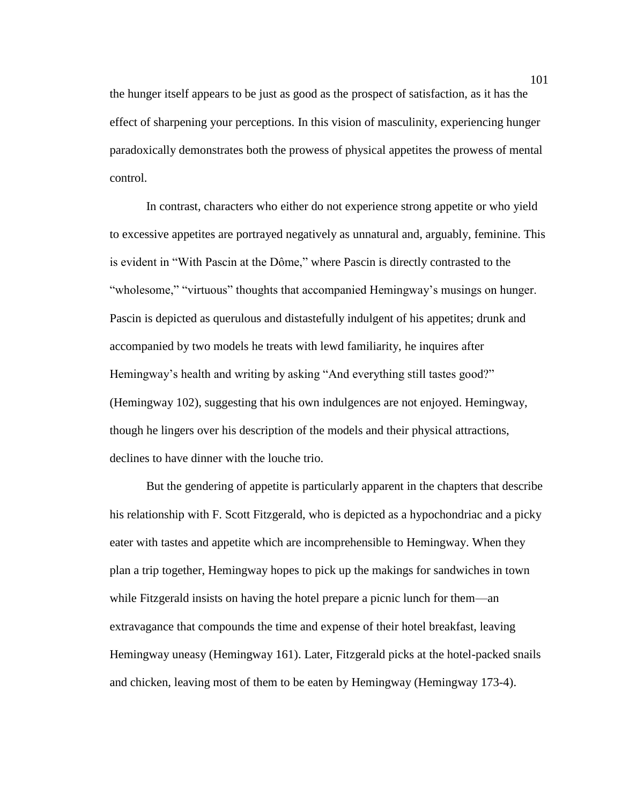the hunger itself appears to be just as good as the prospect of satisfaction, as it has the effect of sharpening your perceptions. In this vision of masculinity, experiencing hunger paradoxically demonstrates both the prowess of physical appetites the prowess of mental control.

In contrast, characters who either do not experience strong appetite or who yield to excessive appetites are portrayed negatively as unnatural and, arguably, feminine. This is evident in "With Pascin at the Dôme," where Pascin is directly contrasted to the "wholesome," "virtuous" thoughts that accompanied Hemingway's musings on hunger. Pascin is depicted as querulous and distastefully indulgent of his appetites; drunk and accompanied by two models he treats with lewd familiarity, he inquires after Hemingway's health and writing by asking "And everything still tastes good?" (Hemingway 102), suggesting that his own indulgences are not enjoyed. Hemingway, though he lingers over his description of the models and their physical attractions, declines to have dinner with the louche trio.

But the gendering of appetite is particularly apparent in the chapters that describe his relationship with F. Scott Fitzgerald, who is depicted as a hypochondriac and a picky eater with tastes and appetite which are incomprehensible to Hemingway. When they plan a trip together, Hemingway hopes to pick up the makings for sandwiches in town while Fitzgerald insists on having the hotel prepare a picnic lunch for them—an extravagance that compounds the time and expense of their hotel breakfast, leaving Hemingway uneasy (Hemingway 161). Later, Fitzgerald picks at the hotel-packed snails and chicken, leaving most of them to be eaten by Hemingway (Hemingway 173-4).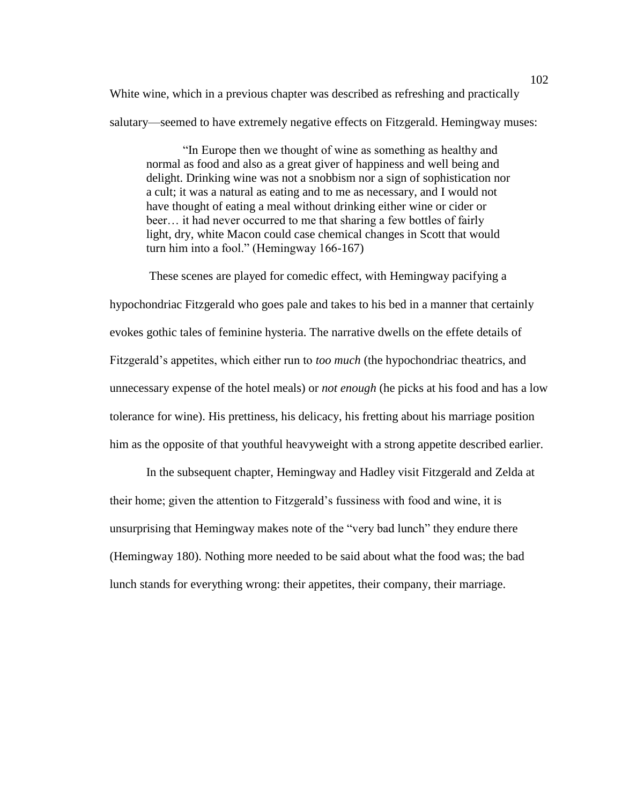White wine, which in a previous chapter was described as refreshing and practically salutary—seemed to have extremely negative effects on Fitzgerald. Hemingway muses:

"In Europe then we thought of wine as something as healthy and normal as food and also as a great giver of happiness and well being and delight. Drinking wine was not a snobbism nor a sign of sophistication nor a cult; it was a natural as eating and to me as necessary, and I would not have thought of eating a meal without drinking either wine or cider or beer… it had never occurred to me that sharing a few bottles of fairly light, dry, white Macon could case chemical changes in Scott that would turn him into a fool." (Hemingway 166-167)

These scenes are played for comedic effect, with Hemingway pacifying a hypochondriac Fitzgerald who goes pale and takes to his bed in a manner that certainly evokes gothic tales of feminine hysteria. The narrative dwells on the effete details of Fitzgerald's appetites, which either run to *too much* (the hypochondriac theatrics, and unnecessary expense of the hotel meals) or *not enough* (he picks at his food and has a low tolerance for wine). His prettiness, his delicacy, his fretting about his marriage position him as the opposite of that youthful heavyweight with a strong appetite described earlier.

In the subsequent chapter, Hemingway and Hadley visit Fitzgerald and Zelda at their home; given the attention to Fitzgerald's fussiness with food and wine, it is unsurprising that Hemingway makes note of the "very bad lunch" they endure there (Hemingway 180). Nothing more needed to be said about what the food was; the bad lunch stands for everything wrong: their appetites, their company, their marriage.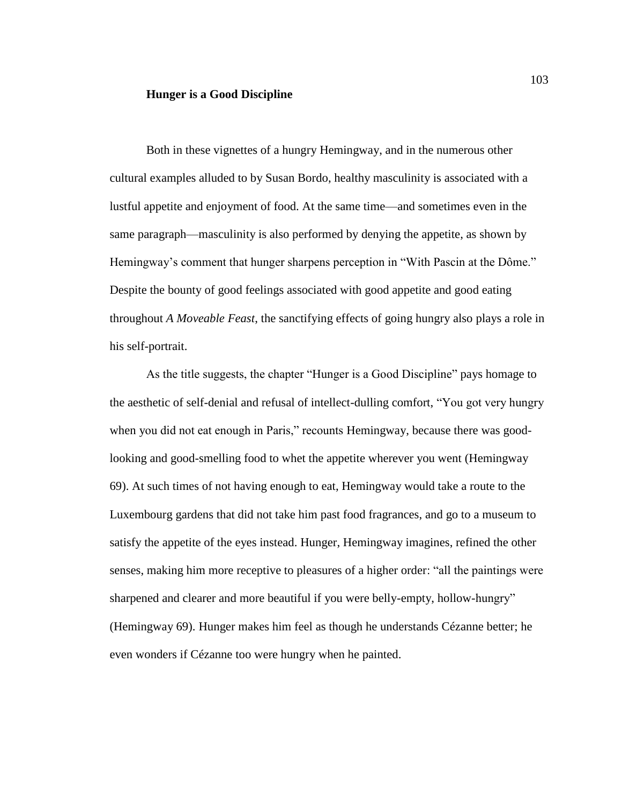### **Hunger is a Good Discipline**

Both in these vignettes of a hungry Hemingway, and in the numerous other cultural examples alluded to by Susan Bordo, healthy masculinity is associated with a lustful appetite and enjoyment of food. At the same time—and sometimes even in the same paragraph—masculinity is also performed by denying the appetite, as shown by Hemingway's comment that hunger sharpens perception in "With Pascin at the Dôme." Despite the bounty of good feelings associated with good appetite and good eating throughout *A Moveable Feast*, the sanctifying effects of going hungry also plays a role in his self-portrait.

As the title suggests, the chapter "Hunger is a Good Discipline" pays homage to the aesthetic of self-denial and refusal of intellect-dulling comfort, "You got very hungry when you did not eat enough in Paris," recounts Hemingway, because there was goodlooking and good-smelling food to whet the appetite wherever you went (Hemingway 69). At such times of not having enough to eat, Hemingway would take a route to the Luxembourg gardens that did not take him past food fragrances, and go to a museum to satisfy the appetite of the eyes instead. Hunger, Hemingway imagines, refined the other senses, making him more receptive to pleasures of a higher order: "all the paintings were sharpened and clearer and more beautiful if you were belly-empty, hollow-hungry" (Hemingway 69). Hunger makes him feel as though he understands Cézanne better; he even wonders if Cézanne too were hungry when he painted.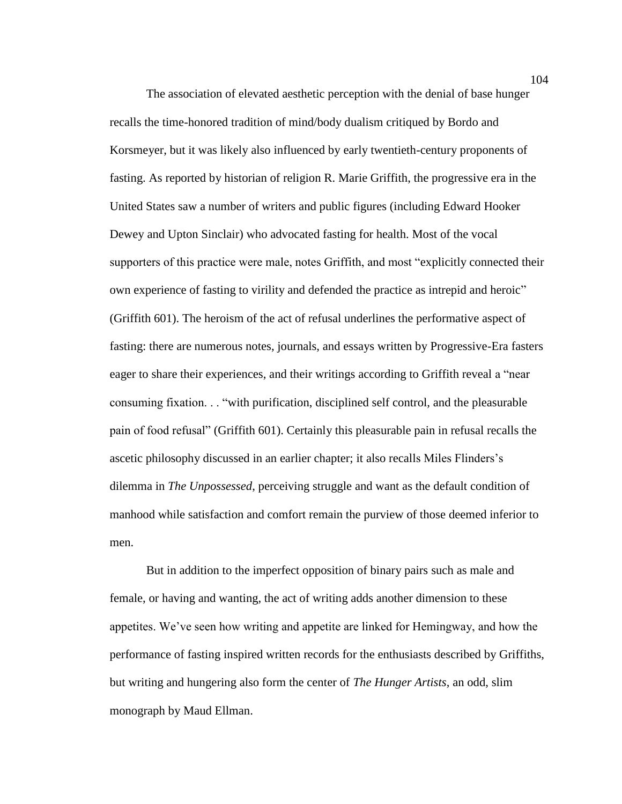The association of elevated aesthetic perception with the denial of base hunger recalls the time-honored tradition of mind/body dualism critiqued by Bordo and Korsmeyer, but it was likely also influenced by early twentieth-century proponents of fasting. As reported by historian of religion R. Marie Griffith, the progressive era in the United States saw a number of writers and public figures (including Edward Hooker Dewey and Upton Sinclair) who advocated fasting for health. Most of the vocal supporters of this practice were male, notes Griffith, and most "explicitly connected their own experience of fasting to virility and defended the practice as intrepid and heroic" (Griffith 601). The heroism of the act of refusal underlines the performative aspect of fasting: there are numerous notes, journals, and essays written by Progressive-Era fasters eager to share their experiences, and their writings according to Griffith reveal a "near consuming fixation. . . "with purification, disciplined self control, and the pleasurable pain of food refusal" (Griffith 601). Certainly this pleasurable pain in refusal recalls the ascetic philosophy discussed in an earlier chapter; it also recalls Miles Flinders's dilemma in *The Unpossessed*, perceiving struggle and want as the default condition of manhood while satisfaction and comfort remain the purview of those deemed inferior to men.

But in addition to the imperfect opposition of binary pairs such as male and female, or having and wanting, the act of writing adds another dimension to these appetites. We've seen how writing and appetite are linked for Hemingway, and how the performance of fasting inspired written records for the enthusiasts described by Griffiths, but writing and hungering also form the center of *The Hunger Artists*, an odd, slim monograph by Maud Ellman.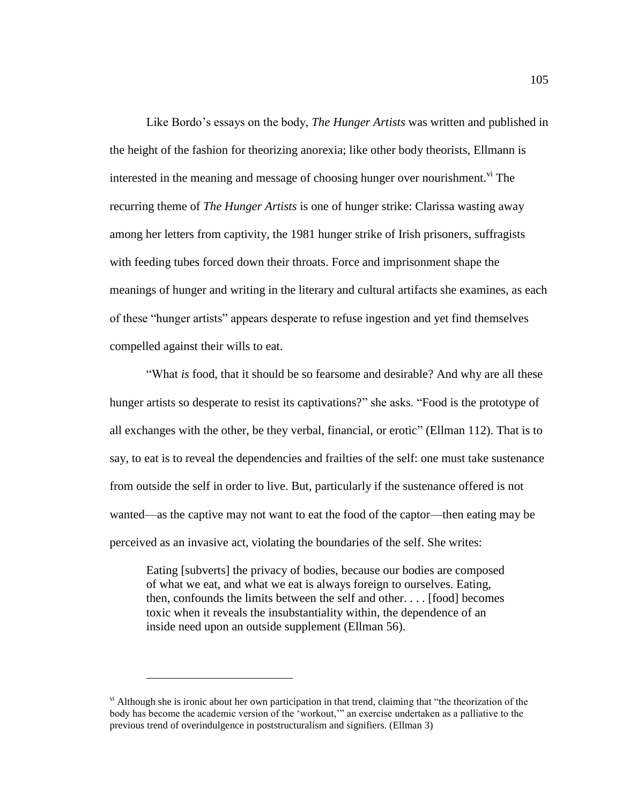Like Bordo's essays on the body, *The Hunger Artists* was written and published in the height of the fashion for theorizing anorexia; like other body theorists, Ellmann is interested in the meaning and message of choosing hunger over nourishment.<sup>vi</sup> The recurring theme of *The Hunger Artists* is one of hunger strike: Clarissa wasting away among her letters from captivity, the 1981 hunger strike of Irish prisoners, suffragists with feeding tubes forced down their throats. Force and imprisonment shape the meanings of hunger and writing in the literary and cultural artifacts she examines, as each of these "hunger artists" appears desperate to refuse ingestion and yet find themselves compelled against their wills to eat.

"What *is* food, that it should be so fearsome and desirable? And why are all these hunger artists so desperate to resist its captivations?" she asks. "Food is the prototype of all exchanges with the other, be they verbal, financial, or erotic" (Ellman 112). That is to say, to eat is to reveal the dependencies and frailties of the self: one must take sustenance from outside the self in order to live. But, particularly if the sustenance offered is not wanted—as the captive may not want to eat the food of the captor—then eating may be perceived as an invasive act, violating the boundaries of the self. She writes:

Eating [subverts] the privacy of bodies, because our bodies are composed of what we eat, and what we eat is always foreign to ourselves. Eating, then, confounds the limits between the self and other. . . . [food] becomes toxic when it reveals the insubstantiality within, the dependence of an inside need upon an outside supplement (Ellman 56).

 $\overline{a}$ 

<sup>&</sup>lt;sup>vi</sup> Although she is ironic about her own participation in that trend, claiming that "the theorization of the body has become the academic version of the 'workout,'" an exercise undertaken as a palliative to the previous trend of overindulgence in poststructuralism and signifiers. (Ellman 3)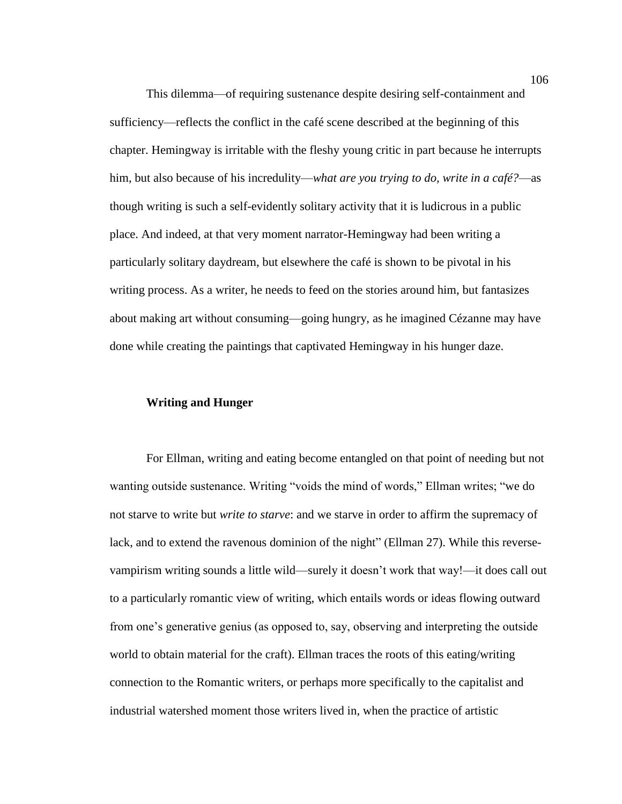This dilemma—of requiring sustenance despite desiring self-containment and sufficiency—reflects the conflict in the café scene described at the beginning of this chapter. Hemingway is irritable with the fleshy young critic in part because he interrupts him, but also because of his incredulity—*what are you trying to do, write in a café?*—as though writing is such a self-evidently solitary activity that it is ludicrous in a public place. And indeed, at that very moment narrator-Hemingway had been writing a particularly solitary daydream, but elsewhere the café is shown to be pivotal in his writing process. As a writer, he needs to feed on the stories around him, but fantasizes about making art without consuming—going hungry, as he imagined Cézanne may have done while creating the paintings that captivated Hemingway in his hunger daze.

# **Writing and Hunger**

For Ellman, writing and eating become entangled on that point of needing but not wanting outside sustenance. Writing "voids the mind of words," Ellman writes; "we do not starve to write but *write to starve*: and we starve in order to affirm the supremacy of lack, and to extend the ravenous dominion of the night" (Ellman 27). While this reversevampirism writing sounds a little wild—surely it doesn't work that way!—it does call out to a particularly romantic view of writing, which entails words or ideas flowing outward from one's generative genius (as opposed to, say, observing and interpreting the outside world to obtain material for the craft). Ellman traces the roots of this eating/writing connection to the Romantic writers, or perhaps more specifically to the capitalist and industrial watershed moment those writers lived in, when the practice of artistic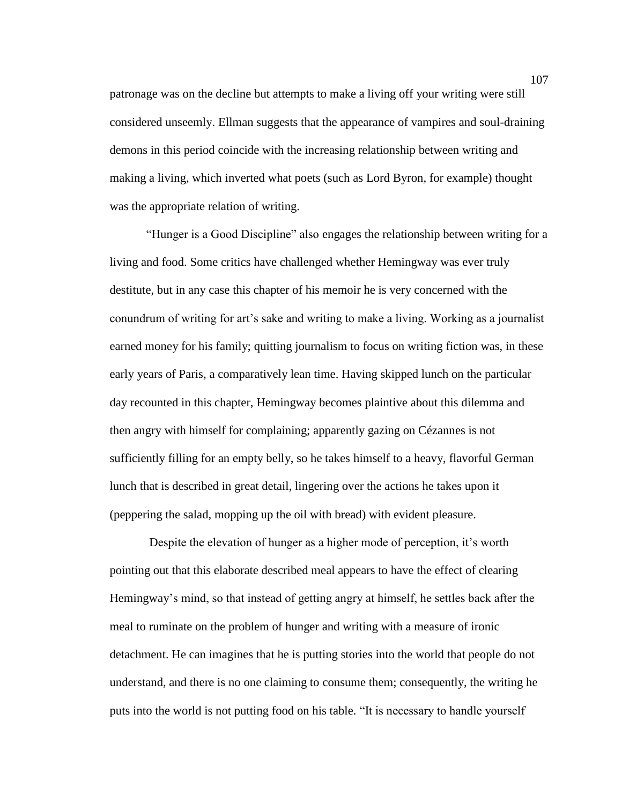patronage was on the decline but attempts to make a living off your writing were still considered unseemly. Ellman suggests that the appearance of vampires and soul-draining demons in this period coincide with the increasing relationship between writing and making a living, which inverted what poets (such as Lord Byron, for example) thought was the appropriate relation of writing.

"Hunger is a Good Discipline" also engages the relationship between writing for a living and food. Some critics have challenged whether Hemingway was ever truly destitute, but in any case this chapter of his memoir he is very concerned with the conundrum of writing for art's sake and writing to make a living. Working as a journalist earned money for his family; quitting journalism to focus on writing fiction was, in these early years of Paris, a comparatively lean time. Having skipped lunch on the particular day recounted in this chapter, Hemingway becomes plaintive about this dilemma and then angry with himself for complaining; apparently gazing on Cézannes is not sufficiently filling for an empty belly, so he takes himself to a heavy, flavorful German lunch that is described in great detail, lingering over the actions he takes upon it (peppering the salad, mopping up the oil with bread) with evident pleasure.

Despite the elevation of hunger as a higher mode of perception, it's worth pointing out that this elaborate described meal appears to have the effect of clearing Hemingway's mind, so that instead of getting angry at himself, he settles back after the meal to ruminate on the problem of hunger and writing with a measure of ironic detachment. He can imagines that he is putting stories into the world that people do not understand, and there is no one claiming to consume them; consequently, the writing he puts into the world is not putting food on his table. "It is necessary to handle yourself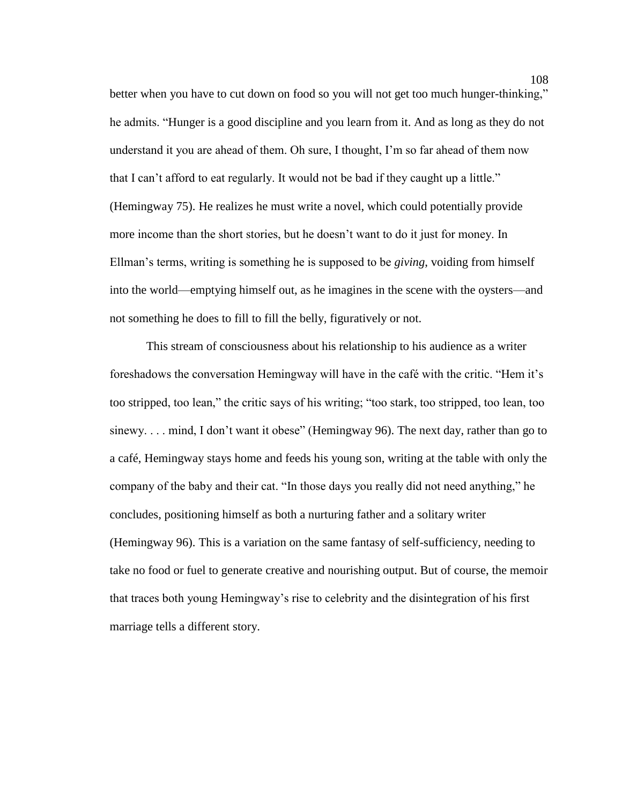better when you have to cut down on food so you will not get too much hunger-thinking," he admits. "Hunger is a good discipline and you learn from it. And as long as they do not understand it you are ahead of them. Oh sure, I thought, I'm so far ahead of them now that I can't afford to eat regularly. It would not be bad if they caught up a little." (Hemingway 75). He realizes he must write a novel, which could potentially provide more income than the short stories, but he doesn't want to do it just for money. In Ellman's terms, writing is something he is supposed to be *giving*, voiding from himself into the world—emptying himself out, as he imagines in the scene with the oysters—and not something he does to fill to fill the belly, figuratively or not.

This stream of consciousness about his relationship to his audience as a writer foreshadows the conversation Hemingway will have in the café with the critic. "Hem it's too stripped, too lean," the critic says of his writing; "too stark, too stripped, too lean, too sinewy. . . . mind, I don't want it obese" (Hemingway 96). The next day, rather than go to a café, Hemingway stays home and feeds his young son, writing at the table with only the company of the baby and their cat. "In those days you really did not need anything," he concludes, positioning himself as both a nurturing father and a solitary writer (Hemingway 96). This is a variation on the same fantasy of self-sufficiency, needing to take no food or fuel to generate creative and nourishing output. But of course, the memoir that traces both young Hemingway's rise to celebrity and the disintegration of his first marriage tells a different story.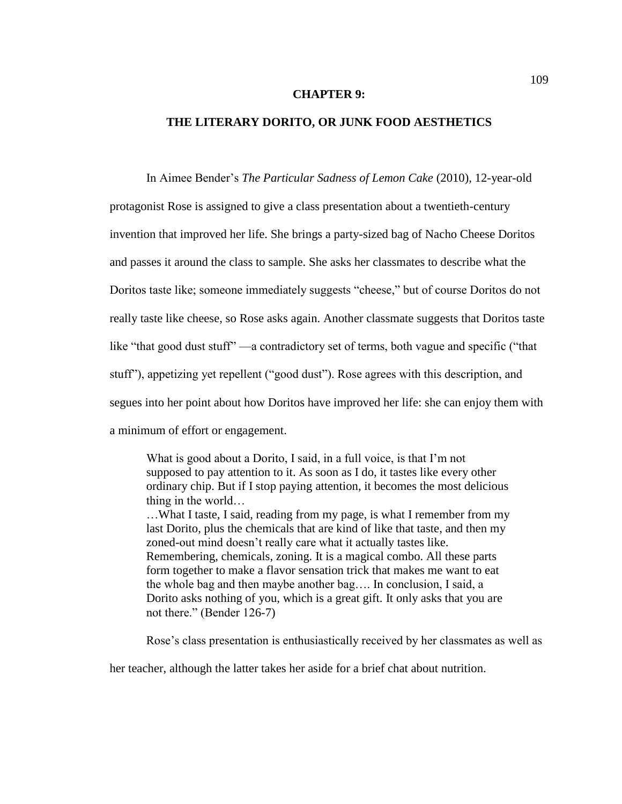#### **CHAPTER 9:**

# **THE LITERARY DORITO, OR JUNK FOOD AESTHETICS**

In Aimee Bender's *The Particular Sadness of Lemon Cake* (2010), 12-year-old

protagonist Rose is assigned to give a class presentation about a twentieth-century invention that improved her life. She brings a party-sized bag of Nacho Cheese Doritos and passes it around the class to sample. She asks her classmates to describe what the Doritos taste like; someone immediately suggests "cheese," but of course Doritos do not really taste like cheese, so Rose asks again. Another classmate suggests that Doritos taste like "that good dust stuff" —a contradictory set of terms, both vague and specific ("that stuff"), appetizing yet repellent ("good dust"). Rose agrees with this description, and segues into her point about how Doritos have improved her life: she can enjoy them with a minimum of effort or engagement.

What is good about a Dorito, I said, in a full voice, is that I'm not supposed to pay attention to it. As soon as I do, it tastes like every other ordinary chip. But if I stop paying attention, it becomes the most delicious thing in the world… …What I taste, I said, reading from my page, is what I remember from my

last Dorito, plus the chemicals that are kind of like that taste, and then my zoned-out mind doesn't really care what it actually tastes like. Remembering, chemicals, zoning. It is a magical combo. All these parts form together to make a flavor sensation trick that makes me want to eat the whole bag and then maybe another bag…. In conclusion, I said, a Dorito asks nothing of you, which is a great gift. It only asks that you are not there." (Bender 126-7)

Rose's class presentation is enthusiastically received by her classmates as well as

her teacher, although the latter takes her aside for a brief chat about nutrition.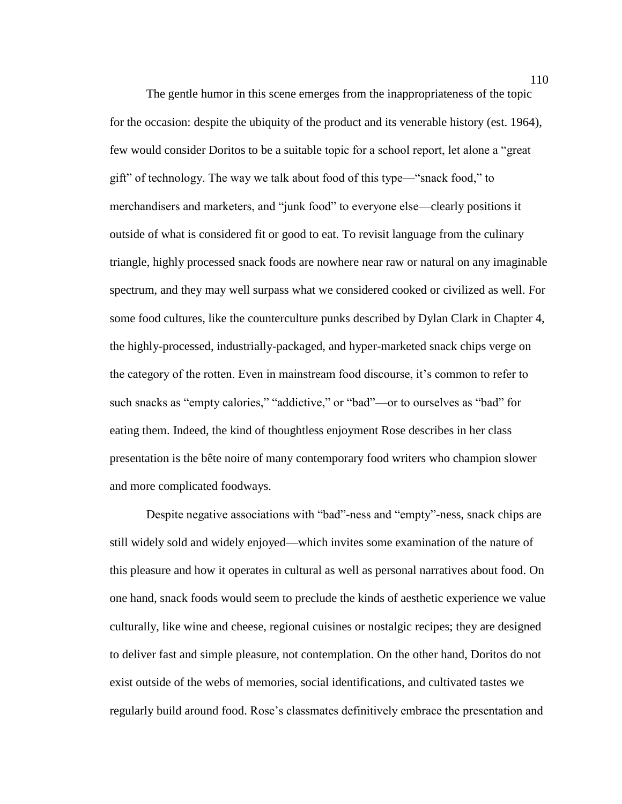The gentle humor in this scene emerges from the inappropriateness of the topic for the occasion: despite the ubiquity of the product and its venerable history (est. 1964), few would consider Doritos to be a suitable topic for a school report, let alone a "great gift" of technology. The way we talk about food of this type—"snack food," to merchandisers and marketers, and "junk food" to everyone else—clearly positions it outside of what is considered fit or good to eat. To revisit language from the culinary triangle, highly processed snack foods are nowhere near raw or natural on any imaginable spectrum, and they may well surpass what we considered cooked or civilized as well. For some food cultures, like the counterculture punks described by Dylan Clark in Chapter 4, the highly-processed, industrially-packaged, and hyper-marketed snack chips verge on the category of the rotten. Even in mainstream food discourse, it's common to refer to such snacks as "empty calories," "addictive," or "bad"—or to ourselves as "bad" for eating them. Indeed, the kind of thoughtless enjoyment Rose describes in her class presentation is the bête noire of many contemporary food writers who champion slower and more complicated foodways.

Despite negative associations with "bad"-ness and "empty"-ness, snack chips are still widely sold and widely enjoyed—which invites some examination of the nature of this pleasure and how it operates in cultural as well as personal narratives about food. On one hand, snack foods would seem to preclude the kinds of aesthetic experience we value culturally, like wine and cheese, regional cuisines or nostalgic recipes; they are designed to deliver fast and simple pleasure, not contemplation. On the other hand, Doritos do not exist outside of the webs of memories, social identifications, and cultivated tastes we regularly build around food. Rose's classmates definitively embrace the presentation and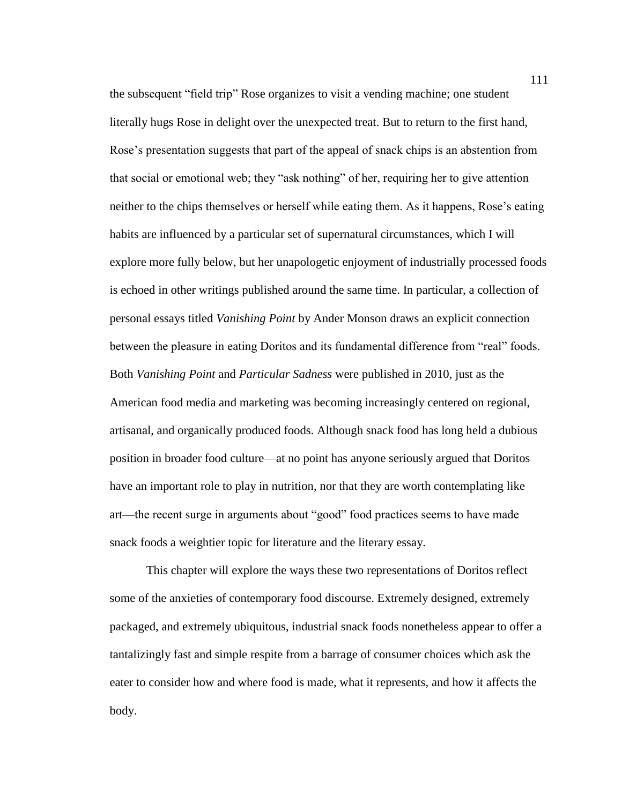the subsequent "field trip" Rose organizes to visit a vending machine; one student literally hugs Rose in delight over the unexpected treat. But to return to the first hand, Rose's presentation suggests that part of the appeal of snack chips is an abstention from that social or emotional web; they "ask nothing" of her, requiring her to give attention neither to the chips themselves or herself while eating them. As it happens, Rose's eating habits are influenced by a particular set of supernatural circumstances, which I will explore more fully below, but her unapologetic enjoyment of industrially processed foods is echoed in other writings published around the same time. In particular, a collection of personal essays titled *Vanishing Point* by Ander Monson draws an explicit connection between the pleasure in eating Doritos and its fundamental difference from "real" foods. Both *Vanishing Point* and *Particular Sadness* were published in 2010, just as the American food media and marketing was becoming increasingly centered on regional, artisanal, and organically produced foods. Although snack food has long held a dubious position in broader food culture—at no point has anyone seriously argued that Doritos have an important role to play in nutrition, nor that they are worth contemplating like art—the recent surge in arguments about "good" food practices seems to have made snack foods a weightier topic for literature and the literary essay.

This chapter will explore the ways these two representations of Doritos reflect some of the anxieties of contemporary food discourse. Extremely designed, extremely packaged, and extremely ubiquitous, industrial snack foods nonetheless appear to offer a tantalizingly fast and simple respite from a barrage of consumer choices which ask the eater to consider how and where food is made, what it represents, and how it affects the body.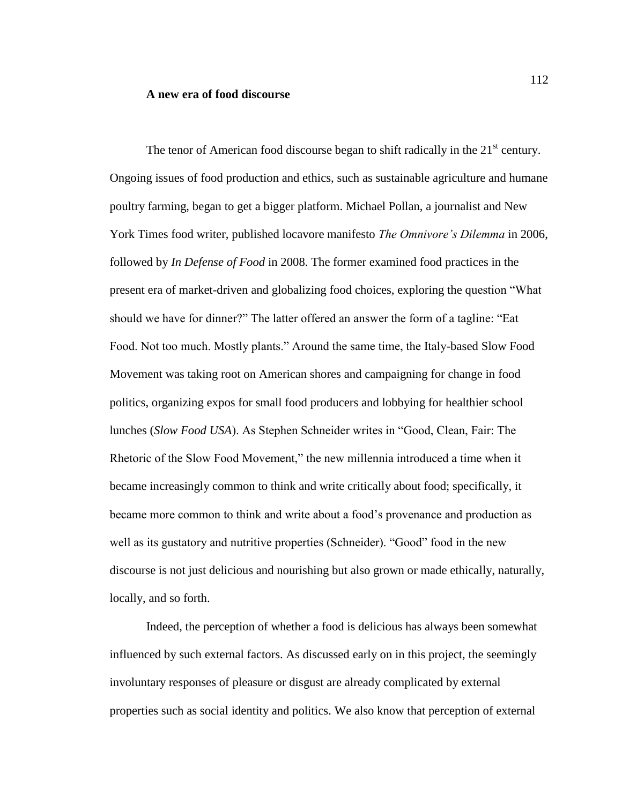#### **A new era of food discourse**

The tenor of American food discourse began to shift radically in the  $21<sup>st</sup>$  century. Ongoing issues of food production and ethics, such as sustainable agriculture and humane poultry farming, began to get a bigger platform. Michael Pollan, a journalist and New York Times food writer, published locavore manifesto *The Omnivore's Dilemma* in 2006, followed by *In Defense of Food* in 2008. The former examined food practices in the present era of market-driven and globalizing food choices, exploring the question "What should we have for dinner?" The latter offered an answer the form of a tagline: "Eat Food. Not too much. Mostly plants." Around the same time, the Italy-based Slow Food Movement was taking root on American shores and campaigning for change in food politics, organizing expos for small food producers and lobbying for healthier school lunches (*Slow Food USA*). As Stephen Schneider writes in "Good, Clean, Fair: The Rhetoric of the Slow Food Movement," the new millennia introduced a time when it became increasingly common to think and write critically about food; specifically, it became more common to think and write about a food's provenance and production as well as its gustatory and nutritive properties (Schneider). "Good" food in the new discourse is not just delicious and nourishing but also grown or made ethically, naturally, locally, and so forth.

Indeed, the perception of whether a food is delicious has always been somewhat influenced by such external factors. As discussed early on in this project, the seemingly involuntary responses of pleasure or disgust are already complicated by external properties such as social identity and politics. We also know that perception of external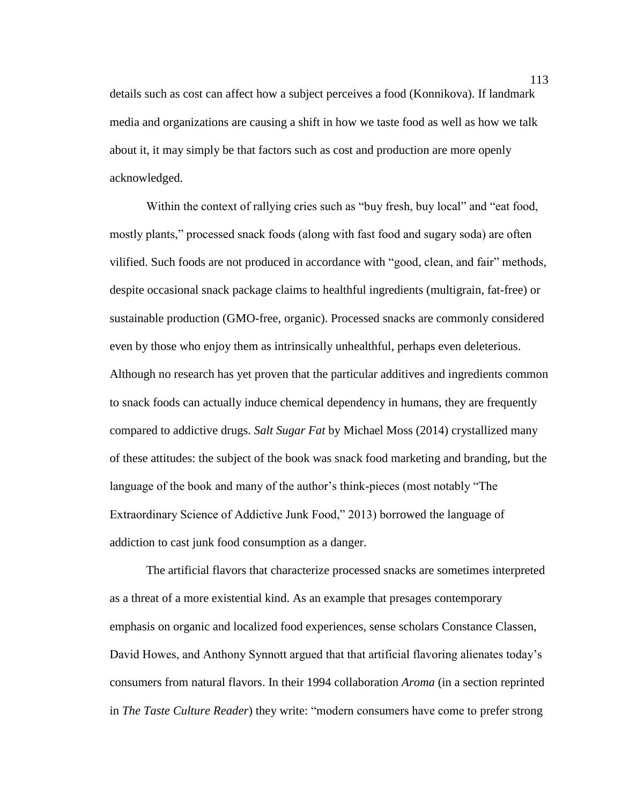details such as cost can affect how a subject perceives a food (Konnikova). If landmark media and organizations are causing a shift in how we taste food as well as how we talk about it, it may simply be that factors such as cost and production are more openly acknowledged.

Within the context of rallying cries such as "buy fresh, buy local" and "eat food, mostly plants," processed snack foods (along with fast food and sugary soda) are often vilified. Such foods are not produced in accordance with "good, clean, and fair" methods, despite occasional snack package claims to healthful ingredients (multigrain, fat-free) or sustainable production (GMO-free, organic). Processed snacks are commonly considered even by those who enjoy them as intrinsically unhealthful, perhaps even deleterious. Although no research has yet proven that the particular additives and ingredients common to snack foods can actually induce chemical dependency in humans, they are frequently compared to addictive drugs. *Salt Sugar Fat* by Michael Moss (2014) crystallized many of these attitudes: the subject of the book was snack food marketing and branding, but the language of the book and many of the author's think-pieces (most notably "The Extraordinary Science of Addictive Junk Food," 2013) borrowed the language of addiction to cast junk food consumption as a danger.

The artificial flavors that characterize processed snacks are sometimes interpreted as a threat of a more existential kind. As an example that presages contemporary emphasis on organic and localized food experiences, sense scholars Constance Classen, David Howes, and Anthony Synnott argued that that artificial flavoring alienates today's consumers from natural flavors. In their 1994 collaboration *Aroma* (in a section reprinted in *The Taste Culture Reader*) they write: "modern consumers have come to prefer strong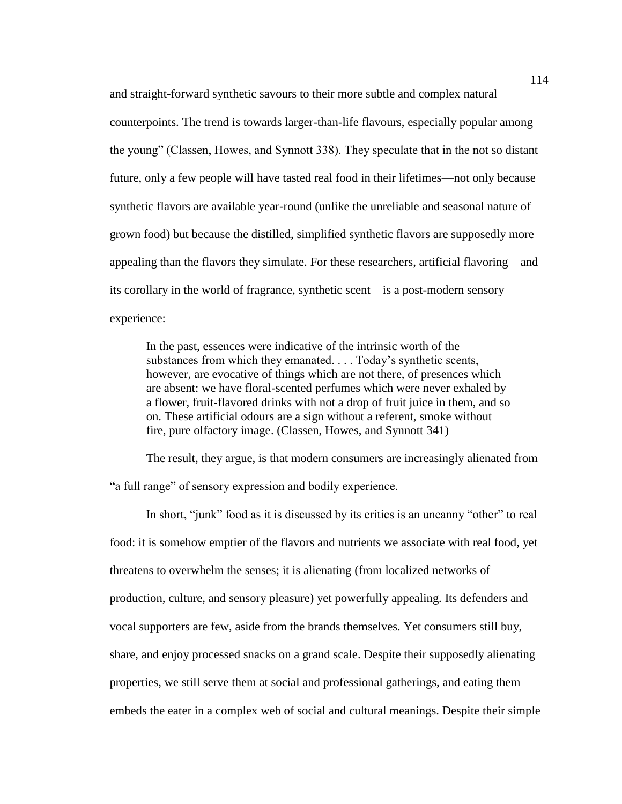and straight-forward synthetic savours to their more subtle and complex natural counterpoints. The trend is towards larger-than-life flavours, especially popular among the young" (Classen, Howes, and Synnott 338). They speculate that in the not so distant future, only a few people will have tasted real food in their lifetimes—not only because synthetic flavors are available year-round (unlike the unreliable and seasonal nature of grown food) but because the distilled, simplified synthetic flavors are supposedly more appealing than the flavors they simulate. For these researchers, artificial flavoring—and its corollary in the world of fragrance, synthetic scent—is a post-modern sensory experience:

In the past, essences were indicative of the intrinsic worth of the substances from which they emanated. . . . Today's synthetic scents, however, are evocative of things which are not there, of presences which are absent: we have floral-scented perfumes which were never exhaled by a flower, fruit-flavored drinks with not a drop of fruit juice in them, and so on. These artificial odours are a sign without a referent, smoke without fire, pure olfactory image. (Classen, Howes, and Synnott 341)

The result, they argue, is that modern consumers are increasingly alienated from "a full range" of sensory expression and bodily experience.

In short, "junk" food as it is discussed by its critics is an uncanny "other" to real food: it is somehow emptier of the flavors and nutrients we associate with real food, yet threatens to overwhelm the senses; it is alienating (from localized networks of production, culture, and sensory pleasure) yet powerfully appealing. Its defenders and vocal supporters are few, aside from the brands themselves. Yet consumers still buy, share, and enjoy processed snacks on a grand scale. Despite their supposedly alienating properties, we still serve them at social and professional gatherings, and eating them embeds the eater in a complex web of social and cultural meanings. Despite their simple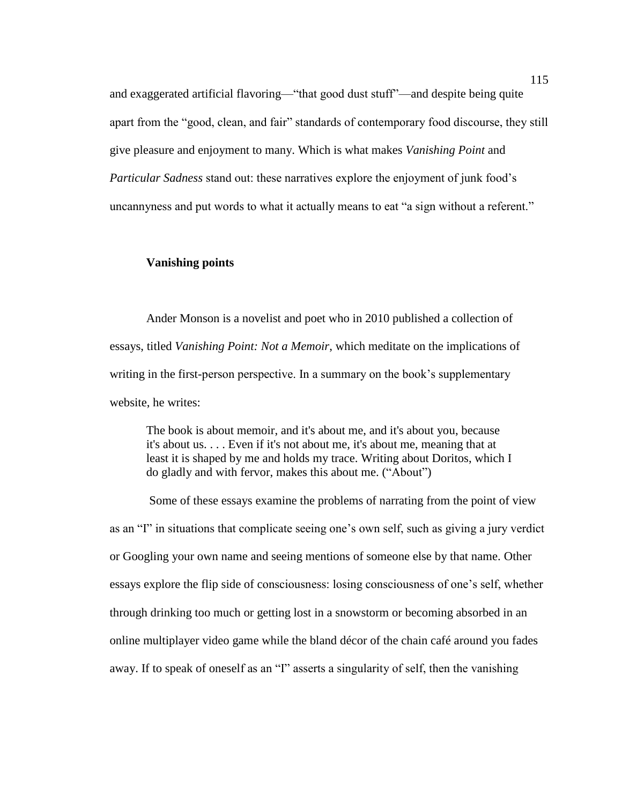and exaggerated artificial flavoring—"that good dust stuff"—and despite being quite apart from the "good, clean, and fair" standards of contemporary food discourse, they still give pleasure and enjoyment to many. Which is what makes *Vanishing Point* and *Particular Sadness* stand out: these narratives explore the enjoyment of junk food's uncannyness and put words to what it actually means to eat "a sign without a referent."

### **Vanishing points**

Ander Monson is a novelist and poet who in 2010 published a collection of essays, titled *Vanishing Point: Not a Memoir*, which meditate on the implications of writing in the first-person perspective. In a summary on the book's supplementary website, he writes:

The book is about memoir, and it's about me, and it's about you, because it's about us. . . . Even if it's not about me, it's about me, meaning that at least it is shaped by me and holds my trace. Writing about Doritos, which I do gladly and with fervor, makes this about me. ("About")

Some of these essays examine the problems of narrating from the point of view as an "I" in situations that complicate seeing one's own self, such as giving a jury verdict or Googling your own name and seeing mentions of someone else by that name. Other essays explore the flip side of consciousness: losing consciousness of one's self, whether through drinking too much or getting lost in a snowstorm or becoming absorbed in an online multiplayer video game while the bland décor of the chain café around you fades away. If to speak of oneself as an "I" asserts a singularity of self, then the vanishing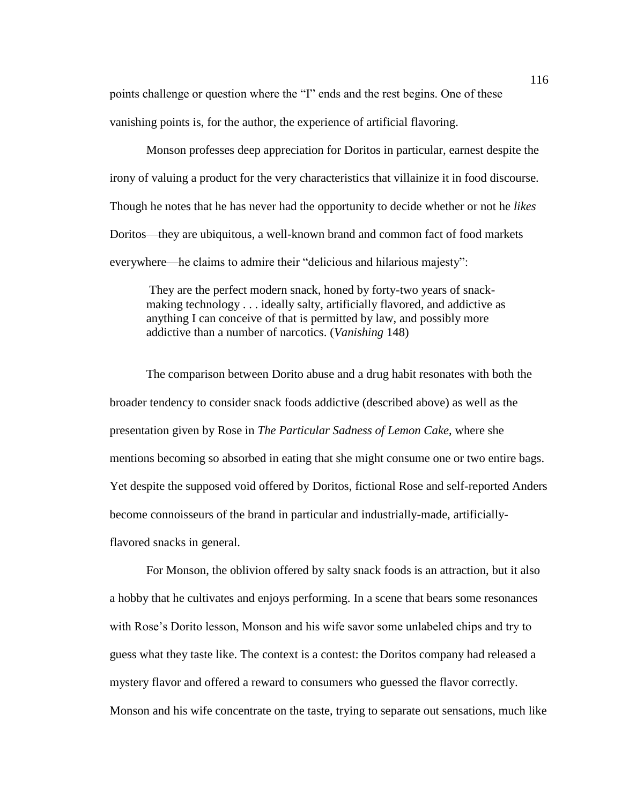points challenge or question where the "I" ends and the rest begins. One of these vanishing points is, for the author, the experience of artificial flavoring.

Monson professes deep appreciation for Doritos in particular, earnest despite the irony of valuing a product for the very characteristics that villainize it in food discourse. Though he notes that he has never had the opportunity to decide whether or not he *likes* Doritos—they are ubiquitous, a well-known brand and common fact of food markets everywhere—he claims to admire their "delicious and hilarious majesty":

They are the perfect modern snack, honed by forty-two years of snackmaking technology . . . ideally salty, artificially flavored, and addictive as anything I can conceive of that is permitted by law, and possibly more addictive than a number of narcotics. (*Vanishing* 148)

The comparison between Dorito abuse and a drug habit resonates with both the broader tendency to consider snack foods addictive (described above) as well as the presentation given by Rose in *The Particular Sadness of Lemon Cake*, where she mentions becoming so absorbed in eating that she might consume one or two entire bags. Yet despite the supposed void offered by Doritos, fictional Rose and self-reported Anders become connoisseurs of the brand in particular and industrially-made, artificiallyflavored snacks in general.

For Monson, the oblivion offered by salty snack foods is an attraction, but it also a hobby that he cultivates and enjoys performing. In a scene that bears some resonances with Rose's Dorito lesson, Monson and his wife savor some unlabeled chips and try to guess what they taste like. The context is a contest: the Doritos company had released a mystery flavor and offered a reward to consumers who guessed the flavor correctly. Monson and his wife concentrate on the taste, trying to separate out sensations, much like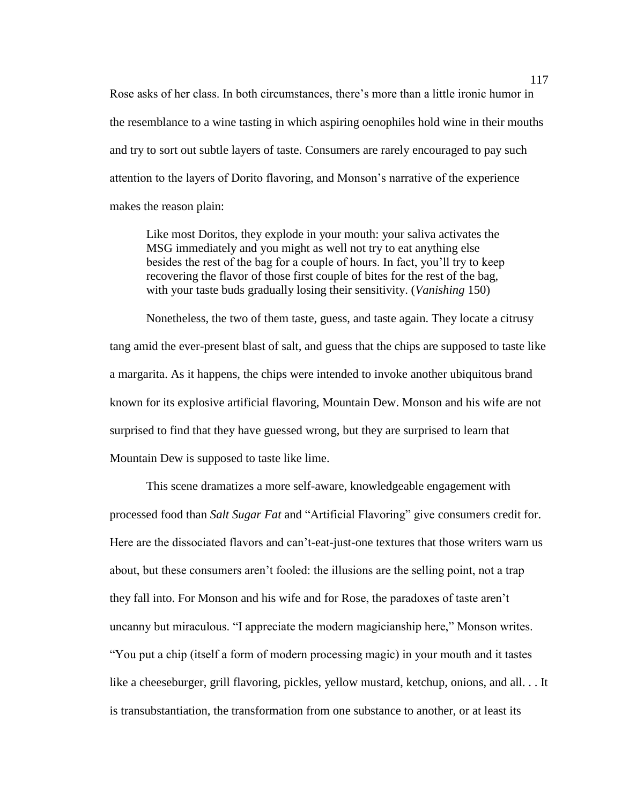Rose asks of her class. In both circumstances, there's more than a little ironic humor in the resemblance to a wine tasting in which aspiring oenophiles hold wine in their mouths and try to sort out subtle layers of taste. Consumers are rarely encouraged to pay such attention to the layers of Dorito flavoring, and Monson's narrative of the experience makes the reason plain:

Like most Doritos, they explode in your mouth: your saliva activates the MSG immediately and you might as well not try to eat anything else besides the rest of the bag for a couple of hours. In fact, you'll try to keep recovering the flavor of those first couple of bites for the rest of the bag, with your taste buds gradually losing their sensitivity. (*Vanishing* 150)

Nonetheless, the two of them taste, guess, and taste again. They locate a citrusy tang amid the ever-present blast of salt, and guess that the chips are supposed to taste like a margarita. As it happens, the chips were intended to invoke another ubiquitous brand known for its explosive artificial flavoring, Mountain Dew. Monson and his wife are not surprised to find that they have guessed wrong, but they are surprised to learn that Mountain Dew is supposed to taste like lime.

This scene dramatizes a more self-aware, knowledgeable engagement with processed food than *Salt Sugar Fat* and "Artificial Flavoring" give consumers credit for. Here are the dissociated flavors and can't-eat-just-one textures that those writers warn us about, but these consumers aren't fooled: the illusions are the selling point, not a trap they fall into. For Monson and his wife and for Rose, the paradoxes of taste aren't uncanny but miraculous. "I appreciate the modern magicianship here," Monson writes. "You put a chip (itself a form of modern processing magic) in your mouth and it tastes like a cheeseburger, grill flavoring, pickles, yellow mustard, ketchup, onions, and all. . . It is transubstantiation, the transformation from one substance to another, or at least its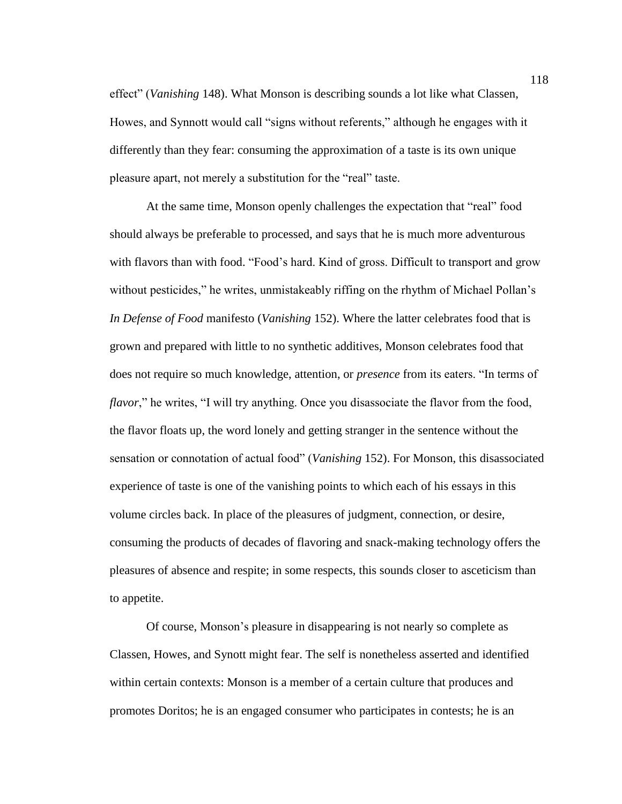effect" (*Vanishing* 148). What Monson is describing sounds a lot like what Classen, Howes, and Synnott would call "signs without referents," although he engages with it differently than they fear: consuming the approximation of a taste is its own unique pleasure apart, not merely a substitution for the "real" taste.

At the same time, Monson openly challenges the expectation that "real" food should always be preferable to processed, and says that he is much more adventurous with flavors than with food. "Food's hard. Kind of gross. Difficult to transport and grow without pesticides," he writes, unmistakeably riffing on the rhythm of Michael Pollan's *In Defense of Food* manifesto (*Vanishing* 152). Where the latter celebrates food that is grown and prepared with little to no synthetic additives, Monson celebrates food that does not require so much knowledge, attention, or *presence* from its eaters. "In terms of *flavor*," he writes, "I will try anything. Once you disassociate the flavor from the food, the flavor floats up, the word lonely and getting stranger in the sentence without the sensation or connotation of actual food" (*Vanishing* 152). For Monson, this disassociated experience of taste is one of the vanishing points to which each of his essays in this volume circles back. In place of the pleasures of judgment, connection, or desire, consuming the products of decades of flavoring and snack-making technology offers the pleasures of absence and respite; in some respects, this sounds closer to asceticism than to appetite.

Of course, Monson's pleasure in disappearing is not nearly so complete as Classen, Howes, and Synott might fear. The self is nonetheless asserted and identified within certain contexts: Monson is a member of a certain culture that produces and promotes Doritos; he is an engaged consumer who participates in contests; he is an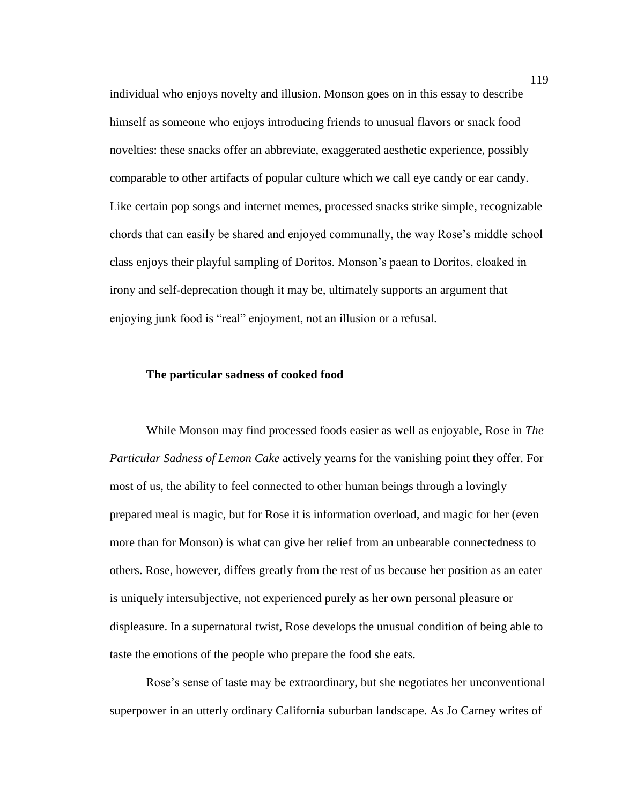individual who enjoys novelty and illusion. Monson goes on in this essay to describe himself as someone who enjoys introducing friends to unusual flavors or snack food novelties: these snacks offer an abbreviate, exaggerated aesthetic experience, possibly comparable to other artifacts of popular culture which we call eye candy or ear candy. Like certain pop songs and internet memes, processed snacks strike simple, recognizable chords that can easily be shared and enjoyed communally, the way Rose's middle school class enjoys their playful sampling of Doritos. Monson's paean to Doritos, cloaked in irony and self-deprecation though it may be, ultimately supports an argument that enjoying junk food is "real" enjoyment, not an illusion or a refusal.

# **The particular sadness of cooked food**

While Monson may find processed foods easier as well as enjoyable, Rose in *The Particular Sadness of Lemon Cake* actively yearns for the vanishing point they offer. For most of us, the ability to feel connected to other human beings through a lovingly prepared meal is magic, but for Rose it is information overload, and magic for her (even more than for Monson) is what can give her relief from an unbearable connectedness to others. Rose, however, differs greatly from the rest of us because her position as an eater is uniquely intersubjective, not experienced purely as her own personal pleasure or displeasure. In a supernatural twist, Rose develops the unusual condition of being able to taste the emotions of the people who prepare the food she eats.

Rose's sense of taste may be extraordinary, but she negotiates her unconventional superpower in an utterly ordinary California suburban landscape. As Jo Carney writes of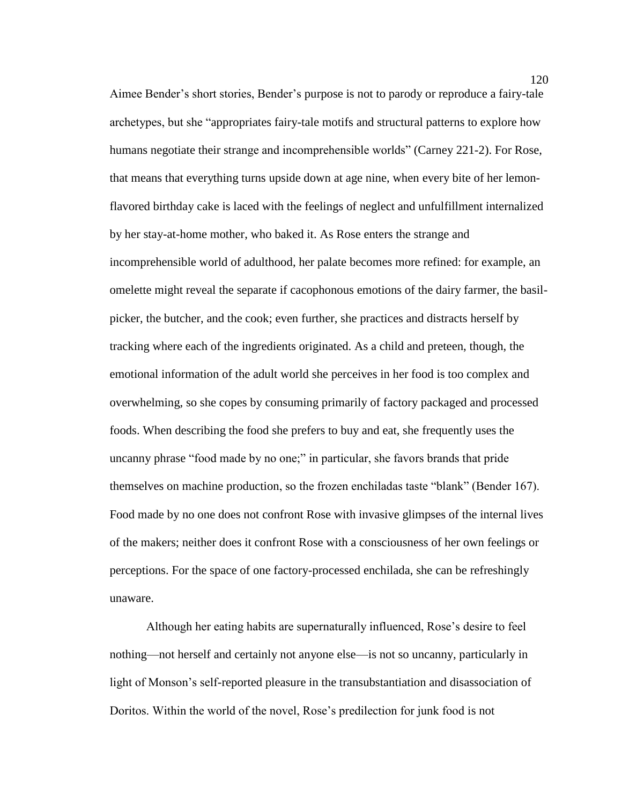Aimee Bender's short stories, Bender's purpose is not to parody or reproduce a fairy-tale archetypes, but she "appropriates fairy-tale motifs and structural patterns to explore how humans negotiate their strange and incomprehensible worlds" (Carney 221-2). For Rose, that means that everything turns upside down at age nine, when every bite of her lemonflavored birthday cake is laced with the feelings of neglect and unfulfillment internalized by her stay-at-home mother, who baked it. As Rose enters the strange and incomprehensible world of adulthood, her palate becomes more refined: for example, an omelette might reveal the separate if cacophonous emotions of the dairy farmer, the basilpicker, the butcher, and the cook; even further, she practices and distracts herself by tracking where each of the ingredients originated. As a child and preteen, though, the emotional information of the adult world she perceives in her food is too complex and overwhelming, so she copes by consuming primarily of factory packaged and processed foods. When describing the food she prefers to buy and eat, she frequently uses the uncanny phrase "food made by no one;" in particular, she favors brands that pride themselves on machine production, so the frozen enchiladas taste "blank" (Bender 167). Food made by no one does not confront Rose with invasive glimpses of the internal lives of the makers; neither does it confront Rose with a consciousness of her own feelings or perceptions. For the space of one factory-processed enchilada, she can be refreshingly unaware.

Although her eating habits are supernaturally influenced, Rose's desire to feel nothing—not herself and certainly not anyone else—is not so uncanny, particularly in light of Monson's self-reported pleasure in the transubstantiation and disassociation of Doritos. Within the world of the novel, Rose's predilection for junk food is not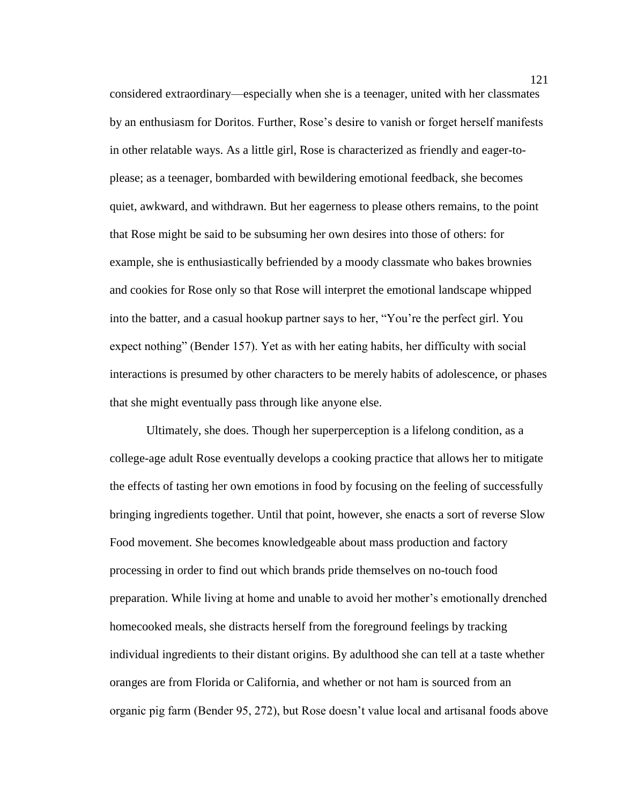considered extraordinary—especially when she is a teenager, united with her classmates by an enthusiasm for Doritos. Further, Rose's desire to vanish or forget herself manifests in other relatable ways. As a little girl, Rose is characterized as friendly and eager-toplease; as a teenager, bombarded with bewildering emotional feedback, she becomes quiet, awkward, and withdrawn. But her eagerness to please others remains, to the point that Rose might be said to be subsuming her own desires into those of others: for example, she is enthusiastically befriended by a moody classmate who bakes brownies and cookies for Rose only so that Rose will interpret the emotional landscape whipped into the batter, and a casual hookup partner says to her, "You're the perfect girl. You expect nothing" (Bender 157). Yet as with her eating habits, her difficulty with social interactions is presumed by other characters to be merely habits of adolescence, or phases that she might eventually pass through like anyone else.

Ultimately, she does. Though her superperception is a lifelong condition, as a college-age adult Rose eventually develops a cooking practice that allows her to mitigate the effects of tasting her own emotions in food by focusing on the feeling of successfully bringing ingredients together. Until that point, however, she enacts a sort of reverse Slow Food movement. She becomes knowledgeable about mass production and factory processing in order to find out which brands pride themselves on no-touch food preparation. While living at home and unable to avoid her mother's emotionally drenched homecooked meals, she distracts herself from the foreground feelings by tracking individual ingredients to their distant origins. By adulthood she can tell at a taste whether oranges are from Florida or California, and whether or not ham is sourced from an organic pig farm (Bender 95, 272), but Rose doesn't value local and artisanal foods above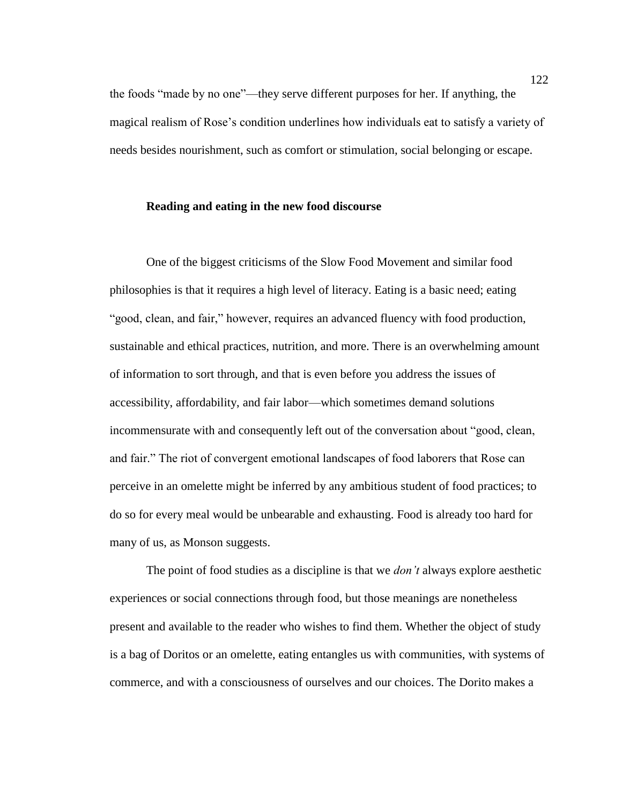the foods "made by no one"—they serve different purposes for her. If anything, the magical realism of Rose's condition underlines how individuals eat to satisfy a variety of needs besides nourishment, such as comfort or stimulation, social belonging or escape.

## **Reading and eating in the new food discourse**

One of the biggest criticisms of the Slow Food Movement and similar food philosophies is that it requires a high level of literacy. Eating is a basic need; eating "good, clean, and fair," however, requires an advanced fluency with food production, sustainable and ethical practices, nutrition, and more. There is an overwhelming amount of information to sort through, and that is even before you address the issues of accessibility, affordability, and fair labor—which sometimes demand solutions incommensurate with and consequently left out of the conversation about "good, clean, and fair." The riot of convergent emotional landscapes of food laborers that Rose can perceive in an omelette might be inferred by any ambitious student of food practices; to do so for every meal would be unbearable and exhausting. Food is already too hard for many of us, as Monson suggests.

The point of food studies as a discipline is that we *don't* always explore aesthetic experiences or social connections through food, but those meanings are nonetheless present and available to the reader who wishes to find them. Whether the object of study is a bag of Doritos or an omelette, eating entangles us with communities, with systems of commerce, and with a consciousness of ourselves and our choices. The Dorito makes a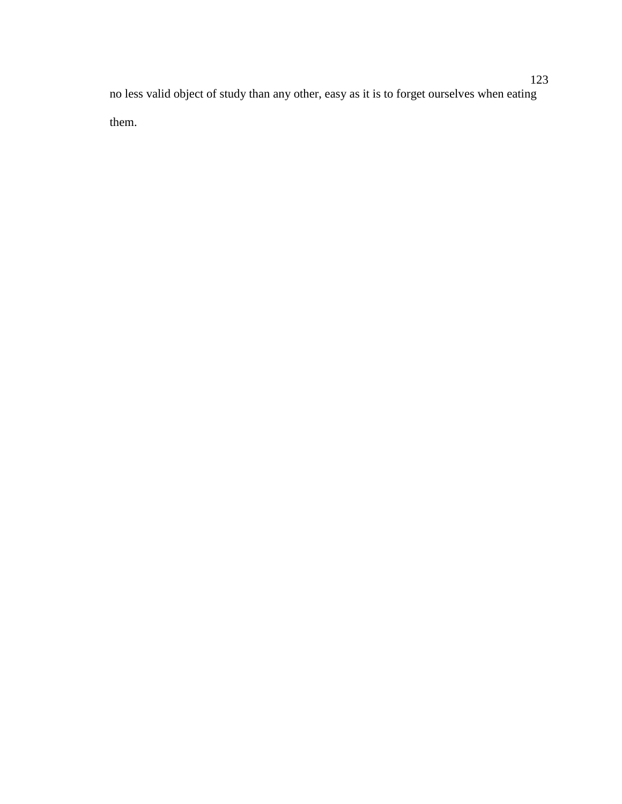no less valid object of study than any other, easy as it is to forget ourselves when eating them.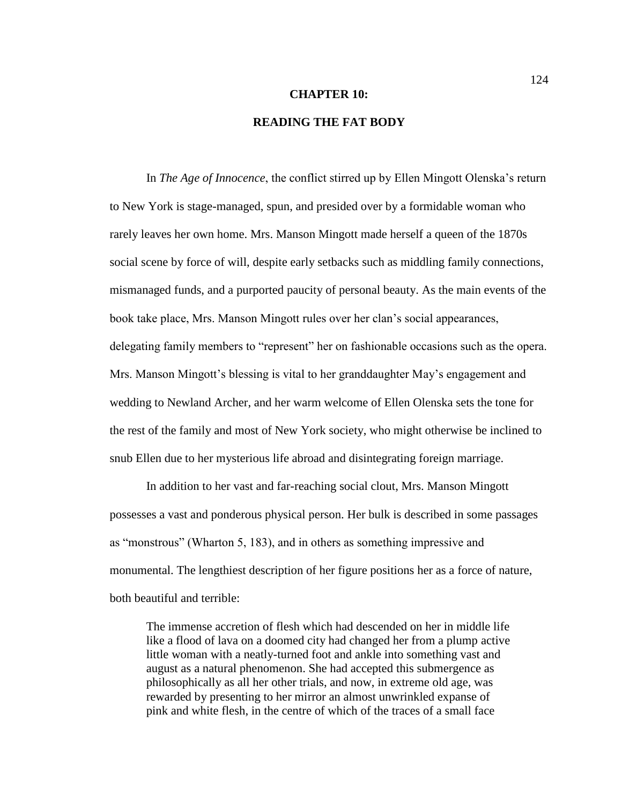#### **CHAPTER 10:**

# **READING THE FAT BODY**

In *The Age of Innocence*, the conflict stirred up by Ellen Mingott Olenska's return to New York is stage-managed, spun, and presided over by a formidable woman who rarely leaves her own home. Mrs. Manson Mingott made herself a queen of the 1870s social scene by force of will, despite early setbacks such as middling family connections, mismanaged funds, and a purported paucity of personal beauty. As the main events of the book take place, Mrs. Manson Mingott rules over her clan's social appearances, delegating family members to "represent" her on fashionable occasions such as the opera. Mrs. Manson Mingott's blessing is vital to her granddaughter May's engagement and wedding to Newland Archer, and her warm welcome of Ellen Olenska sets the tone for the rest of the family and most of New York society, who might otherwise be inclined to snub Ellen due to her mysterious life abroad and disintegrating foreign marriage.

In addition to her vast and far-reaching social clout, Mrs. Manson Mingott possesses a vast and ponderous physical person. Her bulk is described in some passages as "monstrous" (Wharton 5, 183), and in others as something impressive and monumental. The lengthiest description of her figure positions her as a force of nature, both beautiful and terrible:

The immense accretion of flesh which had descended on her in middle life like a flood of lava on a doomed city had changed her from a plump active little woman with a neatly-turned foot and ankle into something vast and august as a natural phenomenon. She had accepted this submergence as philosophically as all her other trials, and now, in extreme old age, was rewarded by presenting to her mirror an almost unwrinkled expanse of pink and white flesh, in the centre of which of the traces of a small face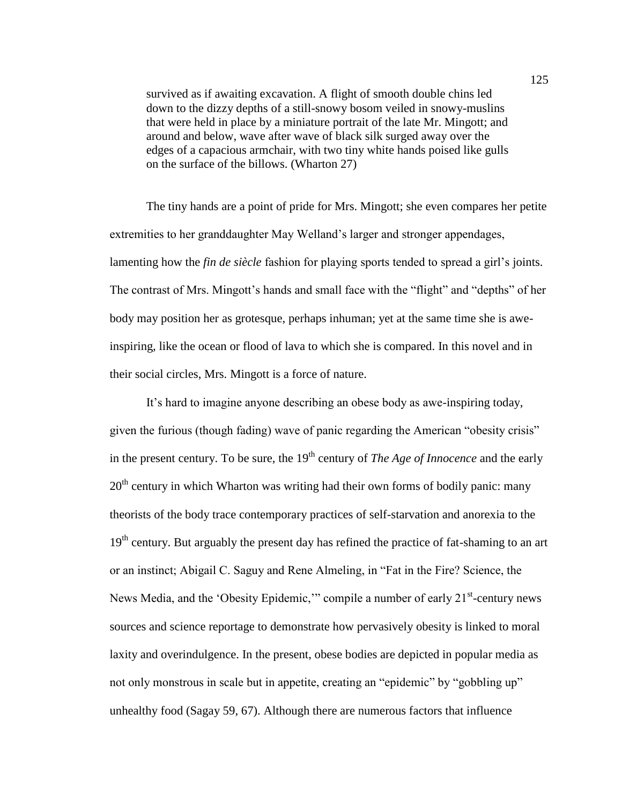survived as if awaiting excavation. A flight of smooth double chins led down to the dizzy depths of a still-snowy bosom veiled in snowy-muslins that were held in place by a miniature portrait of the late Mr. Mingott; and around and below, wave after wave of black silk surged away over the edges of a capacious armchair, with two tiny white hands poised like gulls on the surface of the billows. (Wharton 27)

The tiny hands are a point of pride for Mrs. Mingott; she even compares her petite extremities to her granddaughter May Welland's larger and stronger appendages, lamenting how the *fin de siècle* fashion for playing sports tended to spread a girl's joints. The contrast of Mrs. Mingott's hands and small face with the "flight" and "depths" of her body may position her as grotesque, perhaps inhuman; yet at the same time she is aweinspiring, like the ocean or flood of lava to which she is compared. In this novel and in their social circles, Mrs. Mingott is a force of nature.

It's hard to imagine anyone describing an obese body as awe-inspiring today, given the furious (though fading) wave of panic regarding the American "obesity crisis" in the present century. To be sure, the  $19<sup>th</sup>$  century of *The Age of Innocence* and the early  $20<sup>th</sup>$  century in which Wharton was writing had their own forms of bodily panic: many theorists of the body trace contemporary practices of self-starvation and anorexia to the 19<sup>th</sup> century. But arguably the present day has refined the practice of fat-shaming to an art or an instinct; Abigail C. Saguy and Rene Almeling, in "Fat in the Fire? Science, the News Media, and the 'Obesity Epidemic,'" compile a number of early 21<sup>st</sup>-century news sources and science reportage to demonstrate how pervasively obesity is linked to moral laxity and overindulgence. In the present, obese bodies are depicted in popular media as not only monstrous in scale but in appetite, creating an "epidemic" by "gobbling up" unhealthy food (Sagay 59, 67). Although there are numerous factors that influence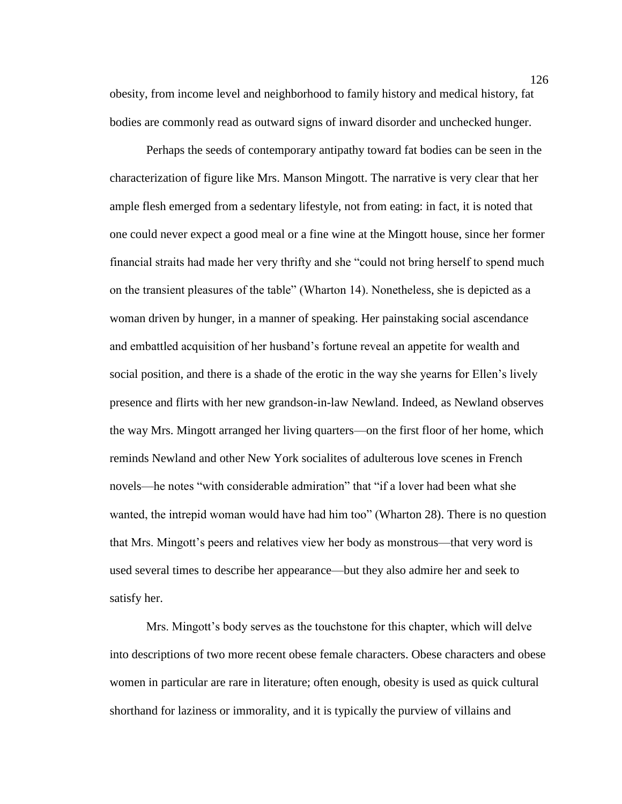obesity, from income level and neighborhood to family history and medical history, fat bodies are commonly read as outward signs of inward disorder and unchecked hunger.

Perhaps the seeds of contemporary antipathy toward fat bodies can be seen in the characterization of figure like Mrs. Manson Mingott. The narrative is very clear that her ample flesh emerged from a sedentary lifestyle, not from eating: in fact, it is noted that one could never expect a good meal or a fine wine at the Mingott house, since her former financial straits had made her very thrifty and she "could not bring herself to spend much on the transient pleasures of the table" (Wharton 14). Nonetheless, she is depicted as a woman driven by hunger, in a manner of speaking. Her painstaking social ascendance and embattled acquisition of her husband's fortune reveal an appetite for wealth and social position, and there is a shade of the erotic in the way she yearns for Ellen's lively presence and flirts with her new grandson-in-law Newland. Indeed, as Newland observes the way Mrs. Mingott arranged her living quarters—on the first floor of her home, which reminds Newland and other New York socialites of adulterous love scenes in French novels—he notes "with considerable admiration" that "if a lover had been what she wanted, the intrepid woman would have had him too" (Wharton 28). There is no question that Mrs. Mingott's peers and relatives view her body as monstrous—that very word is used several times to describe her appearance—but they also admire her and seek to satisfy her.

Mrs. Mingott's body serves as the touchstone for this chapter, which will delve into descriptions of two more recent obese female characters. Obese characters and obese women in particular are rare in literature; often enough, obesity is used as quick cultural shorthand for laziness or immorality, and it is typically the purview of villains and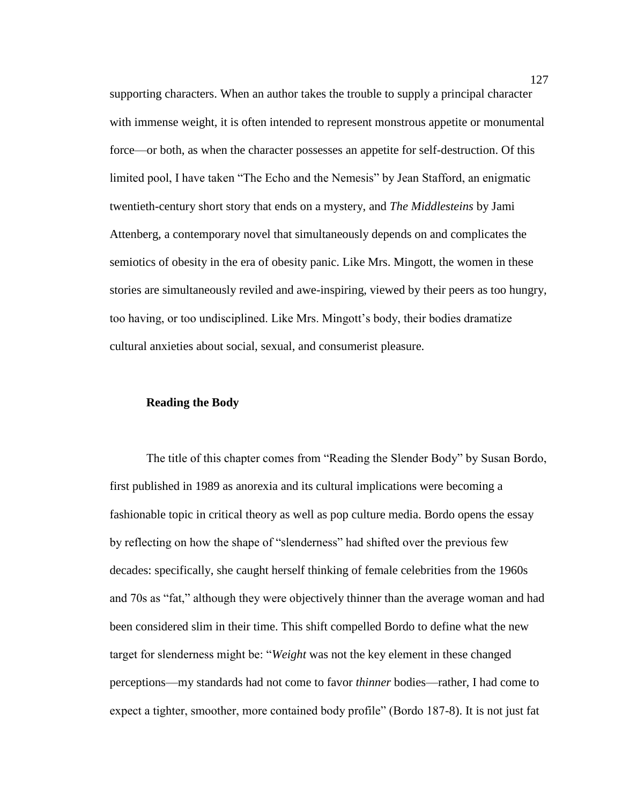supporting characters. When an author takes the trouble to supply a principal character with immense weight, it is often intended to represent monstrous appetite or monumental force—or both, as when the character possesses an appetite for self-destruction. Of this limited pool, I have taken "The Echo and the Nemesis" by Jean Stafford, an enigmatic twentieth-century short story that ends on a mystery, and *The Middlesteins* by Jami Attenberg, a contemporary novel that simultaneously depends on and complicates the semiotics of obesity in the era of obesity panic. Like Mrs. Mingott, the women in these stories are simultaneously reviled and awe-inspiring, viewed by their peers as too hungry, too having, or too undisciplined. Like Mrs. Mingott's body, their bodies dramatize cultural anxieties about social, sexual, and consumerist pleasure.

# **Reading the Body**

The title of this chapter comes from "Reading the Slender Body" by Susan Bordo, first published in 1989 as anorexia and its cultural implications were becoming a fashionable topic in critical theory as well as pop culture media. Bordo opens the essay by reflecting on how the shape of "slenderness" had shifted over the previous few decades: specifically, she caught herself thinking of female celebrities from the 1960s and 70s as "fat," although they were objectively thinner than the average woman and had been considered slim in their time. This shift compelled Bordo to define what the new target for slenderness might be: "*Weight* was not the key element in these changed perceptions—my standards had not come to favor *thinner* bodies—rather, I had come to expect a tighter, smoother, more contained body profile" (Bordo 187-8). It is not just fat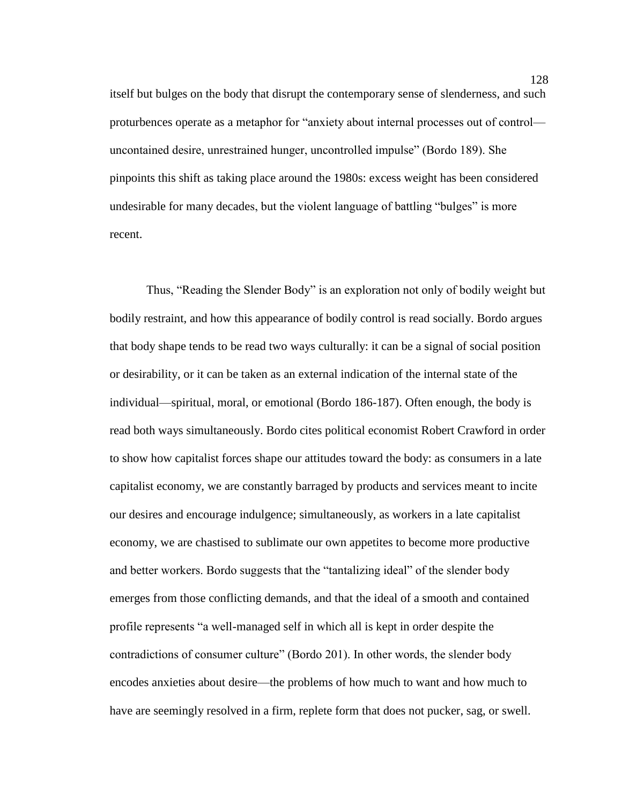itself but bulges on the body that disrupt the contemporary sense of slenderness, and such proturbences operate as a metaphor for "anxiety about internal processes out of control uncontained desire, unrestrained hunger, uncontrolled impulse" (Bordo 189). She pinpoints this shift as taking place around the 1980s: excess weight has been considered undesirable for many decades, but the violent language of battling "bulges" is more recent.

Thus, "Reading the Slender Body" is an exploration not only of bodily weight but bodily restraint, and how this appearance of bodily control is read socially. Bordo argues that body shape tends to be read two ways culturally: it can be a signal of social position or desirability, or it can be taken as an external indication of the internal state of the individual—spiritual, moral, or emotional (Bordo 186-187). Often enough, the body is read both ways simultaneously. Bordo cites political economist Robert Crawford in order to show how capitalist forces shape our attitudes toward the body: as consumers in a late capitalist economy, we are constantly barraged by products and services meant to incite our desires and encourage indulgence; simultaneously, as workers in a late capitalist economy, we are chastised to sublimate our own appetites to become more productive and better workers. Bordo suggests that the "tantalizing ideal" of the slender body emerges from those conflicting demands, and that the ideal of a smooth and contained profile represents "a well-managed self in which all is kept in order despite the contradictions of consumer culture" (Bordo 201). In other words, the slender body encodes anxieties about desire—the problems of how much to want and how much to have are seemingly resolved in a firm, replete form that does not pucker, sag, or swell.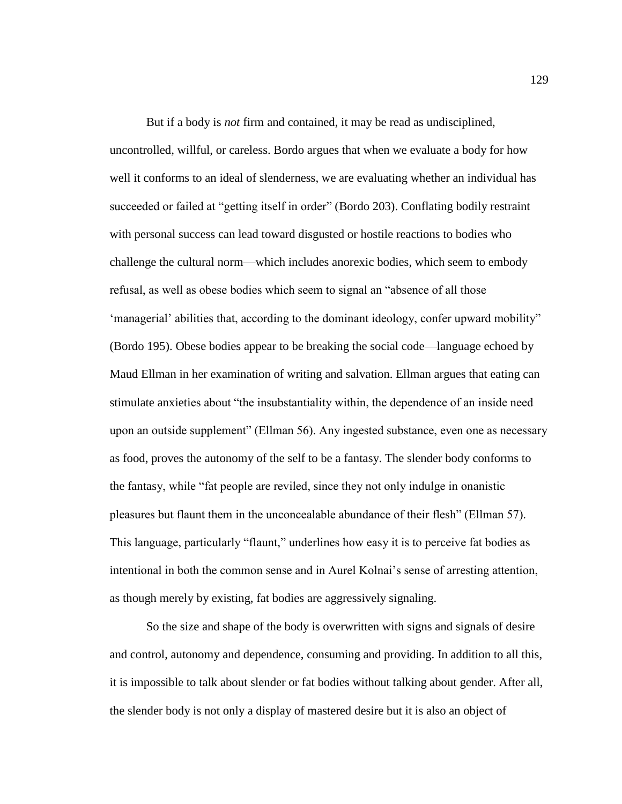But if a body is *not* firm and contained, it may be read as undisciplined, uncontrolled, willful, or careless. Bordo argues that when we evaluate a body for how well it conforms to an ideal of slenderness, we are evaluating whether an individual has succeeded or failed at "getting itself in order" (Bordo 203). Conflating bodily restraint with personal success can lead toward disgusted or hostile reactions to bodies who challenge the cultural norm—which includes anorexic bodies, which seem to embody refusal, as well as obese bodies which seem to signal an "absence of all those 'managerial' abilities that, according to the dominant ideology, confer upward mobility" (Bordo 195). Obese bodies appear to be breaking the social code—language echoed by Maud Ellman in her examination of writing and salvation. Ellman argues that eating can stimulate anxieties about "the insubstantiality within, the dependence of an inside need upon an outside supplement" (Ellman 56). Any ingested substance, even one as necessary as food, proves the autonomy of the self to be a fantasy. The slender body conforms to the fantasy, while "fat people are reviled, since they not only indulge in onanistic pleasures but flaunt them in the unconcealable abundance of their flesh" (Ellman 57). This language, particularly "flaunt," underlines how easy it is to perceive fat bodies as intentional in both the common sense and in Aurel Kolnai's sense of arresting attention, as though merely by existing, fat bodies are aggressively signaling.

So the size and shape of the body is overwritten with signs and signals of desire and control, autonomy and dependence, consuming and providing. In addition to all this, it is impossible to talk about slender or fat bodies without talking about gender. After all, the slender body is not only a display of mastered desire but it is also an object of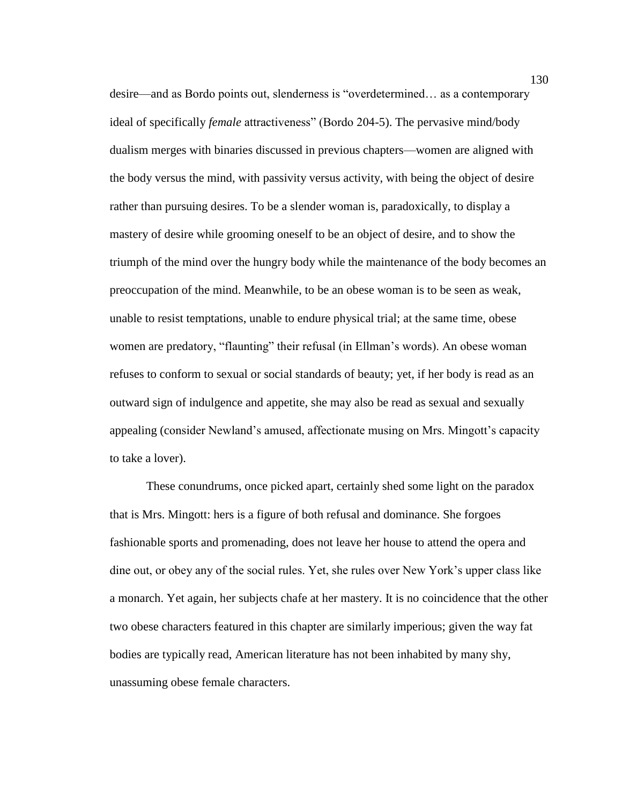desire—and as Bordo points out, slenderness is "overdetermined… as a contemporary ideal of specifically *female* attractiveness" (Bordo 204-5). The pervasive mind/body dualism merges with binaries discussed in previous chapters—women are aligned with the body versus the mind, with passivity versus activity, with being the object of desire rather than pursuing desires. To be a slender woman is, paradoxically, to display a mastery of desire while grooming oneself to be an object of desire, and to show the triumph of the mind over the hungry body while the maintenance of the body becomes an preoccupation of the mind. Meanwhile, to be an obese woman is to be seen as weak, unable to resist temptations, unable to endure physical trial; at the same time, obese women are predatory, "flaunting" their refusal (in Ellman's words). An obese woman refuses to conform to sexual or social standards of beauty; yet, if her body is read as an outward sign of indulgence and appetite, she may also be read as sexual and sexually appealing (consider Newland's amused, affectionate musing on Mrs. Mingott's capacity to take a lover).

These conundrums, once picked apart, certainly shed some light on the paradox that is Mrs. Mingott: hers is a figure of both refusal and dominance. She forgoes fashionable sports and promenading, does not leave her house to attend the opera and dine out, or obey any of the social rules. Yet, she rules over New York's upper class like a monarch. Yet again, her subjects chafe at her mastery. It is no coincidence that the other two obese characters featured in this chapter are similarly imperious; given the way fat bodies are typically read, American literature has not been inhabited by many shy, unassuming obese female characters.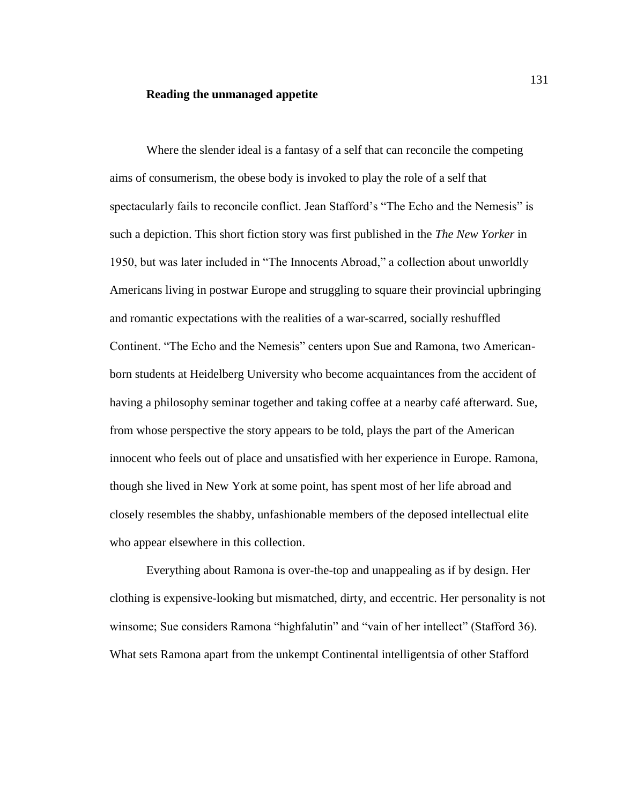## **Reading the unmanaged appetite**

Where the slender ideal is a fantasy of a self that can reconcile the competing aims of consumerism, the obese body is invoked to play the role of a self that spectacularly fails to reconcile conflict. Jean Stafford's "The Echo and the Nemesis" is such a depiction. This short fiction story was first published in the *The New Yorker* in 1950, but was later included in "The Innocents Abroad," a collection about unworldly Americans living in postwar Europe and struggling to square their provincial upbringing and romantic expectations with the realities of a war-scarred, socially reshuffled Continent. "The Echo and the Nemesis" centers upon Sue and Ramona, two Americanborn students at Heidelberg University who become acquaintances from the accident of having a philosophy seminar together and taking coffee at a nearby café afterward. Sue, from whose perspective the story appears to be told, plays the part of the American innocent who feels out of place and unsatisfied with her experience in Europe. Ramona, though she lived in New York at some point, has spent most of her life abroad and closely resembles the shabby, unfashionable members of the deposed intellectual elite who appear elsewhere in this collection.

Everything about Ramona is over-the-top and unappealing as if by design. Her clothing is expensive-looking but mismatched, dirty, and eccentric. Her personality is not winsome; Sue considers Ramona "highfalutin" and "vain of her intellect" (Stafford 36). What sets Ramona apart from the unkempt Continental intelligentsia of other Stafford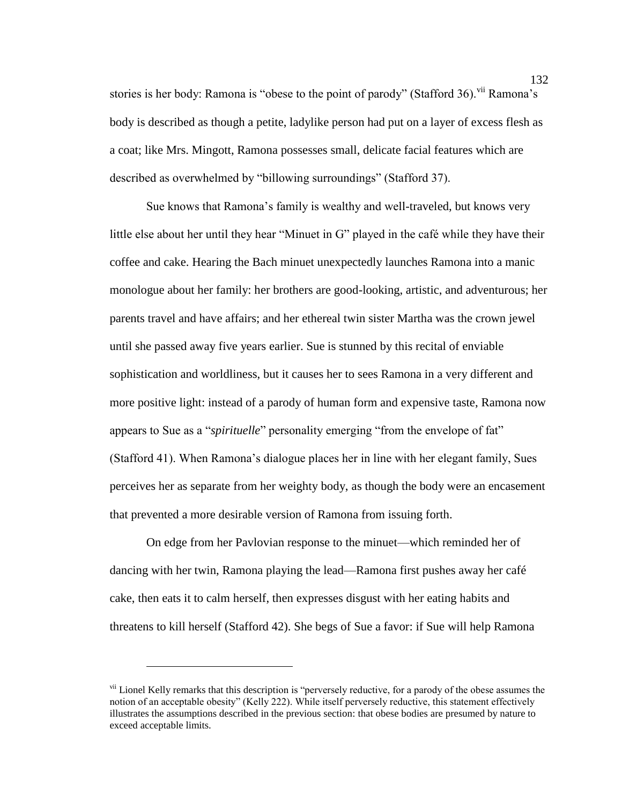stories is her body: Ramona is "obese to the point of parody" (Stafford 36).<sup>vii</sup> Ramona's body is described as though a petite, ladylike person had put on a layer of excess flesh as a coat; like Mrs. Mingott, Ramona possesses small, delicate facial features which are described as overwhelmed by "billowing surroundings" (Stafford 37).

Sue knows that Ramona's family is wealthy and well-traveled, but knows very little else about her until they hear "Minuet in G" played in the café while they have their coffee and cake. Hearing the Bach minuet unexpectedly launches Ramona into a manic monologue about her family: her brothers are good-looking, artistic, and adventurous; her parents travel and have affairs; and her ethereal twin sister Martha was the crown jewel until she passed away five years earlier. Sue is stunned by this recital of enviable sophistication and worldliness, but it causes her to sees Ramona in a very different and more positive light: instead of a parody of human form and expensive taste, Ramona now appears to Sue as a "*spirituelle*" personality emerging "from the envelope of fat" (Stafford 41). When Ramona's dialogue places her in line with her elegant family, Sues perceives her as separate from her weighty body, as though the body were an encasement that prevented a more desirable version of Ramona from issuing forth.

On edge from her Pavlovian response to the minuet—which reminded her of dancing with her twin, Ramona playing the lead—Ramona first pushes away her café cake, then eats it to calm herself, then expresses disgust with her eating habits and threatens to kill herself (Stafford 42). She begs of Sue a favor: if Sue will help Ramona

 $\overline{a}$ 

<sup>&</sup>lt;sup>vii</sup> Lionel Kelly remarks that this description is "perversely reductive, for a parody of the obese assumes the notion of an acceptable obesity" (Kelly 222). While itself perversely reductive, this statement effectively illustrates the assumptions described in the previous section: that obese bodies are presumed by nature to exceed acceptable limits.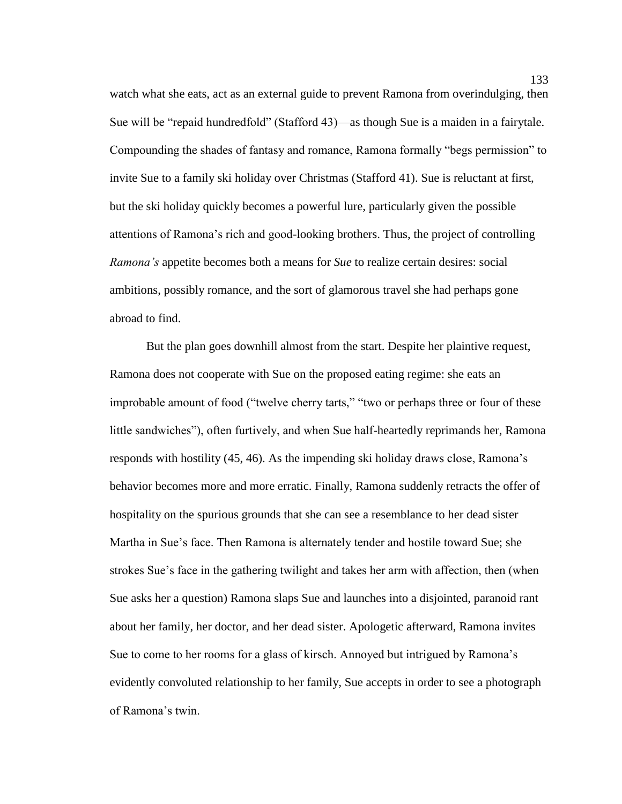watch what she eats, act as an external guide to prevent Ramona from overindulging, then Sue will be "repaid hundredfold" (Stafford 43)—as though Sue is a maiden in a fairytale. Compounding the shades of fantasy and romance, Ramona formally "begs permission" to invite Sue to a family ski holiday over Christmas (Stafford 41). Sue is reluctant at first, but the ski holiday quickly becomes a powerful lure, particularly given the possible attentions of Ramona's rich and good-looking brothers. Thus, the project of controlling *Ramona's* appetite becomes both a means for *Sue* to realize certain desires: social ambitions, possibly romance, and the sort of glamorous travel she had perhaps gone abroad to find.

But the plan goes downhill almost from the start. Despite her plaintive request, Ramona does not cooperate with Sue on the proposed eating regime: she eats an improbable amount of food ("twelve cherry tarts," "two or perhaps three or four of these little sandwiches"), often furtively, and when Sue half-heartedly reprimands her, Ramona responds with hostility (45, 46). As the impending ski holiday draws close, Ramona's behavior becomes more and more erratic. Finally, Ramona suddenly retracts the offer of hospitality on the spurious grounds that she can see a resemblance to her dead sister Martha in Sue's face. Then Ramona is alternately tender and hostile toward Sue; she strokes Sue's face in the gathering twilight and takes her arm with affection, then (when Sue asks her a question) Ramona slaps Sue and launches into a disjointed, paranoid rant about her family, her doctor, and her dead sister. Apologetic afterward, Ramona invites Sue to come to her rooms for a glass of kirsch. Annoyed but intrigued by Ramona's evidently convoluted relationship to her family, Sue accepts in order to see a photograph of Ramona's twin.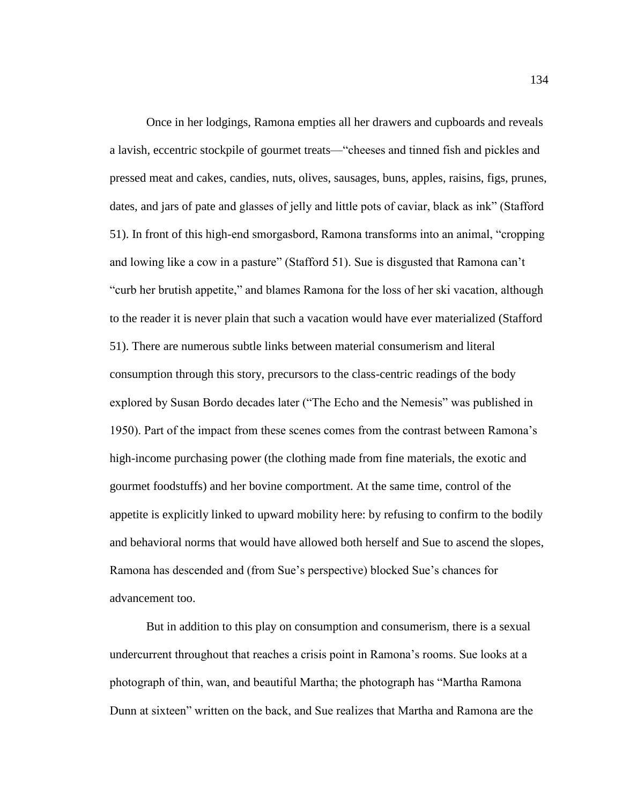Once in her lodgings, Ramona empties all her drawers and cupboards and reveals a lavish, eccentric stockpile of gourmet treats—"cheeses and tinned fish and pickles and pressed meat and cakes, candies, nuts, olives, sausages, buns, apples, raisins, figs, prunes, dates, and jars of pate and glasses of jelly and little pots of caviar, black as ink" (Stafford 51). In front of this high-end smorgasbord, Ramona transforms into an animal, "cropping and lowing like a cow in a pasture" (Stafford 51). Sue is disgusted that Ramona can't "curb her brutish appetite," and blames Ramona for the loss of her ski vacation, although to the reader it is never plain that such a vacation would have ever materialized (Stafford 51). There are numerous subtle links between material consumerism and literal consumption through this story, precursors to the class-centric readings of the body explored by Susan Bordo decades later ("The Echo and the Nemesis" was published in 1950). Part of the impact from these scenes comes from the contrast between Ramona's high-income purchasing power (the clothing made from fine materials, the exotic and gourmet foodstuffs) and her bovine comportment. At the same time, control of the appetite is explicitly linked to upward mobility here: by refusing to confirm to the bodily and behavioral norms that would have allowed both herself and Sue to ascend the slopes, Ramona has descended and (from Sue's perspective) blocked Sue's chances for advancement too.

But in addition to this play on consumption and consumerism, there is a sexual undercurrent throughout that reaches a crisis point in Ramona's rooms. Sue looks at a photograph of thin, wan, and beautiful Martha; the photograph has "Martha Ramona Dunn at sixteen" written on the back, and Sue realizes that Martha and Ramona are the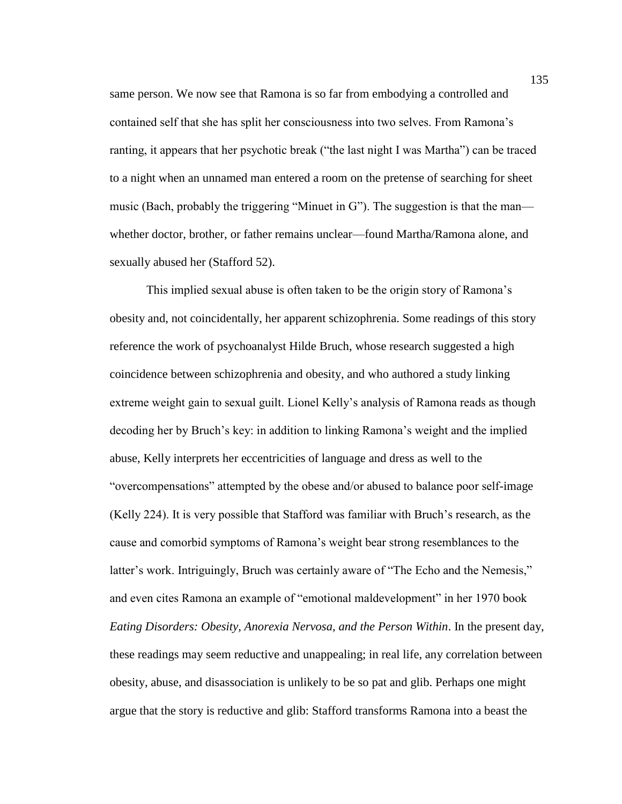same person. We now see that Ramona is so far from embodying a controlled and contained self that she has split her consciousness into two selves. From Ramona's ranting, it appears that her psychotic break ("the last night I was Martha") can be traced to a night when an unnamed man entered a room on the pretense of searching for sheet music (Bach, probably the triggering "Minuet in G"). The suggestion is that the man whether doctor, brother, or father remains unclear—found Martha/Ramona alone, and sexually abused her (Stafford 52).

This implied sexual abuse is often taken to be the origin story of Ramona's obesity and, not coincidentally, her apparent schizophrenia. Some readings of this story reference the work of psychoanalyst Hilde Bruch, whose research suggested a high coincidence between schizophrenia and obesity, and who authored a study linking extreme weight gain to sexual guilt. Lionel Kelly's analysis of Ramona reads as though decoding her by Bruch's key: in addition to linking Ramona's weight and the implied abuse, Kelly interprets her eccentricities of language and dress as well to the "overcompensations" attempted by the obese and/or abused to balance poor self-image (Kelly 224). It is very possible that Stafford was familiar with Bruch's research, as the cause and comorbid symptoms of Ramona's weight bear strong resemblances to the latter's work. Intriguingly, Bruch was certainly aware of "The Echo and the Nemesis," and even cites Ramona an example of "emotional maldevelopment" in her 1970 book *Eating Disorders: Obesity, Anorexia Nervosa, and the Person Within*. In the present day, these readings may seem reductive and unappealing; in real life, any correlation between obesity, abuse, and disassociation is unlikely to be so pat and glib. Perhaps one might argue that the story is reductive and glib: Stafford transforms Ramona into a beast the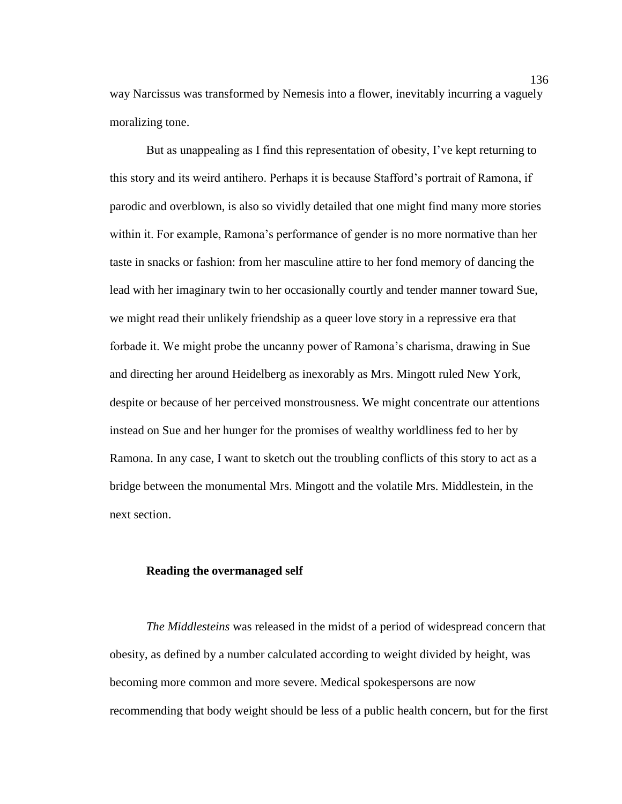way Narcissus was transformed by Nemesis into a flower, inevitably incurring a vaguely moralizing tone.

But as unappealing as I find this representation of obesity, I've kept returning to this story and its weird antihero. Perhaps it is because Stafford's portrait of Ramona, if parodic and overblown, is also so vividly detailed that one might find many more stories within it. For example, Ramona's performance of gender is no more normative than her taste in snacks or fashion: from her masculine attire to her fond memory of dancing the lead with her imaginary twin to her occasionally courtly and tender manner toward Sue, we might read their unlikely friendship as a queer love story in a repressive era that forbade it. We might probe the uncanny power of Ramona's charisma, drawing in Sue and directing her around Heidelberg as inexorably as Mrs. Mingott ruled New York, despite or because of her perceived monstrousness. We might concentrate our attentions instead on Sue and her hunger for the promises of wealthy worldliness fed to her by Ramona. In any case, I want to sketch out the troubling conflicts of this story to act as a bridge between the monumental Mrs. Mingott and the volatile Mrs. Middlestein, in the next section.

# **Reading the overmanaged self**

*The Middlesteins* was released in the midst of a period of widespread concern that obesity, as defined by a number calculated according to weight divided by height, was becoming more common and more severe. Medical spokespersons are now recommending that body weight should be less of a public health concern, but for the first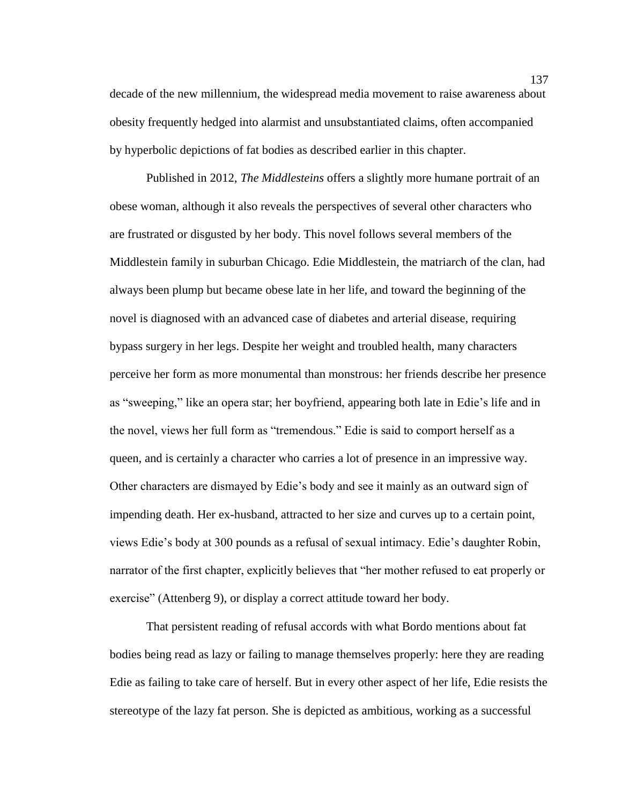decade of the new millennium, the widespread media movement to raise awareness about obesity frequently hedged into alarmist and unsubstantiated claims, often accompanied by hyperbolic depictions of fat bodies as described earlier in this chapter.

Published in 2012, *The Middlesteins* offers a slightly more humane portrait of an obese woman, although it also reveals the perspectives of several other characters who are frustrated or disgusted by her body. This novel follows several members of the Middlestein family in suburban Chicago. Edie Middlestein, the matriarch of the clan, had always been plump but became obese late in her life, and toward the beginning of the novel is diagnosed with an advanced case of diabetes and arterial disease, requiring bypass surgery in her legs. Despite her weight and troubled health, many characters perceive her form as more monumental than monstrous: her friends describe her presence as "sweeping," like an opera star; her boyfriend, appearing both late in Edie's life and in the novel, views her full form as "tremendous." Edie is said to comport herself as a queen, and is certainly a character who carries a lot of presence in an impressive way. Other characters are dismayed by Edie's body and see it mainly as an outward sign of impending death. Her ex-husband, attracted to her size and curves up to a certain point, views Edie's body at 300 pounds as a refusal of sexual intimacy. Edie's daughter Robin, narrator of the first chapter, explicitly believes that "her mother refused to eat properly or exercise" (Attenberg 9), or display a correct attitude toward her body.

That persistent reading of refusal accords with what Bordo mentions about fat bodies being read as lazy or failing to manage themselves properly: here they are reading Edie as failing to take care of herself. But in every other aspect of her life, Edie resists the stereotype of the lazy fat person. She is depicted as ambitious, working as a successful

137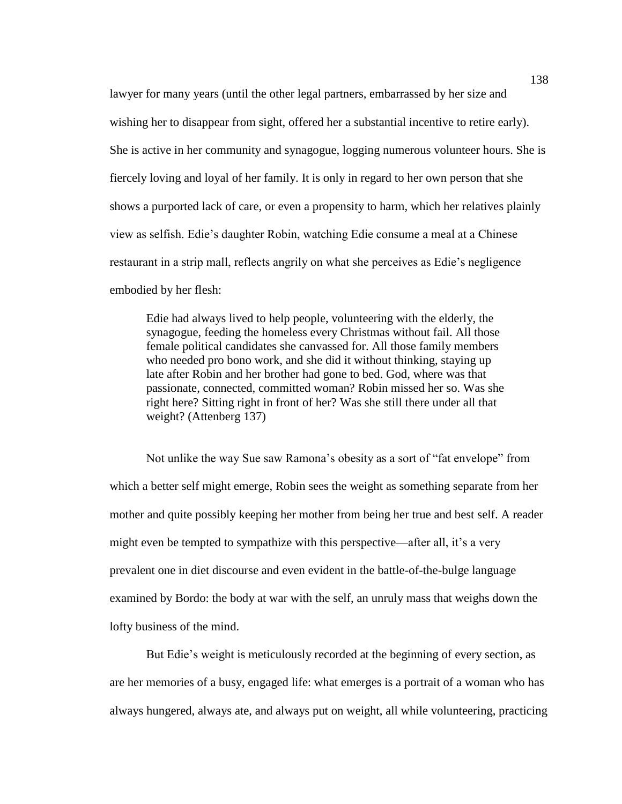lawyer for many years (until the other legal partners, embarrassed by her size and wishing her to disappear from sight, offered her a substantial incentive to retire early). She is active in her community and synagogue, logging numerous volunteer hours. She is fiercely loving and loyal of her family. It is only in regard to her own person that she shows a purported lack of care, or even a propensity to harm, which her relatives plainly view as selfish. Edie's daughter Robin, watching Edie consume a meal at a Chinese restaurant in a strip mall, reflects angrily on what she perceives as Edie's negligence embodied by her flesh:

Edie had always lived to help people, volunteering with the elderly, the synagogue, feeding the homeless every Christmas without fail. All those female political candidates she canvassed for. All those family members who needed pro bono work, and she did it without thinking, staying up late after Robin and her brother had gone to bed. God, where was that passionate, connected, committed woman? Robin missed her so. Was she right here? Sitting right in front of her? Was she still there under all that weight? (Attenberg 137)

Not unlike the way Sue saw Ramona's obesity as a sort of "fat envelope" from which a better self might emerge, Robin sees the weight as something separate from her mother and quite possibly keeping her mother from being her true and best self. A reader might even be tempted to sympathize with this perspective—after all, it's a very prevalent one in diet discourse and even evident in the battle-of-the-bulge language examined by Bordo: the body at war with the self, an unruly mass that weighs down the lofty business of the mind.

But Edie's weight is meticulously recorded at the beginning of every section, as are her memories of a busy, engaged life: what emerges is a portrait of a woman who has always hungered, always ate, and always put on weight, all while volunteering, practicing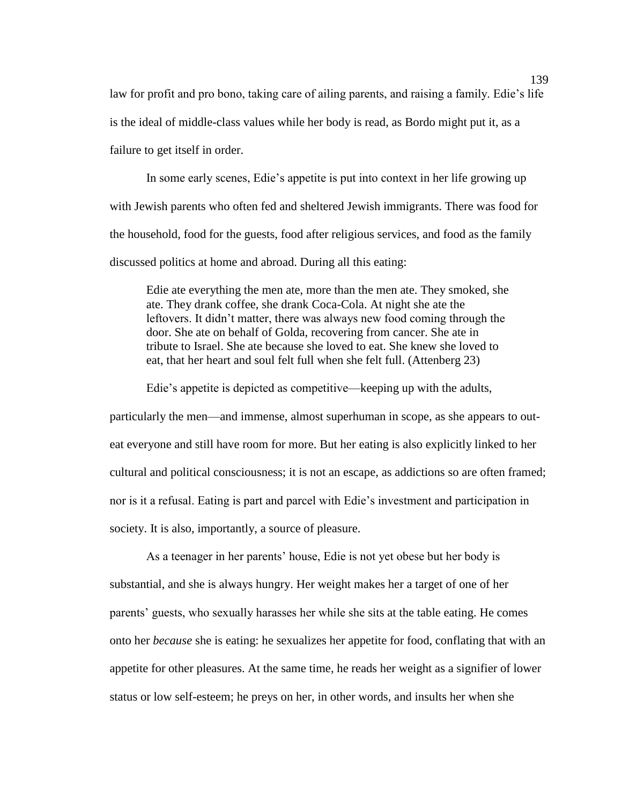law for profit and pro bono, taking care of ailing parents, and raising a family. Edie's life is the ideal of middle-class values while her body is read, as Bordo might put it, as a failure to get itself in order.

In some early scenes, Edie's appetite is put into context in her life growing up with Jewish parents who often fed and sheltered Jewish immigrants. There was food for the household, food for the guests, food after religious services, and food as the family discussed politics at home and abroad. During all this eating:

Edie ate everything the men ate, more than the men ate. They smoked, she ate. They drank coffee, she drank Coca-Cola. At night she ate the leftovers. It didn't matter, there was always new food coming through the door. She ate on behalf of Golda, recovering from cancer. She ate in tribute to Israel. She ate because she loved to eat. She knew she loved to eat, that her heart and soul felt full when she felt full. (Attenberg 23)

Edie's appetite is depicted as competitive—keeping up with the adults,

particularly the men—and immense, almost superhuman in scope, as she appears to outeat everyone and still have room for more. But her eating is also explicitly linked to her cultural and political consciousness; it is not an escape, as addictions so are often framed; nor is it a refusal. Eating is part and parcel with Edie's investment and participation in society. It is also, importantly, a source of pleasure.

As a teenager in her parents' house, Edie is not yet obese but her body is substantial, and she is always hungry. Her weight makes her a target of one of her parents' guests, who sexually harasses her while she sits at the table eating. He comes onto her *because* she is eating: he sexualizes her appetite for food, conflating that with an appetite for other pleasures. At the same time, he reads her weight as a signifier of lower status or low self-esteem; he preys on her, in other words, and insults her when she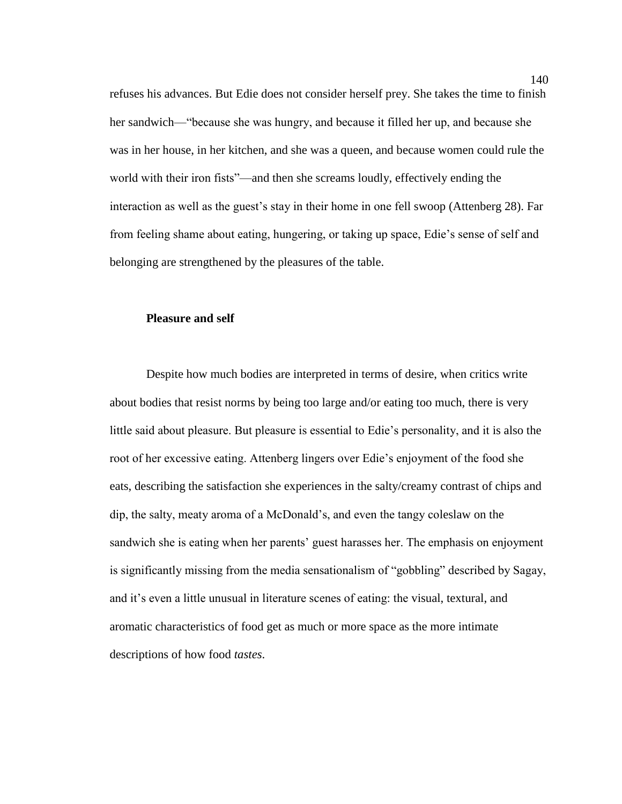refuses his advances. But Edie does not consider herself prey. She takes the time to finish her sandwich—"because she was hungry, and because it filled her up, and because she was in her house, in her kitchen, and she was a queen, and because women could rule the world with their iron fists"—and then she screams loudly, effectively ending the interaction as well as the guest's stay in their home in one fell swoop (Attenberg 28). Far from feeling shame about eating, hungering, or taking up space, Edie's sense of self and belonging are strengthened by the pleasures of the table.

## **Pleasure and self**

Despite how much bodies are interpreted in terms of desire, when critics write about bodies that resist norms by being too large and/or eating too much, there is very little said about pleasure. But pleasure is essential to Edie's personality, and it is also the root of her excessive eating. Attenberg lingers over Edie's enjoyment of the food she eats, describing the satisfaction she experiences in the salty/creamy contrast of chips and dip, the salty, meaty aroma of a McDonald's, and even the tangy coleslaw on the sandwich she is eating when her parents' guest harasses her. The emphasis on enjoyment is significantly missing from the media sensationalism of "gobbling" described by Sagay, and it's even a little unusual in literature scenes of eating: the visual, textural, and aromatic characteristics of food get as much or more space as the more intimate descriptions of how food *tastes*.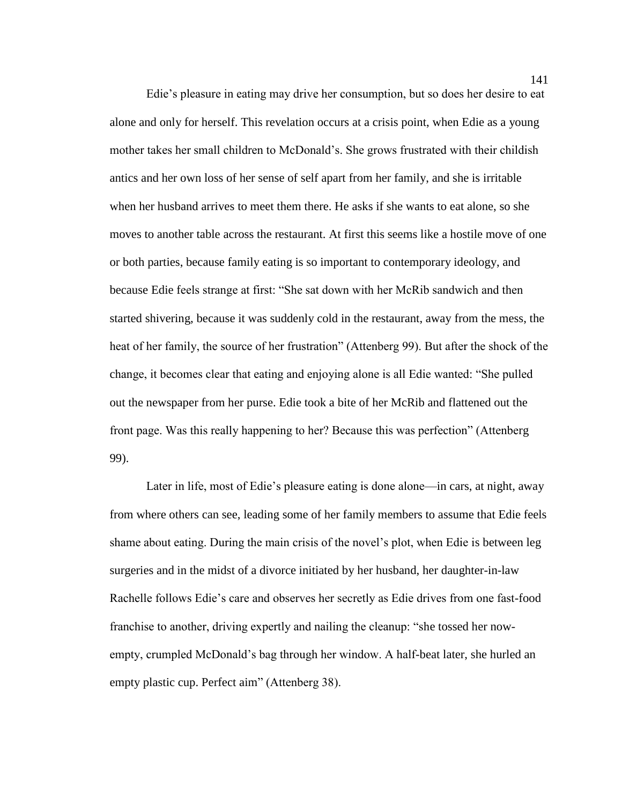Edie's pleasure in eating may drive her consumption, but so does her desire to eat alone and only for herself. This revelation occurs at a crisis point, when Edie as a young mother takes her small children to McDonald's. She grows frustrated with their childish antics and her own loss of her sense of self apart from her family, and she is irritable when her husband arrives to meet them there. He asks if she wants to eat alone, so she moves to another table across the restaurant. At first this seems like a hostile move of one or both parties, because family eating is so important to contemporary ideology, and because Edie feels strange at first: "She sat down with her McRib sandwich and then started shivering, because it was suddenly cold in the restaurant, away from the mess, the heat of her family, the source of her frustration" (Attenberg 99). But after the shock of the change, it becomes clear that eating and enjoying alone is all Edie wanted: "She pulled out the newspaper from her purse. Edie took a bite of her McRib and flattened out the front page. Was this really happening to her? Because this was perfection" (Attenberg 99).

Later in life, most of Edie's pleasure eating is done alone—in cars, at night, away from where others can see, leading some of her family members to assume that Edie feels shame about eating. During the main crisis of the novel's plot, when Edie is between leg surgeries and in the midst of a divorce initiated by her husband, her daughter-in-law Rachelle follows Edie's care and observes her secretly as Edie drives from one fast-food franchise to another, driving expertly and nailing the cleanup: "she tossed her nowempty, crumpled McDonald's bag through her window. A half-beat later, she hurled an empty plastic cup. Perfect aim" (Attenberg 38).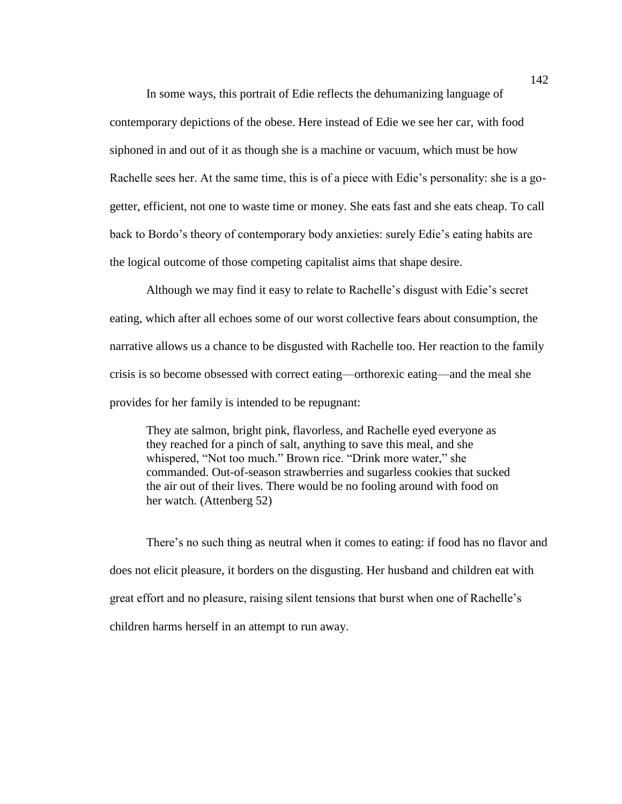In some ways, this portrait of Edie reflects the dehumanizing language of contemporary depictions of the obese. Here instead of Edie we see her car, with food siphoned in and out of it as though she is a machine or vacuum, which must be how Rachelle sees her. At the same time, this is of a piece with Edie's personality: she is a gogetter, efficient, not one to waste time or money. She eats fast and she eats cheap. To call back to Bordo's theory of contemporary body anxieties: surely Edie's eating habits are the logical outcome of those competing capitalist aims that shape desire.

Although we may find it easy to relate to Rachelle's disgust with Edie's secret eating, which after all echoes some of our worst collective fears about consumption, the narrative allows us a chance to be disgusted with Rachelle too. Her reaction to the family crisis is so become obsessed with correct eating—orthorexic eating—and the meal she provides for her family is intended to be repugnant:

They ate salmon, bright pink, flavorless, and Rachelle eyed everyone as they reached for a pinch of salt, anything to save this meal, and she whispered, "Not too much." Brown rice. "Drink more water," she commanded. Out-of-season strawberries and sugarless cookies that sucked the air out of their lives. There would be no fooling around with food on her watch. (Attenberg 52)

There's no such thing as neutral when it comes to eating: if food has no flavor and does not elicit pleasure, it borders on the disgusting. Her husband and children eat with great effort and no pleasure, raising silent tensions that burst when one of Rachelle's children harms herself in an attempt to run away.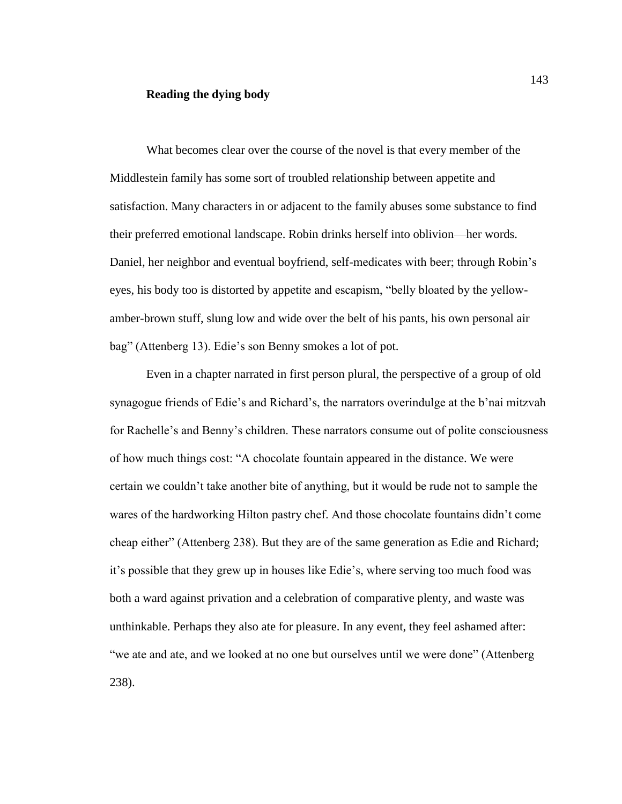## **Reading the dying body**

What becomes clear over the course of the novel is that every member of the Middlestein family has some sort of troubled relationship between appetite and satisfaction. Many characters in or adjacent to the family abuses some substance to find their preferred emotional landscape. Robin drinks herself into oblivion—her words. Daniel, her neighbor and eventual boyfriend, self-medicates with beer; through Robin's eyes, his body too is distorted by appetite and escapism, "belly bloated by the yellowamber-brown stuff, slung low and wide over the belt of his pants, his own personal air bag" (Attenberg 13). Edie's son Benny smokes a lot of pot.

Even in a chapter narrated in first person plural, the perspective of a group of old synagogue friends of Edie's and Richard's, the narrators overindulge at the b'nai mitzvah for Rachelle's and Benny's children. These narrators consume out of polite consciousness of how much things cost: "A chocolate fountain appeared in the distance. We were certain we couldn't take another bite of anything, but it would be rude not to sample the wares of the hardworking Hilton pastry chef. And those chocolate fountains didn't come cheap either" (Attenberg 238). But they are of the same generation as Edie and Richard; it's possible that they grew up in houses like Edie's, where serving too much food was both a ward against privation and a celebration of comparative plenty, and waste was unthinkable. Perhaps they also ate for pleasure. In any event, they feel ashamed after: "we ate and ate, and we looked at no one but ourselves until we were done" (Attenberg 238).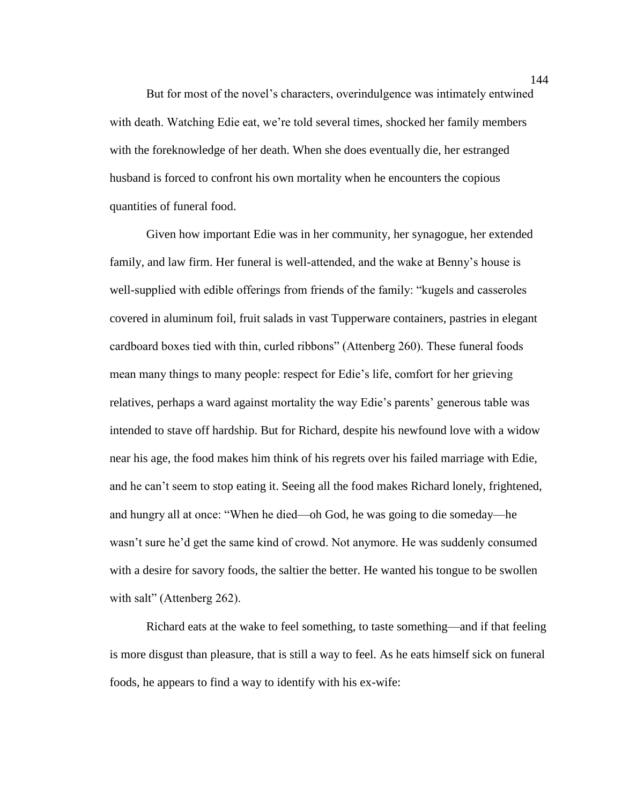But for most of the novel's characters, overindulgence was intimately entwined with death. Watching Edie eat, we're told several times, shocked her family members with the foreknowledge of her death. When she does eventually die, her estranged husband is forced to confront his own mortality when he encounters the copious quantities of funeral food.

Given how important Edie was in her community, her synagogue, her extended family, and law firm. Her funeral is well-attended, and the wake at Benny's house is well-supplied with edible offerings from friends of the family: "kugels and casseroles covered in aluminum foil, fruit salads in vast Tupperware containers, pastries in elegant cardboard boxes tied with thin, curled ribbons" (Attenberg 260). These funeral foods mean many things to many people: respect for Edie's life, comfort for her grieving relatives, perhaps a ward against mortality the way Edie's parents' generous table was intended to stave off hardship. But for Richard, despite his newfound love with a widow near his age, the food makes him think of his regrets over his failed marriage with Edie, and he can't seem to stop eating it. Seeing all the food makes Richard lonely, frightened, and hungry all at once: "When he died—oh God, he was going to die someday—he wasn't sure he'd get the same kind of crowd. Not anymore. He was suddenly consumed with a desire for savory foods, the saltier the better. He wanted his tongue to be swollen with salt" (Attenberg 262).

Richard eats at the wake to feel something, to taste something—and if that feeling is more disgust than pleasure, that is still a way to feel. As he eats himself sick on funeral foods, he appears to find a way to identify with his ex-wife:

144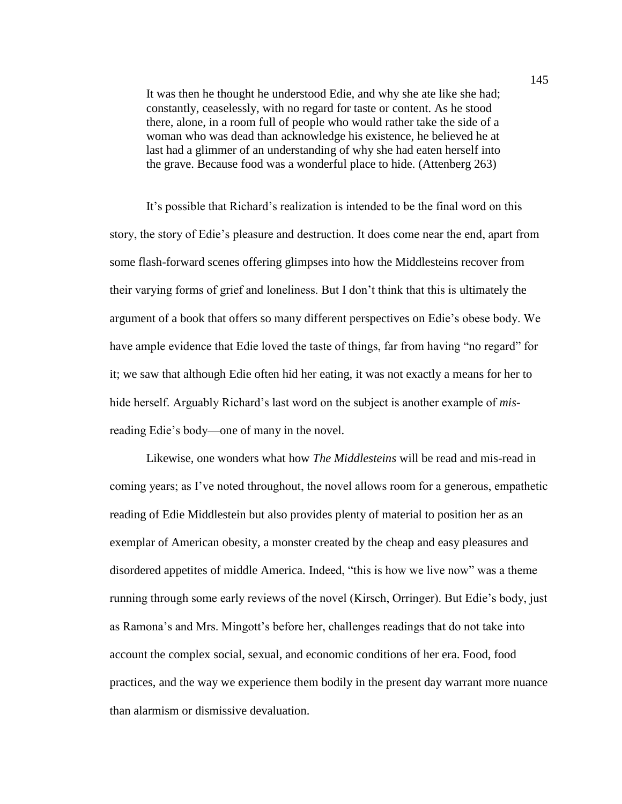It was then he thought he understood Edie, and why she ate like she had; constantly, ceaselessly, with no regard for taste or content. As he stood there, alone, in a room full of people who would rather take the side of a woman who was dead than acknowledge his existence, he believed he at last had a glimmer of an understanding of why she had eaten herself into the grave. Because food was a wonderful place to hide. (Attenberg 263)

It's possible that Richard's realization is intended to be the final word on this story, the story of Edie's pleasure and destruction. It does come near the end, apart from some flash-forward scenes offering glimpses into how the Middlesteins recover from their varying forms of grief and loneliness. But I don't think that this is ultimately the argument of a book that offers so many different perspectives on Edie's obese body. We have ample evidence that Edie loved the taste of things, far from having "no regard" for it; we saw that although Edie often hid her eating, it was not exactly a means for her to hide herself. Arguably Richard's last word on the subject is another example of *mis*reading Edie's body—one of many in the novel.

Likewise, one wonders what how *The Middlesteins* will be read and mis-read in coming years; as I've noted throughout, the novel allows room for a generous, empathetic reading of Edie Middlestein but also provides plenty of material to position her as an exemplar of American obesity, a monster created by the cheap and easy pleasures and disordered appetites of middle America. Indeed, "this is how we live now" was a theme running through some early reviews of the novel (Kirsch, Orringer). But Edie's body, just as Ramona's and Mrs. Mingott's before her, challenges readings that do not take into account the complex social, sexual, and economic conditions of her era. Food, food practices, and the way we experience them bodily in the present day warrant more nuance than alarmism or dismissive devaluation.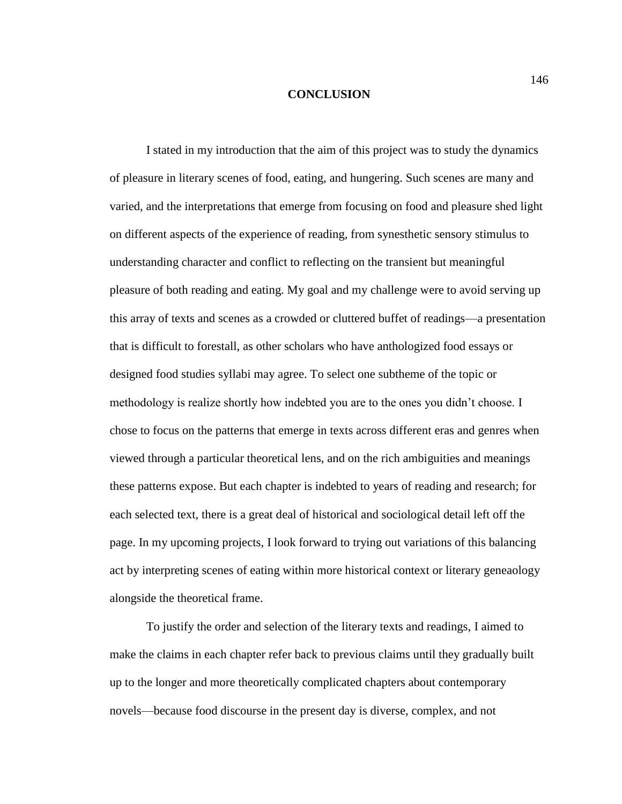## **CONCLUSION**

I stated in my introduction that the aim of this project was to study the dynamics of pleasure in literary scenes of food, eating, and hungering. Such scenes are many and varied, and the interpretations that emerge from focusing on food and pleasure shed light on different aspects of the experience of reading, from synesthetic sensory stimulus to understanding character and conflict to reflecting on the transient but meaningful pleasure of both reading and eating. My goal and my challenge were to avoid serving up this array of texts and scenes as a crowded or cluttered buffet of readings—a presentation that is difficult to forestall, as other scholars who have anthologized food essays or designed food studies syllabi may agree. To select one subtheme of the topic or methodology is realize shortly how indebted you are to the ones you didn't choose. I chose to focus on the patterns that emerge in texts across different eras and genres when viewed through a particular theoretical lens, and on the rich ambiguities and meanings these patterns expose. But each chapter is indebted to years of reading and research; for each selected text, there is a great deal of historical and sociological detail left off the page. In my upcoming projects, I look forward to trying out variations of this balancing act by interpreting scenes of eating within more historical context or literary geneaology alongside the theoretical frame.

To justify the order and selection of the literary texts and readings, I aimed to make the claims in each chapter refer back to previous claims until they gradually built up to the longer and more theoretically complicated chapters about contemporary novels—because food discourse in the present day is diverse, complex, and not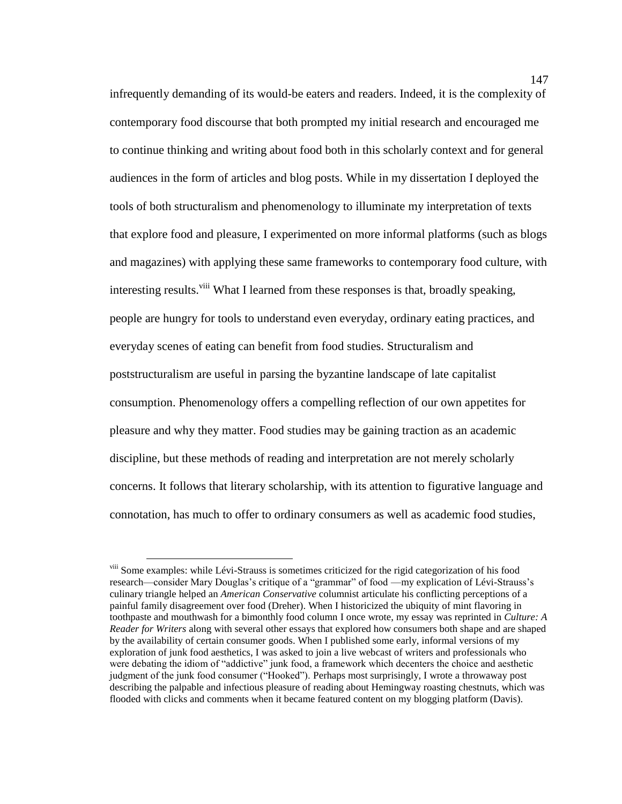infrequently demanding of its would-be eaters and readers. Indeed, it is the complexity of contemporary food discourse that both prompted my initial research and encouraged me to continue thinking and writing about food both in this scholarly context and for general audiences in the form of articles and blog posts. While in my dissertation I deployed the tools of both structuralism and phenomenology to illuminate my interpretation of texts that explore food and pleasure, I experimented on more informal platforms (such as blogs and magazines) with applying these same frameworks to contemporary food culture, with interesting results.<sup>viii</sup> What I learned from these responses is that, broadly speaking, people are hungry for tools to understand even everyday, ordinary eating practices, and everyday scenes of eating can benefit from food studies. Structuralism and poststructuralism are useful in parsing the byzantine landscape of late capitalist consumption. Phenomenology offers a compelling reflection of our own appetites for pleasure and why they matter. Food studies may be gaining traction as an academic discipline, but these methods of reading and interpretation are not merely scholarly concerns. It follows that literary scholarship, with its attention to figurative language and connotation, has much to offer to ordinary consumers as well as academic food studies,

 $\overline{a}$ 

viii Some examples: while Lévi-Strauss is sometimes criticized for the rigid categorization of his food research—consider Mary Douglas's critique of a "grammar" of food —my explication of Lévi-Strauss's culinary triangle helped an *American Conservative* columnist articulate his conflicting perceptions of a painful family disagreement over food (Dreher). When I historicized the ubiquity of mint flavoring in toothpaste and mouthwash for a bimonthly food column I once wrote, my essay was reprinted in *Culture: A Reader for Writers* along with several other essays that explored how consumers both shape and are shaped by the availability of certain consumer goods. When I published some early, informal versions of my exploration of junk food aesthetics, I was asked to join a live webcast of writers and professionals who were debating the idiom of "addictive" junk food, a framework which decenters the choice and aesthetic judgment of the junk food consumer ("Hooked"). Perhaps most surprisingly, I wrote a throwaway post describing the palpable and infectious pleasure of reading about Hemingway roasting chestnuts, which was flooded with clicks and comments when it became featured content on my blogging platform (Davis).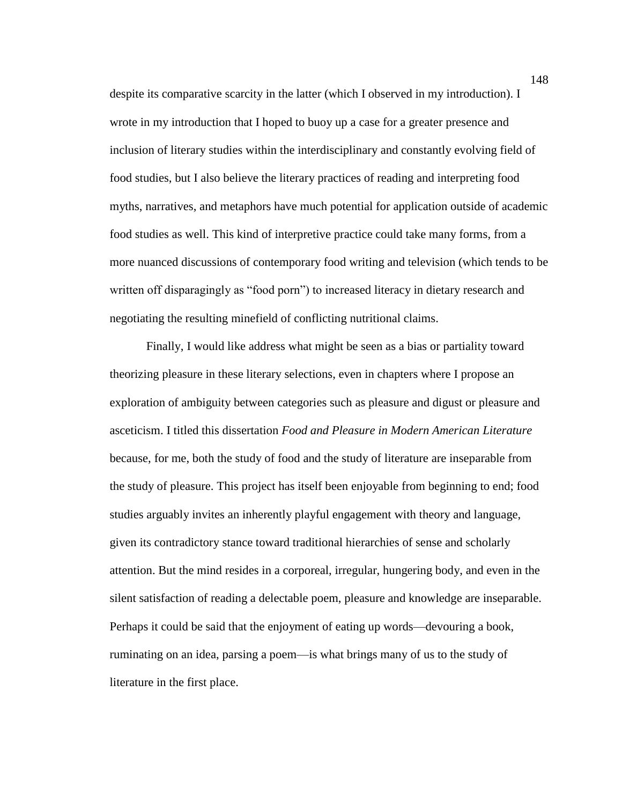despite its comparative scarcity in the latter (which I observed in my introduction). I wrote in my introduction that I hoped to buoy up a case for a greater presence and inclusion of literary studies within the interdisciplinary and constantly evolving field of food studies, but I also believe the literary practices of reading and interpreting food myths, narratives, and metaphors have much potential for application outside of academic food studies as well. This kind of interpretive practice could take many forms, from a more nuanced discussions of contemporary food writing and television (which tends to be written off disparagingly as "food porn") to increased literacy in dietary research and negotiating the resulting minefield of conflicting nutritional claims.

Finally, I would like address what might be seen as a bias or partiality toward theorizing pleasure in these literary selections, even in chapters where I propose an exploration of ambiguity between categories such as pleasure and digust or pleasure and asceticism. I titled this dissertation *Food and Pleasure in Modern American Literature* because, for me, both the study of food and the study of literature are inseparable from the study of pleasure. This project has itself been enjoyable from beginning to end; food studies arguably invites an inherently playful engagement with theory and language, given its contradictory stance toward traditional hierarchies of sense and scholarly attention. But the mind resides in a corporeal, irregular, hungering body, and even in the silent satisfaction of reading a delectable poem, pleasure and knowledge are inseparable. Perhaps it could be said that the enjoyment of eating up words—devouring a book, ruminating on an idea, parsing a poem—is what brings many of us to the study of literature in the first place.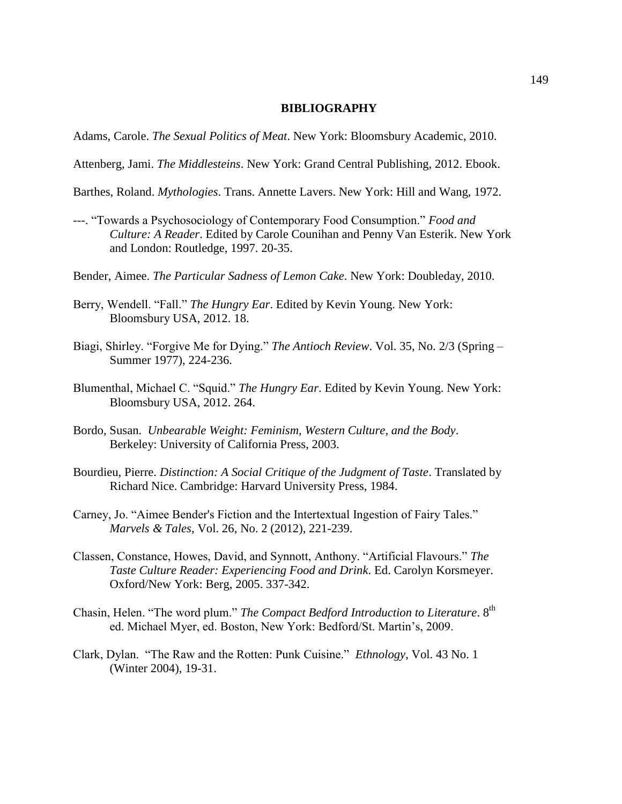## **BIBLIOGRAPHY**

Adams, Carole. *The Sexual Politics of Meat*. New York: Bloomsbury Academic, 2010.

Attenberg, Jami. *The Middlesteins*. New York: Grand Central Publishing, 2012. Ebook.

- Barthes, Roland. *Mythologies*. Trans. Annette Lavers. New York: Hill and Wang, 1972.
- ---. "Towards a Psychosociology of Contemporary Food Consumption." *Food and Culture: A Reader*. Edited by Carole Counihan and Penny Van Esterik. New York and London: Routledge, 1997. 20-35.
- Bender, Aimee. *The Particular Sadness of Lemon Cake*. New York: Doubleday, 2010.
- Berry, Wendell. "Fall." *The Hungry Ear*. Edited by Kevin Young. New York: Bloomsbury USA, 2012. 18.
- Biagi, Shirley. "Forgive Me for Dying." *The Antioch Review*. Vol. 35, No. 2/3 (Spring Summer 1977), 224-236.
- Blumenthal, Michael C. "Squid." *The Hungry Ear*. Edited by Kevin Young. New York: Bloomsbury USA, 2012. 264.
- Bordo, Susan. *Unbearable Weight: Feminism, Western Culture, and the Body*. Berkeley: University of California Press, 2003.
- Bourdieu, Pierre. *Distinction: A Social Critique of the Judgment of Taste*. Translated by Richard Nice. Cambridge: Harvard University Press, 1984.
- Carney, Jo. "Aimee Bender's Fiction and the Intertextual Ingestion of Fairy Tales." *Marvels & Tales*, Vol. 26, No. 2 (2012), 221-239.
- Classen, Constance, Howes, David, and Synnott, Anthony. "Artificial Flavours." *The Taste Culture Reader: Experiencing Food and Drink*. Ed. Carolyn Korsmeyer. Oxford/New York: Berg, 2005. 337-342.
- Chasin, Helen. "The word plum." *The Compact Bedford Introduction to Literature*. 8<sup>th</sup> ed. Michael Myer, ed. Boston, New York: Bedford/St. Martin's, 2009.
- Clark, Dylan. "The Raw and the Rotten: Punk Cuisine." *Ethnology*, Vol. 43 No. 1 (Winter 2004), 19-31.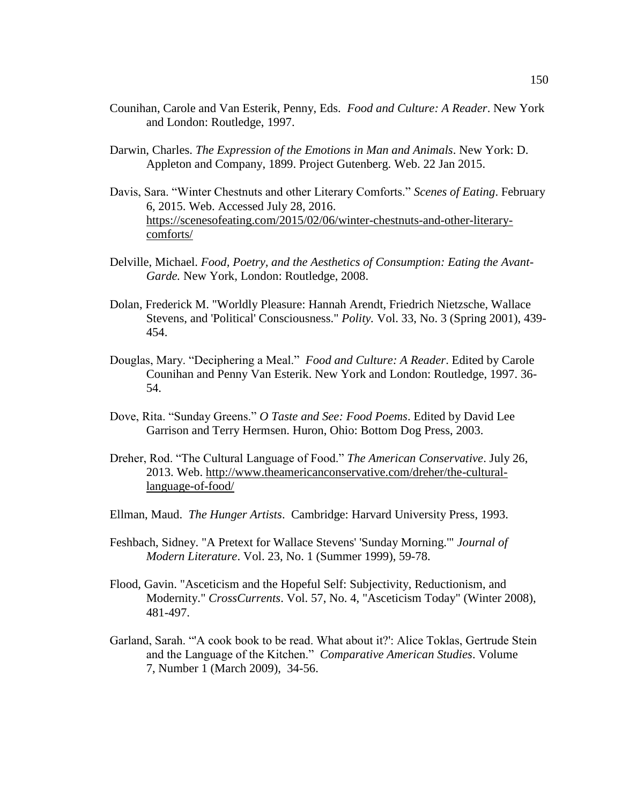- Counihan, Carole and Van Esterik, Penny, Eds. *Food and Culture: A Reader*. New York and London: Routledge, 1997.
- Darwin, Charles. *The Expression of the Emotions in Man and Animals*. New York: D. Appleton and Company, 1899. Project Gutenberg. Web. 22 Jan 2015.
- Davis, Sara. "Winter Chestnuts and other Literary Comforts." *Scenes of Eating*. February 6, 2015. Web. Accessed July 28, 2016. [https://scenesofeating.com/2015/02/06/winter-chestnuts-and-other-literary](https://scenesofeating.com/2015/02/06/winter-chestnuts-and-other-literary-comforts/)[comforts/](https://scenesofeating.com/2015/02/06/winter-chestnuts-and-other-literary-comforts/)
- Delville, Michael. *Food, Poetry, and the Aesthetics of Consumption: Eating the Avant-Garde.* New York, London: Routledge, 2008.
- Dolan, Frederick M. "Worldly Pleasure: Hannah Arendt, Friedrich Nietzsche, Wallace Stevens, and 'Political' Consciousness." *Polity.* Vol. 33, No. 3 (Spring 2001), 439- 454.
- Douglas, Mary. "Deciphering a Meal." *Food and Culture: A Reader*. Edited by Carole Counihan and Penny Van Esterik. New York and London: Routledge, 1997. 36- 54.
- Dove, Rita. "Sunday Greens." *O Taste and See: Food Poems*. Edited by David Lee Garrison and Terry Hermsen. Huron, Ohio: Bottom Dog Press, 2003.
- Dreher, Rod. "The Cultural Language of Food." *The American Conservative*. July 26, 2013. Web. [http://www.theamericanconservative.com/dreher/the-cultural](http://www.theamericanconservative.com/dreher/the-cultural-language-of-food/)[language-of-food/](http://www.theamericanconservative.com/dreher/the-cultural-language-of-food/)
- Ellman, Maud. *The Hunger Artists*. Cambridge: Harvard University Press, 1993.
- Feshbach, Sidney. "A Pretext for Wallace Stevens' 'Sunday Morning.'" *Journal of Modern Literature*. Vol. 23, No. 1 (Summer 1999), 59-78.
- Flood, Gavin. "Asceticism and the Hopeful Self: Subjectivity, Reductionism, and Modernity." *CrossCurrents*. Vol. 57, No. 4, "Asceticism Today" (Winter 2008), 481-497.
- Garland, Sarah. "'A cook book to be read. What about it?': Alice Toklas, Gertrude Stein and the Language of the Kitchen." *Comparative American Studies*. Volume 7, Number 1 (March 2009), 34-56.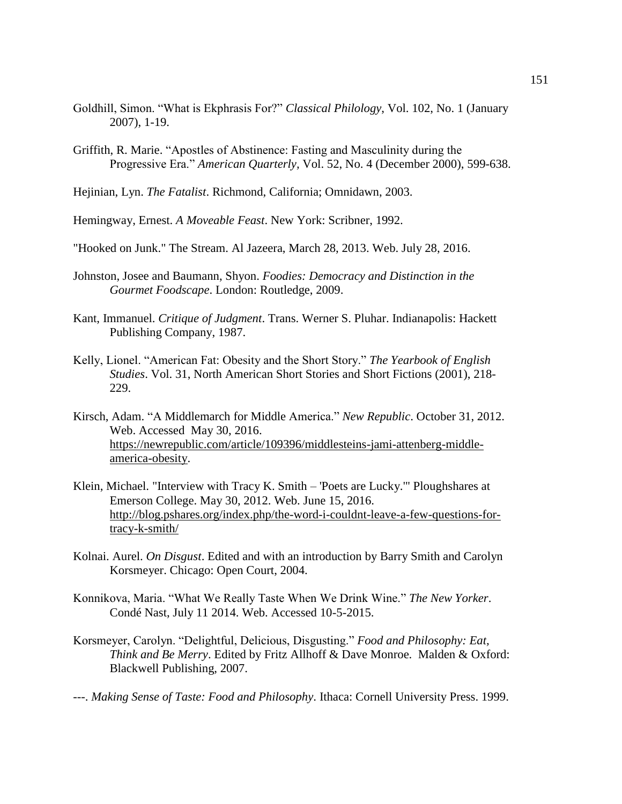- Goldhill, Simon. "What is Ekphrasis For?" *Classical Philology*, Vol. 102, No. 1 (January 2007), 1-19.
- Griffith, R. Marie. "Apostles of Abstinence: Fasting and Masculinity during the Progressive Era." *American Quarterly,* Vol. 52, No. 4 (December 2000), 599-638.
- Hejinian, Lyn. *The Fatalist*. Richmond, California; Omnidawn, 2003.

Hemingway, Ernest. *A Moveable Feast*. New York: Scribner, 1992.

- "Hooked on Junk." The Stream. Al Jazeera, March 28, 2013. Web. July 28, 2016.
- Johnston, Josee and Baumann, Shyon. *Foodies: Democracy and Distinction in the Gourmet Foodscape*. London: Routledge, 2009.
- Kant, Immanuel. *Critique of Judgment*. Trans. Werner S. Pluhar. Indianapolis: Hackett Publishing Company, 1987.
- Kelly, Lionel. "American Fat: Obesity and the Short Story." *The Yearbook of English Studies*. Vol. 31, North American Short Stories and Short Fictions (2001), 218- 229.
- Kirsch, Adam. "A Middlemarch for Middle America." *New Republic*. October 31, 2012. Web. Accessed May 30, 2016. [https://newrepublic.com/article/109396/middlesteins-jami-attenberg-middle](https://newrepublic.com/article/109396/middlesteins-jami-attenberg-middle-america-obesity)[america-obesity.](https://newrepublic.com/article/109396/middlesteins-jami-attenberg-middle-america-obesity)
- Klein, Michael. "Interview with Tracy K. Smith 'Poets are Lucky.'" Ploughshares at Emerson College. May 30, 2012. Web. June 15, 2016. [http://blog.pshares.org/index.php/the-word-i-couldnt-leave-a-few-questions-for](http://blog.pshares.org/index.php/the-word-i-couldnt-leave-a-few-questions-for-tracy-k-smith/)[tracy-k-smith/](http://blog.pshares.org/index.php/the-word-i-couldnt-leave-a-few-questions-for-tracy-k-smith/)
- Kolnai. Aurel. *On Disgust*. Edited and with an introduction by Barry Smith and Carolyn Korsmeyer. Chicago: Open Court, 2004.
- Konnikova, Maria. "What We Really Taste When We Drink Wine." *The New Yorker*. Condé Nast, July 11 2014. Web. Accessed 10-5-2015.
- Korsmeyer, Carolyn. "Delightful, Delicious, Disgusting." *Food and Philosophy: Eat, Think and Be Merry*. Edited by Fritz Allhoff & Dave Monroe. Malden & Oxford: Blackwell Publishing, 2007.
- ---. *Making Sense of Taste: Food and Philosophy*. Ithaca: Cornell University Press. 1999.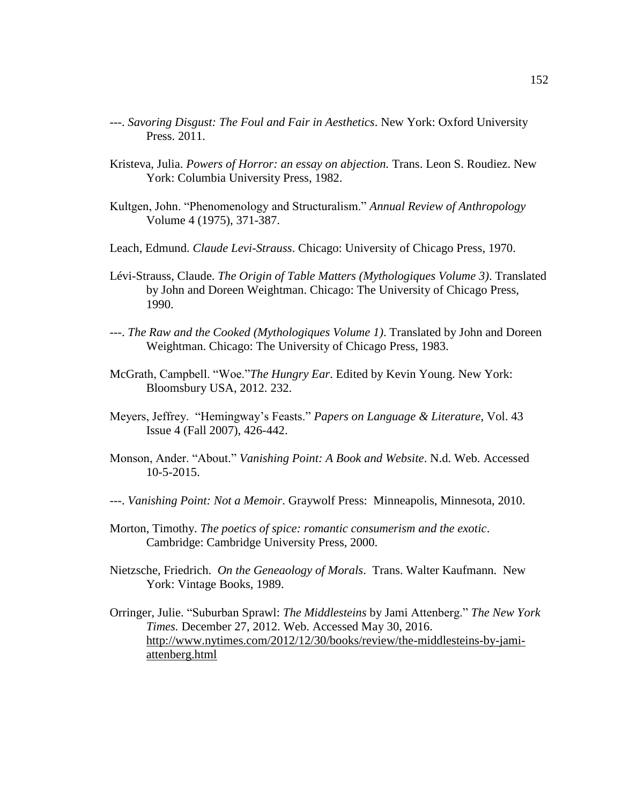- ---. *Savoring Disgust: The Foul and Fair in Aesthetics*. New York: Oxford University Press. 2011.
- Kristeva, Julia. *Powers of Horror: an essay on abjection.* Trans. Leon S. Roudiez. New York: Columbia University Press, 1982.
- Kultgen, John. "Phenomenology and Structuralism." *Annual Review of Anthropology* Volume 4 (1975), 371-387.
- Leach, Edmund. *Claude Levi-Strauss*. Chicago: University of Chicago Press, 1970.
- Lévi-Strauss, Claude. *The Origin of Table Matters (Mythologiques Volume 3)*. Translated by John and Doreen Weightman. Chicago: The University of Chicago Press, 1990.
- ---. *The Raw and the Cooked (Mythologiques Volume 1)*. Translated by John and Doreen Weightman. Chicago: The University of Chicago Press, 1983.
- McGrath, Campbell. "Woe."*The Hungry Ear*. Edited by Kevin Young. New York: Bloomsbury USA, 2012. 232.
- Meyers, Jeffrey. "Hemingway's Feasts." *Papers on Language & Literature*, Vol. 43 Issue 4 (Fall 2007), 426-442.
- Monson, Ander. "About." *Vanishing Point: A Book and Website*. N.d. Web. Accessed 10-5-2015.
- ---. *Vanishing Point: Not a Memoir*. Graywolf Press: Minneapolis, Minnesota, 2010.
- Morton, Timothy. *The poetics of spice: romantic consumerism and the exotic*. Cambridge: Cambridge University Press, 2000.
- Nietzsche, Friedrich. *On the Geneaology of Morals*. Trans. Walter Kaufmann. New York: Vintage Books, 1989.
- Orringer, Julie. "Suburban Sprawl: *The Middlesteins* by Jami Attenberg." *The New York Times.* December 27, 2012. Web. Accessed May 30, 2016. [http://www.nytimes.com/2012/12/30/books/review/the-middlesteins-by-jami](http://www.nytimes.com/2012/12/30/books/review/the-middlesteins-by-jami-attenberg.html)[attenberg.html](http://www.nytimes.com/2012/12/30/books/review/the-middlesteins-by-jami-attenberg.html)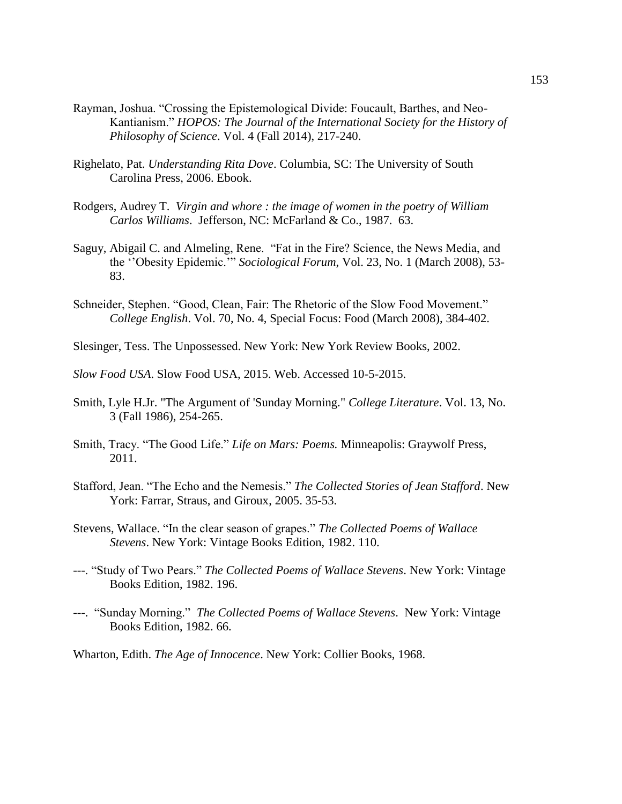- Rayman, Joshua. "Crossing the Epistemological Divide: Foucault, Barthes, and Neo-Kantianism." *HOPOS: The Journal of the International Society for the History of Philosophy of Science*. Vol. 4 (Fall 2014), 217-240.
- Righelato, Pat. *Understanding Rita Dove*. Columbia, SC: The University of South Carolina Press, 2006. Ebook.
- Rodgers, Audrey T. *Virgin and whore : the image of women in the poetry of William Carlos Williams*.Jefferson, NC: McFarland & Co., 1987. 63.
- Saguy, Abigail C. and Almeling, Rene. "Fat in the Fire? Science, the News Media, and the ''Obesity Epidemic.'" *Sociological Forum*, Vol. 23, No. 1 (March 2008), 53- 83.
- Schneider, Stephen. "Good, Clean, Fair: The Rhetoric of the Slow Food Movement." *College English*. Vol. 70, No. 4, Special Focus: Food (March 2008), 384-402.
- Slesinger, Tess. The Unpossessed. New York: New York Review Books, 2002.
- *Slow Food USA*. Slow Food USA, 2015. Web. Accessed 10-5-2015.
- Smith, Lyle H.Jr. "The Argument of 'Sunday Morning." *College Literature*. Vol. 13, No. 3 (Fall 1986), 254-265.
- Smith, Tracy. "The Good Life." *Life on Mars: Poems.* Minneapolis: Graywolf Press, 2011.
- Stafford, Jean. "The Echo and the Nemesis." *The Collected Stories of Jean Stafford*. New York: Farrar, Straus, and Giroux, 2005. 35-53.
- Stevens, Wallace. "In the clear season of grapes." *The Collected Poems of Wallace Stevens*. New York: Vintage Books Edition, 1982. 110.
- ---. "Study of Two Pears." *The Collected Poems of Wallace Stevens*. New York: Vintage Books Edition, 1982. 196.
- ---. "Sunday Morning." *The Collected Poems of Wallace Stevens*. New York: Vintage Books Edition, 1982. 66.
- Wharton, Edith. *The Age of Innocence*. New York: Collier Books, 1968.